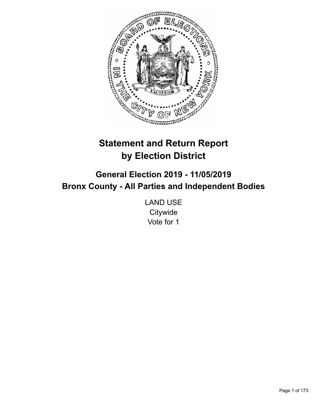

# **Statement and Return Report by Election District**

**General Election 2019 - 11/05/2019 Bronx County - All Parties and Independent Bodies**

> LAND USE **Citywide** Vote for 1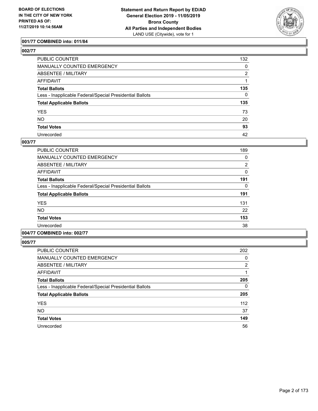

# **001/77 COMBINED into: 011/84**

| PUBLIC COUNTER                                           | 132 |
|----------------------------------------------------------|-----|
| MANUALLY COUNTED EMERGENCY                               | 0   |
| ABSENTEE / MILITARY                                      | 2   |
| AFFIDAVIT                                                |     |
| Total Ballots                                            | 135 |
| Less - Inapplicable Federal/Special Presidential Ballots | 0   |
| <b>Total Applicable Ballots</b>                          | 135 |
| YES                                                      | 73  |
| NO.                                                      | 20  |
| <b>Total Votes</b>                                       | 93  |
| Unrecorded                                               | 42  |

### **003/77**

| <b>PUBLIC COUNTER</b>                                    | 189            |
|----------------------------------------------------------|----------------|
| <b>MANUALLY COUNTED EMERGENCY</b>                        | 0              |
| ABSENTEE / MILITARY                                      | $\overline{2}$ |
| AFFIDAVIT                                                | 0              |
| <b>Total Ballots</b>                                     | 191            |
| Less - Inapplicable Federal/Special Presidential Ballots | 0              |
| <b>Total Applicable Ballots</b>                          | 191            |
| <b>YES</b>                                               | 131            |
| NO.                                                      | 22             |
| <b>Total Votes</b>                                       | 153            |
| Unrecorded                                               | 38             |
|                                                          |                |

# **004/77 COMBINED into: 002/77**

| <b>PUBLIC COUNTER</b>                                    | 202            |
|----------------------------------------------------------|----------------|
| <b>MANUALLY COUNTED EMERGENCY</b>                        | 0              |
| ABSENTEE / MILITARY                                      | $\overline{2}$ |
| <b>AFFIDAVIT</b>                                         | 1              |
| <b>Total Ballots</b>                                     | 205            |
| Less - Inapplicable Federal/Special Presidential Ballots | 0              |
| <b>Total Applicable Ballots</b>                          | 205            |
| <b>YES</b>                                               | 112            |
| <b>NO</b>                                                | 37             |
| <b>Total Votes</b>                                       | 149            |
| Unrecorded                                               | 56             |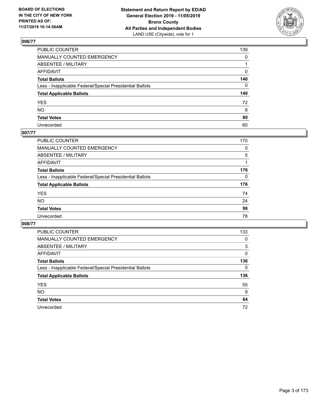

| PUBLIC COUNTER                                           | 139          |
|----------------------------------------------------------|--------------|
| MANUALLY COUNTED EMERGENCY                               | $\mathbf{0}$ |
| ABSENTEE / MILITARY                                      |              |
| AFFIDAVIT                                                | 0            |
| Total Ballots                                            | 140          |
| Less - Inapplicable Federal/Special Presidential Ballots | 0            |
| <b>Total Applicable Ballots</b>                          | 140          |
| YES                                                      | 72           |
| NO.                                                      | 8            |
| <b>Total Votes</b>                                       | 80           |
| Unrecorded                                               | 60           |

# **007/77**

| PUBLIC COUNTER                                           | 170      |
|----------------------------------------------------------|----------|
| MANUALLY COUNTED EMERGENCY                               | 0        |
| ABSENTEE / MILITARY                                      | 5        |
| AFFIDAVIT                                                |          |
| <b>Total Ballots</b>                                     | 176      |
| Less - Inapplicable Federal/Special Presidential Ballots | $\Omega$ |
| <b>Total Applicable Ballots</b>                          | 176      |
| <b>YES</b>                                               | 74       |
| <b>NO</b>                                                | 24       |
| <b>Total Votes</b>                                       | 98       |
| Unrecorded                                               | 78       |

| PUBLIC COUNTER                                           | 133      |
|----------------------------------------------------------|----------|
| <b>MANUALLY COUNTED EMERGENCY</b>                        | $\Omega$ |
| ABSENTEE / MILITARY                                      | 3        |
| AFFIDAVIT                                                | 0        |
| <b>Total Ballots</b>                                     | 136      |
| Less - Inapplicable Federal/Special Presidential Ballots | $\Omega$ |
| <b>Total Applicable Ballots</b>                          | 136      |
| <b>YES</b>                                               | 55       |
| <b>NO</b>                                                | 9        |
| <b>Total Votes</b>                                       | 64       |
| Unrecorded                                               | 72       |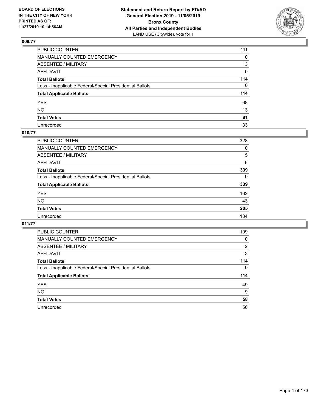

| PUBLIC COUNTER                                           | 111 |
|----------------------------------------------------------|-----|
| MANUALLY COUNTED EMERGENCY                               | 0   |
| ABSENTEE / MILITARY                                      | 3   |
| AFFIDAVIT                                                | 0   |
| Total Ballots                                            | 114 |
| Less - Inapplicable Federal/Special Presidential Ballots | 0   |
| <b>Total Applicable Ballots</b>                          | 114 |
| YES                                                      | 68  |
| NO.                                                      | 13  |
| <b>Total Votes</b>                                       | 81  |
| Unrecorded                                               | 33  |

# **010/77**

| PUBLIC COUNTER                                           | 328      |
|----------------------------------------------------------|----------|
| MANUALLY COUNTED EMERGENCY                               | 0        |
| ABSENTEE / MILITARY                                      | 5        |
| AFFIDAVIT                                                | 6        |
| <b>Total Ballots</b>                                     | 339      |
| Less - Inapplicable Federal/Special Presidential Ballots | $\Omega$ |
| <b>Total Applicable Ballots</b>                          | 339      |
| <b>YES</b>                                               | 162      |
| <b>NO</b>                                                | 43       |
| <b>Total Votes</b>                                       | 205      |
| Unrecorded                                               | 134      |

| <b>PUBLIC COUNTER</b>                                    | 109      |
|----------------------------------------------------------|----------|
| <b>MANUALLY COUNTED EMERGENCY</b>                        | 0        |
| ABSENTEE / MILITARY                                      | 2        |
| AFFIDAVIT                                                | 3        |
| <b>Total Ballots</b>                                     | 114      |
| Less - Inapplicable Federal/Special Presidential Ballots | $\Omega$ |
| <b>Total Applicable Ballots</b>                          | 114      |
| <b>YES</b>                                               | 49       |
| NO.                                                      | 9        |
| <b>Total Votes</b>                                       | 58       |
| Unrecorded                                               | 56       |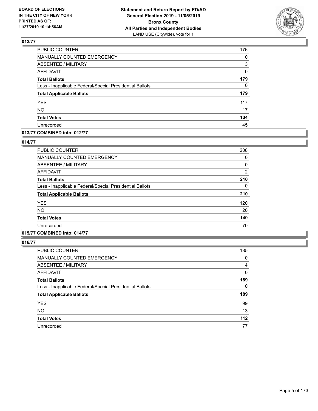

| PUBLIC COUNTER                                           | 176      |
|----------------------------------------------------------|----------|
| MANUALLY COUNTED EMERGENCY                               | 0        |
| <b>ABSENTEE / MILITARY</b>                               | 3        |
| <b>AFFIDAVIT</b>                                         | 0        |
| <b>Total Ballots</b>                                     | 179      |
| Less - Inapplicable Federal/Special Presidential Ballots | $\Omega$ |
| <b>Total Applicable Ballots</b>                          | 179      |
| <b>YES</b>                                               | 117      |
| <b>NO</b>                                                | 17       |
| <b>Total Votes</b>                                       | 134      |
| Unrecorded                                               | 45       |

#### **013/77 COMBINED into: 012/77**

#### **014/77**

| <b>PUBLIC COUNTER</b>                                    | 208            |
|----------------------------------------------------------|----------------|
| <b>MANUALLY COUNTED EMERGENCY</b>                        | 0              |
| ABSENTEE / MILITARY                                      | 0              |
| <b>AFFIDAVIT</b>                                         | $\overline{2}$ |
| <b>Total Ballots</b>                                     | 210            |
| Less - Inapplicable Federal/Special Presidential Ballots | 0              |
| <b>Total Applicable Ballots</b>                          | 210            |
| <b>YES</b>                                               | 120            |
| NO.                                                      | 20             |
| <b>Total Votes</b>                                       | 140            |
| Unrecorded                                               | 70             |

# **015/77 COMBINED into: 014/77**

| <b>PUBLIC COUNTER</b>                                    | 185   |
|----------------------------------------------------------|-------|
| <b>MANUALLY COUNTED EMERGENCY</b>                        | 0     |
| ABSENTEE / MILITARY                                      | 4     |
| AFFIDAVIT                                                | 0     |
| <b>Total Ballots</b>                                     | 189   |
| Less - Inapplicable Federal/Special Presidential Ballots | 0     |
| <b>Total Applicable Ballots</b>                          | 189   |
| <b>YES</b>                                               | 99    |
| <b>NO</b>                                                | 13    |
| <b>Total Votes</b>                                       | $112$ |
| Unrecorded                                               | 77    |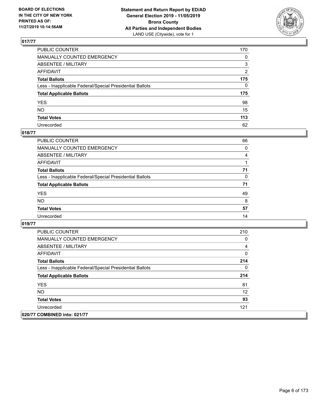

| PUBLIC COUNTER                                           | 170 |
|----------------------------------------------------------|-----|
| MANUALLY COUNTED EMERGENCY                               | 0   |
| ABSENTEE / MILITARY                                      | 3   |
| AFFIDAVIT                                                | 2   |
| Total Ballots                                            | 175 |
| Less - Inapplicable Federal/Special Presidential Ballots | 0   |
| <b>Total Applicable Ballots</b>                          | 175 |
| YES                                                      | 98  |
| NO.                                                      | 15  |
| <b>Total Votes</b>                                       | 113 |
| Unrecorded                                               | 62  |

# **018/77**

| <b>PUBLIC COUNTER</b>                                    | 66       |
|----------------------------------------------------------|----------|
| MANUALLY COUNTED EMERGENCY                               | $\Omega$ |
| ABSENTEE / MILITARY                                      | 4        |
| AFFIDAVIT                                                |          |
| <b>Total Ballots</b>                                     | 71       |
| Less - Inapplicable Federal/Special Presidential Ballots | $\Omega$ |
| <b>Total Applicable Ballots</b>                          | 71       |
| <b>YES</b>                                               | 49       |
| <b>NO</b>                                                | 8        |
| <b>Total Votes</b>                                       | 57       |
| Unrecorded                                               | 14       |

| <b>PUBLIC COUNTER</b>                                    | 210 |
|----------------------------------------------------------|-----|
| <b>MANUALLY COUNTED EMERGENCY</b>                        | 0   |
| ABSENTEE / MILITARY                                      | 4   |
| AFFIDAVIT                                                | 0   |
| <b>Total Ballots</b>                                     | 214 |
| Less - Inapplicable Federal/Special Presidential Ballots | 0   |
| <b>Total Applicable Ballots</b>                          | 214 |
| <b>YES</b>                                               | 81  |
| NO.                                                      | 12  |
| <b>Total Votes</b>                                       | 93  |
| Unrecorded                                               | 121 |
| 020/77 COMBINED into: 021/77                             |     |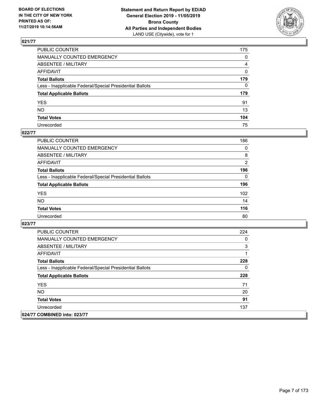

| PUBLIC COUNTER                                           | 175 |
|----------------------------------------------------------|-----|
| MANUALLY COUNTED EMERGENCY                               | 0   |
| ABSENTEE / MILITARY                                      | 4   |
| AFFIDAVIT                                                | 0   |
| Total Ballots                                            | 179 |
| Less - Inapplicable Federal/Special Presidential Ballots | 0   |
| <b>Total Applicable Ballots</b>                          | 179 |
| YES                                                      | 91  |
| NO.                                                      | 13  |
| <b>Total Votes</b>                                       | 104 |
| Unrecorded                                               | 75  |

# **022/77**

| <b>PUBLIC COUNTER</b>                                    | 186            |
|----------------------------------------------------------|----------------|
| MANUALLY COUNTED EMERGENCY                               | $\Omega$       |
| ABSENTEE / MILITARY                                      | 8              |
| AFFIDAVIT                                                | $\overline{2}$ |
| <b>Total Ballots</b>                                     | 196            |
| Less - Inapplicable Federal/Special Presidential Ballots | $\Omega$       |
| <b>Total Applicable Ballots</b>                          | 196            |
| <b>YES</b>                                               | 102            |
| <b>NO</b>                                                | 14             |
| <b>Total Votes</b>                                       | 116            |
| Unrecorded                                               | 80             |

| <b>PUBLIC COUNTER</b>                                    | 224 |
|----------------------------------------------------------|-----|
| <b>MANUALLY COUNTED EMERGENCY</b>                        | 0   |
| ABSENTEE / MILITARY                                      | 3   |
| AFFIDAVIT                                                |     |
| <b>Total Ballots</b>                                     | 228 |
| Less - Inapplicable Federal/Special Presidential Ballots | 0   |
| <b>Total Applicable Ballots</b>                          | 228 |
| <b>YES</b>                                               | 71  |
| NO.                                                      | 20  |
| <b>Total Votes</b>                                       | 91  |
| Unrecorded                                               | 137 |
| 024/77 COMBINED into: 023/77                             |     |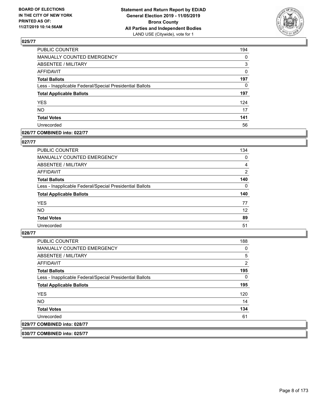

| PUBLIC COUNTER                                           | 194      |
|----------------------------------------------------------|----------|
| MANUALLY COUNTED EMERGENCY                               | $\Omega$ |
| <b>ABSENTEE / MILITARY</b>                               | 3        |
| <b>AFFIDAVIT</b>                                         | 0        |
| <b>Total Ballots</b>                                     | 197      |
| Less - Inapplicable Federal/Special Presidential Ballots | 0        |
| <b>Total Applicable Ballots</b>                          | 197      |
| <b>YES</b>                                               | 124      |
| <b>NO</b>                                                | 17       |
| <b>Total Votes</b>                                       | 141      |
| Unrecorded                                               | 56       |

#### **026/77 COMBINED into: 022/77**

#### **027/77**

| PUBLIC COUNTER                                           | 134            |
|----------------------------------------------------------|----------------|
| <b>MANUALLY COUNTED EMERGENCY</b>                        | 0              |
| ABSENTEE / MILITARY                                      | 4              |
| AFFIDAVIT                                                | $\overline{2}$ |
| <b>Total Ballots</b>                                     | 140            |
| Less - Inapplicable Federal/Special Presidential Ballots | $\Omega$       |
| <b>Total Applicable Ballots</b>                          | 140            |
| <b>YES</b>                                               | 77             |
| <b>NO</b>                                                | 12             |
| <b>Total Votes</b>                                       | 89             |
| Unrecorded                                               | 51             |

#### **028/77**

| <b>PUBLIC COUNTER</b>                                    | 188      |
|----------------------------------------------------------|----------|
| <b>MANUALLY COUNTED EMERGENCY</b>                        | 0        |
| ABSENTEE / MILITARY                                      | 5        |
| AFFIDAVIT                                                | 2        |
| <b>Total Ballots</b>                                     | 195      |
| Less - Inapplicable Federal/Special Presidential Ballots | $\Omega$ |
| <b>Total Applicable Ballots</b>                          | 195      |
| <b>YES</b>                                               | 120      |
| NO.                                                      | 14       |
| <b>Total Votes</b>                                       | 134      |
| Unrecorded                                               | 61       |
| 029/77 COMBINED into: 028/77                             |          |

**030/77 COMBINED into: 025/77**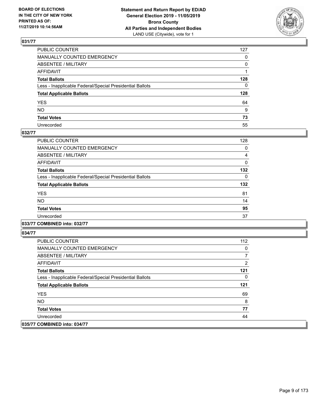

| PUBLIC COUNTER                                           | 127          |
|----------------------------------------------------------|--------------|
| MANUALLY COUNTED EMERGENCY                               | $\mathbf{0}$ |
| ABSENTEE / MILITARY                                      | 0            |
| AFFIDAVIT                                                |              |
| Total Ballots                                            | 128          |
| Less - Inapplicable Federal/Special Presidential Ballots | 0            |
| <b>Total Applicable Ballots</b>                          | 128          |
| YES                                                      | 64           |
| NO.                                                      | 9            |
| <b>Total Votes</b>                                       | 73           |
| Unrecorded                                               | 55           |

### **032/77**

| <b>PUBLIC COUNTER</b>                                    | 128      |
|----------------------------------------------------------|----------|
| <b>MANUALLY COUNTED EMERGENCY</b>                        | 0        |
| ABSENTEE / MILITARY                                      | 4        |
| AFFIDAVIT                                                | 0        |
| <b>Total Ballots</b>                                     | 132      |
| Less - Inapplicable Federal/Special Presidential Ballots | $\Omega$ |
| <b>Total Applicable Ballots</b>                          | 132      |
| <b>YES</b>                                               | 81       |
| <b>NO</b>                                                | 14       |
| <b>Total Votes</b>                                       | 95       |
| Unrecorded                                               | 37       |
|                                                          |          |

**033/77 COMBINED into: 032/77**

| PUBLIC COUNTER                                           | 112 |
|----------------------------------------------------------|-----|
| <b>MANUALLY COUNTED EMERGENCY</b>                        | 0   |
| ABSENTEE / MILITARY                                      |     |
| AFFIDAVIT                                                | 2   |
| <b>Total Ballots</b>                                     | 121 |
| Less - Inapplicable Federal/Special Presidential Ballots | 0   |
| <b>Total Applicable Ballots</b>                          | 121 |
| <b>YES</b>                                               | 69  |
| NO.                                                      | 8   |
| <b>Total Votes</b>                                       | 77  |
| Unrecorded                                               | 44  |
| 035/77 COMBINED into: 034/77                             |     |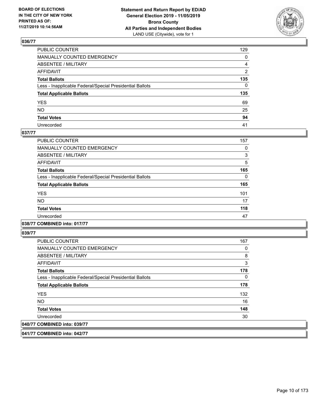

| PUBLIC COUNTER                                           | 129 |
|----------------------------------------------------------|-----|
| MANUALLY COUNTED EMERGENCY                               | 0   |
| ABSENTEE / MILITARY                                      | 4   |
| AFFIDAVIT                                                | 2   |
| Total Ballots                                            | 135 |
| Less - Inapplicable Federal/Special Presidential Ballots | 0   |
| <b>Total Applicable Ballots</b>                          | 135 |
| YES                                                      | 69  |
| NO.                                                      | 25  |
| <b>Total Votes</b>                                       | 94  |
| Unrecorded                                               | 41  |

#### **037/77**

| <b>PUBLIC COUNTER</b>                                    | 157      |
|----------------------------------------------------------|----------|
| <b>MANUALLY COUNTED EMERGENCY</b>                        | 0        |
| ABSENTEE / MILITARY                                      | 3        |
| <b>AFFIDAVIT</b>                                         | 5        |
| <b>Total Ballots</b>                                     | 165      |
| Less - Inapplicable Federal/Special Presidential Ballots | $\Omega$ |
| <b>Total Applicable Ballots</b>                          | 165      |
| <b>YES</b>                                               | 101      |
| <b>NO</b>                                                | 17       |
| <b>Total Votes</b>                                       | 118      |
| Unrecorded                                               | 47       |

### **038/77 COMBINED into: 017/77**

**039/77** 

| <b>PUBLIC COUNTER</b>                                    | 167 |
|----------------------------------------------------------|-----|
| <b>MANUALLY COUNTED EMERGENCY</b>                        | 0   |
| ABSENTEE / MILITARY                                      | 8   |
| AFFIDAVIT                                                | 3   |
| <b>Total Ballots</b>                                     | 178 |
| Less - Inapplicable Federal/Special Presidential Ballots | 0   |
| <b>Total Applicable Ballots</b>                          | 178 |
| <b>YES</b>                                               | 132 |
| <b>NO</b>                                                | 16  |
| <b>Total Votes</b>                                       | 148 |
| Unrecorded                                               | 30  |
| 040/77 COMBINED into: 039/77                             |     |

**041/77 COMBINED into: 042/77**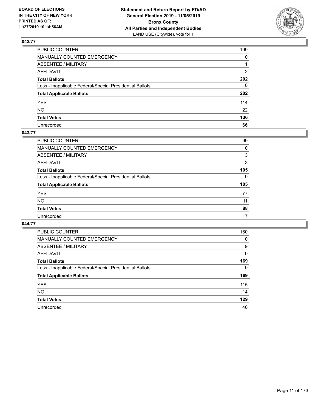

| PUBLIC COUNTER                                           | 199          |
|----------------------------------------------------------|--------------|
| MANUALLY COUNTED EMERGENCY                               | $\mathbf{0}$ |
| ABSENTEE / MILITARY                                      |              |
| AFFIDAVIT                                                | 2            |
| Total Ballots                                            | 202          |
| Less - Inapplicable Federal/Special Presidential Ballots | 0            |
| <b>Total Applicable Ballots</b>                          | 202          |
| YES                                                      | 114          |
| NΟ                                                       | 22           |
| <b>Total Votes</b>                                       | 136          |
| Unrecorded                                               | 66           |

#### **043/77**

| <b>PUBLIC COUNTER</b>                                    | 99       |
|----------------------------------------------------------|----------|
| <b>MANUALLY COUNTED EMERGENCY</b>                        | 0        |
| ABSENTEE / MILITARY                                      | 3        |
| AFFIDAVIT                                                | 3        |
| <b>Total Ballots</b>                                     | 105      |
| Less - Inapplicable Federal/Special Presidential Ballots | $\Omega$ |
| <b>Total Applicable Ballots</b>                          | 105      |
| <b>YES</b>                                               | 77       |
| <b>NO</b>                                                | 11       |
| <b>Total Votes</b>                                       | 88       |
| Unrecorded                                               | 17       |

| <b>PUBLIC COUNTER</b>                                    | 160      |
|----------------------------------------------------------|----------|
| <b>MANUALLY COUNTED EMERGENCY</b>                        | $\Omega$ |
| ABSENTEE / MILITARY                                      | 9        |
| AFFIDAVIT                                                | 0        |
| <b>Total Ballots</b>                                     | 169      |
| Less - Inapplicable Federal/Special Presidential Ballots | $\Omega$ |
| <b>Total Applicable Ballots</b>                          | 169      |
| <b>YES</b>                                               | 115      |
| <b>NO</b>                                                | 14       |
| <b>Total Votes</b>                                       | 129      |
| Unrecorded                                               | 40       |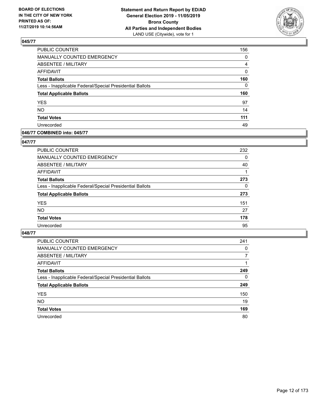

| PUBLIC COUNTER                                           | 156      |
|----------------------------------------------------------|----------|
| MANUALLY COUNTED EMERGENCY                               | 0        |
| <b>ABSENTEE / MILITARY</b>                               | 4        |
| <b>AFFIDAVIT</b>                                         | 0        |
| <b>Total Ballots</b>                                     | 160      |
| Less - Inapplicable Federal/Special Presidential Ballots | $\Omega$ |
| <b>Total Applicable Ballots</b>                          | 160      |
| <b>YES</b>                                               | 97       |
| <b>NO</b>                                                | 14       |
| <b>Total Votes</b>                                       | 111      |
| Unrecorded                                               | 49       |

### **046/77 COMBINED into: 045/77**

#### **047/77**

| <b>PUBLIC COUNTER</b>                                    | 232      |
|----------------------------------------------------------|----------|
| <b>MANUALLY COUNTED EMERGENCY</b>                        | $\Omega$ |
| ABSENTEE / MILITARY                                      | 40       |
| AFFIDAVIT                                                |          |
| <b>Total Ballots</b>                                     | 273      |
| Less - Inapplicable Federal/Special Presidential Ballots | $\Omega$ |
| <b>Total Applicable Ballots</b>                          | 273      |
| <b>YES</b>                                               | 151      |
| <b>NO</b>                                                | 27       |
| <b>Total Votes</b>                                       | 178      |
| Unrecorded                                               | 95       |

| <b>PUBLIC COUNTER</b>                                    | 241      |
|----------------------------------------------------------|----------|
| MANUALLY COUNTED EMERGENCY                               | $\Omega$ |
| ABSENTEE / MILITARY                                      | 7        |
| AFFIDAVIT                                                |          |
| <b>Total Ballots</b>                                     | 249      |
| Less - Inapplicable Federal/Special Presidential Ballots | $\Omega$ |
| <b>Total Applicable Ballots</b>                          | 249      |
| <b>YES</b>                                               | 150      |
| <b>NO</b>                                                | 19       |
| <b>Total Votes</b>                                       | 169      |
| Unrecorded                                               | 80       |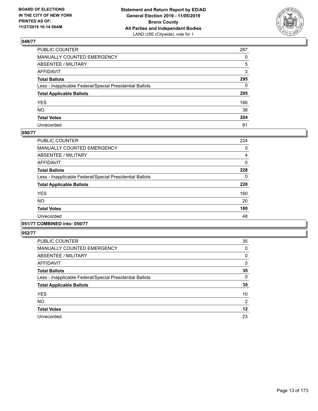

| PUBLIC COUNTER                                           | 287          |
|----------------------------------------------------------|--------------|
| MANUALLY COUNTED EMERGENCY                               | $\Omega$     |
| ABSENTEE / MILITARY                                      | 5            |
| AFFIDAVIT                                                | 3            |
| Total Ballots                                            | 295          |
| Less - Inapplicable Federal/Special Presidential Ballots | $\mathbf{0}$ |
| <b>Total Applicable Ballots</b>                          | 295          |
| YES                                                      | 166          |
| NO.                                                      | 38           |
| <b>Total Votes</b>                                       | 204          |
| Unrecorded                                               | 91           |

#### **050/77**

| <b>PUBLIC COUNTER</b>                                    | 224 |
|----------------------------------------------------------|-----|
| <b>MANUALLY COUNTED EMERGENCY</b>                        | 0   |
| ABSENTEE / MILITARY                                      | 4   |
| <b>AFFIDAVIT</b>                                         | 0   |
| <b>Total Ballots</b>                                     | 228 |
| Less - Inapplicable Federal/Special Presidential Ballots | 0   |
| <b>Total Applicable Ballots</b>                          | 228 |
| <b>YES</b>                                               | 160 |
| <b>NO</b>                                                | 20  |
| <b>Total Votes</b>                                       | 180 |
| Unrecorded                                               | 48  |
|                                                          |     |

### **051/77 COMBINED into: 050/77**

| <b>PUBLIC COUNTER</b>                                    | 35             |
|----------------------------------------------------------|----------------|
| <b>MANUALLY COUNTED EMERGENCY</b>                        | 0              |
| ABSENTEE / MILITARY                                      | 0              |
| <b>AFFIDAVIT</b>                                         | 0              |
| <b>Total Ballots</b>                                     | 35             |
| Less - Inapplicable Federal/Special Presidential Ballots | 0              |
| <b>Total Applicable Ballots</b>                          | 35             |
| <b>YES</b>                                               | 10             |
| <b>NO</b>                                                | $\overline{2}$ |
| <b>Total Votes</b>                                       | 12             |
| Unrecorded                                               | 23             |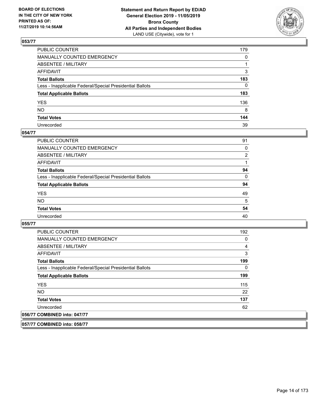

| PUBLIC COUNTER                                           | 179          |
|----------------------------------------------------------|--------------|
| MANUALLY COUNTED EMERGENCY                               | $\mathbf{0}$ |
| ABSENTEE / MILITARY                                      |              |
| AFFIDAVIT                                                | 3            |
| Total Ballots                                            | 183          |
| Less - Inapplicable Federal/Special Presidential Ballots | 0            |
| <b>Total Applicable Ballots</b>                          | 183          |
| YES                                                      | 136          |
| NO.                                                      | 8            |
| <b>Total Votes</b>                                       | 144          |
| Unrecorded                                               | 39           |

#### **054/77**

| <b>PUBLIC COUNTER</b>                                    | 91       |
|----------------------------------------------------------|----------|
| <b>MANUALLY COUNTED EMERGENCY</b>                        | $\Omega$ |
| ABSENTEE / MILITARY                                      | 2        |
| AFFIDAVIT                                                |          |
| <b>Total Ballots</b>                                     | 94       |
| Less - Inapplicable Federal/Special Presidential Ballots | $\Omega$ |
| <b>Total Applicable Ballots</b>                          | 94       |
| <b>YES</b>                                               | 49       |
| <b>NO</b>                                                | 5        |
| <b>Total Votes</b>                                       | 54       |
| Unrecorded                                               | 40       |

**055/77** 

| <b>PUBLIC COUNTER</b>                                    | 192 |
|----------------------------------------------------------|-----|
| <b>MANUALLY COUNTED EMERGENCY</b>                        | 0   |
| ABSENTEE / MILITARY                                      | 4   |
| AFFIDAVIT                                                | 3   |
| <b>Total Ballots</b>                                     | 199 |
| Less - Inapplicable Federal/Special Presidential Ballots | 0   |
| <b>Total Applicable Ballots</b>                          | 199 |
| <b>YES</b>                                               | 115 |
| NO.                                                      | 22  |
| <b>Total Votes</b>                                       | 137 |
| Unrecorded                                               | 62  |
| 056/77 COMBINED into: 047/77                             |     |

**057/77 COMBINED into: 058/77**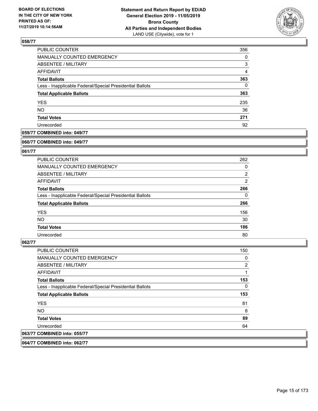

| PUBLIC COUNTER                                           | 356            |
|----------------------------------------------------------|----------------|
| MANUALLY COUNTED EMERGENCY                               | 0              |
| ABSENTEE / MILITARY                                      | 3              |
| AFFIDAVIT                                                | $\overline{4}$ |
| <b>Total Ballots</b>                                     | 363            |
| Less - Inapplicable Federal/Special Presidential Ballots | 0              |
| <b>Total Applicable Ballots</b>                          | 363            |
| <b>YES</b>                                               | 235            |
| <b>NO</b>                                                | 36             |
| <b>Total Votes</b>                                       | 271            |
| Unrecorded                                               | 92             |

### **059/77 COMBINED into: 049/77**

#### **060/77 COMBINED into: 049/77**

# **061/77**

| <b>PUBLIC COUNTER</b>                                    | 262            |
|----------------------------------------------------------|----------------|
| <b>MANUALLY COUNTED EMERGENCY</b>                        | 0              |
| ABSENTEE / MILITARY                                      | $\overline{2}$ |
| AFFIDAVIT                                                | $\overline{2}$ |
| <b>Total Ballots</b>                                     | 266            |
| Less - Inapplicable Federal/Special Presidential Ballots | $\Omega$       |
| <b>Total Applicable Ballots</b>                          | 266            |
| <b>YES</b>                                               | 156            |
| NO.                                                      | 30             |
| <b>Total Votes</b>                                       | 186            |
| Unrecorded                                               | 80             |

#### **062/77**

| <b>PUBLIC COUNTER</b>                                    | 150            |
|----------------------------------------------------------|----------------|
| <b>MANUALLY COUNTED EMERGENCY</b>                        | 0              |
| ABSENTEE / MILITARY                                      | $\overline{2}$ |
| <b>AFFIDAVIT</b>                                         |                |
| <b>Total Ballots</b>                                     | 153            |
| Less - Inapplicable Federal/Special Presidential Ballots | 0              |
| <b>Total Applicable Ballots</b>                          | 153            |
| <b>YES</b>                                               | 81             |
| <b>NO</b>                                                | 8              |
| <b>Total Votes</b>                                       | 89             |
| Unrecorded                                               | 64             |
| 063/77 COMBINED into: 055/77                             |                |

**064/77 COMBINED into: 062/77**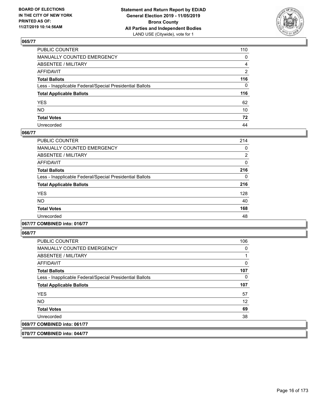

| PUBLIC COUNTER                                           | 110 |
|----------------------------------------------------------|-----|
| MANUALLY COUNTED EMERGENCY                               | 0   |
| ABSENTEE / MILITARY                                      | 4   |
| AFFIDAVIT                                                | 2   |
| Total Ballots                                            | 116 |
| Less - Inapplicable Federal/Special Presidential Ballots | 0   |
| <b>Total Applicable Ballots</b>                          | 116 |
| YES                                                      | 62  |
| NO.                                                      | 10  |
| <b>Total Votes</b>                                       | 72  |
| Unrecorded                                               | 44  |

#### **066/77**

| <b>PUBLIC COUNTER</b>                                    | 214 |
|----------------------------------------------------------|-----|
| <b>MANUALLY COUNTED EMERGENCY</b>                        | 0   |
| ABSENTEE / MILITARY                                      | 2   |
| <b>AFFIDAVIT</b>                                         | 0   |
| <b>Total Ballots</b>                                     | 216 |
| Less - Inapplicable Federal/Special Presidential Ballots | 0   |
| <b>Total Applicable Ballots</b>                          | 216 |
| <b>YES</b>                                               | 128 |
| <b>NO</b>                                                | 40  |
| <b>Total Votes</b>                                       | 168 |
| Unrecorded                                               | 48  |

### **067/77 COMBINED into: 016/77**

**068/77** 

| <b>PUBLIC COUNTER</b>                                    | 106 |
|----------------------------------------------------------|-----|
| <b>MANUALLY COUNTED EMERGENCY</b>                        | 0   |
| ABSENTEE / MILITARY                                      |     |
| AFFIDAVIT                                                | 0   |
| <b>Total Ballots</b>                                     | 107 |
| Less - Inapplicable Federal/Special Presidential Ballots | 0   |
| <b>Total Applicable Ballots</b>                          | 107 |
| <b>YES</b>                                               | 57  |
| NO.                                                      | 12  |
| <b>Total Votes</b>                                       | 69  |
| Unrecorded                                               | 38  |
| 069/77 COMBINED into: 061/77                             |     |

**070/77 COMBINED into: 044/77**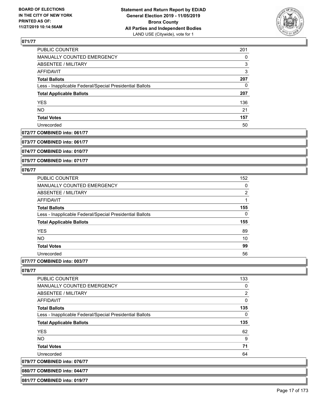

| PUBLIC COUNTER                                           | 201 |
|----------------------------------------------------------|-----|
| MANUALLY COUNTED EMERGENCY                               | 0   |
| ABSENTEE / MILITARY                                      | 3   |
| AFFIDAVIT                                                | 3   |
| <b>Total Ballots</b>                                     | 207 |
| Less - Inapplicable Federal/Special Presidential Ballots | 0   |
| <b>Total Applicable Ballots</b>                          | 207 |
| <b>YES</b>                                               | 136 |
| <b>NO</b>                                                | 21  |
| <b>Total Votes</b>                                       | 157 |
| Unrecorded                                               | 50  |

# **072/77 COMBINED into: 061/77**

**073/77 COMBINED into: 061/77**

**074/77 COMBINED into: 010/77**

**075/77 COMBINED into: 071/77**

# **076/77**

| PUBLIC COUNTER                                           | 152      |
|----------------------------------------------------------|----------|
| MANUALLY COUNTED EMERGENCY                               | 0        |
| ABSENTEE / MILITARY                                      | 2        |
| AFFIDAVIT                                                |          |
| <b>Total Ballots</b>                                     | 155      |
| Less - Inapplicable Federal/Special Presidential Ballots | $\Omega$ |
| <b>Total Applicable Ballots</b>                          | 155      |
| <b>YES</b>                                               | 89       |
| <b>NO</b>                                                | 10       |
| <b>Total Votes</b>                                       | 99       |
| Unrecorded                                               | 56       |
|                                                          |          |

# **077/77 COMBINED into: 003/77**

**078/77** 

| PUBLIC COUNTER                                           | 133 |
|----------------------------------------------------------|-----|
| <b>MANUALLY COUNTED EMERGENCY</b>                        | 0   |
| ABSENTEE / MILITARY                                      | 2   |
| AFFIDAVIT                                                | 0   |
| <b>Total Ballots</b>                                     | 135 |
| Less - Inapplicable Federal/Special Presidential Ballots | 0   |
| <b>Total Applicable Ballots</b>                          | 135 |
| <b>YES</b>                                               | 62  |
| NO.                                                      | 9   |
| <b>Total Votes</b>                                       | 71  |
| Unrecorded                                               | 64  |
| 079/77 COMBINED into: 076/77                             |     |
|                                                          |     |

**080/77 COMBINED into: 044/77**

**081/77 COMBINED into: 019/77**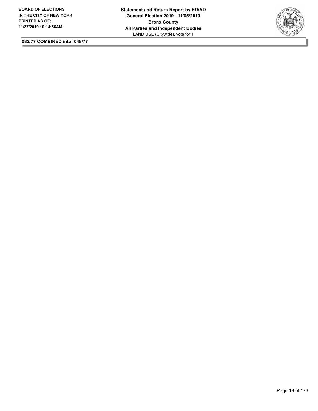

**082/77 COMBINED into: 048/77**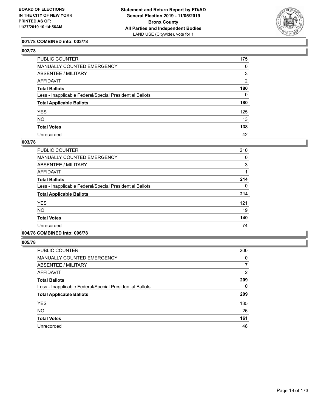

### **001/78 COMBINED into: 003/78**

| ۰.<br>۰.<br>۰, |  |
|----------------|--|
|----------------|--|

| PUBLIC COUNTER                                           | 175            |
|----------------------------------------------------------|----------------|
| MANUALLY COUNTED EMERGENCY                               | 0              |
| <b>ABSENTEE / MILITARY</b>                               | 3              |
| AFFIDAVIT                                                | $\overline{2}$ |
| <b>Total Ballots</b>                                     | 180            |
| Less - Inapplicable Federal/Special Presidential Ballots | $\Omega$       |
| <b>Total Applicable Ballots</b>                          | 180            |
| <b>YES</b>                                               | 125            |
| <b>NO</b>                                                | 13             |
| <b>Total Votes</b>                                       | 138            |
| Unrecorded                                               | 42             |

#### **003/78**

| <b>PUBLIC COUNTER</b>                                    | 210 |
|----------------------------------------------------------|-----|
| <b>MANUALLY COUNTED EMERGENCY</b>                        | 0   |
| ABSENTEE / MILITARY                                      | 3   |
| <b>AFFIDAVIT</b>                                         |     |
| <b>Total Ballots</b>                                     | 214 |
| Less - Inapplicable Federal/Special Presidential Ballots | 0   |
| <b>Total Applicable Ballots</b>                          | 214 |
| <b>YES</b>                                               | 121 |
| NO.                                                      | 19  |
| <b>Total Votes</b>                                       | 140 |
| Unrecorded                                               | 74  |

# **004/78 COMBINED into: 006/78**

| <b>PUBLIC COUNTER</b>                                    | 200      |
|----------------------------------------------------------|----------|
| <b>MANUALLY COUNTED EMERGENCY</b>                        | 0        |
| ABSENTEE / MILITARY                                      | 7        |
| AFFIDAVIT                                                | 2        |
| <b>Total Ballots</b>                                     | 209      |
| Less - Inapplicable Federal/Special Presidential Ballots | $\Omega$ |
| <b>Total Applicable Ballots</b>                          | 209      |
| <b>YES</b>                                               | 135      |
| <b>NO</b>                                                | 26       |
| <b>Total Votes</b>                                       | 161      |
| Unrecorded                                               | 48       |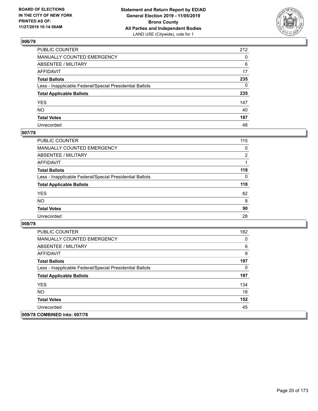

| PUBLIC COUNTER                                           | 212          |
|----------------------------------------------------------|--------------|
| MANUALLY COUNTED EMERGENCY                               | $\mathbf{0}$ |
| ABSENTEE / MILITARY                                      | 6            |
| AFFIDAVIT                                                | 17           |
| Total Ballots                                            | 235          |
| Less - Inapplicable Federal/Special Presidential Ballots | $\mathbf{0}$ |
| <b>Total Applicable Ballots</b>                          | 235          |
| YES                                                      | 147          |
| NO.                                                      | 40           |
| <b>Total Votes</b>                                       | 187          |
| Unrecorded                                               | 48           |

# **007/78**

| <b>PUBLIC COUNTER</b>                                    | 115            |
|----------------------------------------------------------|----------------|
| MANUALLY COUNTED EMERGENCY                               | $\Omega$       |
| ABSENTEE / MILITARY                                      | $\overline{2}$ |
| AFFIDAVIT                                                |                |
| <b>Total Ballots</b>                                     | 118            |
| Less - Inapplicable Federal/Special Presidential Ballots | $\Omega$       |
| <b>Total Applicable Ballots</b>                          | 118            |
| <b>YES</b>                                               | 82             |
| <b>NO</b>                                                | 8              |
| <b>Total Votes</b>                                       | 90             |
| Unrecorded                                               | 28             |

| <b>PUBLIC COUNTER</b>                                    | 182 |
|----------------------------------------------------------|-----|
| <b>MANUALLY COUNTED EMERGENCY</b>                        | 0   |
| ABSENTEE / MILITARY                                      | 6   |
| AFFIDAVIT                                                | 9   |
| <b>Total Ballots</b>                                     | 197 |
| Less - Inapplicable Federal/Special Presidential Ballots | 0   |
| <b>Total Applicable Ballots</b>                          | 197 |
| <b>YES</b>                                               | 134 |
| <b>NO</b>                                                | 18  |
| <b>Total Votes</b>                                       | 152 |
| Unrecorded                                               | 45  |
| 009/78 COMBINED into: 007/78                             |     |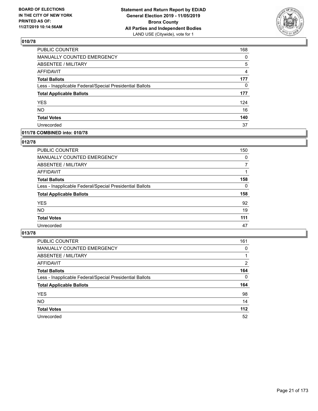

| PUBLIC COUNTER                                           | 168            |
|----------------------------------------------------------|----------------|
| MANUALLY COUNTED EMERGENCY                               | 0              |
| <b>ABSENTEE / MILITARY</b>                               | 5              |
| <b>AFFIDAVIT</b>                                         | $\overline{4}$ |
| <b>Total Ballots</b>                                     | 177            |
| Less - Inapplicable Federal/Special Presidential Ballots | $\Omega$       |
| <b>Total Applicable Ballots</b>                          | 177            |
| <b>YES</b>                                               | 124            |
| <b>NO</b>                                                | 16             |
| <b>Total Votes</b>                                       | 140            |
| Unrecorded                                               | 37             |

#### **011/78 COMBINED into: 010/78**

#### **012/78**

| PUBLIC COUNTER                                           | 150      |
|----------------------------------------------------------|----------|
| <b>MANUALLY COUNTED EMERGENCY</b>                        | $\Omega$ |
| ABSENTEE / MILITARY                                      | 7        |
| AFFIDAVIT                                                |          |
| <b>Total Ballots</b>                                     | 158      |
| Less - Inapplicable Federal/Special Presidential Ballots | $\Omega$ |
| <b>Total Applicable Ballots</b>                          | 158      |
| <b>YES</b>                                               | 92       |
| <b>NO</b>                                                | 19       |
| <b>Total Votes</b>                                       | 111      |
| Unrecorded                                               | 47       |
|                                                          |          |

| <b>PUBLIC COUNTER</b>                                    | 161      |
|----------------------------------------------------------|----------|
| MANUALLY COUNTED EMERGENCY                               | $\Omega$ |
| ABSENTEE / MILITARY                                      |          |
| AFFIDAVIT                                                | 2        |
| <b>Total Ballots</b>                                     | 164      |
| Less - Inapplicable Federal/Special Presidential Ballots | $\Omega$ |
| <b>Total Applicable Ballots</b>                          | 164      |
| <b>YES</b>                                               | 98       |
| <b>NO</b>                                                | 14       |
| <b>Total Votes</b>                                       | $112$    |
| Unrecorded                                               | 52       |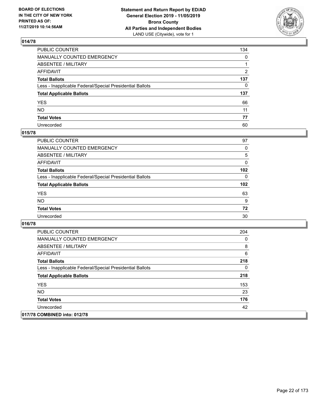

| PUBLIC COUNTER                                           | 134            |
|----------------------------------------------------------|----------------|
| MANUALLY COUNTED EMERGENCY                               | $\mathbf{0}$   |
| ABSENTEE / MILITARY                                      |                |
| AFFIDAVIT                                                | $\overline{2}$ |
| Total Ballots                                            | 137            |
| Less - Inapplicable Federal/Special Presidential Ballots | $\Omega$       |
| <b>Total Applicable Ballots</b>                          | 137            |
| YES                                                      | 66             |
| NO.                                                      | 11             |
| <b>Total Votes</b>                                       | 77             |
| Unrecorded                                               | 60             |

# **015/78**

| <b>PUBLIC COUNTER</b>                                    | 97               |
|----------------------------------------------------------|------------------|
| MANUALLY COUNTED EMERGENCY                               | 0                |
| ABSENTEE / MILITARY                                      | 5                |
| AFFIDAVIT                                                | $\Omega$         |
| <b>Total Ballots</b>                                     | 102 <sub>2</sub> |
| Less - Inapplicable Federal/Special Presidential Ballots | $\Omega$         |
| <b>Total Applicable Ballots</b>                          | 102              |
| <b>YES</b>                                               | 63               |
| <b>NO</b>                                                | 9                |
| <b>Total Votes</b>                                       | 72               |
| Unrecorded                                               | 30               |

| <b>PUBLIC COUNTER</b>                                    | 204 |
|----------------------------------------------------------|-----|
| <b>MANUALLY COUNTED EMERGENCY</b>                        | 0   |
| ABSENTEE / MILITARY                                      | 8   |
| AFFIDAVIT                                                | 6   |
| <b>Total Ballots</b>                                     | 218 |
| Less - Inapplicable Federal/Special Presidential Ballots | 0   |
| <b>Total Applicable Ballots</b>                          | 218 |
| <b>YES</b>                                               | 153 |
| <b>NO</b>                                                | 23  |
| <b>Total Votes</b>                                       | 176 |
| Unrecorded                                               | 42  |
| 017/78 COMBINED into: 012/78                             |     |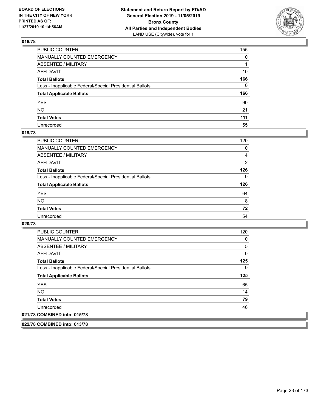

| PUBLIC COUNTER                                           | 155          |
|----------------------------------------------------------|--------------|
| MANUALLY COUNTED EMERGENCY                               | $\mathbf{0}$ |
| ABSENTEE / MILITARY                                      |              |
| AFFIDAVIT                                                | 10           |
| Total Ballots                                            | 166          |
| Less - Inapplicable Federal/Special Presidential Ballots | $\Omega$     |
| <b>Total Applicable Ballots</b>                          | 166          |
| YES                                                      | 90           |
| NO.                                                      | 21           |
| <b>Total Votes</b>                                       | 111          |
| Unrecorded                                               | 55           |

# **019/78**

| <b>PUBLIC COUNTER</b>                                    | 120      |
|----------------------------------------------------------|----------|
| MANUALLY COUNTED EMERGENCY                               | 0        |
| ABSENTEE / MILITARY                                      | 4        |
| AFFIDAVIT                                                | 2        |
| <b>Total Ballots</b>                                     | 126      |
| Less - Inapplicable Federal/Special Presidential Ballots | $\Omega$ |
| <b>Total Applicable Ballots</b>                          | 126      |
| <b>YES</b>                                               | 64       |
| <b>NO</b>                                                | 8        |
| <b>Total Votes</b>                                       | 72       |
| Unrecorded                                               | 54       |

#### **020/78**

| <b>PUBLIC COUNTER</b>                                    | 120 |
|----------------------------------------------------------|-----|
| <b>MANUALLY COUNTED EMERGENCY</b>                        | 0   |
| ABSENTEE / MILITARY                                      | 5   |
| <b>AFFIDAVIT</b>                                         | 0   |
| <b>Total Ballots</b>                                     | 125 |
| Less - Inapplicable Federal/Special Presidential Ballots | 0   |
| <b>Total Applicable Ballots</b>                          | 125 |
| <b>YES</b>                                               | 65  |
| NO.                                                      | 14  |
| <b>Total Votes</b>                                       | 79  |
| Unrecorded                                               | 46  |
| 021/78 COMBINED into: 015/78                             |     |

**022/78 COMBINED into: 013/78**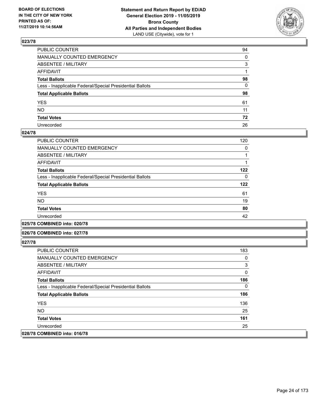

| PUBLIC COUNTER                                           | 94 |
|----------------------------------------------------------|----|
| MANUALLY COUNTED EMERGENCY                               | 0  |
| ABSENTEE / MILITARY                                      | 3  |
| AFFIDAVIT                                                |    |
| Total Ballots                                            | 98 |
| Less - Inapplicable Federal/Special Presidential Ballots | 0  |
| <b>Total Applicable Ballots</b>                          | 98 |
| YES                                                      | 61 |
| NO.                                                      | 11 |
| <b>Total Votes</b>                                       | 72 |
| Unrecorded                                               | 26 |

#### **024/78**

| <b>PUBLIC COUNTER</b>                                    | 120 |
|----------------------------------------------------------|-----|
| MANUALLY COUNTED EMERGENCY                               | 0   |
| ABSENTEE / MILITARY                                      |     |
| AFFIDAVIT                                                |     |
| <b>Total Ballots</b>                                     | 122 |
| Less - Inapplicable Federal/Special Presidential Ballots | 0   |
| <b>Total Applicable Ballots</b>                          | 122 |
| <b>YES</b>                                               | 61  |
| NO.                                                      | 19  |
| <b>Total Votes</b>                                       | 80  |
| Unrecorded                                               | 42  |
|                                                          |     |

**025/78 COMBINED into: 020/78**

#### **026/78 COMBINED into: 027/78**

| <b>PUBLIC COUNTER</b>                                    | 183 |
|----------------------------------------------------------|-----|
| <b>MANUALLY COUNTED EMERGENCY</b>                        | 0   |
| ABSENTEE / MILITARY                                      | 3   |
| AFFIDAVIT                                                | 0   |
| <b>Total Ballots</b>                                     | 186 |
| Less - Inapplicable Federal/Special Presidential Ballots | 0   |
| <b>Total Applicable Ballots</b>                          | 186 |
| <b>YES</b>                                               | 136 |
| NO.                                                      | 25  |
| <b>Total Votes</b>                                       | 161 |
| Unrecorded                                               | 25  |
| 028/78 COMBINED into: 016/78                             |     |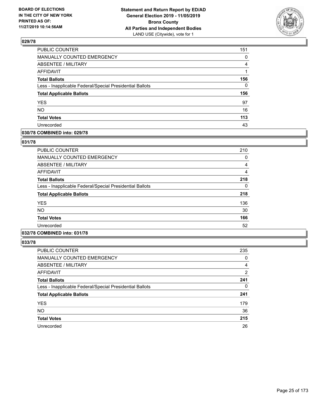

| PUBLIC COUNTER                                           | 151      |
|----------------------------------------------------------|----------|
| MANUALLY COUNTED EMERGENCY                               | 0        |
| ABSENTEE / MILITARY                                      | 4        |
| <b>AFFIDAVIT</b>                                         | 1        |
| <b>Total Ballots</b>                                     | 156      |
| Less - Inapplicable Federal/Special Presidential Ballots | $\Omega$ |
| <b>Total Applicable Ballots</b>                          | 156      |
| <b>YES</b>                                               | 97       |
| <b>NO</b>                                                | 16       |
| <b>Total Votes</b>                                       | 113      |
| Unrecorded                                               | 43       |

#### **030/78 COMBINED into: 029/78**

#### **031/78**

| <b>PUBLIC COUNTER</b>                                    | 210 |
|----------------------------------------------------------|-----|
| <b>MANUALLY COUNTED EMERGENCY</b>                        | 0   |
| <b>ABSENTEE / MILITARY</b>                               | 4   |
| <b>AFFIDAVIT</b>                                         | 4   |
| <b>Total Ballots</b>                                     | 218 |
| Less - Inapplicable Federal/Special Presidential Ballots | 0   |
| <b>Total Applicable Ballots</b>                          | 218 |
| <b>YES</b>                                               | 136 |
| <b>NO</b>                                                | 30  |
| <b>Total Votes</b>                                       | 166 |
| Unrecorded                                               | 52  |
|                                                          |     |

# **032/78 COMBINED into: 031/78**

| <b>PUBLIC COUNTER</b>                                    | 235            |
|----------------------------------------------------------|----------------|
| <b>MANUALLY COUNTED EMERGENCY</b>                        | 0              |
| ABSENTEE / MILITARY                                      | 4              |
| AFFIDAVIT                                                | $\overline{2}$ |
| <b>Total Ballots</b>                                     | 241            |
| Less - Inapplicable Federal/Special Presidential Ballots | 0              |
| <b>Total Applicable Ballots</b>                          | 241            |
| <b>YES</b>                                               | 179            |
| NO.                                                      | 36             |
| <b>Total Votes</b>                                       | 215            |
| Unrecorded                                               | 26             |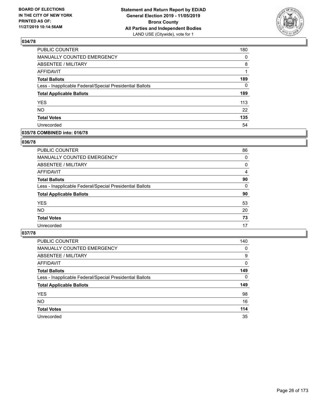

| PUBLIC COUNTER                                           | 180      |
|----------------------------------------------------------|----------|
| MANUALLY COUNTED EMERGENCY                               | 0        |
| <b>ABSENTEE / MILITARY</b>                               | 8        |
| <b>AFFIDAVIT</b>                                         | 1        |
| <b>Total Ballots</b>                                     | 189      |
| Less - Inapplicable Federal/Special Presidential Ballots | $\Omega$ |
| <b>Total Applicable Ballots</b>                          | 189      |
| <b>YES</b>                                               | 113      |
| NO.                                                      | 22       |
| <b>Total Votes</b>                                       | 135      |
| Unrecorded                                               | 54       |

#### **035/78 COMBINED into: 016/78**

#### **036/78**

| PUBLIC COUNTER                                           | 86       |
|----------------------------------------------------------|----------|
| MANUALLY COUNTED EMERGENCY                               | 0        |
| <b>ABSENTEE / MILITARY</b>                               | 0        |
| AFFIDAVIT                                                | 4        |
| <b>Total Ballots</b>                                     | 90       |
| Less - Inapplicable Federal/Special Presidential Ballots | $\Omega$ |
| <b>Total Applicable Ballots</b>                          | 90       |
| <b>YES</b>                                               | 53       |
| <b>NO</b>                                                | 20       |
| <b>Total Votes</b>                                       | 73       |
| Unrecorded                                               | 17       |
|                                                          |          |

| PUBLIC COUNTER                                           | 140      |
|----------------------------------------------------------|----------|
| <b>MANUALLY COUNTED EMERGENCY</b>                        | 0        |
| ABSENTEE / MILITARY                                      | 9        |
| AFFIDAVIT                                                | $\Omega$ |
| <b>Total Ballots</b>                                     | 149      |
| Less - Inapplicable Federal/Special Presidential Ballots | $\Omega$ |
| <b>Total Applicable Ballots</b>                          | 149      |
| <b>YES</b>                                               | 98       |
| <b>NO</b>                                                | 16       |
| <b>Total Votes</b>                                       | 114      |
| Unrecorded                                               | 35       |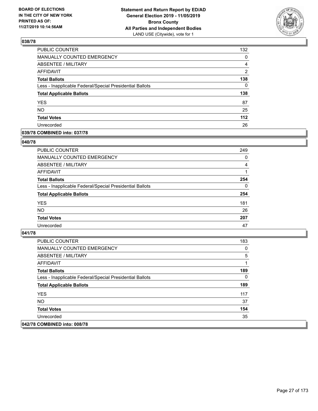

| PUBLIC COUNTER                                           | 132           |
|----------------------------------------------------------|---------------|
| <b>MANUALLY COUNTED EMERGENCY</b>                        | 0             |
| <b>ABSENTEE / MILITARY</b>                               | 4             |
| <b>AFFIDAVIT</b>                                         | $\mathcal{P}$ |
| <b>Total Ballots</b>                                     | 138           |
| Less - Inapplicable Federal/Special Presidential Ballots | $\Omega$      |
| <b>Total Applicable Ballots</b>                          | 138           |
| <b>YES</b>                                               | 87            |
| <b>NO</b>                                                | 25            |
| <b>Total Votes</b>                                       | 112           |
| Unrecorded                                               | 26            |

#### **039/78 COMBINED into: 037/78**

#### **040/78**

| PUBLIC COUNTER                                           | 249      |
|----------------------------------------------------------|----------|
| <b>MANUALLY COUNTED EMERGENCY</b>                        | $\Omega$ |
| ABSENTEE / MILITARY                                      | 4        |
| AFFIDAVIT                                                |          |
| <b>Total Ballots</b>                                     | 254      |
| Less - Inapplicable Federal/Special Presidential Ballots | $\Omega$ |
| <b>Total Applicable Ballots</b>                          | 254      |
| <b>YES</b>                                               | 181      |
| <b>NO</b>                                                | 26       |
| <b>Total Votes</b>                                       | 207      |
| Unrecorded                                               | 47       |

| <b>PUBLIC COUNTER</b>                                    | 183 |
|----------------------------------------------------------|-----|
| <b>MANUALLY COUNTED EMERGENCY</b>                        | 0   |
| ABSENTEE / MILITARY                                      | 5   |
| AFFIDAVIT                                                |     |
| <b>Total Ballots</b>                                     | 189 |
| Less - Inapplicable Federal/Special Presidential Ballots | 0   |
| <b>Total Applicable Ballots</b>                          | 189 |
| <b>YES</b>                                               | 117 |
| NO.                                                      | 37  |
| <b>Total Votes</b>                                       | 154 |
| Unrecorded                                               | 35  |
| 042/78 COMBINED into: 008/78                             |     |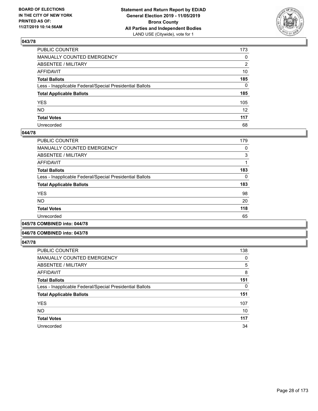

| PUBLIC COUNTER                                           | 173             |
|----------------------------------------------------------|-----------------|
| MANUALLY COUNTED EMERGENCY                               | $\mathbf{0}$    |
| ABSENTEE / MILITARY                                      | 2               |
| AFFIDAVIT                                                | 10              |
| Total Ballots                                            | 185             |
| Less - Inapplicable Federal/Special Presidential Ballots | $\Omega$        |
| <b>Total Applicable Ballots</b>                          | 185             |
| YES                                                      | 105             |
| NO.                                                      | 12 <sup>2</sup> |
| <b>Total Votes</b>                                       | 117             |
| Unrecorded                                               | 68              |

#### **044/78**

| PUBLIC COUNTER                                           | 179 |
|----------------------------------------------------------|-----|
| <b>MANUALLY COUNTED EMERGENCY</b>                        | 0   |
| ABSENTEE / MILITARY                                      | 3   |
| AFFIDAVIT                                                |     |
| <b>Total Ballots</b>                                     | 183 |
| Less - Inapplicable Federal/Special Presidential Ballots | 0   |
| <b>Total Applicable Ballots</b>                          | 183 |
| <b>YES</b>                                               | 98  |
| <b>NO</b>                                                | 20  |
| <b>Total Votes</b>                                       | 118 |
| Unrecorded                                               | 65  |
|                                                          |     |

**045/78 COMBINED into: 044/78**

#### **046/78 COMBINED into: 043/78**

| PUBLIC COUNTER                                           | 138      |
|----------------------------------------------------------|----------|
| <b>MANUALLY COUNTED EMERGENCY</b>                        | 0        |
| ABSENTEE / MILITARY                                      | 5        |
| <b>AFFIDAVIT</b>                                         | 8        |
| <b>Total Ballots</b>                                     | 151      |
| Less - Inapplicable Federal/Special Presidential Ballots | $\Omega$ |
| <b>Total Applicable Ballots</b>                          | 151      |
| <b>YES</b>                                               | 107      |
| <b>NO</b>                                                | 10       |
| <b>Total Votes</b>                                       | 117      |
| Unrecorded                                               | 34       |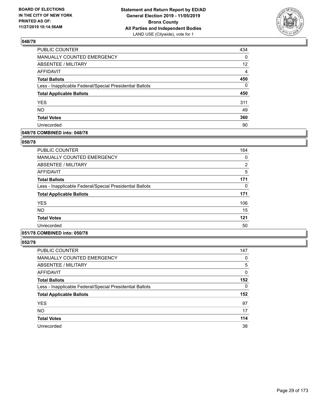

| PUBLIC COUNTER                                           | 434               |
|----------------------------------------------------------|-------------------|
| <b>MANUALLY COUNTED EMERGENCY</b>                        | 0                 |
| <b>ABSENTEE / MILITARY</b>                               | $12 \overline{ }$ |
| <b>AFFIDAVIT</b>                                         | $\overline{4}$    |
| <b>Total Ballots</b>                                     | 450               |
| Less - Inapplicable Federal/Special Presidential Ballots | $\Omega$          |
| <b>Total Applicable Ballots</b>                          | 450               |
| <b>YES</b>                                               | 311               |
| NO.                                                      | 49                |
| <b>Total Votes</b>                                       | 360               |
| Unrecorded                                               | 90                |

#### **049/78 COMBINED into: 048/78**

#### **050/78**

| <b>PUBLIC COUNTER</b>                                    | 164            |
|----------------------------------------------------------|----------------|
| <b>MANUALLY COUNTED EMERGENCY</b>                        | 0              |
| ABSENTEE / MILITARY                                      | $\overline{2}$ |
| AFFIDAVIT                                                | 5              |
| <b>Total Ballots</b>                                     | 171            |
| Less - Inapplicable Federal/Special Presidential Ballots | 0              |
| <b>Total Applicable Ballots</b>                          | 171            |
| <b>YES</b>                                               | 106            |
| <b>NO</b>                                                | 15             |
| <b>Total Votes</b>                                       | 121            |
| Unrecorded                                               | 50             |
|                                                          |                |

# **051/78 COMBINED into: 050/78**

| PUBLIC COUNTER                                           | 147      |
|----------------------------------------------------------|----------|
| <b>MANUALLY COUNTED EMERGENCY</b>                        | 0        |
| <b>ABSENTEE / MILITARY</b>                               | 5        |
| <b>AFFIDAVIT</b>                                         | 0        |
| <b>Total Ballots</b>                                     | 152      |
| Less - Inapplicable Federal/Special Presidential Ballots | $\Omega$ |
| <b>Total Applicable Ballots</b>                          | 152      |
| <b>YES</b>                                               | 97       |
| <b>NO</b>                                                | 17       |
| <b>Total Votes</b>                                       | 114      |
| Unrecorded                                               | 38       |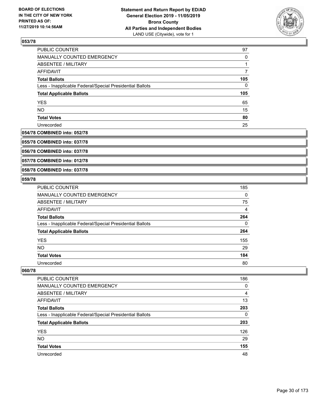

| <b>PUBLIC COUNTER</b>                                    | 97       |
|----------------------------------------------------------|----------|
| MANUALLY COUNTED EMERGENCY                               | $\Omega$ |
| ABSENTEE / MILITARY                                      |          |
| AFFIDAVIT                                                |          |
| <b>Total Ballots</b>                                     | 105      |
| Less - Inapplicable Federal/Special Presidential Ballots | 0        |
| <b>Total Applicable Ballots</b>                          | 105      |
| <b>YES</b>                                               | 65       |
| <b>NO</b>                                                | 15       |
| <b>Total Votes</b>                                       | 80       |
| Unrecorded                                               | 25       |

# **054/78 COMBINED into: 052/78**

**055/78 COMBINED into: 037/78**

**056/78 COMBINED into: 037/78**

**057/78 COMBINED into: 012/78**

#### **058/78 COMBINED into: 037/78**

#### **059/78**

| PUBLIC COUNTER                                           | 185      |
|----------------------------------------------------------|----------|
| <b>MANUALLY COUNTED EMERGENCY</b>                        | $\Omega$ |
| ABSENTEE / MILITARY                                      | 75       |
| <b>AFFIDAVIT</b>                                         | 4        |
| <b>Total Ballots</b>                                     | 264      |
| Less - Inapplicable Federal/Special Presidential Ballots | $\Omega$ |
| <b>Total Applicable Ballots</b>                          | 264      |
| <b>YES</b>                                               | 155      |
| <b>NO</b>                                                | 29       |
| <b>Total Votes</b>                                       | 184      |
| Unrecorded                                               | 80       |

| <b>PUBLIC COUNTER</b>                                    | 186 |
|----------------------------------------------------------|-----|
| <b>MANUALLY COUNTED EMERGENCY</b>                        | 0   |
| ABSENTEE / MILITARY                                      | 4   |
| AFFIDAVIT                                                | 13  |
| <b>Total Ballots</b>                                     | 203 |
| Less - Inapplicable Federal/Special Presidential Ballots | 0   |
| <b>Total Applicable Ballots</b>                          | 203 |
| <b>YES</b>                                               | 126 |
| <b>NO</b>                                                | 29  |
| <b>Total Votes</b>                                       | 155 |
| Unrecorded                                               | 48  |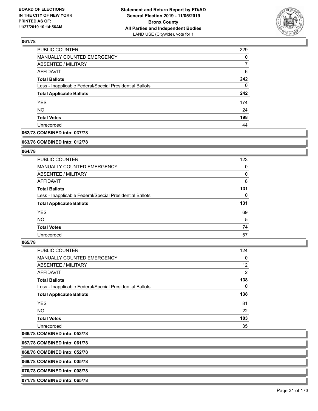

| PUBLIC COUNTER                                           | 229 |
|----------------------------------------------------------|-----|
| <b>MANUALLY COUNTED EMERGENCY</b>                        | 0   |
| <b>ABSENTEE / MILITARY</b>                               | 7   |
| AFFIDAVIT                                                | 6   |
| <b>Total Ballots</b>                                     | 242 |
| Less - Inapplicable Federal/Special Presidential Ballots | 0   |
| <b>Total Applicable Ballots</b>                          | 242 |
| <b>YES</b>                                               | 174 |
| <b>NO</b>                                                | 24  |
| <b>Total Votes</b>                                       | 198 |
| Unrecorded                                               | 44  |

### **062/78 COMBINED into: 037/78**

#### **063/78 COMBINED into: 012/78**

### **064/78**

| PUBLIC COUNTER                                           | 123      |
|----------------------------------------------------------|----------|
| <b>MANUALLY COUNTED EMERGENCY</b>                        | 0        |
| ABSENTEE / MILITARY                                      | $\Omega$ |
| <b>AFFIDAVIT</b>                                         | 8        |
| <b>Total Ballots</b>                                     | 131      |
| Less - Inapplicable Federal/Special Presidential Ballots | $\Omega$ |
|                                                          |          |
| <b>Total Applicable Ballots</b>                          | 131      |
| <b>YES</b>                                               | 69       |
| <b>NO</b>                                                | 5        |
| <b>Total Votes</b>                                       | 74       |

#### **065/78**

| PUBLIC COUNTER                                           | 124      |
|----------------------------------------------------------|----------|
| MANUALLY COUNTED EMERGENCY                               | 0        |
| ABSENTEE / MILITARY                                      | 12       |
| AFFIDAVIT                                                | 2        |
| <b>Total Ballots</b>                                     | 138      |
| Less - Inapplicable Federal/Special Presidential Ballots | $\Omega$ |
| <b>Total Applicable Ballots</b>                          | 138      |
| <b>YES</b>                                               | 81       |
| <b>NO</b>                                                | 22       |
| <b>Total Votes</b>                                       | 103      |
| Unrecorded                                               | 35       |
|                                                          |          |

### **066/78 COMBINED into: 053/78**

**067/78 COMBINED into: 061/78**

**068/78 COMBINED into: 052/78**

**069/78 COMBINED into: 005/78**

**070/78 COMBINED into: 008/78**

**071/78 COMBINED into: 065/78**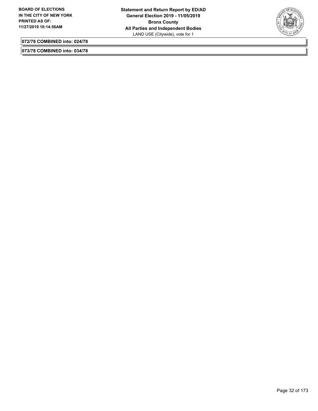

**072/78 COMBINED into: 024/78**

**073/78 COMBINED into: 034/78**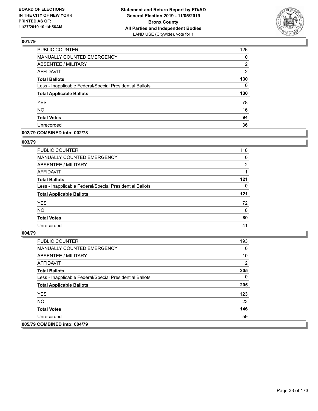

| PUBLIC COUNTER                                           | 126            |
|----------------------------------------------------------|----------------|
| MANUALLY COUNTED EMERGENCY                               | 0              |
| <b>ABSENTEE / MILITARY</b>                               | 2              |
| <b>AFFIDAVIT</b>                                         | $\overline{2}$ |
| <b>Total Ballots</b>                                     | 130            |
| Less - Inapplicable Federal/Special Presidential Ballots | $\Omega$       |
| <b>Total Applicable Ballots</b>                          | 130            |
| <b>YES</b>                                               | 78             |
| <b>NO</b>                                                | 16             |
| <b>Total Votes</b>                                       | 94             |
| Unrecorded                                               | 36             |

#### **002/79 COMBINED into: 002/78**

#### **003/79**

| <b>PUBLIC COUNTER</b>                                    | 118            |
|----------------------------------------------------------|----------------|
| MANUALLY COUNTED EMERGENCY                               | $\Omega$       |
| ABSENTEE / MILITARY                                      | $\overline{2}$ |
| AFFIDAVIT                                                |                |
| <b>Total Ballots</b>                                     | 121            |
| Less - Inapplicable Federal/Special Presidential Ballots | $\Omega$       |
| <b>Total Applicable Ballots</b>                          | 121            |
| <b>YES</b>                                               | 72             |
| <b>NO</b>                                                | 8              |
| <b>Total Votes</b>                                       | 80             |
| Unrecorded                                               | 41             |
|                                                          |                |

| <b>PUBLIC COUNTER</b>                                    | 193 |
|----------------------------------------------------------|-----|
| <b>MANUALLY COUNTED EMERGENCY</b>                        | 0   |
| ABSENTEE / MILITARY                                      | 10  |
| AFFIDAVIT                                                | 2   |
| <b>Total Ballots</b>                                     | 205 |
| Less - Inapplicable Federal/Special Presidential Ballots | 0   |
| <b>Total Applicable Ballots</b>                          | 205 |
| <b>YES</b>                                               | 123 |
| NO.                                                      | 23  |
| <b>Total Votes</b>                                       | 146 |
| Unrecorded                                               | 59  |
| 005/79 COMBINED into: 004/79                             |     |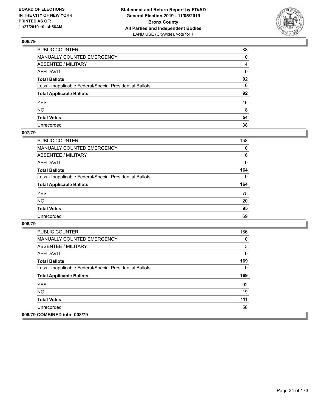

| PUBLIC COUNTER                                           | 88 |
|----------------------------------------------------------|----|
| MANUALLY COUNTED EMERGENCY                               | 0  |
| ABSENTEE / MILITARY                                      | 4  |
| AFFIDAVIT                                                | 0  |
| Total Ballots                                            | 92 |
| Less - Inapplicable Federal/Special Presidential Ballots | 0  |
| <b>Total Applicable Ballots</b>                          | 92 |
| YES                                                      | 46 |
| NO.                                                      | 8  |
| <b>Total Votes</b>                                       | 54 |
| Unrecorded                                               | 38 |

# **007/79**

| <b>PUBLIC COUNTER</b>                                    | 158      |
|----------------------------------------------------------|----------|
| <b>MANUALLY COUNTED EMERGENCY</b>                        | $\Omega$ |
| ABSENTEE / MILITARY                                      | 6        |
| AFFIDAVIT                                                | 0        |
| <b>Total Ballots</b>                                     | 164      |
| Less - Inapplicable Federal/Special Presidential Ballots | $\Omega$ |
| <b>Total Applicable Ballots</b>                          | 164      |
| <b>YES</b>                                               | 75       |
| <b>NO</b>                                                | 20       |
| <b>Total Votes</b>                                       | 95       |
| Unrecorded                                               | 69       |

| <b>PUBLIC COUNTER</b>                                    | 166 |
|----------------------------------------------------------|-----|
| <b>MANUALLY COUNTED EMERGENCY</b>                        | 0   |
| ABSENTEE / MILITARY                                      | 3   |
| AFFIDAVIT                                                | 0   |
| <b>Total Ballots</b>                                     | 169 |
| Less - Inapplicable Federal/Special Presidential Ballots | 0   |
| <b>Total Applicable Ballots</b>                          | 169 |
| <b>YES</b>                                               | 92  |
| NO.                                                      | 19  |
| <b>Total Votes</b>                                       | 111 |
| Unrecorded                                               | 58  |
| 009/79 COMBINED into: 008/79                             |     |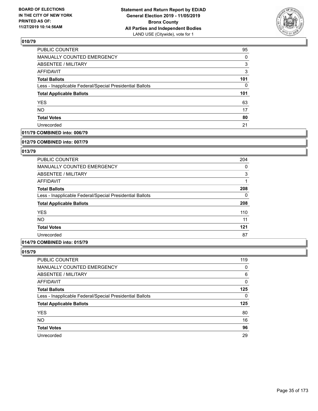

| PUBLIC COUNTER                                           | 95       |
|----------------------------------------------------------|----------|
| <b>MANUALLY COUNTED EMERGENCY</b>                        | 0        |
| ABSENTEE / MILITARY                                      | 3        |
| <b>AFFIDAVIT</b>                                         | 3        |
| <b>Total Ballots</b>                                     | 101      |
| Less - Inapplicable Federal/Special Presidential Ballots | $\Omega$ |
| <b>Total Applicable Ballots</b>                          | 101      |
| <b>YES</b>                                               | 63       |
| <b>NO</b>                                                | 17       |
| <b>Total Votes</b>                                       | 80       |
| Unrecorded                                               | 21       |

#### **011/79 COMBINED into: 006/79**

#### **012/79 COMBINED into: 007/79**

# **013/79**

| <b>PUBLIC COUNTER</b>                                    | 204      |
|----------------------------------------------------------|----------|
| MANUALLY COUNTED EMERGENCY                               | 0        |
| ABSENTEE / MILITARY                                      | 3        |
| AFFIDAVIT                                                |          |
| <b>Total Ballots</b>                                     | 208      |
| Less - Inapplicable Federal/Special Presidential Ballots | $\Omega$ |
| <b>Total Applicable Ballots</b>                          | 208      |
| <b>YES</b>                                               | 110      |
| <b>NO</b>                                                | 11       |
| <b>Total Votes</b>                                       | 121      |
| Unrecorded                                               | 87       |

# **014/79 COMBINED into: 015/79**

| PUBLIC COUNTER                                           | 119 |
|----------------------------------------------------------|-----|
| MANUALLY COUNTED EMERGENCY                               | 0   |
| ABSENTEE / MILITARY                                      | 6   |
| AFFIDAVIT                                                | 0   |
| <b>Total Ballots</b>                                     | 125 |
| Less - Inapplicable Federal/Special Presidential Ballots | 0   |
| <b>Total Applicable Ballots</b>                          | 125 |
| <b>YES</b>                                               | 80  |
| <b>NO</b>                                                | 16  |
| <b>Total Votes</b>                                       | 96  |
| Unrecorded                                               | 29  |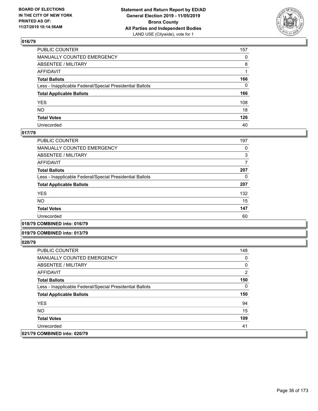

| PUBLIC COUNTER                                           | 157          |
|----------------------------------------------------------|--------------|
| MANUALLY COUNTED EMERGENCY                               | $\mathbf{0}$ |
| ABSENTEE / MILITARY                                      | 8            |
| AFFIDAVIT                                                |              |
| Total Ballots                                            | 166          |
| Less - Inapplicable Federal/Special Presidential Ballots | $\mathbf{0}$ |
| <b>Total Applicable Ballots</b>                          | 166          |
| YES                                                      | 108          |
| NO.                                                      | 18           |
| <b>Total Votes</b>                                       | 126          |
| Unrecorded                                               | 40           |

#### **017/79**

| 197 |
|-----|
| 0   |
| 3   |
|     |
| 207 |
| 0   |
| 207 |
| 132 |
| 15  |
| 147 |
| 60  |
|     |

**018/79 COMBINED into: 016/79**

#### **019/79 COMBINED into: 013/79**

| PUBLIC COUNTER                                           | 148 |
|----------------------------------------------------------|-----|
| MANUALLY COUNTED EMERGENCY                               | 0   |
| ABSENTEE / MILITARY                                      | 0   |
| AFFIDAVIT                                                | 2   |
| <b>Total Ballots</b>                                     | 150 |
| Less - Inapplicable Federal/Special Presidential Ballots | 0   |
| <b>Total Applicable Ballots</b>                          | 150 |
| <b>YES</b>                                               | 94  |
| NO.                                                      | 15  |
| <b>Total Votes</b>                                       | 109 |
| Unrecorded                                               | 41  |
| 021/79 COMBINED into: 020/79                             |     |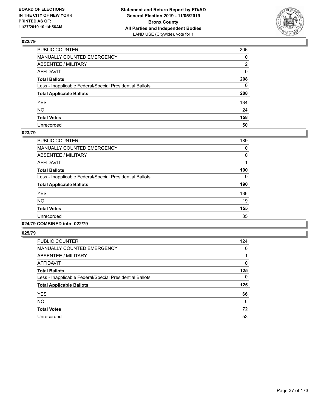

| PUBLIC COUNTER                                           | 206          |
|----------------------------------------------------------|--------------|
| MANUALLY COUNTED EMERGENCY                               | $\mathbf{0}$ |
| ABSENTEE / MILITARY                                      | 2            |
| AFFIDAVIT                                                | 0            |
| Total Ballots                                            | 208          |
| Less - Inapplicable Federal/Special Presidential Ballots | 0            |
| <b>Total Applicable Ballots</b>                          | 208          |
| YES                                                      | 134          |
| NO.                                                      | 24           |
| <b>Total Votes</b>                                       | 158          |
| Unrecorded                                               | 50           |

#### **023/79**

| <b>PUBLIC COUNTER</b>                                    | 189      |
|----------------------------------------------------------|----------|
| <b>MANUALLY COUNTED EMERGENCY</b>                        | 0        |
| ABSENTEE / MILITARY                                      | $\Omega$ |
| <b>AFFIDAVIT</b>                                         |          |
| <b>Total Ballots</b>                                     | 190      |
| Less - Inapplicable Federal/Special Presidential Ballots | $\Omega$ |
| <b>Total Applicable Ballots</b>                          | 190      |
| <b>YES</b>                                               | 136      |
| <b>NO</b>                                                | 19       |
| <b>Total Votes</b>                                       | 155      |
| Unrecorded                                               | 35       |
|                                                          |          |

# **024/79 COMBINED into: 022/79**

| <b>PUBLIC COUNTER</b>                                    | 124 |
|----------------------------------------------------------|-----|
| <b>MANUALLY COUNTED EMERGENCY</b>                        | 0   |
| ABSENTEE / MILITARY                                      |     |
| AFFIDAVIT                                                | 0   |
| <b>Total Ballots</b>                                     | 125 |
| Less - Inapplicable Federal/Special Presidential Ballots | 0   |
| <b>Total Applicable Ballots</b>                          | 125 |
| <b>YES</b>                                               | 66  |
| <b>NO</b>                                                | 6   |
| <b>Total Votes</b>                                       | 72  |
| Unrecorded                                               | 53  |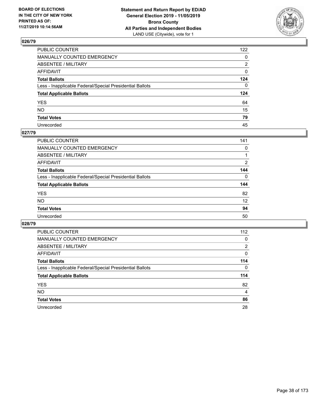

| PUBLIC COUNTER                                           | 122 |
|----------------------------------------------------------|-----|
| MANUALLY COUNTED EMERGENCY                               | 0   |
| ABSENTEE / MILITARY                                      | 2   |
| AFFIDAVIT                                                | 0   |
| Total Ballots                                            | 124 |
| Less - Inapplicable Federal/Special Presidential Ballots | 0   |
| <b>Total Applicable Ballots</b>                          | 124 |
| YES                                                      | 64  |
| NO.                                                      | 15  |
| <b>Total Votes</b>                                       | 79  |
| Unrecorded                                               | 45  |

### **027/79**

| PUBLIC COUNTER                                           | 141      |
|----------------------------------------------------------|----------|
| <b>MANUALLY COUNTED EMERGENCY</b>                        | 0        |
| ABSENTEE / MILITARY                                      |          |
| AFFIDAVIT                                                | 2        |
| <b>Total Ballots</b>                                     | 144      |
| Less - Inapplicable Federal/Special Presidential Ballots | $\Omega$ |
| <b>Total Applicable Ballots</b>                          | 144      |
| <b>YES</b>                                               | 82       |
| <b>NO</b>                                                | 12       |
| <b>Total Votes</b>                                       | 94       |
| Unrecorded                                               | 50       |

| <b>PUBLIC COUNTER</b>                                    | 112      |
|----------------------------------------------------------|----------|
| <b>MANUALLY COUNTED EMERGENCY</b>                        | 0        |
| ABSENTEE / MILITARY                                      | 2        |
| AFFIDAVIT                                                | 0        |
| <b>Total Ballots</b>                                     | 114      |
| Less - Inapplicable Federal/Special Presidential Ballots | $\Omega$ |
| <b>Total Applicable Ballots</b>                          | 114      |
| <b>YES</b>                                               | 82       |
| NO.                                                      | 4        |
| <b>Total Votes</b>                                       | 86       |
| Unrecorded                                               | 28       |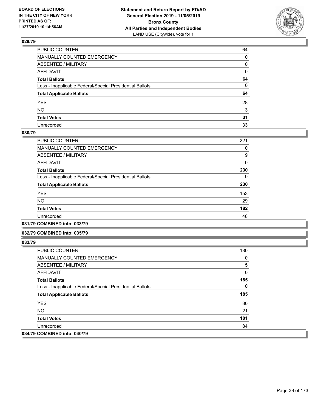

| PUBLIC COUNTER                                           | 64 |
|----------------------------------------------------------|----|
| MANUALLY COUNTED EMERGENCY                               | 0  |
| ABSENTEE / MILITARY                                      | 0  |
| AFFIDAVIT                                                | 0  |
| Total Ballots                                            | 64 |
| Less - Inapplicable Federal/Special Presidential Ballots | 0  |
| <b>Total Applicable Ballots</b>                          | 64 |
| YES                                                      | 28 |
| NO.                                                      | 3  |
| <b>Total Votes</b>                                       | 31 |
| Unrecorded                                               | 33 |

#### **030/79**

| <b>PUBLIC COUNTER</b>                                    | 221      |
|----------------------------------------------------------|----------|
| <b>MANUALLY COUNTED EMERGENCY</b>                        | 0        |
| ABSENTEE / MILITARY                                      | 9        |
| AFFIDAVIT                                                | $\Omega$ |
| <b>Total Ballots</b>                                     | 230      |
| Less - Inapplicable Federal/Special Presidential Ballots | 0        |
| <b>Total Applicable Ballots</b>                          | 230      |
| <b>YES</b>                                               | 153      |
| <b>NO</b>                                                | 29       |
| <b>Total Votes</b>                                       | 182      |
| Unrecorded                                               | 48       |
|                                                          |          |

#### **031/79 COMBINED into: 033/79**

#### **032/79 COMBINED into: 035/79**

| <b>PUBLIC COUNTER</b>                                    | 180 |
|----------------------------------------------------------|-----|
| <b>MANUALLY COUNTED EMERGENCY</b>                        | 0   |
| ABSENTEE / MILITARY                                      | 5   |
| AFFIDAVIT                                                | 0   |
| <b>Total Ballots</b>                                     | 185 |
| Less - Inapplicable Federal/Special Presidential Ballots | 0   |
| <b>Total Applicable Ballots</b>                          | 185 |
| <b>YES</b>                                               | 80  |
| NO.                                                      | 21  |
| <b>Total Votes</b>                                       | 101 |
| Unrecorded                                               | 84  |
| 034/79 COMBINED into: 040/79                             |     |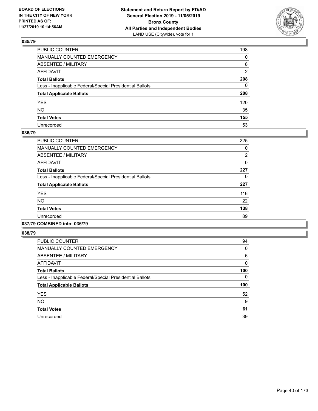

| PUBLIC COUNTER                                           | 198            |
|----------------------------------------------------------|----------------|
| MANUALLY COUNTED EMERGENCY                               | $\mathbf{0}$   |
| ABSENTEE / MILITARY                                      | 8              |
| AFFIDAVIT                                                | $\overline{2}$ |
| Total Ballots                                            | 208            |
| Less - Inapplicable Federal/Special Presidential Ballots | $\mathbf{0}$   |
| <b>Total Applicable Ballots</b>                          | 208            |
| YES                                                      | 120            |
| NO.                                                      | 35             |
| <b>Total Votes</b>                                       | 155            |
| Unrecorded                                               | 53             |

### **036/79**

| <b>PUBLIC COUNTER</b>                                    | 225            |
|----------------------------------------------------------|----------------|
| <b>MANUALLY COUNTED EMERGENCY</b>                        | 0              |
| ABSENTEE / MILITARY                                      | $\overline{2}$ |
| <b>AFFIDAVIT</b>                                         | 0              |
| <b>Total Ballots</b>                                     | 227            |
| Less - Inapplicable Federal/Special Presidential Ballots | 0              |
| <b>Total Applicable Ballots</b>                          | 227            |
| <b>YES</b>                                               | 116            |
| <b>NO</b>                                                | 22             |
| <b>Total Votes</b>                                       | 138            |
| Unrecorded                                               | 89             |
|                                                          |                |

# **037/79 COMBINED into: 036/79**

| <b>PUBLIC COUNTER</b>                                    | 94  |
|----------------------------------------------------------|-----|
| MANUALLY COUNTED EMERGENCY                               | 0   |
| ABSENTEE / MILITARY                                      | 6   |
| AFFIDAVIT                                                | 0   |
| <b>Total Ballots</b>                                     | 100 |
| Less - Inapplicable Federal/Special Presidential Ballots | 0   |
| <b>Total Applicable Ballots</b>                          | 100 |
| <b>YES</b>                                               | 52  |
| <b>NO</b>                                                | 9   |
| <b>Total Votes</b>                                       | 61  |
| Unrecorded                                               | 39  |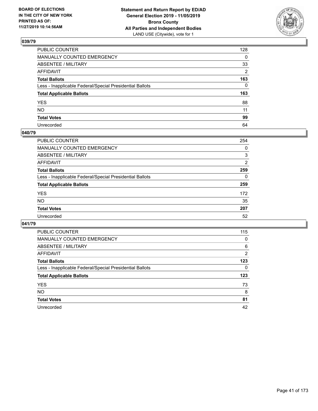

| PUBLIC COUNTER                                           | 128          |
|----------------------------------------------------------|--------------|
| MANUALLY COUNTED EMERGENCY                               | $\mathbf{0}$ |
| ABSENTEE / MILITARY                                      | 33           |
| AFFIDAVIT                                                | 2            |
| Total Ballots                                            | 163          |
| Less - Inapplicable Federal/Special Presidential Ballots | $\mathbf{0}$ |
| <b>Total Applicable Ballots</b>                          | 163          |
| YES                                                      | 88           |
| NO.                                                      | 11           |
| <b>Total Votes</b>                                       | 99           |
| Unrecorded                                               | 64           |

#### **040/79**

| PUBLIC COUNTER                                           | 254 |
|----------------------------------------------------------|-----|
| <b>MANUALLY COUNTED EMERGENCY</b>                        | 0   |
| ABSENTEE / MILITARY                                      | 3   |
| AFFIDAVIT                                                | 2   |
| <b>Total Ballots</b>                                     | 259 |
| Less - Inapplicable Federal/Special Presidential Ballots | 0   |
| <b>Total Applicable Ballots</b>                          | 259 |
| <b>YES</b>                                               | 172 |
| <b>NO</b>                                                | 35  |
| <b>Total Votes</b>                                       | 207 |
| Unrecorded                                               | 52  |

| <b>PUBLIC COUNTER</b>                                    | 115 |
|----------------------------------------------------------|-----|
| <b>MANUALLY COUNTED EMERGENCY</b>                        | 0   |
| ABSENTEE / MILITARY                                      | 6   |
| AFFIDAVIT                                                | 2   |
| <b>Total Ballots</b>                                     | 123 |
| Less - Inapplicable Federal/Special Presidential Ballots | 0   |
| <b>Total Applicable Ballots</b>                          | 123 |
| <b>YES</b>                                               | 73  |
| NO.                                                      | 8   |
| <b>Total Votes</b>                                       | 81  |
|                                                          |     |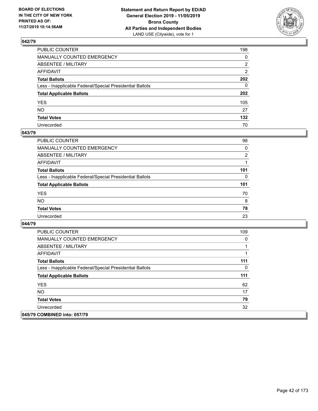

| PUBLIC COUNTER                                           | 198            |
|----------------------------------------------------------|----------------|
| MANUALLY COUNTED EMERGENCY                               | $\mathbf{0}$   |
| ABSENTEE / MILITARY                                      | 2              |
| AFFIDAVIT                                                | $\overline{2}$ |
| Total Ballots                                            | 202            |
| Less - Inapplicable Federal/Special Presidential Ballots | $\Omega$       |
| <b>Total Applicable Ballots</b>                          | 202            |
| YES                                                      | 105            |
| NO.                                                      | 27             |
| <b>Total Votes</b>                                       | 132            |
| Unrecorded                                               | 70             |

#### **043/79**

| <b>PUBLIC COUNTER</b>                                    | 98             |
|----------------------------------------------------------|----------------|
| MANUALLY COUNTED EMERGENCY                               | 0              |
| ABSENTEE / MILITARY                                      | $\overline{2}$ |
| AFFIDAVIT                                                |                |
| <b>Total Ballots</b>                                     | 101            |
| Less - Inapplicable Federal/Special Presidential Ballots | 0              |
| <b>Total Applicable Ballots</b>                          | 101            |
| <b>YES</b>                                               | 70             |
| <b>NO</b>                                                | 8              |
| <b>Total Votes</b>                                       | 78             |
| Unrecorded                                               | 23             |

| <b>PUBLIC COUNTER</b>                                    | 109 |
|----------------------------------------------------------|-----|
| <b>MANUALLY COUNTED EMERGENCY</b>                        | 0   |
| ABSENTEE / MILITARY                                      |     |
| AFFIDAVIT                                                |     |
| <b>Total Ballots</b>                                     | 111 |
| Less - Inapplicable Federal/Special Presidential Ballots | 0   |
| <b>Total Applicable Ballots</b>                          | 111 |
| <b>YES</b>                                               | 62  |
| NO.                                                      | 17  |
| <b>Total Votes</b>                                       | 79  |
| Unrecorded                                               | 32  |
| 045/79 COMBINED into: 057/79                             |     |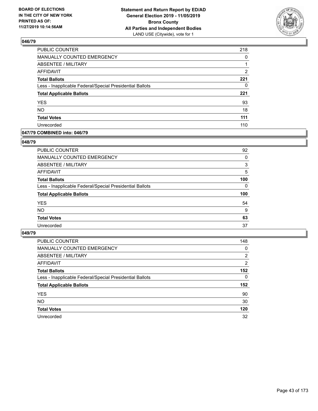

| PUBLIC COUNTER                                           | 218 |
|----------------------------------------------------------|-----|
| MANUALLY COUNTED EMERGENCY                               | 0   |
| <b>ABSENTEE / MILITARY</b>                               |     |
| <b>AFFIDAVIT</b>                                         | 2   |
| <b>Total Ballots</b>                                     | 221 |
| Less - Inapplicable Federal/Special Presidential Ballots | 0   |
| <b>Total Applicable Ballots</b>                          | 221 |
| <b>YES</b>                                               | 93  |
| <b>NO</b>                                                | 18  |
| <b>Total Votes</b>                                       | 111 |
| Unrecorded                                               | 110 |

#### **047/79 COMBINED into: 046/79**

#### **048/79**

| PUBLIC COUNTER                                           | 92       |
|----------------------------------------------------------|----------|
| <b>MANUALLY COUNTED EMERGENCY</b>                        | $\Omega$ |
| ABSENTEE / MILITARY                                      | 3        |
| AFFIDAVIT                                                | 5        |
| <b>Total Ballots</b>                                     | 100      |
| Less - Inapplicable Federal/Special Presidential Ballots | $\Omega$ |
| <b>Total Applicable Ballots</b>                          | 100      |
| <b>YES</b>                                               | 54       |
| <b>NO</b>                                                | 9        |
| <b>Total Votes</b>                                       | 63       |
| Unrecorded                                               | 37       |
|                                                          |          |

| <b>PUBLIC COUNTER</b>                                    | 148            |
|----------------------------------------------------------|----------------|
| MANUALLY COUNTED EMERGENCY                               | 0              |
| ABSENTEE / MILITARY                                      | $\overline{2}$ |
| AFFIDAVIT                                                | 2              |
| <b>Total Ballots</b>                                     | 152            |
| Less - Inapplicable Federal/Special Presidential Ballots | $\Omega$       |
| <b>Total Applicable Ballots</b>                          | 152            |
| <b>YES</b>                                               | 90             |
| <b>NO</b>                                                | 30             |
| <b>Total Votes</b>                                       | 120            |
| Unrecorded                                               | 32             |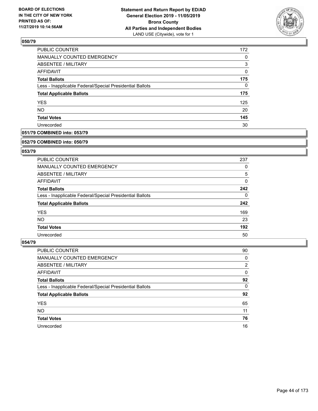

| 172 |
|-----|
| 0   |
| 3   |
| 0   |
| 175 |
| 0   |
| 175 |
| 125 |
| 20  |
| 145 |
| 30  |
|     |

### **051/79 COMBINED into: 053/79**

#### **052/79 COMBINED into: 050/79**

### **053/79**

| <b>PUBLIC COUNTER</b>                                    | 237 |
|----------------------------------------------------------|-----|
| <b>MANUALLY COUNTED EMERGENCY</b>                        | 0   |
| ABSENTEE / MILITARY                                      | 5   |
| AFFIDAVIT                                                | 0   |
| <b>Total Ballots</b>                                     | 242 |
| Less - Inapplicable Federal/Special Presidential Ballots | 0   |
| <b>Total Applicable Ballots</b>                          | 242 |
| <b>YES</b>                                               | 169 |
| NO.                                                      | 23  |
| <b>Total Votes</b>                                       | 192 |
| Unrecorded                                               | 50  |

| <b>PUBLIC COUNTER</b>                                    | 90       |
|----------------------------------------------------------|----------|
| MANUALLY COUNTED EMERGENCY                               | 0        |
| ABSENTEE / MILITARY                                      | 2        |
| AFFIDAVIT                                                | 0        |
| <b>Total Ballots</b>                                     | 92       |
| Less - Inapplicable Federal/Special Presidential Ballots | $\Omega$ |
| <b>Total Applicable Ballots</b>                          | 92       |
| <b>YES</b>                                               | 65       |
| <b>NO</b>                                                | 11       |
| <b>Total Votes</b>                                       | 76       |
| Unrecorded                                               | 16       |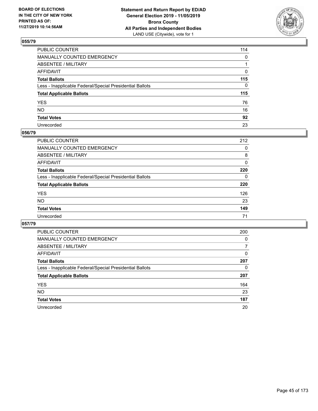

| PUBLIC COUNTER                                           | 114          |
|----------------------------------------------------------|--------------|
| MANUALLY COUNTED EMERGENCY                               | $\mathbf{0}$ |
| ABSENTEE / MILITARY                                      |              |
| AFFIDAVIT                                                | 0            |
| Total Ballots                                            | 115          |
| Less - Inapplicable Federal/Special Presidential Ballots | 0            |
| <b>Total Applicable Ballots</b>                          | 115          |
| YES                                                      | 76           |
| NO.                                                      | 16           |
| <b>Total Votes</b>                                       | 92           |
| Unrecorded                                               | 23           |

### **056/79**

| <b>PUBLIC COUNTER</b>                                    | 212      |
|----------------------------------------------------------|----------|
| MANUALLY COUNTED EMERGENCY                               | 0        |
| ABSENTEE / MILITARY                                      | 8        |
| AFFIDAVIT                                                | 0        |
| <b>Total Ballots</b>                                     | 220      |
| Less - Inapplicable Federal/Special Presidential Ballots | $\Omega$ |
| <b>Total Applicable Ballots</b>                          | 220      |
| <b>YES</b>                                               | 126      |
| <b>NO</b>                                                | 23       |
| <b>Total Votes</b>                                       | 149      |
| Unrecorded                                               | 71       |

| PUBLIC COUNTER                                           | 200      |
|----------------------------------------------------------|----------|
| MANUALLY COUNTED EMERGENCY                               | $\Omega$ |
| ABSENTEE / MILITARY                                      | 7        |
| AFFIDAVIT                                                | 0        |
| <b>Total Ballots</b>                                     | 207      |
| Less - Inapplicable Federal/Special Presidential Ballots | 0        |
| <b>Total Applicable Ballots</b>                          | 207      |
| <b>YES</b>                                               | 164      |
| <b>NO</b>                                                | 23       |
| <b>Total Votes</b>                                       | 187      |
| Unrecorded                                               | 20       |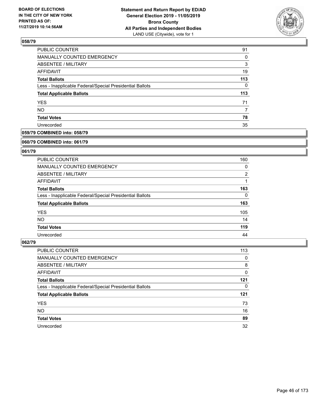

| 91       |
|----------|
| $\Omega$ |
| 3        |
| 19       |
| 113      |
| 0        |
| 113      |
| 71       |
|          |
| 78       |
| 35       |
|          |

### **059/79 COMBINED into: 058/79**

#### **060/79 COMBINED into: 061/79**

### **061/79**

| <b>PUBLIC COUNTER</b>                                    | 160            |
|----------------------------------------------------------|----------------|
| <b>MANUALLY COUNTED EMERGENCY</b>                        | 0              |
| ABSENTEE / MILITARY                                      | $\overline{2}$ |
| AFFIDAVIT                                                |                |
| <b>Total Ballots</b>                                     | 163            |
| Less - Inapplicable Federal/Special Presidential Ballots | 0              |
| <b>Total Applicable Ballots</b>                          | 163            |
| <b>YES</b>                                               | 105            |
| NO.                                                      | 14             |
| <b>Total Votes</b>                                       | 119            |
| Unrecorded                                               | 44             |

| <b>PUBLIC COUNTER</b>                                    | 113 |
|----------------------------------------------------------|-----|
| <b>MANUALLY COUNTED EMERGENCY</b>                        | 0   |
| ABSENTEE / MILITARY                                      | 8   |
| AFFIDAVIT                                                | 0   |
| <b>Total Ballots</b>                                     | 121 |
| Less - Inapplicable Federal/Special Presidential Ballots | 0   |
| <b>Total Applicable Ballots</b>                          | 121 |
| <b>YES</b>                                               | 73  |
|                                                          |     |
| <b>NO</b>                                                | 16  |
| <b>Total Votes</b>                                       | 89  |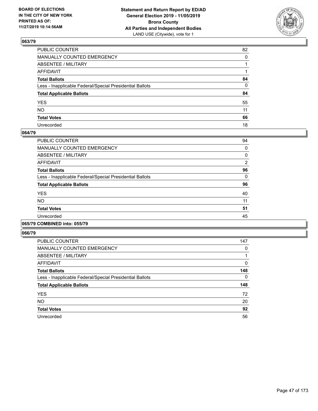

| PUBLIC COUNTER                                           | 82       |
|----------------------------------------------------------|----------|
| MANUALLY COUNTED EMERGENCY                               | $\Omega$ |
| ABSENTEE / MILITARY                                      |          |
| AFFIDAVIT                                                |          |
| Total Ballots                                            | 84       |
| Less - Inapplicable Federal/Special Presidential Ballots | 0        |
| <b>Total Applicable Ballots</b>                          | 84       |
| YES                                                      | 55       |
| NO.                                                      | 11       |
| <b>Total Votes</b>                                       | 66       |
| Unrecorded                                               | 18       |

#### **064/79**

| <b>PUBLIC COUNTER</b>                                    | 94       |
|----------------------------------------------------------|----------|
| MANUALLY COUNTED EMERGENCY                               | 0        |
| ABSENTEE / MILITARY                                      | 0        |
| AFFIDAVIT                                                | 2        |
| <b>Total Ballots</b>                                     | 96       |
| Less - Inapplicable Federal/Special Presidential Ballots | $\Omega$ |
| <b>Total Applicable Ballots</b>                          | 96       |
| <b>YES</b>                                               | 40       |
| <b>NO</b>                                                | 11       |
| <b>Total Votes</b>                                       | 51       |
| Unrecorded                                               | 45       |
|                                                          |          |

### **065/79 COMBINED into: 055/79**

| <b>PUBLIC COUNTER</b>                                    | 147 |
|----------------------------------------------------------|-----|
| <b>MANUALLY COUNTED EMERGENCY</b>                        | 0   |
| ABSENTEE / MILITARY                                      |     |
| <b>AFFIDAVIT</b>                                         | 0   |
| <b>Total Ballots</b>                                     | 148 |
| Less - Inapplicable Federal/Special Presidential Ballots | 0   |
| <b>Total Applicable Ballots</b>                          | 148 |
| <b>YES</b>                                               | 72  |
| <b>NO</b>                                                | 20  |
| <b>Total Votes</b>                                       | 92  |
| Unrecorded                                               | 56  |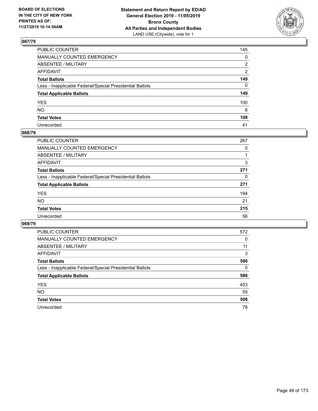

| PUBLIC COUNTER                                           | 145 |
|----------------------------------------------------------|-----|
| MANUALLY COUNTED EMERGENCY                               | 0   |
| ABSENTEE / MILITARY                                      | 2   |
| AFFIDAVIT                                                | 2   |
| Total Ballots                                            | 149 |
| Less - Inapplicable Federal/Special Presidential Ballots | 0   |
| <b>Total Applicable Ballots</b>                          | 149 |
| YES                                                      | 100 |
| NO.                                                      | 8   |
| <b>Total Votes</b>                                       | 108 |
| Unrecorded                                               | 41  |

#### **068/79**

| <b>PUBLIC COUNTER</b>                                    | 267      |
|----------------------------------------------------------|----------|
| MANUALLY COUNTED EMERGENCY                               | 0        |
| ABSENTEE / MILITARY                                      |          |
| AFFIDAVIT                                                | 3        |
| <b>Total Ballots</b>                                     | 271      |
| Less - Inapplicable Federal/Special Presidential Ballots | $\Omega$ |
| <b>Total Applicable Ballots</b>                          | 271      |
| <b>YES</b>                                               | 194      |
| <b>NO</b>                                                | 21       |
| <b>Total Votes</b>                                       | 215      |
| Unrecorded                                               | 56       |

| <b>PUBLIC COUNTER</b>                                    | 572      |
|----------------------------------------------------------|----------|
| <b>MANUALLY COUNTED EMERGENCY</b>                        | 0        |
| ABSENTEE / MILITARY                                      | 11       |
| AFFIDAVIT                                                | 3        |
| <b>Total Ballots</b>                                     | 586      |
| Less - Inapplicable Federal/Special Presidential Ballots | $\Omega$ |
| <b>Total Applicable Ballots</b>                          | 586      |
| <b>YES</b>                                               | 453      |
| <b>NO</b>                                                | 55       |
| <b>Total Votes</b>                                       | 508      |
| Unrecorded                                               | 78       |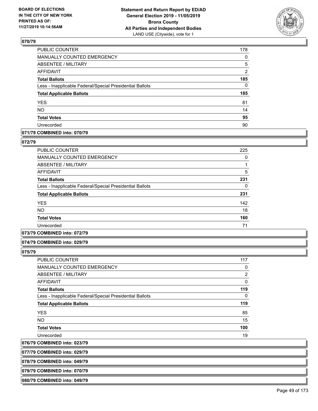

| PUBLIC COUNTER                                           | 178            |
|----------------------------------------------------------|----------------|
| MANUALLY COUNTED EMERGENCY                               | $\Omega$       |
| <b>ABSENTEE / MILITARY</b>                               | 5              |
| <b>AFFIDAVIT</b>                                         | $\overline{2}$ |
| <b>Total Ballots</b>                                     | 185            |
| Less - Inapplicable Federal/Special Presidential Ballots | $\mathbf{0}$   |
| <b>Total Applicable Ballots</b>                          | 185            |
| <b>YES</b>                                               | 81             |
| <b>NO</b>                                                | 14             |
| <b>Total Votes</b>                                       | 95             |
| Unrecorded                                               | 90             |

## **071/79 COMBINED into: 070/79**

### **072/79**

| <b>PUBLIC COUNTER</b>                                    | 225 |
|----------------------------------------------------------|-----|
| <b>MANUALLY COUNTED EMERGENCY</b>                        | 0   |
| ABSENTEE / MILITARY                                      |     |
| <b>AFFIDAVIT</b>                                         | 5   |
| <b>Total Ballots</b>                                     | 231 |
| Less - Inapplicable Federal/Special Presidential Ballots | 0   |
| <b>Total Applicable Ballots</b>                          | 231 |
| <b>YES</b>                                               | 142 |
| NO.                                                      | 18  |
| <b>Total Votes</b>                                       | 160 |
| Unrecorded                                               | 71  |

### **073/79 COMBINED into: 072/79**

### **074/79 COMBINED into: 029/79**

**075/79** 

| <b>PUBLIC COUNTER</b>                                    | 117            |
|----------------------------------------------------------|----------------|
| <b>MANUALLY COUNTED EMERGENCY</b>                        | 0              |
| ABSENTEE / MILITARY                                      | $\overline{2}$ |
| <b>AFFIDAVIT</b>                                         | $\Omega$       |
| <b>Total Ballots</b>                                     | 119            |
| Less - Inapplicable Federal/Special Presidential Ballots | 0              |
| <b>Total Applicable Ballots</b>                          | 119            |
| <b>YES</b>                                               | 85             |
| <b>NO</b>                                                | 15             |
| <b>Total Votes</b>                                       | 100            |
| Unrecorded                                               | 19             |
|                                                          |                |

**076/79 COMBINED into: 023/79**

**077/79 COMBINED into: 029/79**

**078/79 COMBINED into: 049/79**

**079/79 COMBINED into: 070/79**

**080/79 COMBINED into: 049/79**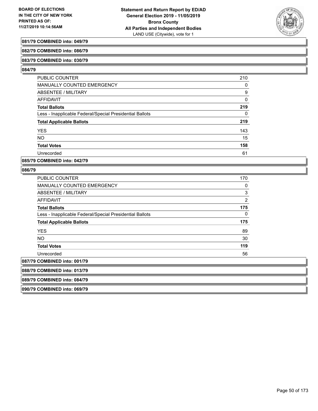

### **081/79 COMBINED into: 049/79**

#### **082/79 COMBINED into: 086/79**

#### **083/79 COMBINED into: 030/79**

#### **084/79**

| <b>PUBLIC COUNTER</b>                                    | 210 |
|----------------------------------------------------------|-----|
| <b>MANUALLY COUNTED EMERGENCY</b>                        | 0   |
| ABSENTEE / MILITARY                                      | 9   |
| AFFIDAVIT                                                | 0   |
| <b>Total Ballots</b>                                     | 219 |
| Less - Inapplicable Federal/Special Presidential Ballots | 0   |
| <b>Total Applicable Ballots</b>                          | 219 |
| <b>YES</b>                                               | 143 |
| <b>NO</b>                                                | 15  |
| <b>Total Votes</b>                                       | 158 |
| Unrecorded                                               | 61  |

#### **085/79 COMBINED into: 042/79**

#### **086/79**

| <b>PUBLIC COUNTER</b>                                    | 170            |
|----------------------------------------------------------|----------------|
| <b>MANUALLY COUNTED EMERGENCY</b>                        | 0              |
| ABSENTEE / MILITARY                                      | $\mathbf{3}$   |
| AFFIDAVIT                                                | $\overline{2}$ |
| <b>Total Ballots</b>                                     | 175            |
| Less - Inapplicable Federal/Special Presidential Ballots | 0              |
| <b>Total Applicable Ballots</b>                          | 175            |
| <b>YES</b>                                               | 89             |
| NO.                                                      | 30             |
| <b>Total Votes</b>                                       | 119            |
| Unrecorded                                               | 56             |
| 087/79 COMBINED into: 001/79                             |                |
| 088/79 COMBINED into: 013/79                             |                |
| 089/79 COMBINED into: 084/79                             |                |
|                                                          |                |

**090/79 COMBINED into: 069/79**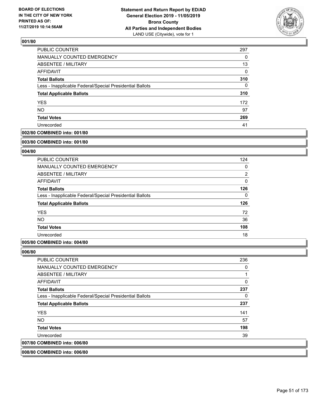

| <b>PUBLIC COUNTER</b>                                    | 297      |
|----------------------------------------------------------|----------|
| MANUALLY COUNTED EMERGENCY                               | 0        |
| <b>ABSENTEE / MILITARY</b>                               | 13       |
| AFFIDAVIT                                                | $\Omega$ |
| <b>Total Ballots</b>                                     | 310      |
| Less - Inapplicable Federal/Special Presidential Ballots | $\Omega$ |
| <b>Total Applicable Ballots</b>                          | 310      |
| <b>YES</b>                                               | 172      |
| <b>NO</b>                                                | 97       |
| <b>Total Votes</b>                                       | 269      |
| Unrecorded                                               | 41       |

### **002/80 COMBINED into: 001/80**

#### **003/80 COMBINED into: 001/80**

### **004/80**

| PUBLIC COUNTER                                           | 124            |
|----------------------------------------------------------|----------------|
| MANUALLY COUNTED EMERGENCY                               | 0              |
| ABSENTEE / MILITARY                                      | $\overline{2}$ |
| AFFIDAVIT                                                | $\mathbf{0}$   |
| <b>Total Ballots</b>                                     | 126            |
| Less - Inapplicable Federal/Special Presidential Ballots | 0              |
| <b>Total Applicable Ballots</b>                          | 126            |
| <b>YES</b>                                               | 72             |
| <b>NO</b>                                                | 36             |
| <b>Total Votes</b>                                       | 108            |
| Unrecorded                                               | 18             |

### **005/80 COMBINED into: 004/80**

### **006/80**

| PUBLIC COUNTER                                           | 236      |
|----------------------------------------------------------|----------|
| <b>MANUALLY COUNTED EMERGENCY</b>                        | 0        |
| ABSENTEE / MILITARY                                      |          |
| AFFIDAVIT                                                | $\Omega$ |
| <b>Total Ballots</b>                                     | 237      |
| Less - Inapplicable Federal/Special Presidential Ballots | 0        |
| <b>Total Applicable Ballots</b>                          | 237      |
| <b>YES</b>                                               | 141      |
| NO.                                                      | 57       |
| <b>Total Votes</b>                                       | 198      |
| Unrecorded                                               | 39       |
| 007/80 COMBINED into: 006/80                             |          |
|                                                          |          |

### **008/80 COMBINED into: 006/80**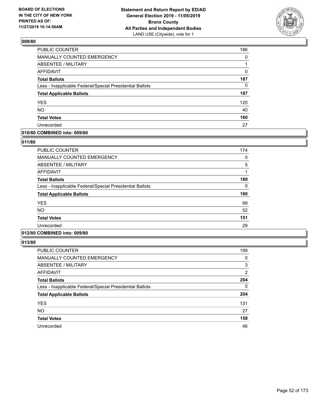

| PUBLIC COUNTER                                           | 186      |
|----------------------------------------------------------|----------|
| MANUALLY COUNTED EMERGENCY                               | $\Omega$ |
| ABSENTEE / MILITARY                                      | 1        |
| <b>AFFIDAVIT</b>                                         | 0        |
| <b>Total Ballots</b>                                     | 187      |
| Less - Inapplicable Federal/Special Presidential Ballots | $\Omega$ |
| <b>Total Applicable Ballots</b>                          | 187      |
| <b>YES</b>                                               | 120      |
| <b>NO</b>                                                | 40       |
| <b>Total Votes</b>                                       | 160      |
| Unrecorded                                               | 27       |

### **010/80 COMBINED into: 009/80**

#### **011/80**

| <b>PUBLIC COUNTER</b>                                    | 174 |
|----------------------------------------------------------|-----|
| <b>MANUALLY COUNTED EMERGENCY</b>                        | 0   |
| ABSENTEE / MILITARY                                      | 5   |
| AFFIDAVIT                                                |     |
| <b>Total Ballots</b>                                     | 180 |
| Less - Inapplicable Federal/Special Presidential Ballots | 0   |
| <b>Total Applicable Ballots</b>                          | 180 |
| <b>YES</b>                                               | 99  |
| <b>NO</b>                                                | 52  |
| <b>Total Votes</b>                                       | 151 |
| Unrecorded                                               | 29  |
|                                                          |     |

## **012/80 COMBINED into: 009/80**

| <b>PUBLIC COUNTER</b>                                    | 199           |
|----------------------------------------------------------|---------------|
| <b>MANUALLY COUNTED EMERGENCY</b>                        | 0             |
| ABSENTEE / MILITARY                                      | 3             |
| AFFIDAVIT                                                | $\mathcal{P}$ |
| <b>Total Ballots</b>                                     | 204           |
| Less - Inapplicable Federal/Special Presidential Ballots | 0             |
| <b>Total Applicable Ballots</b>                          | 204           |
| <b>YES</b>                                               | 131           |
| <b>NO</b>                                                | 27            |
| <b>Total Votes</b>                                       | 158           |
| Unrecorded                                               | 46            |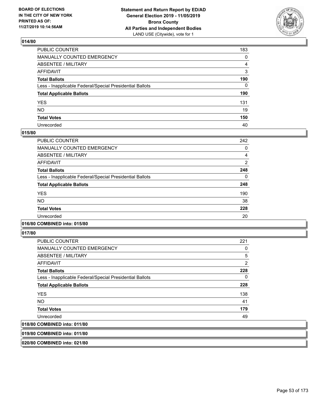

| PUBLIC COUNTER                                           | 183 |
|----------------------------------------------------------|-----|
| MANUALLY COUNTED EMERGENCY                               | 0   |
| ABSENTEE / MILITARY                                      | 4   |
| AFFIDAVIT                                                | 3   |
| Total Ballots                                            | 190 |
| Less - Inapplicable Federal/Special Presidential Ballots | 0   |
| <b>Total Applicable Ballots</b>                          | 190 |
| YES                                                      | 131 |
| NO.                                                      | 19  |
| <b>Total Votes</b>                                       | 150 |
| Unrecorded                                               | 40  |

#### **015/80**

| <b>PUBLIC COUNTER</b>                                    | 242 |
|----------------------------------------------------------|-----|
| MANUALLY COUNTED EMERGENCY                               | 0   |
| ABSENTEE / MILITARY                                      | 4   |
| <b>AFFIDAVIT</b>                                         | 2   |
| <b>Total Ballots</b>                                     | 248 |
| Less - Inapplicable Federal/Special Presidential Ballots | 0   |
| <b>Total Applicable Ballots</b>                          | 248 |
| <b>YES</b>                                               | 190 |
| NO.                                                      | 38  |
| <b>Total Votes</b>                                       | 228 |
| Unrecorded                                               | 20  |
|                                                          |     |

#### **016/80 COMBINED into: 015/80**

**017/80** 

| <b>PUBLIC COUNTER</b>                                    | 221 |
|----------------------------------------------------------|-----|
| <b>MANUALLY COUNTED EMERGENCY</b>                        | 0   |
| ABSENTEE / MILITARY                                      | 5   |
| AFFIDAVIT                                                | 2   |
| <b>Total Ballots</b>                                     | 228 |
| Less - Inapplicable Federal/Special Presidential Ballots | 0   |
| <b>Total Applicable Ballots</b>                          | 228 |
| <b>YES</b>                                               | 138 |
| NO.                                                      | 41  |
| <b>Total Votes</b>                                       | 179 |
| Unrecorded                                               | 49  |
| 018/80 COMBINED into: 011/80                             |     |

**019/80 COMBINED into: 011/80**

**020/80 COMBINED into: 021/80**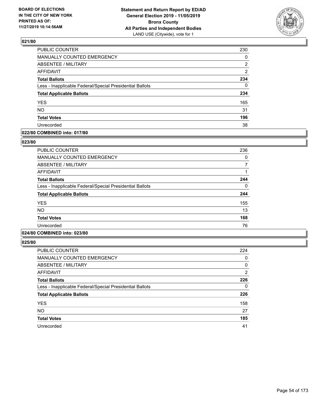

| <b>PUBLIC COUNTER</b>                                    | 230            |
|----------------------------------------------------------|----------------|
| MANUALLY COUNTED EMERGENCY                               | 0              |
| ABSENTEE / MILITARY                                      | 2              |
| <b>AFFIDAVIT</b>                                         | $\overline{2}$ |
| <b>Total Ballots</b>                                     | 234            |
| Less - Inapplicable Federal/Special Presidential Ballots | $\Omega$       |
| <b>Total Applicable Ballots</b>                          | 234            |
| <b>YES</b>                                               | 165            |
| <b>NO</b>                                                | 31             |
| <b>Total Votes</b>                                       | 196            |
| Unrecorded                                               | 38             |

### **022/80 COMBINED into: 017/80**

#### **023/80**

| PUBLIC COUNTER                                           | 236 |
|----------------------------------------------------------|-----|
| <b>MANUALLY COUNTED EMERGENCY</b>                        | 0   |
| ABSENTEE / MILITARY                                      |     |
| <b>AFFIDAVIT</b>                                         |     |
| <b>Total Ballots</b>                                     | 244 |
| Less - Inapplicable Federal/Special Presidential Ballots | 0   |
| <b>Total Applicable Ballots</b>                          | 244 |
| <b>YES</b>                                               | 155 |
| NO.                                                      | 13  |
| <b>Total Votes</b>                                       | 168 |
| Unrecorded                                               | 76  |

# **024/80 COMBINED into: 023/80**

| <b>PUBLIC COUNTER</b>                                    | 224 |
|----------------------------------------------------------|-----|
| <b>MANUALLY COUNTED EMERGENCY</b>                        | 0   |
| ABSENTEE / MILITARY                                      | 0   |
| AFFIDAVIT                                                | 2   |
| <b>Total Ballots</b>                                     | 226 |
| Less - Inapplicable Federal/Special Presidential Ballots | 0   |
| <b>Total Applicable Ballots</b>                          | 226 |
| <b>YES</b>                                               | 158 |
| <b>NO</b>                                                | 27  |
| <b>Total Votes</b>                                       | 185 |
| Unrecorded                                               | 41  |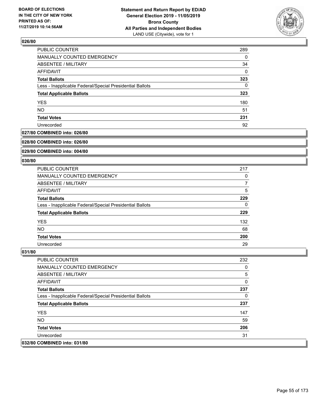

| PUBLIC COUNTER                                           | 289      |
|----------------------------------------------------------|----------|
| <b>MANUALLY COUNTED EMERGENCY</b>                        | $\Omega$ |
| ABSENTEE / MILITARY                                      | 34       |
| AFFIDAVIT                                                | 0        |
| <b>Total Ballots</b>                                     | 323      |
| Less - Inapplicable Federal/Special Presidential Ballots | $\Omega$ |
| <b>Total Applicable Ballots</b>                          | 323      |
| <b>YES</b>                                               | 180      |
| <b>NO</b>                                                | 51       |
| <b>Total Votes</b>                                       | 231      |
| Unrecorded                                               | 92       |

### **027/80 COMBINED into: 026/80**

#### **028/80 COMBINED into: 026/80**

### **029/80 COMBINED into: 004/80**

#### **030/80**

| <b>PUBLIC COUNTER</b>                                    | 217 |
|----------------------------------------------------------|-----|
| MANUALLY COUNTED EMERGENCY                               | 0   |
| ABSENTEE / MILITARY                                      | 7   |
| AFFIDAVIT                                                | 5   |
| <b>Total Ballots</b>                                     | 229 |
| Less - Inapplicable Federal/Special Presidential Ballots | 0   |
| <b>Total Applicable Ballots</b>                          | 229 |
| <b>YES</b>                                               | 132 |
| <b>NO</b>                                                | 68  |
| <b>Total Votes</b>                                       | 200 |
| Unrecorded                                               | 29  |

| <b>PUBLIC COUNTER</b>                                    | 232 |
|----------------------------------------------------------|-----|
| <b>MANUALLY COUNTED EMERGENCY</b>                        | 0   |
| ABSENTEE / MILITARY                                      | 5   |
| AFFIDAVIT                                                | 0   |
| <b>Total Ballots</b>                                     | 237 |
| Less - Inapplicable Federal/Special Presidential Ballots | 0   |
| <b>Total Applicable Ballots</b>                          | 237 |
| <b>YES</b>                                               | 147 |
| NO.                                                      | 59  |
| <b>Total Votes</b>                                       | 206 |
| Unrecorded                                               | 31  |
| 032/80 COMBINED into: 031/80                             |     |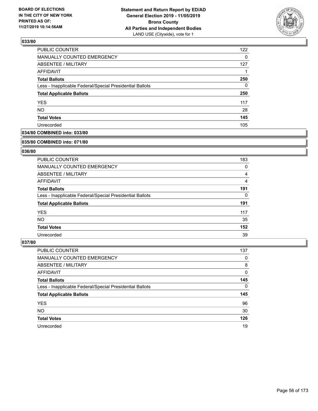

| PUBLIC COUNTER                                           | 122      |
|----------------------------------------------------------|----------|
| MANUALLY COUNTED EMERGENCY                               | $\Omega$ |
| <b>ABSENTEE / MILITARY</b>                               | 127      |
| AFFIDAVIT                                                |          |
| <b>Total Ballots</b>                                     | 250      |
| Less - Inapplicable Federal/Special Presidential Ballots | 0        |
| <b>Total Applicable Ballots</b>                          | 250      |
| <b>YES</b>                                               | 117      |
| <b>NO</b>                                                | 28       |
| <b>Total Votes</b>                                       | 145      |
| Unrecorded                                               | 105      |

### **034/80 COMBINED into: 033/80**

#### **035/80 COMBINED into: 071/80**

### **036/80**

| <b>PUBLIC COUNTER</b>                                    | 183 |
|----------------------------------------------------------|-----|
| <b>MANUALLY COUNTED EMERGENCY</b>                        | 0   |
| ABSENTEE / MILITARY                                      | 4   |
| AFFIDAVIT                                                | 4   |
| <b>Total Ballots</b>                                     | 191 |
| Less - Inapplicable Federal/Special Presidential Ballots | 0   |
| <b>Total Applicable Ballots</b>                          | 191 |
| <b>YES</b>                                               | 117 |
| NO.                                                      | 35  |
| <b>Total Votes</b>                                       | 152 |
| Unrecorded                                               | 39  |

| PUBLIC COUNTER                                           | 137      |
|----------------------------------------------------------|----------|
| <b>MANUALLY COUNTED EMERGENCY</b>                        | 0        |
| ABSENTEE / MILITARY                                      | 8        |
| AFFIDAVIT                                                | 0        |
| <b>Total Ballots</b>                                     | 145      |
| Less - Inapplicable Federal/Special Presidential Ballots | $\Omega$ |
| <b>Total Applicable Ballots</b>                          | 145      |
| <b>YES</b>                                               | 96       |
| <b>NO</b>                                                | 30       |
| <b>Total Votes</b>                                       | 126      |
| Unrecorded                                               | 19       |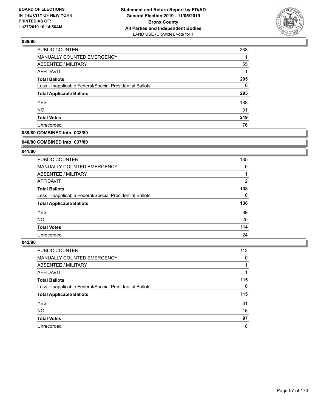

| <b>PUBLIC COUNTER</b>                                    | 238      |
|----------------------------------------------------------|----------|
| MANUALLY COUNTED EMERGENCY                               |          |
| <b>ABSENTEE / MILITARY</b>                               | 55       |
| AFFIDAVIT                                                |          |
| <b>Total Ballots</b>                                     | 295      |
| Less - Inapplicable Federal/Special Presidential Ballots | $\Omega$ |
| <b>Total Applicable Ballots</b>                          | 295      |
| <b>YES</b>                                               | 188      |
| <b>NO</b>                                                | 31       |
| <b>Total Votes</b>                                       | 219      |
| Unrecorded                                               | 76       |

### **039/80 COMBINED into: 038/80**

#### **040/80 COMBINED into: 037/80**

### **041/80**

| <b>PUBLIC COUNTER</b>                                    | 135            |
|----------------------------------------------------------|----------------|
| <b>MANUALLY COUNTED EMERGENCY</b>                        | 0              |
| ABSENTEE / MILITARY                                      |                |
| AFFIDAVIT                                                | $\overline{2}$ |
| <b>Total Ballots</b>                                     | 138            |
| Less - Inapplicable Federal/Special Presidential Ballots | 0              |
| <b>Total Applicable Ballots</b>                          | 138            |
| <b>YES</b>                                               | 89             |
| NO.                                                      | 25             |
| <b>Total Votes</b>                                       | 114            |
| Unrecorded                                               | 24             |

| <b>PUBLIC COUNTER</b>                                    | 113      |
|----------------------------------------------------------|----------|
| MANUALLY COUNTED EMERGENCY                               | 0        |
| ABSENTEE / MILITARY                                      |          |
| AFFIDAVIT                                                |          |
| <b>Total Ballots</b>                                     | 115      |
| Less - Inapplicable Federal/Special Presidential Ballots | $\Omega$ |
| <b>Total Applicable Ballots</b>                          | 115      |
| <b>YES</b>                                               | 81       |
| <b>NO</b>                                                | 16       |
| <b>Total Votes</b>                                       | 97       |
| Unrecorded                                               | 18       |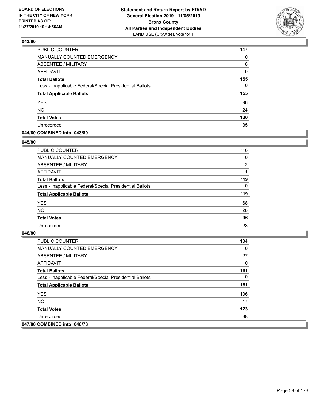

| PUBLIC COUNTER                                           | 147      |
|----------------------------------------------------------|----------|
| MANUALLY COUNTED EMERGENCY                               | 0        |
| ABSENTEE / MILITARY                                      | 8        |
| AFFIDAVIT                                                | 0        |
| <b>Total Ballots</b>                                     | 155      |
| Less - Inapplicable Federal/Special Presidential Ballots | $\Omega$ |
| <b>Total Applicable Ballots</b>                          | 155      |
| <b>YES</b>                                               | 96       |
| <b>NO</b>                                                | 24       |
| <b>Total Votes</b>                                       | 120      |
| Unrecorded                                               | 35       |

### **044/80 COMBINED into: 043/80**

#### **045/80**

| PUBLIC COUNTER                                           | 116            |
|----------------------------------------------------------|----------------|
| <b>MANUALLY COUNTED EMERGENCY</b>                        | $\Omega$       |
| ABSENTEE / MILITARY                                      | $\overline{2}$ |
| AFFIDAVIT                                                |                |
| <b>Total Ballots</b>                                     | 119            |
| Less - Inapplicable Federal/Special Presidential Ballots | $\Omega$       |
| <b>Total Applicable Ballots</b>                          | 119            |
| <b>YES</b>                                               | 68             |
| <b>NO</b>                                                | 28             |
| <b>Total Votes</b>                                       | 96             |
| Unrecorded                                               | 23             |
|                                                          |                |

| <b>PUBLIC COUNTER</b>                                    | 134 |
|----------------------------------------------------------|-----|
| <b>MANUALLY COUNTED EMERGENCY</b>                        | 0   |
| ABSENTEE / MILITARY                                      | 27  |
| AFFIDAVIT                                                | 0   |
| <b>Total Ballots</b>                                     | 161 |
| Less - Inapplicable Federal/Special Presidential Ballots | 0   |
| <b>Total Applicable Ballots</b>                          | 161 |
| <b>YES</b>                                               | 106 |
| NO.                                                      | 17  |
| <b>Total Votes</b>                                       | 123 |
| Unrecorded                                               | 38  |
| 047/80 COMBINED into: 040/78                             |     |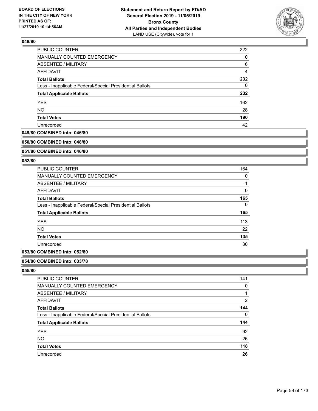

| PUBLIC COUNTER                                           | 222            |
|----------------------------------------------------------|----------------|
| MANUALLY COUNTED EMERGENCY                               | 0              |
| <b>ABSENTEE / MILITARY</b>                               | 6              |
| AFFIDAVIT                                                | $\overline{4}$ |
| <b>Total Ballots</b>                                     | 232            |
| Less - Inapplicable Federal/Special Presidential Ballots | $\Omega$       |
| <b>Total Applicable Ballots</b>                          | 232            |
| <b>YES</b>                                               | 162            |
| <b>NO</b>                                                | 28             |
| <b>Total Votes</b>                                       | 190            |
| Unrecorded                                               | 42             |

### **049/80 COMBINED into: 046/80**

#### **050/80 COMBINED into: 048/80**

### **051/80 COMBINED into: 046/80**

#### **052/80**

| 164 |
|-----|
| 0   |
| 1   |
| 0   |
| 165 |
| 0   |
| 165 |
| 113 |
| 22  |
| 135 |
| 30  |
|     |

# **053/80 COMBINED into: 052/80**

#### **054/80 COMBINED into: 033/78**

| PUBLIC COUNTER                                           | 141            |
|----------------------------------------------------------|----------------|
| <b>MANUALLY COUNTED EMERGENCY</b>                        | 0              |
| <b>ABSENTEE / MILITARY</b>                               |                |
| AFFIDAVIT                                                | $\overline{2}$ |
| <b>Total Ballots</b>                                     | 144            |
| Less - Inapplicable Federal/Special Presidential Ballots | 0              |
| <b>Total Applicable Ballots</b>                          | 144            |
| <b>YES</b>                                               | 92             |
| <b>NO</b>                                                | 26             |
| <b>Total Votes</b>                                       | 118            |
| Unrecorded                                               | 26             |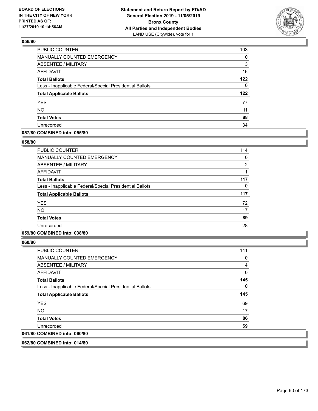

| PUBLIC COUNTER                                           | 103      |
|----------------------------------------------------------|----------|
| MANUALLY COUNTED EMERGENCY                               | 0        |
| ABSENTEE / MILITARY                                      | 3        |
| AFFIDAVIT                                                | 16       |
| <b>Total Ballots</b>                                     | 122      |
| Less - Inapplicable Federal/Special Presidential Ballots | $\Omega$ |
| <b>Total Applicable Ballots</b>                          | 122      |
| <b>YES</b>                                               | 77       |
| <b>NO</b>                                                | 11       |
| <b>Total Votes</b>                                       | 88       |
| Unrecorded                                               | 34       |

### **057/80 COMBINED into: 055/80**

#### **058/80**

| <b>PUBLIC COUNTER</b>                                    | 114            |
|----------------------------------------------------------|----------------|
| <b>MANUALLY COUNTED EMERGENCY</b>                        | 0              |
| <b>ABSENTEE / MILITARY</b>                               | $\overline{2}$ |
| <b>AFFIDAVIT</b>                                         |                |
| <b>Total Ballots</b>                                     | 117            |
| Less - Inapplicable Federal/Special Presidential Ballots | 0              |
| <b>Total Applicable Ballots</b>                          | 117            |
| <b>YES</b>                                               | 72             |
| <b>NO</b>                                                | 17             |
| <b>Total Votes</b>                                       | 89             |
| Unrecorded                                               | 28             |
|                                                          |                |

## **059/80 COMBINED into: 038/80**

**060/80** 

| <b>PUBLIC COUNTER</b>                                    | 141 |
|----------------------------------------------------------|-----|
| <b>MANUALLY COUNTED EMERGENCY</b>                        | 0   |
| ABSENTEE / MILITARY                                      | 4   |
| AFFIDAVIT                                                | 0   |
| <b>Total Ballots</b>                                     | 145 |
| Less - Inapplicable Federal/Special Presidential Ballots | 0   |
| <b>Total Applicable Ballots</b>                          | 145 |
| <b>YES</b>                                               | 69  |
| NO.                                                      | 17  |
| <b>Total Votes</b>                                       | 86  |
| Unrecorded                                               | 59  |
| 061/80 COMBINED into: 060/80                             |     |
|                                                          |     |

**062/80 COMBINED into: 014/80**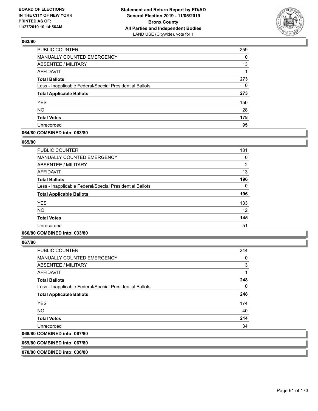

| PUBLIC COUNTER                                           | 259      |
|----------------------------------------------------------|----------|
| MANUALLY COUNTED EMERGENCY                               | 0        |
| ABSENTEE / MILITARY                                      | 13       |
| AFFIDAVIT                                                |          |
| <b>Total Ballots</b>                                     | 273      |
| Less - Inapplicable Federal/Special Presidential Ballots | $\Omega$ |
| <b>Total Applicable Ballots</b>                          | 273      |
| <b>YES</b>                                               | 150      |
| <b>NO</b>                                                | 28       |
| <b>Total Votes</b>                                       | 178      |
| Unrecorded                                               | 95       |

### **064/80 COMBINED into: 063/80**

#### **065/80**

| <b>PUBLIC COUNTER</b>                                    | 181            |
|----------------------------------------------------------|----------------|
| MANUALLY COUNTED EMERGENCY                               | 0              |
| ABSENTEE / MILITARY                                      | $\overline{2}$ |
| AFFIDAVIT                                                | 13             |
| <b>Total Ballots</b>                                     | 196            |
| Less - Inapplicable Federal/Special Presidential Ballots | 0              |
| <b>Total Applicable Ballots</b>                          | 196            |
| <b>YES</b>                                               | 133            |
| <b>NO</b>                                                | 12             |
| <b>Total Votes</b>                                       | 145            |
| Unrecorded                                               | 51             |

## **066/80 COMBINED into: 033/80**

**067/80** 

| <b>PUBLIC COUNTER</b>                                    | 244 |
|----------------------------------------------------------|-----|
| MANUALLY COUNTED EMERGENCY                               | 0   |
| ABSENTEE / MILITARY                                      | 3   |
| AFFIDAVIT                                                | 1   |
| <b>Total Ballots</b>                                     | 248 |
| Less - Inapplicable Federal/Special Presidential Ballots | 0   |
| <b>Total Applicable Ballots</b>                          | 248 |
| <b>YES</b>                                               | 174 |
| <b>NO</b>                                                | 40  |
| <b>Total Votes</b>                                       | 214 |
| Unrecorded                                               | 34  |
| 068/80 COMBINED into: 067/80                             |     |
|                                                          |     |

**069/80 COMBINED into: 067/80**

**070/80 COMBINED into: 036/80**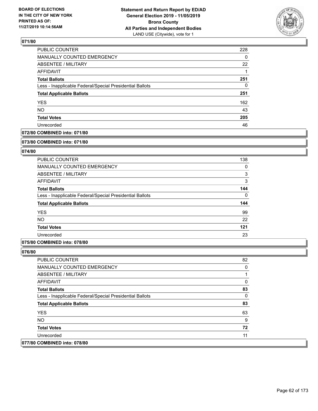

| <b>PUBLIC COUNTER</b>                                    | 228 |
|----------------------------------------------------------|-----|
| <b>MANUALLY COUNTED EMERGENCY</b>                        | 0   |
| <b>ABSENTEE / MILITARY</b>                               | 22  |
| AFFIDAVIT                                                |     |
| <b>Total Ballots</b>                                     | 251 |
| Less - Inapplicable Federal/Special Presidential Ballots | 0   |
| <b>Total Applicable Ballots</b>                          | 251 |
| <b>YES</b>                                               | 162 |
| <b>NO</b>                                                | 43  |
| <b>Total Votes</b>                                       | 205 |
| Unrecorded                                               | 46  |

### **072/80 COMBINED into: 071/80**

#### **073/80 COMBINED into: 071/80**

### **074/80**

| <b>PUBLIC COUNTER</b>                                    | 138      |
|----------------------------------------------------------|----------|
| MANUALLY COUNTED EMERGENCY                               | 0        |
| ABSENTEE / MILITARY                                      | 3        |
| AFFIDAVIT                                                | 3        |
| <b>Total Ballots</b>                                     | 144      |
| Less - Inapplicable Federal/Special Presidential Ballots | $\Omega$ |
| <b>Total Applicable Ballots</b>                          | 144      |
| <b>YES</b>                                               | 99       |
| <b>NO</b>                                                | 22       |
| <b>Total Votes</b>                                       | 121      |
| Unrecorded                                               | 23       |

### **075/80 COMBINED into: 078/80**

| <b>PUBLIC COUNTER</b>                                    | 82 |
|----------------------------------------------------------|----|
| <b>MANUALLY COUNTED EMERGENCY</b>                        | 0  |
| ABSENTEE / MILITARY                                      |    |
| AFFIDAVIT                                                | 0  |
| <b>Total Ballots</b>                                     | 83 |
| Less - Inapplicable Federal/Special Presidential Ballots | 0  |
| <b>Total Applicable Ballots</b>                          | 83 |
| <b>YES</b>                                               | 63 |
| NO.                                                      | 9  |
| <b>Total Votes</b>                                       | 72 |
| Unrecorded                                               | 11 |
| 077/80 COMBINED into: 078/80                             |    |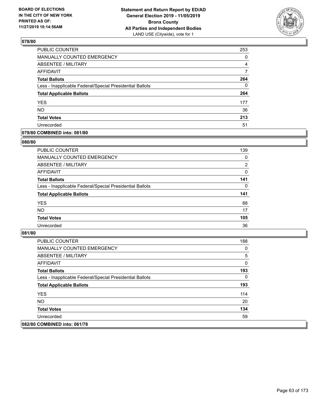

| PUBLIC COUNTER                                           | 253      |
|----------------------------------------------------------|----------|
| MANUALLY COUNTED EMERGENCY                               | 0        |
| ABSENTEE / MILITARY                                      | 4        |
| AFFIDAVIT                                                | 7        |
| <b>Total Ballots</b>                                     | 264      |
| Less - Inapplicable Federal/Special Presidential Ballots | $\Omega$ |
| <b>Total Applicable Ballots</b>                          | 264      |
| <b>YES</b>                                               | 177      |
| <b>NO</b>                                                | 36       |
| <b>Total Votes</b>                                       | 213      |
| Unrecorded                                               | 51       |

#### **079/80 COMBINED into: 081/80**

#### **080/80**

| <b>PUBLIC COUNTER</b>                                    | 139            |
|----------------------------------------------------------|----------------|
| <b>MANUALLY COUNTED EMERGENCY</b>                        | 0              |
| ABSENTEE / MILITARY                                      | $\overline{2}$ |
| AFFIDAVIT                                                | $\mathbf{0}$   |
| <b>Total Ballots</b>                                     | 141            |
| Less - Inapplicable Federal/Special Presidential Ballots | $\Omega$       |
| <b>Total Applicable Ballots</b>                          | 141            |
| <b>YES</b>                                               | 88             |
| <b>NO</b>                                                | 17             |
| <b>Total Votes</b>                                       | 105            |
| Unrecorded                                               | 36             |

| PUBLIC COUNTER                                           | 188 |
|----------------------------------------------------------|-----|
| <b>MANUALLY COUNTED EMERGENCY</b>                        | 0   |
| ABSENTEE / MILITARY                                      | 5   |
| AFFIDAVIT                                                | 0   |
| <b>Total Ballots</b>                                     | 193 |
| Less - Inapplicable Federal/Special Presidential Ballots | 0   |
| <b>Total Applicable Ballots</b>                          | 193 |
| <b>YES</b>                                               | 114 |
| NO.                                                      | 20  |
| <b>Total Votes</b>                                       | 134 |
| Unrecorded                                               | 59  |
| 082/80 COMBINED into: 061/78                             |     |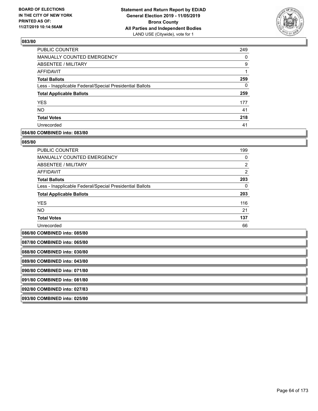

| <b>PUBLIC COUNTER</b>                                    | 249 |
|----------------------------------------------------------|-----|
| <b>MANUALLY COUNTED EMERGENCY</b>                        | 0   |
| <b>ABSENTEE / MILITARY</b>                               | 9   |
| AFFIDAVIT                                                |     |
| <b>Total Ballots</b>                                     | 259 |
| Less - Inapplicable Federal/Special Presidential Ballots | 0   |
| <b>Total Applicable Ballots</b>                          | 259 |
| <b>YES</b>                                               | 177 |
| <b>NO</b>                                                | 41  |
| <b>Total Votes</b>                                       | 218 |
| Unrecorded                                               | 41  |

### **084/80 COMBINED into: 083/80**

#### **085/80**

| PUBLIC COUNTER                                           | 199            |
|----------------------------------------------------------|----------------|
| <b>MANUALLY COUNTED EMERGENCY</b>                        | 0              |
| ABSENTEE / MILITARY                                      | $\overline{2}$ |
| <b>AFFIDAVIT</b>                                         | $\overline{2}$ |
| <b>Total Ballots</b>                                     | 203            |
| Less - Inapplicable Federal/Special Presidential Ballots | 0              |
| <b>Total Applicable Ballots</b>                          | 203            |
| <b>YES</b>                                               | 116            |
| <b>NO</b>                                                | 21             |
| <b>Total Votes</b>                                       | 137            |
| Unrecorded                                               | 66             |

**086/80 COMBINED into: 085/80**

| 087/80 COMBINED into: 065/80 |
|------------------------------|
| 088/80 COMBINED into: 030/80 |
| 089/80 COMBINED into: 043/80 |
| 090/80 COMBINED into: 071/80 |
| 091/80 COMBINED into: 081/80 |
| 092/80 COMBINED into: 027/83 |
| 093/80 COMBINED into: 025/80 |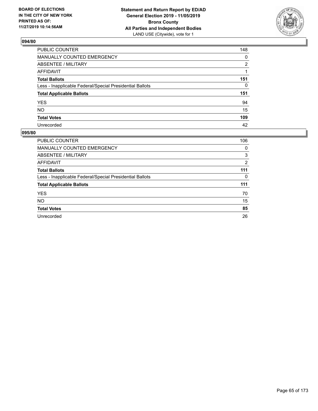

| PUBLIC COUNTER                                           | 148      |
|----------------------------------------------------------|----------|
| MANUALLY COUNTED EMERGENCY                               | $\Omega$ |
| ABSENTEE / MILITARY                                      | 2        |
| <b>AFFIDAVIT</b>                                         |          |
| <b>Total Ballots</b>                                     | 151      |
| Less - Inapplicable Federal/Special Presidential Ballots | $\Omega$ |
| <b>Total Applicable Ballots</b>                          | 151      |
| <b>YES</b>                                               | 94       |
| NO                                                       | 15       |
| <b>Total Votes</b>                                       | 109      |
| Unrecorded                                               | 42       |

| <b>PUBLIC COUNTER</b>                                    | 106 |
|----------------------------------------------------------|-----|
| <b>MANUALLY COUNTED EMERGENCY</b>                        | 0   |
| ABSENTEE / MILITARY                                      | 3   |
| <b>AFFIDAVIT</b>                                         | 2   |
| <b>Total Ballots</b>                                     | 111 |
| Less - Inapplicable Federal/Special Presidential Ballots | 0   |
| <b>Total Applicable Ballots</b>                          | 111 |
| <b>YES</b>                                               | 70  |
| <b>NO</b>                                                | 15  |
| <b>Total Votes</b>                                       | 85  |
| Unrecorded                                               | 26  |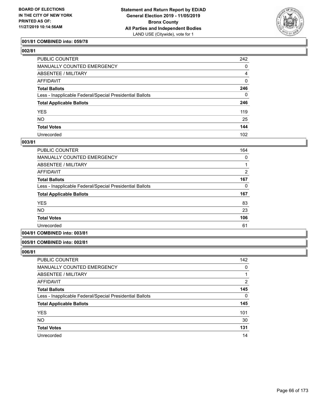

### **001/81 COMBINED into: 059/78**

| PUBLIC COUNTER                                           | 242              |
|----------------------------------------------------------|------------------|
| MANUALLY COUNTED EMERGENCY                               | 0                |
| <b>ABSENTEE / MILITARY</b>                               | 4                |
| AFFIDAVIT                                                | $\mathbf 0$      |
| Total Ballots                                            | 246              |
| Less - Inapplicable Federal/Special Presidential Ballots | 0                |
| <b>Total Applicable Ballots</b>                          | 246              |
| YES                                                      | 119              |
| NO.                                                      | 25               |
| <b>Total Votes</b>                                       | 144              |
| Unrecorded                                               | 102 <sub>2</sub> |

#### **003/81**

| <b>PUBLIC COUNTER</b>                                    | 164 |
|----------------------------------------------------------|-----|
| <b>MANUALLY COUNTED EMERGENCY</b>                        | 0   |
| ABSENTEE / MILITARY                                      |     |
| AFFIDAVIT                                                | 2   |
| <b>Total Ballots</b>                                     | 167 |
| Less - Inapplicable Federal/Special Presidential Ballots | 0   |
| <b>Total Applicable Ballots</b>                          | 167 |
| <b>YES</b>                                               | 83  |
| <b>NO</b>                                                | 23  |
| <b>Total Votes</b>                                       | 106 |
| Unrecorded                                               | 61  |
|                                                          |     |

## **004/81 COMBINED into: 003/81**

#### **005/81 COMBINED into: 002/81**

| PUBLIC COUNTER                                           | 142 |
|----------------------------------------------------------|-----|
| <b>MANUALLY COUNTED EMERGENCY</b>                        | 0   |
| ABSENTEE / MILITARY                                      |     |
| AFFIDAVIT                                                | 2   |
| <b>Total Ballots</b>                                     | 145 |
| Less - Inapplicable Federal/Special Presidential Ballots | 0   |
| <b>Total Applicable Ballots</b>                          | 145 |
| <b>YES</b>                                               | 101 |
| <b>NO</b>                                                | 30  |
| <b>Total Votes</b>                                       | 131 |
| Unrecorded                                               | 14  |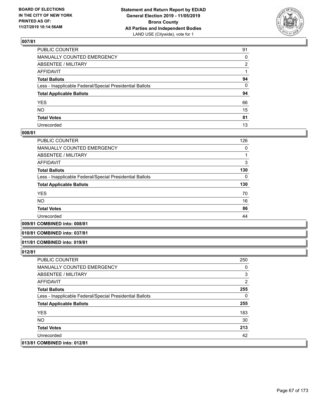

| PUBLIC COUNTER                                           | 91 |
|----------------------------------------------------------|----|
| MANUALLY COUNTED EMERGENCY                               | 0  |
| ABSENTEE / MILITARY                                      | 2  |
| AFFIDAVIT                                                |    |
| Total Ballots                                            | 94 |
| Less - Inapplicable Federal/Special Presidential Ballots | 0  |
| <b>Total Applicable Ballots</b>                          | 94 |
| YES                                                      | 66 |
| NO.                                                      | 15 |
| <b>Total Votes</b>                                       | 81 |
| Unrecorded                                               | 13 |

#### **008/81**

| PUBLIC COUNTER                                           | 126 |
|----------------------------------------------------------|-----|
| <b>MANUALLY COUNTED EMERGENCY</b>                        | 0   |
| ABSENTEE / MILITARY                                      |     |
| <b>AFFIDAVIT</b>                                         | 3   |
| <b>Total Ballots</b>                                     | 130 |
| Less - Inapplicable Federal/Special Presidential Ballots | 0   |
| <b>Total Applicable Ballots</b>                          | 130 |
| <b>YES</b>                                               | 70  |
| <b>NO</b>                                                | 16  |
| <b>Total Votes</b>                                       | 86  |
| Unrecorded                                               | 44  |
|                                                          |     |

#### **009/81 COMBINED into: 008/81**

#### **010/81 COMBINED into: 037/81**

#### **011/81 COMBINED into: 019/81**

| PUBLIC COUNTER                                           | 250 |
|----------------------------------------------------------|-----|
| <b>MANUALLY COUNTED EMERGENCY</b>                        | 0   |
| ABSENTEE / MILITARY                                      | 3   |
| AFFIDAVIT                                                | 2   |
| <b>Total Ballots</b>                                     | 255 |
| Less - Inapplicable Federal/Special Presidential Ballots | 0   |
| <b>Total Applicable Ballots</b>                          | 255 |
| <b>YES</b>                                               | 183 |
| NO.                                                      | 30  |
| <b>Total Votes</b>                                       | 213 |
| Unrecorded                                               | 42  |
| 013/81 COMBINED into: 012/81                             |     |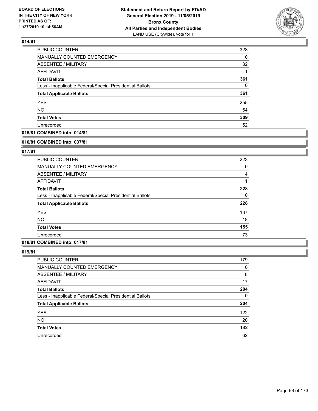

| PUBLIC COUNTER                                           | 328      |
|----------------------------------------------------------|----------|
| <b>MANUALLY COUNTED EMERGENCY</b>                        | $\Omega$ |
| ABSENTEE / MILITARY                                      | 32       |
| AFFIDAVIT                                                | 1        |
| <b>Total Ballots</b>                                     | 361      |
| Less - Inapplicable Federal/Special Presidential Ballots | $\Omega$ |
| <b>Total Applicable Ballots</b>                          | 361      |
| <b>YES</b>                                               | 255      |
| <b>NO</b>                                                | 54       |
| <b>Total Votes</b>                                       | 309      |
| Unrecorded                                               | 52       |

### **015/81 COMBINED into: 014/81**

#### **016/81 COMBINED into: 037/81**

### **017/81**

| <b>PUBLIC COUNTER</b>                                    | 223 |
|----------------------------------------------------------|-----|
| <b>MANUALLY COUNTED EMERGENCY</b>                        | 0   |
| ABSENTEE / MILITARY                                      | 4   |
| AFFIDAVIT                                                |     |
| <b>Total Ballots</b>                                     | 228 |
| Less - Inapplicable Federal/Special Presidential Ballots | 0   |
| <b>Total Applicable Ballots</b>                          | 228 |
| <b>YES</b>                                               | 137 |
| <b>NO</b>                                                | 18  |
| <b>Total Votes</b>                                       | 155 |
| Unrecorded                                               | 73  |

## **018/81 COMBINED into: 017/81**

| PUBLIC COUNTER                                           | 179      |
|----------------------------------------------------------|----------|
| <b>MANUALLY COUNTED EMERGENCY</b>                        | 0        |
| ABSENTEE / MILITARY                                      | 8        |
| AFFIDAVIT                                                | 17       |
| <b>Total Ballots</b>                                     | 204      |
| Less - Inapplicable Federal/Special Presidential Ballots | $\Omega$ |
| <b>Total Applicable Ballots</b>                          | 204      |
| <b>YES</b>                                               | 122      |
| <b>NO</b>                                                | 20       |
| <b>Total Votes</b>                                       | 142      |
| Unrecorded                                               | 62       |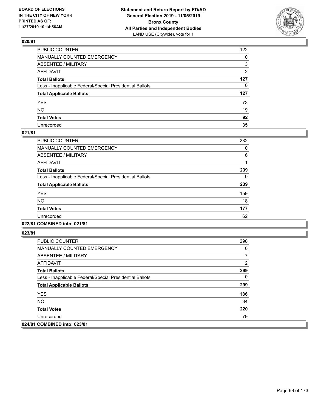

| PUBLIC COUNTER                                           | 122            |
|----------------------------------------------------------|----------------|
| MANUALLY COUNTED EMERGENCY                               | $\mathbf{0}$   |
| ABSENTEE / MILITARY                                      | 3              |
| AFFIDAVIT                                                | $\overline{2}$ |
| Total Ballots                                            | 127            |
| Less - Inapplicable Federal/Special Presidential Ballots | $\mathbf{0}$   |
| <b>Total Applicable Ballots</b>                          | 127            |
| YES                                                      | 73             |
| NO.                                                      | 19             |
| <b>Total Votes</b>                                       | 92             |
| Unrecorded                                               | 35             |

#### **021/81**

| PUBLIC COUNTER                                           | 232 |
|----------------------------------------------------------|-----|
| <b>MANUALLY COUNTED EMERGENCY</b>                        | 0   |
| ABSENTEE / MILITARY                                      | 6   |
| <b>AFFIDAVIT</b>                                         |     |
| <b>Total Ballots</b>                                     | 239 |
| Less - Inapplicable Federal/Special Presidential Ballots | 0   |
| <b>Total Applicable Ballots</b>                          | 239 |
| <b>YES</b>                                               | 159 |
| N <sub>O</sub>                                           | 18  |
| <b>Total Votes</b>                                       | 177 |
| Unrecorded                                               | 62  |
|                                                          |     |

# **022/81 COMBINED into: 021/81**

| <b>PUBLIC COUNTER</b>                                    | 290 |
|----------------------------------------------------------|-----|
| <b>MANUALLY COUNTED EMERGENCY</b>                        | 0   |
| ABSENTEE / MILITARY                                      |     |
| AFFIDAVIT                                                | 2   |
| <b>Total Ballots</b>                                     | 299 |
| Less - Inapplicable Federal/Special Presidential Ballots | 0   |
| <b>Total Applicable Ballots</b>                          | 299 |
| <b>YES</b>                                               | 186 |
| NO.                                                      | 34  |
| <b>Total Votes</b>                                       | 220 |
| Unrecorded                                               | 79  |
| 024/81 COMBINED into: 023/81                             |     |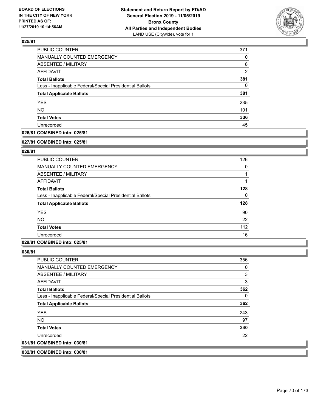

| PUBLIC COUNTER                                           | 371            |
|----------------------------------------------------------|----------------|
| MANUALLY COUNTED EMERGENCY                               | 0              |
| <b>ABSENTEE / MILITARY</b>                               | 8              |
| AFFIDAVIT                                                | $\overline{2}$ |
| <b>Total Ballots</b>                                     | 381            |
| Less - Inapplicable Federal/Special Presidential Ballots | 0              |
| <b>Total Applicable Ballots</b>                          | 381            |
| <b>YES</b>                                               | 235            |
| <b>NO</b>                                                | 101            |
| <b>Total Votes</b>                                       | 336            |
| Unrecorded                                               | 45             |

#### **026/81 COMBINED into: 025/81**

#### **027/81 COMBINED into: 025/81**

### **028/81**

| <b>PUBLIC COUNTER</b>                                    | 126 |
|----------------------------------------------------------|-----|
| <b>MANUALLY COUNTED EMERGENCY</b>                        | 0   |
| ABSENTEE / MILITARY                                      |     |
| AFFIDAVIT                                                |     |
| <b>Total Ballots</b>                                     | 128 |
| Less - Inapplicable Federal/Special Presidential Ballots | 0   |
| <b>Total Applicable Ballots</b>                          | 128 |
| <b>YES</b>                                               | 90  |
| <b>NO</b>                                                | 22  |
| <b>Total Votes</b>                                       | 112 |
| Unrecorded                                               | 16  |

#### **029/81 COMBINED into: 025/81**

### **030/81**

| <b>PUBLIC COUNTER</b>                                    | 356 |
|----------------------------------------------------------|-----|
| <b>MANUALLY COUNTED EMERGENCY</b>                        | 0   |
| ABSENTEE / MILITARY                                      | 3   |
| AFFIDAVIT                                                | 3   |
| <b>Total Ballots</b>                                     | 362 |
| Less - Inapplicable Federal/Special Presidential Ballots | 0   |
| <b>Total Applicable Ballots</b>                          | 362 |
| <b>YES</b>                                               | 243 |
| NO.                                                      | 97  |
| <b>Total Votes</b>                                       | 340 |
| Unrecorded                                               | 22  |
| 031/81 COMBINED into: 030/81                             |     |
|                                                          |     |

## **032/81 COMBINED into: 030/81**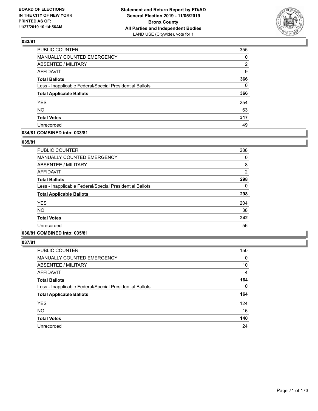

| PUBLIC COUNTER                                           | 355      |
|----------------------------------------------------------|----------|
| MANUALLY COUNTED EMERGENCY                               | 0        |
| <b>ABSENTEE / MILITARY</b>                               | 2        |
| <b>AFFIDAVIT</b>                                         | 9        |
| <b>Total Ballots</b>                                     | 366      |
| Less - Inapplicable Federal/Special Presidential Ballots | $\Omega$ |
| <b>Total Applicable Ballots</b>                          | 366      |
| <b>YES</b>                                               | 254      |
| <b>NO</b>                                                | 63       |
| <b>Total Votes</b>                                       | 317      |
| Unrecorded                                               | 49       |

### **034/81 COMBINED into: 033/81**

### **035/81**

| <b>PUBLIC COUNTER</b>                                    | 288            |
|----------------------------------------------------------|----------------|
| <b>MANUALLY COUNTED EMERGENCY</b>                        | 0              |
| ABSENTEE / MILITARY                                      | 8              |
| <b>AFFIDAVIT</b>                                         | $\overline{2}$ |
| <b>Total Ballots</b>                                     | 298            |
| Less - Inapplicable Federal/Special Presidential Ballots | 0              |
| <b>Total Applicable Ballots</b>                          | 298            |
| <b>YES</b>                                               | 204            |
| <b>NO</b>                                                | 38             |
| <b>Total Votes</b>                                       | 242            |
| Unrecorded                                               | 56             |
|                                                          |                |

## **036/81 COMBINED into: 035/81**

| PUBLIC COUNTER                                           | 150 |
|----------------------------------------------------------|-----|
| MANUALLY COUNTED EMERGENCY                               | 0   |
| ABSENTEE / MILITARY                                      | 10  |
| AFFIDAVIT                                                | 4   |
| <b>Total Ballots</b>                                     | 164 |
| Less - Inapplicable Federal/Special Presidential Ballots | 0   |
| <b>Total Applicable Ballots</b>                          | 164 |
| <b>YES</b>                                               | 124 |
| <b>NO</b>                                                | 16  |
| <b>Total Votes</b>                                       | 140 |
| Unrecorded                                               | 24  |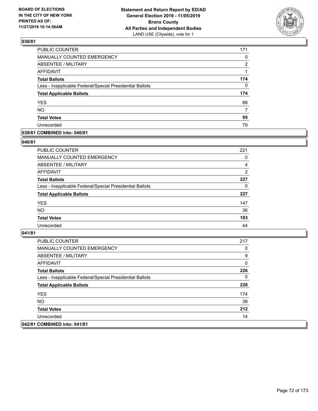

| PUBLIC COUNTER                                           | 171      |
|----------------------------------------------------------|----------|
| MANUALLY COUNTED EMERGENCY                               | 0        |
| ABSENTEE / MILITARY                                      | 2        |
| AFFIDAVIT                                                |          |
| <b>Total Ballots</b>                                     | 174      |
| Less - Inapplicable Federal/Special Presidential Ballots | $\Omega$ |
| <b>Total Applicable Ballots</b>                          | 174      |
| <b>YES</b>                                               | 88       |
| <b>NO</b>                                                | 7        |
| <b>Total Votes</b>                                       | 95       |
| Unrecorded                                               | 79       |

### **039/81 COMBINED into: 040/81**

#### **040/81**

| <b>PUBLIC COUNTER</b>                                    | 221            |
|----------------------------------------------------------|----------------|
| MANUALLY COUNTED EMERGENCY                               | $\Omega$       |
| ABSENTEE / MILITARY                                      | 4              |
| AFFIDAVIT                                                | $\overline{2}$ |
| <b>Total Ballots</b>                                     | 227            |
| Less - Inapplicable Federal/Special Presidential Ballots | 0              |
| <b>Total Applicable Ballots</b>                          | 227            |
| <b>YES</b>                                               | 147            |
| <b>NO</b>                                                | 36             |
| <b>Total Votes</b>                                       | 183            |
| Unrecorded                                               | 44             |
|                                                          |                |

| <b>PUBLIC COUNTER</b>                                    | 217 |
|----------------------------------------------------------|-----|
| <b>MANUALLY COUNTED EMERGENCY</b>                        | 0   |
| ABSENTEE / MILITARY                                      | 9   |
| AFFIDAVIT                                                | 0   |
| <b>Total Ballots</b>                                     | 226 |
| Less - Inapplicable Federal/Special Presidential Ballots | 0   |
| <b>Total Applicable Ballots</b>                          | 226 |
| <b>YES</b>                                               | 174 |
| NO.                                                      | 38  |
| <b>Total Votes</b>                                       | 212 |
| Unrecorded                                               | 14  |
| 042/81 COMBINED into: 041/81                             |     |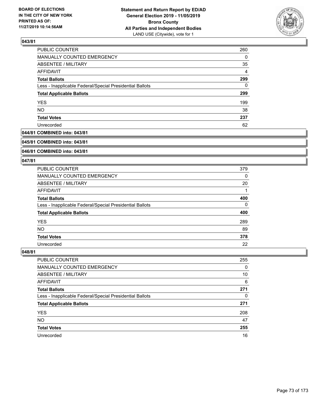

| PUBLIC COUNTER                                           | 260            |
|----------------------------------------------------------|----------------|
| <b>MANUALLY COUNTED EMERGENCY</b>                        | $\Omega$       |
| <b>ABSENTEE / MILITARY</b>                               | 35             |
| AFFIDAVIT                                                | $\overline{4}$ |
| <b>Total Ballots</b>                                     | 299            |
| Less - Inapplicable Federal/Special Presidential Ballots | $\Omega$       |
| <b>Total Applicable Ballots</b>                          | 299            |
| <b>YES</b>                                               | 199            |
| <b>NO</b>                                                | 38             |
| <b>Total Votes</b>                                       | 237            |
| Unrecorded                                               | 62             |

## **044/81 COMBINED into: 043/81**

#### **045/81 COMBINED into: 043/81**

# **046/81 COMBINED into: 043/81**

#### **047/81**

| <b>PUBLIC COUNTER</b>                                    | 379 |
|----------------------------------------------------------|-----|
| MANUALLY COUNTED EMERGENCY                               | 0   |
| ABSENTEE / MILITARY                                      | 20  |
| AFFIDAVIT                                                |     |
| <b>Total Ballots</b>                                     | 400 |
| Less - Inapplicable Federal/Special Presidential Ballots | 0   |
| <b>Total Applicable Ballots</b>                          | 400 |
| <b>YES</b>                                               | 289 |
| NO.                                                      | 89  |
| <b>Total Votes</b>                                       | 378 |
| Unrecorded                                               | 22  |

| <b>PUBLIC COUNTER</b>                                    | 255      |
|----------------------------------------------------------|----------|
| MANUALLY COUNTED EMERGENCY                               | $\Omega$ |
| ABSENTEE / MILITARY                                      | 10       |
| AFFIDAVIT                                                | 6        |
| <b>Total Ballots</b>                                     | 271      |
| Less - Inapplicable Federal/Special Presidential Ballots | 0        |
| <b>Total Applicable Ballots</b>                          | 271      |
| <b>YES</b>                                               | 208      |
| <b>NO</b>                                                | 47       |
| <b>Total Votes</b>                                       | 255      |
| Unrecorded                                               | 16       |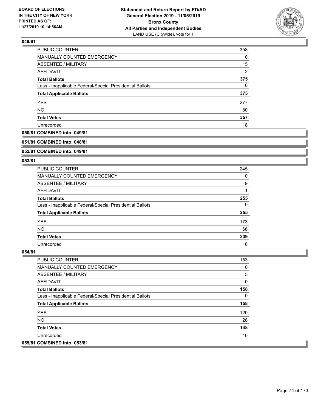

| <b>PUBLIC COUNTER</b>                                    | 358 |
|----------------------------------------------------------|-----|
| MANUALLY COUNTED EMERGENCY                               | 0   |
| ABSENTEE / MILITARY                                      | 15  |
| AFFIDAVIT                                                | 2   |
| <b>Total Ballots</b>                                     | 375 |
| Less - Inapplicable Federal/Special Presidential Ballots | 0   |
| <b>Total Applicable Ballots</b>                          | 375 |
| <b>YES</b>                                               | 277 |
| <b>NO</b>                                                | 80  |
| <b>Total Votes</b>                                       | 357 |
| Unrecorded                                               | 18  |

## **050/81 COMBINED into: 049/81**

#### **051/81 COMBINED into: 048/81**

# **052/81 COMBINED into: 049/81**

#### **053/81**

| <b>PUBLIC COUNTER</b>                                    | 245 |
|----------------------------------------------------------|-----|
| MANUALLY COUNTED EMERGENCY                               | 0   |
| ABSENTEE / MILITARY                                      | 9   |
| AFFIDAVIT                                                |     |
| <b>Total Ballots</b>                                     | 255 |
| Less - Inapplicable Federal/Special Presidential Ballots | 0   |
| <b>Total Applicable Ballots</b>                          | 255 |
| <b>YES</b>                                               | 173 |
| <b>NO</b>                                                | 66  |
| <b>Total Votes</b>                                       | 239 |
| Unrecorded                                               | 16  |

| <b>PUBLIC COUNTER</b>                                    | 153 |
|----------------------------------------------------------|-----|
| <b>MANUALLY COUNTED EMERGENCY</b>                        | 0   |
| ABSENTEE / MILITARY                                      | 5   |
| AFFIDAVIT                                                | 0   |
| <b>Total Ballots</b>                                     | 158 |
| Less - Inapplicable Federal/Special Presidential Ballots | 0   |
| <b>Total Applicable Ballots</b>                          | 158 |
| <b>YES</b>                                               | 120 |
| NO.                                                      | 28  |
| <b>Total Votes</b>                                       | 148 |
| Unrecorded                                               | 10  |
| 055/81 COMBINED into: 053/81                             |     |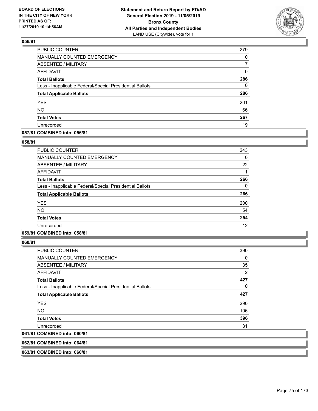

| PUBLIC COUNTER                                           | 279      |
|----------------------------------------------------------|----------|
| MANUALLY COUNTED EMERGENCY                               | 0        |
| <b>ABSENTEE / MILITARY</b>                               | 7        |
| <b>AFFIDAVIT</b>                                         | 0        |
| <b>Total Ballots</b>                                     | 286      |
| Less - Inapplicable Federal/Special Presidential Ballots | $\Omega$ |
| <b>Total Applicable Ballots</b>                          | 286      |
| <b>YES</b>                                               | 201      |
| <b>NO</b>                                                | 66       |
| <b>Total Votes</b>                                       | 267      |
| Unrecorded                                               | 19       |

### **057/81 COMBINED into: 056/81**

### **058/81**

| <b>PUBLIC COUNTER</b>                                    | 243 |
|----------------------------------------------------------|-----|
| <b>MANUALLY COUNTED EMERGENCY</b>                        | 0   |
| ABSENTEE / MILITARY                                      | 22  |
| AFFIDAVIT                                                | 1   |
| <b>Total Ballots</b>                                     | 266 |
| Less - Inapplicable Federal/Special Presidential Ballots | 0   |
| <b>Total Applicable Ballots</b>                          | 266 |
| <b>YES</b>                                               | 200 |
| <b>NO</b>                                                | 54  |
| <b>Total Votes</b>                                       | 254 |
| Unrecorded                                               | 12  |

# **059/81 COMBINED into: 058/81**

**060/81** 

|            | <b>PUBLIC COUNTER</b>                                    | 390 |
|------------|----------------------------------------------------------|-----|
|            | <b>MANUALLY COUNTED EMERGENCY</b>                        | 0   |
|            | ABSENTEE / MILITARY                                      | 35  |
|            | AFFIDAVIT                                                | 2   |
|            | <b>Total Ballots</b>                                     | 427 |
|            | Less - Inapplicable Federal/Special Presidential Ballots | 0   |
|            | <b>Total Applicable Ballots</b>                          | 427 |
| <b>YES</b> |                                                          | 290 |
| NO.        |                                                          | 106 |
|            | <b>Total Votes</b>                                       | 396 |
|            | Unrecorded                                               | 31  |
|            | 061/81 COMBINED into: 060/81                             |     |

**062/81 COMBINED into: 064/81**

**063/81 COMBINED into: 060/81**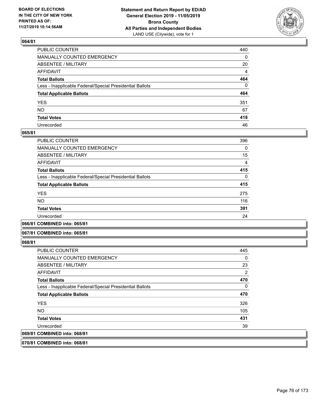

| PUBLIC COUNTER                                           | 440         |
|----------------------------------------------------------|-------------|
| MANUALLY COUNTED EMERGENCY                               | 0           |
| ABSENTEE / MILITARY                                      | 20          |
| AFFIDAVIT                                                | 4           |
| Total Ballots                                            | 464         |
| Less - Inapplicable Federal/Special Presidential Ballots | $\mathbf 0$ |
| <b>Total Applicable Ballots</b>                          | 464         |
| YES                                                      | 351         |
| NO.                                                      | 67          |
| <b>Total Votes</b>                                       | 418         |
| Unrecorded                                               | 46          |

### **065/81**

| <b>PUBLIC COUNTER</b>                                    | 396      |
|----------------------------------------------------------|----------|
| MANUALLY COUNTED EMERGENCY                               | $\Omega$ |
| ABSENTEE / MILITARY                                      | 15       |
| AFFIDAVIT                                                | 4        |
| <b>Total Ballots</b>                                     | 415      |
| Less - Inapplicable Federal/Special Presidential Ballots | $\Omega$ |
| <b>Total Applicable Ballots</b>                          | 415      |
| <b>YES</b>                                               | 275      |
| <b>NO</b>                                                | 116      |
| <b>Total Votes</b>                                       | 391      |
| Unrecorded                                               | 24       |
|                                                          |          |

**066/81 COMBINED into: 065/81**

#### **067/81 COMBINED into: 065/81**

**068/81** 

| <b>PUBLIC COUNTER</b>                                    | 445            |
|----------------------------------------------------------|----------------|
| <b>MANUALLY COUNTED EMERGENCY</b>                        | 0              |
| ABSENTEE / MILITARY                                      | 23             |
| AFFIDAVIT                                                | $\overline{2}$ |
| <b>Total Ballots</b>                                     | 470            |
| Less - Inapplicable Federal/Special Presidential Ballots | 0              |
| <b>Total Applicable Ballots</b>                          | 470            |
| <b>YES</b>                                               | 326            |
| NO.                                                      | 105            |
| <b>Total Votes</b>                                       | 431            |
| Unrecorded                                               | 39             |
| 069/81 COMBINED into: 068/81                             |                |
|                                                          |                |

**070/81 COMBINED into: 068/81**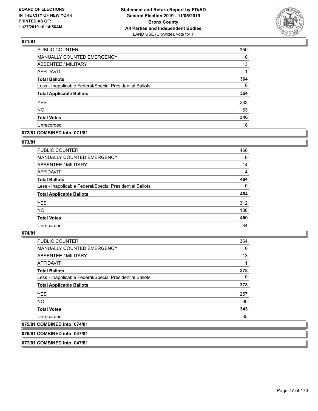

| <b>PUBLIC COUNTER</b>                                    | 350      |
|----------------------------------------------------------|----------|
| MANUALLY COUNTED EMERGENCY                               | 0        |
| ABSENTEE / MILITARY                                      | 13       |
| <b>AFFIDAVIT</b>                                         | 1        |
| <b>Total Ballots</b>                                     | 364      |
| Less - Inapplicable Federal/Special Presidential Ballots | $\Omega$ |
| <b>Total Applicable Ballots</b>                          | 364      |
| <b>YES</b>                                               | 283      |
| <b>NO</b>                                                | 63       |
| <b>Total Votes</b>                                       | 346      |
| Unrecorded                                               | 18       |

### **072/81 COMBINED into: 071/81**

# **073/81**

| <b>PUBLIC COUNTER</b>                                    | 466      |
|----------------------------------------------------------|----------|
| <b>MANUALLY COUNTED EMERGENCY</b>                        | $\Omega$ |
| ABSENTEE / MILITARY                                      | 14       |
| AFFIDAVIT                                                | 4        |
| <b>Total Ballots</b>                                     | 484      |
| Less - Inapplicable Federal/Special Presidential Ballots | $\Omega$ |
| <b>Total Applicable Ballots</b>                          | 484      |
| <b>YES</b>                                               | 312      |
| <b>NO</b>                                                | 138      |
| <b>Total Votes</b>                                       | 450      |
| Unrecorded                                               | 34       |
|                                                          |          |

# **074/81**

| PUBLIC COUNTER                                           | 364      |
|----------------------------------------------------------|----------|
| <b>MANUALLY COUNTED EMERGENCY</b>                        | 0        |
| ABSENTEE / MILITARY                                      | 13       |
| AFFIDAVIT                                                | 1        |
| <b>Total Ballots</b>                                     | 378      |
| Less - Inapplicable Federal/Special Presidential Ballots | $\Omega$ |
| <b>Total Applicable Ballots</b>                          | 378      |
| <b>YES</b>                                               | 257      |
| <b>NO</b>                                                | 86       |
| <b>Total Votes</b>                                       | 343      |
| Unrecorded                                               | 35       |
| 075/81 COMBINED into: 074/81                             |          |

**076/81 COMBINED into: 047/81**

**077/81 COMBINED into: 047/81**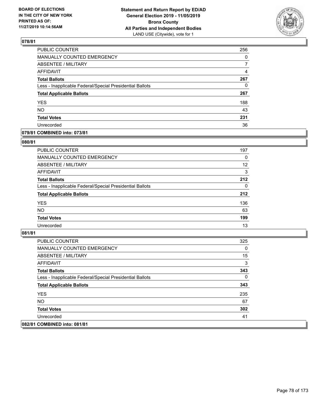

| PUBLIC COUNTER                                           | 256      |
|----------------------------------------------------------|----------|
| <b>MANUALLY COUNTED EMERGENCY</b>                        | $\Omega$ |
| ABSENTEE / MILITARY                                      | 7        |
| <b>AFFIDAVIT</b>                                         | 4        |
| <b>Total Ballots</b>                                     | 267      |
| Less - Inapplicable Federal/Special Presidential Ballots | $\Omega$ |
| <b>Total Applicable Ballots</b>                          | 267      |
| <b>YES</b>                                               | 188      |
| <b>NO</b>                                                | 43       |
| <b>Total Votes</b>                                       | 231      |
| Unrecorded                                               | 36       |

### **079/81 COMBINED into: 073/81**

### **080/81**

| <b>PUBLIC COUNTER</b>                                    | 197 |
|----------------------------------------------------------|-----|
| <b>MANUALLY COUNTED EMERGENCY</b>                        | 0   |
| ABSENTEE / MILITARY                                      | 12  |
| AFFIDAVIT                                                | 3   |
| <b>Total Ballots</b>                                     | 212 |
| Less - Inapplicable Federal/Special Presidential Ballots | 0   |
| <b>Total Applicable Ballots</b>                          | 212 |
| <b>YES</b>                                               | 136 |
| <b>NO</b>                                                | 63  |
| <b>Total Votes</b>                                       | 199 |
| Unrecorded                                               | 13  |

| <b>PUBLIC COUNTER</b>                                    | 325 |
|----------------------------------------------------------|-----|
| <b>MANUALLY COUNTED EMERGENCY</b>                        | 0   |
| ABSENTEE / MILITARY                                      | 15  |
| AFFIDAVIT                                                | 3   |
| <b>Total Ballots</b>                                     | 343 |
| Less - Inapplicable Federal/Special Presidential Ballots | 0   |
| <b>Total Applicable Ballots</b>                          | 343 |
| <b>YES</b>                                               | 235 |
| NO.                                                      | 67  |
| <b>Total Votes</b>                                       | 302 |
| Unrecorded                                               | 41  |
| 082/81 COMBINED into: 081/81                             |     |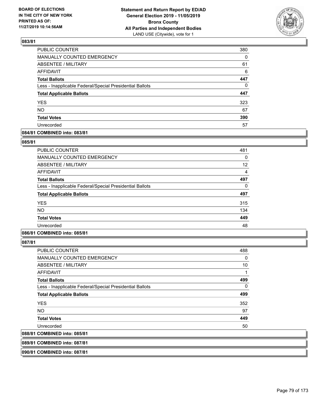

| PUBLIC COUNTER                                           | 380 |
|----------------------------------------------------------|-----|
| MANUALLY COUNTED EMERGENCY                               | 0   |
| ABSENTEE / MILITARY                                      | 61  |
| <b>AFFIDAVIT</b>                                         | 6   |
| <b>Total Ballots</b>                                     | 447 |
| Less - Inapplicable Federal/Special Presidential Ballots | 0   |
| <b>Total Applicable Ballots</b>                          | 447 |
| <b>YES</b>                                               | 323 |
| <b>NO</b>                                                | 67  |
| <b>Total Votes</b>                                       | 390 |
| Unrecorded                                               | 57  |

### **084/81 COMBINED into: 083/81**

### **085/81**

| PUBLIC COUNTER                                           | 481 |
|----------------------------------------------------------|-----|
| <b>MANUALLY COUNTED EMERGENCY</b>                        | 0   |
| ABSENTEE / MILITARY                                      | 12  |
| AFFIDAVIT                                                | 4   |
| <b>Total Ballots</b>                                     | 497 |
| Less - Inapplicable Federal/Special Presidential Ballots | 0   |
| <b>Total Applicable Ballots</b>                          | 497 |
| <b>YES</b>                                               | 315 |
| <b>NO</b>                                                | 134 |
| <b>Total Votes</b>                                       | 449 |
| Unrecorded                                               | 48  |
|                                                          |     |

# **086/81 COMBINED into: 085/81**

**087/81** 

| PUBLIC COUNTER                                           | 488 |
|----------------------------------------------------------|-----|
| <b>MANUALLY COUNTED EMERGENCY</b>                        | 0   |
| ABSENTEE / MILITARY                                      | 10  |
| <b>AFFIDAVIT</b>                                         | 1   |
| <b>Total Ballots</b>                                     | 499 |
| Less - Inapplicable Federal/Special Presidential Ballots | 0   |
| <b>Total Applicable Ballots</b>                          | 499 |
| <b>YES</b>                                               | 352 |
| <b>NO</b>                                                | 97  |
| <b>Total Votes</b>                                       | 449 |
| Unrecorded                                               | 50  |
| 088/81 COMBINED into: 085/81                             |     |
|                                                          |     |

**089/81 COMBINED into: 087/81**

**090/81 COMBINED into: 087/81**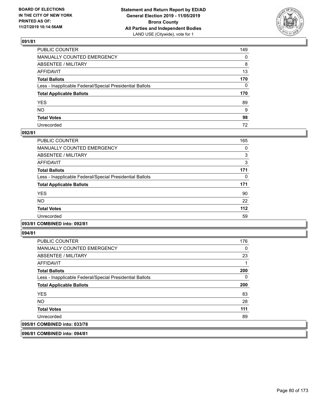

| PUBLIC COUNTER                                           | 149          |
|----------------------------------------------------------|--------------|
| MANUALLY COUNTED EMERGENCY                               | $\mathbf{0}$ |
| ABSENTEE / MILITARY                                      | 8            |
| AFFIDAVIT                                                | 13           |
| Total Ballots                                            | 170          |
| Less - Inapplicable Federal/Special Presidential Ballots | 0            |
| <b>Total Applicable Ballots</b>                          | 170          |
| YES                                                      | 89           |
| NO.                                                      | 9            |
| <b>Total Votes</b>                                       | 98           |
| Unrecorded                                               | 72           |

### **092/81**

| PUBLIC COUNTER                                           | 165 |
|----------------------------------------------------------|-----|
| <b>MANUALLY COUNTED EMERGENCY</b>                        | 0   |
| <b>ABSENTEE / MILITARY</b>                               | 3   |
| <b>AFFIDAVIT</b>                                         | 3   |
| <b>Total Ballots</b>                                     | 171 |
| Less - Inapplicable Federal/Special Presidential Ballots | 0   |
| <b>Total Applicable Ballots</b>                          | 171 |
| <b>YES</b>                                               | 90  |
| NO.                                                      | 22  |
| <b>Total Votes</b>                                       | 112 |
| Unrecorded                                               | 59  |
|                                                          |     |

#### **093/81 COMBINED into: 092/81**

**094/81** 

| <b>PUBLIC COUNTER</b>                                    | 176 |
|----------------------------------------------------------|-----|
| <b>MANUALLY COUNTED EMERGENCY</b>                        | 0   |
| ABSENTEE / MILITARY                                      | 23  |
| AFFIDAVIT                                                |     |
| <b>Total Ballots</b>                                     | 200 |
| Less - Inapplicable Federal/Special Presidential Ballots | 0   |
| <b>Total Applicable Ballots</b>                          | 200 |
| <b>YES</b>                                               | 83  |
| NO.                                                      | 28  |
| <b>Total Votes</b>                                       | 111 |
| Unrecorded                                               | 89  |
| 095/81 COMBINED into: 033/78                             |     |

**096/81 COMBINED into: 094/81**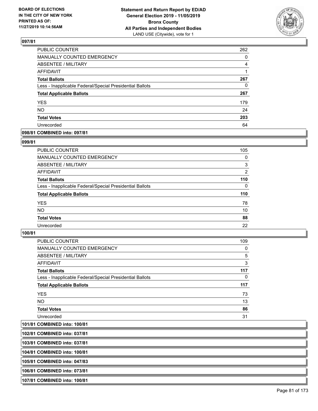

| PUBLIC COUNTER                                           | 262      |
|----------------------------------------------------------|----------|
| MANUALLY COUNTED EMERGENCY                               | 0        |
| <b>ABSENTEE / MILITARY</b>                               | 4        |
| <b>AFFIDAVIT</b>                                         | 1        |
| <b>Total Ballots</b>                                     | 267      |
| Less - Inapplicable Federal/Special Presidential Ballots | $\Omega$ |
| <b>Total Applicable Ballots</b>                          | 267      |
| <b>YES</b>                                               | 179      |
| <b>NO</b>                                                | 24       |
| <b>Total Votes</b>                                       | 203      |
| Unrecorded                                               | 64       |

#### **098/81 COMBINED into: 097/81**

#### **099/81**

| <b>PUBLIC COUNTER</b>                                    | 105      |
|----------------------------------------------------------|----------|
| MANUALLY COUNTED EMERGENCY                               | $\Omega$ |
| ABSENTEE / MILITARY                                      | 3        |
| AFFIDAVIT                                                | 2        |
| <b>Total Ballots</b>                                     | 110      |
| Less - Inapplicable Federal/Special Presidential Ballots | $\Omega$ |
| <b>Total Applicable Ballots</b>                          | 110      |
| <b>YES</b>                                               | 78       |
| <b>NO</b>                                                | 10       |
| <b>Total Votes</b>                                       | 88       |
| Unrecorded                                               | 22       |
|                                                          |          |

### **100/81**

| PUBLIC COUNTER                                           | 109      |
|----------------------------------------------------------|----------|
| <b>MANUALLY COUNTED EMERGENCY</b>                        | 0        |
| ABSENTEE / MILITARY                                      | 5        |
| AFFIDAVIT                                                | 3        |
| <b>Total Ballots</b>                                     | 117      |
| Less - Inapplicable Federal/Special Presidential Ballots | $\Omega$ |
| <b>Total Applicable Ballots</b>                          | 117      |
| <b>YES</b>                                               | 73       |
| NO.                                                      | 13       |
| <b>Total Votes</b>                                       | 86       |
| Unrecorded                                               | 31       |

**101/81 COMBINED into: 100/81**

**102/81 COMBINED into: 037/81**

**103/81 COMBINED into: 037/81**

**104/81 COMBINED into: 100/81**

**105/81 COMBINED into: 047/83**

**106/81 COMBINED into: 073/81**

**107/81 COMBINED into: 100/81**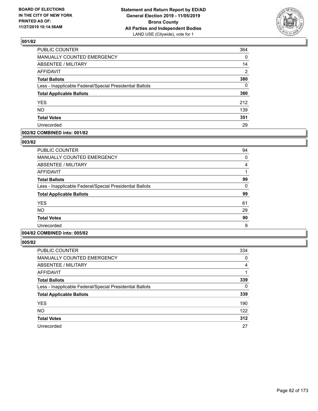

| PUBLIC COUNTER                                           | 364      |
|----------------------------------------------------------|----------|
| MANUALLY COUNTED EMERGENCY                               | 0        |
| <b>ABSENTEE / MILITARY</b>                               | 14       |
| <b>AFFIDAVIT</b>                                         | 2        |
| <b>Total Ballots</b>                                     | 380      |
| Less - Inapplicable Federal/Special Presidential Ballots | $\Omega$ |
| <b>Total Applicable Ballots</b>                          | 380      |
| <b>YES</b>                                               | 212      |
| <b>NO</b>                                                | 139      |
| <b>Total Votes</b>                                       | 351      |
| Unrecorded                                               | 29       |

### **002/82 COMBINED into: 001/82**

#### **003/82**

| PUBLIC COUNTER                                           | 94 |
|----------------------------------------------------------|----|
| <b>MANUALLY COUNTED EMERGENCY</b>                        | 0  |
| ABSENTEE / MILITARY                                      | 4  |
| AFFIDAVIT                                                |    |
| <b>Total Ballots</b>                                     | 99 |
| Less - Inapplicable Federal/Special Presidential Ballots | 0  |
| <b>Total Applicable Ballots</b>                          | 99 |
| <b>YES</b>                                               | 61 |
| <b>NO</b>                                                | 29 |
| <b>Total Votes</b>                                       | 90 |
| Unrecorded                                               | 9  |

# **004/82 COMBINED into: 005/82**

| <b>PUBLIC COUNTER</b>                                    | 334            |
|----------------------------------------------------------|----------------|
| <b>MANUALLY COUNTED EMERGENCY</b>                        | 0              |
| ABSENTEE / MILITARY                                      | $\overline{4}$ |
| <b>AFFIDAVIT</b>                                         |                |
| <b>Total Ballots</b>                                     | 339            |
| Less - Inapplicable Federal/Special Presidential Ballots | 0              |
| <b>Total Applicable Ballots</b>                          | 339            |
| <b>YES</b>                                               | 190            |
| <b>NO</b>                                                | 122            |
| <b>Total Votes</b>                                       | 312            |
| Unrecorded                                               | 27             |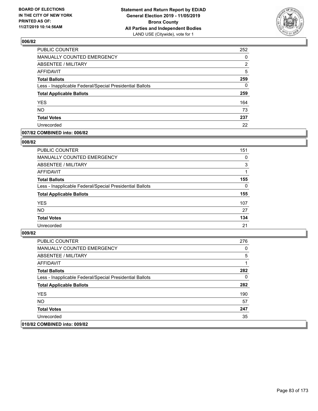

| PUBLIC COUNTER                                           | 252      |
|----------------------------------------------------------|----------|
| MANUALLY COUNTED EMERGENCY                               | 0        |
| <b>ABSENTEE / MILITARY</b>                               | 2        |
| <b>AFFIDAVIT</b>                                         | 5        |
| <b>Total Ballots</b>                                     | 259      |
| Less - Inapplicable Federal/Special Presidential Ballots | $\Omega$ |
| <b>Total Applicable Ballots</b>                          | 259      |
| <b>YES</b>                                               | 164      |
| <b>NO</b>                                                | 73       |
| <b>Total Votes</b>                                       | 237      |
| Unrecorded                                               | 22       |

### **007/82 COMBINED into: 006/82**

#### **008/82**

| PUBLIC COUNTER                                           | 151      |
|----------------------------------------------------------|----------|
| <b>MANUALLY COUNTED EMERGENCY</b>                        | 0        |
| ABSENTEE / MILITARY                                      | 3        |
| AFFIDAVIT                                                |          |
| <b>Total Ballots</b>                                     | 155      |
| Less - Inapplicable Federal/Special Presidential Ballots | $\Omega$ |
| <b>Total Applicable Ballots</b>                          | 155      |
| <b>YES</b>                                               | 107      |
| <b>NO</b>                                                | 27       |
| <b>Total Votes</b>                                       | 134      |
| Unrecorded                                               | 21       |

| PUBLIC COUNTER                                           | 276 |
|----------------------------------------------------------|-----|
| <b>MANUALLY COUNTED EMERGENCY</b>                        | 0   |
| ABSENTEE / MILITARY                                      | 5   |
| AFFIDAVIT                                                |     |
| <b>Total Ballots</b>                                     | 282 |
| Less - Inapplicable Federal/Special Presidential Ballots | 0   |
| <b>Total Applicable Ballots</b>                          | 282 |
| <b>YES</b>                                               | 190 |
| NO.                                                      | 57  |
| <b>Total Votes</b>                                       | 247 |
| Unrecorded                                               | 35  |
| 010/82 COMBINED into: 009/82                             |     |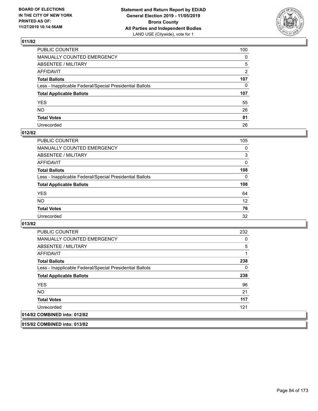

| PUBLIC COUNTER                                           | 100          |
|----------------------------------------------------------|--------------|
| MANUALLY COUNTED EMERGENCY                               | $\mathbf{0}$ |
| ABSENTEE / MILITARY                                      | 5            |
| AFFIDAVIT                                                | 2            |
| Total Ballots                                            | 107          |
| Less - Inapplicable Federal/Special Presidential Ballots | 0            |
| <b>Total Applicable Ballots</b>                          | 107          |
| YES                                                      | 55           |
| NO.                                                      | 26           |
| <b>Total Votes</b>                                       | 81           |
| Unrecorded                                               | 26           |

# **012/82**

| <b>PUBLIC COUNTER</b>                                    | 105      |
|----------------------------------------------------------|----------|
| <b>MANUALLY COUNTED EMERGENCY</b>                        | $\Omega$ |
| ABSENTEE / MILITARY                                      | 3        |
| AFFIDAVIT                                                | 0        |
| <b>Total Ballots</b>                                     | 108      |
| Less - Inapplicable Federal/Special Presidential Ballots | $\Omega$ |
| <b>Total Applicable Ballots</b>                          | 108      |
| <b>YES</b>                                               | 64       |
| <b>NO</b>                                                | 12       |
| <b>Total Votes</b>                                       | 76       |
| Unrecorded                                               | 32       |

### **013/82**

| <b>PUBLIC COUNTER</b>                                    | 232 |
|----------------------------------------------------------|-----|
| <b>MANUALLY COUNTED EMERGENCY</b>                        | 0   |
| ABSENTEE / MILITARY                                      | 5   |
| <b>AFFIDAVIT</b>                                         | 1   |
| <b>Total Ballots</b>                                     | 238 |
| Less - Inapplicable Federal/Special Presidential Ballots | 0   |
| <b>Total Applicable Ballots</b>                          | 238 |
| <b>YES</b>                                               | 96  |
| NO.                                                      | 21  |
| <b>Total Votes</b>                                       | 117 |
| Unrecorded                                               | 121 |
| 014/82 COMBINED into: 012/82                             |     |

**015/82 COMBINED into: 013/82**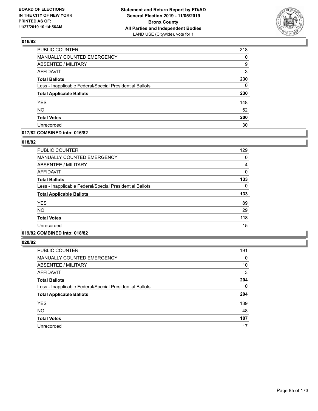

| PUBLIC COUNTER                                           | 218 |
|----------------------------------------------------------|-----|
| MANUALLY COUNTED EMERGENCY                               | 0   |
| <b>ABSENTEE / MILITARY</b>                               | 9   |
| <b>AFFIDAVIT</b>                                         | 3   |
| <b>Total Ballots</b>                                     | 230 |
| Less - Inapplicable Federal/Special Presidential Ballots | 0   |
| <b>Total Applicable Ballots</b>                          | 230 |
| <b>YES</b>                                               | 148 |
| <b>NO</b>                                                | 52  |
| <b>Total Votes</b>                                       | 200 |
| Unrecorded                                               | 30  |

### **017/82 COMBINED into: 016/82**

### **018/82**

| <b>PUBLIC COUNTER</b>                                    | 129 |
|----------------------------------------------------------|-----|
| <b>MANUALLY COUNTED EMERGENCY</b>                        | 0   |
| ABSENTEE / MILITARY                                      | 4   |
| AFFIDAVIT                                                | 0   |
| <b>Total Ballots</b>                                     | 133 |
| Less - Inapplicable Federal/Special Presidential Ballots | 0   |
| <b>Total Applicable Ballots</b>                          | 133 |
| <b>YES</b>                                               | 89  |
| <b>NO</b>                                                | 29  |
| <b>Total Votes</b>                                       | 118 |
| Unrecorded                                               | 15  |
|                                                          |     |

# **019/82 COMBINED into: 018/82**

| PUBLIC COUNTER                                           | 191      |
|----------------------------------------------------------|----------|
| <b>MANUALLY COUNTED EMERGENCY</b>                        | 0        |
| ABSENTEE / MILITARY                                      | 10       |
| AFFIDAVIT                                                | 3        |
| <b>Total Ballots</b>                                     | 204      |
| Less - Inapplicable Federal/Special Presidential Ballots | $\Omega$ |
| <b>Total Applicable Ballots</b>                          | 204      |
| <b>YES</b>                                               | 139      |
| <b>NO</b>                                                | 48       |
| <b>Total Votes</b>                                       | 187      |
| Unrecorded                                               | 17       |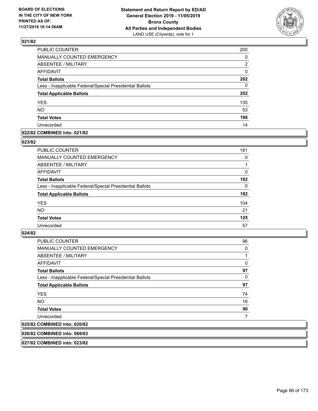

| PUBLIC COUNTER                                           | 200 |
|----------------------------------------------------------|-----|
| <b>MANUALLY COUNTED EMERGENCY</b>                        | 0   |
| <b>ABSENTEE / MILITARY</b>                               | 2   |
| <b>AFFIDAVIT</b>                                         | 0   |
| <b>Total Ballots</b>                                     | 202 |
| Less - Inapplicable Federal/Special Presidential Ballots | 0   |
| <b>Total Applicable Ballots</b>                          | 202 |
| <b>YES</b>                                               | 135 |
| <b>NO</b>                                                | 53  |
| <b>Total Votes</b>                                       | 188 |
| Unrecorded                                               | 14  |

### **022/82 COMBINED into: 021/82**

#### **023/82**

| <b>PUBLIC COUNTER</b>                                    | 181      |
|----------------------------------------------------------|----------|
| <b>MANUALLY COUNTED EMERGENCY</b>                        | 0        |
| ABSENTEE / MILITARY                                      |          |
| AFFIDAVIT                                                | $\Omega$ |
| <b>Total Ballots</b>                                     | 182      |
| Less - Inapplicable Federal/Special Presidential Ballots | $\Omega$ |
| <b>Total Applicable Ballots</b>                          | 182      |
| <b>YES</b>                                               | 104      |
| <b>NO</b>                                                | 21       |
| <b>Total Votes</b>                                       | 125      |
| Unrecorded                                               | 57       |

#### **024/82**

| PUBLIC COUNTER                                           | 96 |
|----------------------------------------------------------|----|
| <b>MANUALLY COUNTED EMERGENCY</b>                        | 0  |
| ABSENTEE / MILITARY                                      | 1  |
| AFFIDAVIT                                                | 0  |
| <b>Total Ballots</b>                                     | 97 |
| Less - Inapplicable Federal/Special Presidential Ballots | 0  |
| <b>Total Applicable Ballots</b>                          | 97 |
| <b>YES</b>                                               | 74 |
| NO.                                                      | 16 |
| <b>Total Votes</b>                                       | 90 |
| Unrecorded                                               |    |
| 025/82 COMBINED into: 020/82                             |    |

## **026/82 COMBINED into: 069/83**

**027/82 COMBINED into: 023/82**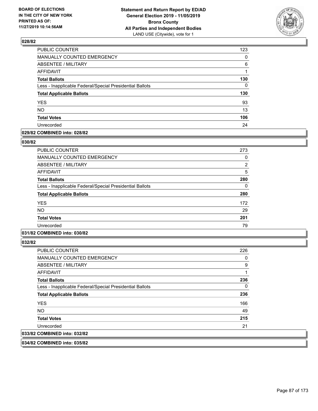

| PUBLIC COUNTER                                           | 123 |
|----------------------------------------------------------|-----|
| <b>MANUALLY COUNTED EMERGENCY</b>                        | 0   |
| <b>ABSENTEE / MILITARY</b>                               | 6   |
| <b>AFFIDAVIT</b>                                         | 1   |
| <b>Total Ballots</b>                                     | 130 |
| Less - Inapplicable Federal/Special Presidential Ballots | 0   |
| <b>Total Applicable Ballots</b>                          | 130 |
| <b>YES</b>                                               | 93  |
| <b>NO</b>                                                | 13  |
| <b>Total Votes</b>                                       | 106 |
| Unrecorded                                               | 24  |

### **029/82 COMBINED into: 028/82**

#### **030/82**

| PUBLIC COUNTER                                           | 273 |
|----------------------------------------------------------|-----|
| <b>MANUALLY COUNTED EMERGENCY</b>                        | 0   |
| ABSENTEE / MILITARY                                      | 2   |
| AFFIDAVIT                                                | 5   |
| <b>Total Ballots</b>                                     | 280 |
| Less - Inapplicable Federal/Special Presidential Ballots | 0   |
| <b>Total Applicable Ballots</b>                          | 280 |
| <b>YES</b>                                               | 172 |
| <b>NO</b>                                                | 29  |
| <b>Total Votes</b>                                       | 201 |
| Unrecorded                                               | 79  |

# **031/82 COMBINED into: 030/82**

**032/82** 

| PUBLIC COUNTER                                           | 226 |
|----------------------------------------------------------|-----|
| <b>MANUALLY COUNTED EMERGENCY</b>                        | 0   |
| ABSENTEE / MILITARY                                      | 9   |
| AFFIDAVIT                                                |     |
| <b>Total Ballots</b>                                     | 236 |
| Less - Inapplicable Federal/Special Presidential Ballots | 0   |
| <b>Total Applicable Ballots</b>                          | 236 |
| <b>YES</b>                                               | 166 |
| NO.                                                      | 49  |
| <b>Total Votes</b>                                       | 215 |
| Unrecorded                                               | 21  |
| 033/82 COMBINED into: 032/82                             |     |
|                                                          |     |

**034/82 COMBINED into: 035/82**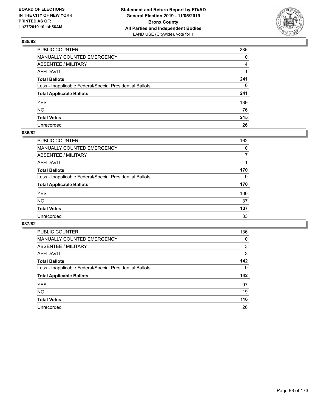

| PUBLIC COUNTER                                           | 236            |
|----------------------------------------------------------|----------------|
| MANUALLY COUNTED EMERGENCY                               | $\mathbf{0}$   |
| ABSENTEE / MILITARY                                      | $\overline{4}$ |
| AFFIDAVIT                                                |                |
| Total Ballots                                            | 241            |
| Less - Inapplicable Federal/Special Presidential Ballots | $\mathbf{0}$   |
| <b>Total Applicable Ballots</b>                          | 241            |
| YES                                                      | 139            |
| NO.                                                      | 76             |
| <b>Total Votes</b>                                       | 215            |
| Unrecorded                                               | 26             |

# **036/82**

| PUBLIC COUNTER                                           | 162 |
|----------------------------------------------------------|-----|
| MANUALLY COUNTED EMERGENCY                               | 0   |
| ABSENTEE / MILITARY                                      |     |
| AFFIDAVIT                                                |     |
| <b>Total Ballots</b>                                     | 170 |
| Less - Inapplicable Federal/Special Presidential Ballots | 0   |
| <b>Total Applicable Ballots</b>                          | 170 |
| <b>YES</b>                                               | 100 |
| <b>NO</b>                                                | 37  |
| <b>Total Votes</b>                                       | 137 |
| Unrecorded                                               | 33  |

| PUBLIC COUNTER                                           | 136      |
|----------------------------------------------------------|----------|
| <b>MANUALLY COUNTED EMERGENCY</b>                        | $\Omega$ |
| ABSENTEE / MILITARY                                      | 3        |
| AFFIDAVIT                                                | 3        |
| <b>Total Ballots</b>                                     | 142      |
| Less - Inapplicable Federal/Special Presidential Ballots | $\Omega$ |
| <b>Total Applicable Ballots</b>                          | 142      |
| <b>YES</b>                                               | 97       |
| <b>NO</b>                                                | 19       |
| <b>Total Votes</b>                                       | 116      |
| Unrecorded                                               | 26       |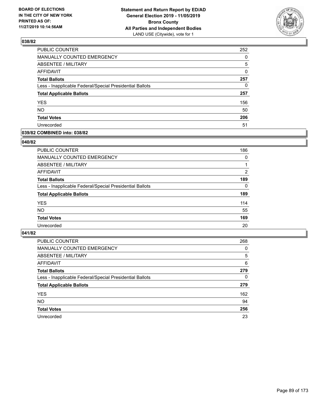

| PUBLIC COUNTER                                           | 252 |
|----------------------------------------------------------|-----|
| <b>MANUALLY COUNTED EMERGENCY</b>                        | 0   |
| <b>ABSENTEE / MILITARY</b>                               | 5   |
| <b>AFFIDAVIT</b>                                         | 0   |
| <b>Total Ballots</b>                                     | 257 |
| Less - Inapplicable Federal/Special Presidential Ballots | 0   |
| <b>Total Applicable Ballots</b>                          | 257 |
| <b>YES</b>                                               | 156 |
| <b>NO</b>                                                | 50  |
| <b>Total Votes</b>                                       | 206 |
| Unrecorded                                               | 51  |

### **039/82 COMBINED into: 038/82**

### **040/82**

| <b>PUBLIC COUNTER</b>                                    | 186      |
|----------------------------------------------------------|----------|
| <b>MANUALLY COUNTED EMERGENCY</b>                        | $\Omega$ |
| ABSENTEE / MILITARY                                      |          |
| AFFIDAVIT                                                | 2        |
| <b>Total Ballots</b>                                     | 189      |
| Less - Inapplicable Federal/Special Presidential Ballots | $\Omega$ |
| <b>Total Applicable Ballots</b>                          | 189      |
| <b>YES</b>                                               | 114      |
| <b>NO</b>                                                | 55       |
| <b>Total Votes</b>                                       | 169      |
| Unrecorded                                               | 20       |
|                                                          |          |

| <b>PUBLIC COUNTER</b>                                    | 268      |
|----------------------------------------------------------|----------|
| MANUALLY COUNTED EMERGENCY                               | 0        |
| ABSENTEE / MILITARY                                      | 5        |
| AFFIDAVIT                                                | 6        |
| <b>Total Ballots</b>                                     | 279      |
| Less - Inapplicable Federal/Special Presidential Ballots | $\Omega$ |
| <b>Total Applicable Ballots</b>                          | 279      |
| <b>YES</b>                                               | 162      |
| <b>NO</b>                                                | 94       |
| <b>Total Votes</b>                                       | 256      |
| Unrecorded                                               | 23       |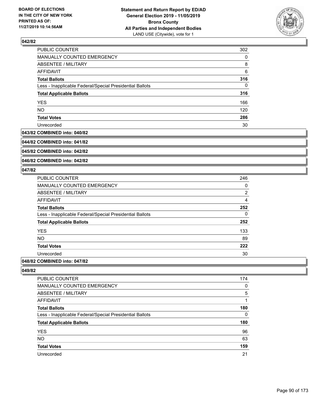

| PUBLIC COUNTER                                           | 302      |
|----------------------------------------------------------|----------|
| MANUALLY COUNTED EMERGENCY                               | $\Omega$ |
| ABSENTEE / MILITARY                                      | 8        |
| AFFIDAVIT                                                | 6        |
| <b>Total Ballots</b>                                     | 316      |
| Less - Inapplicable Federal/Special Presidential Ballots | $\Omega$ |
| <b>Total Applicable Ballots</b>                          | 316      |
| <b>YES</b>                                               | 166      |
| <b>NO</b>                                                | 120      |
| <b>Total Votes</b>                                       | 286      |
| Unrecorded                                               | 30       |

#### **043/82 COMBINED into: 040/82**

**044/82 COMBINED into: 041/82**

**045/82 COMBINED into: 042/82**

**046/82 COMBINED into: 042/82**

### **047/82**

| PUBLIC COUNTER                                           | 246            |
|----------------------------------------------------------|----------------|
| <b>MANUALLY COUNTED EMERGENCY</b>                        | 0              |
| ABSENTEE / MILITARY                                      | $\overline{2}$ |
| AFFIDAVIT                                                | $\overline{4}$ |
| <b>Total Ballots</b>                                     | 252            |
| Less - Inapplicable Federal/Special Presidential Ballots | 0              |
| <b>Total Applicable Ballots</b>                          | 252            |
| <b>YES</b>                                               | 133            |
| <b>NO</b>                                                | 89             |
| <b>Total Votes</b>                                       | 222            |
| Unrecorded                                               | 30             |
|                                                          |                |

# **048/82 COMBINED into: 047/82**

| PUBLIC COUNTER                                           | 174      |
|----------------------------------------------------------|----------|
| <b>MANUALLY COUNTED EMERGENCY</b>                        | $\Omega$ |
| <b>ABSENTEE / MILITARY</b>                               | 5        |
| AFFIDAVIT                                                |          |
| <b>Total Ballots</b>                                     | 180      |
| Less - Inapplicable Federal/Special Presidential Ballots | $\Omega$ |
| <b>Total Applicable Ballots</b>                          | 180      |
| <b>YES</b>                                               | 96       |
| <b>NO</b>                                                | 63       |
| <b>Total Votes</b>                                       | 159      |
| Unrecorded                                               | 21       |
|                                                          |          |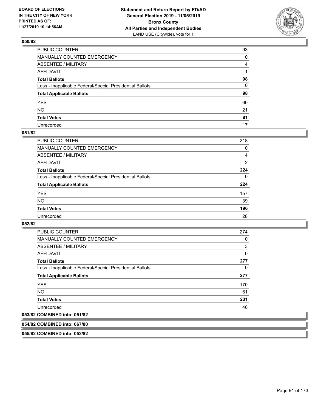

| PUBLIC COUNTER                                           | 93 |
|----------------------------------------------------------|----|
| MANUALLY COUNTED EMERGENCY                               | 0  |
| ABSENTEE / MILITARY                                      | 4  |
| AFFIDAVIT                                                |    |
| Total Ballots                                            | 98 |
| Less - Inapplicable Federal/Special Presidential Ballots | 0  |
| <b>Total Applicable Ballots</b>                          | 98 |
| YES                                                      | 60 |
| NO.                                                      | 21 |
| <b>Total Votes</b>                                       | 81 |
| Unrecorded                                               | 17 |

### **051/82**

| <b>PUBLIC COUNTER</b>                                    | 218      |
|----------------------------------------------------------|----------|
| MANUALLY COUNTED EMERGENCY                               | 0        |
| ABSENTEE / MILITARY                                      | 4        |
| AFFIDAVIT                                                | 2        |
| <b>Total Ballots</b>                                     | 224      |
| Less - Inapplicable Federal/Special Presidential Ballots | $\Omega$ |
| <b>Total Applicable Ballots</b>                          | 224      |
| <b>YES</b>                                               | 157      |
| <b>NO</b>                                                | 39       |
| <b>Total Votes</b>                                       | 196      |
| Unrecorded                                               | 28       |

### **052/82**

| PUBLIC COUNTER                                           | 274      |
|----------------------------------------------------------|----------|
| <b>MANUALLY COUNTED EMERGENCY</b>                        | 0        |
| ABSENTEE / MILITARY                                      | 3        |
| AFFIDAVIT                                                | $\Omega$ |
| <b>Total Ballots</b>                                     | 277      |
| Less - Inapplicable Federal/Special Presidential Ballots | 0        |
| <b>Total Applicable Ballots</b>                          | 277      |
| <b>YES</b>                                               | 170      |
| <b>NO</b>                                                | 61       |
| <b>Total Votes</b>                                       | 231      |
| Unrecorded                                               | 46       |
|                                                          |          |

# **053/82 COMBINED into: 051/82**

**054/82 COMBINED into: 067/80**

**055/82 COMBINED into: 052/82**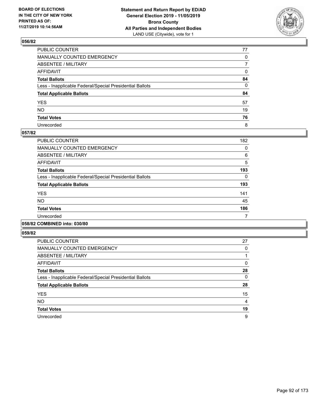

| PUBLIC COUNTER                                           | 77           |
|----------------------------------------------------------|--------------|
| MANUALLY COUNTED EMERGENCY                               | $\mathbf{0}$ |
| ABSENTEE / MILITARY                                      | 7            |
| AFFIDAVIT                                                | 0            |
| Total Ballots                                            | 84           |
| Less - Inapplicable Federal/Special Presidential Ballots | 0            |
| <b>Total Applicable Ballots</b>                          | 84           |
| YES                                                      | 57           |
| NO.                                                      | 19           |
| <b>Total Votes</b>                                       | 76           |
| Unrecorded                                               | 8            |

### **057/82**

| 182 |
|-----|
| 0   |
| 6   |
| 5   |
| 193 |
| 0   |
| 193 |
| 141 |
| 45  |
| 186 |
| 7   |
|     |

# **058/82 COMBINED into: 030/80**

| PUBLIC COUNTER                                           | 27 |
|----------------------------------------------------------|----|
| <b>MANUALLY COUNTED EMERGENCY</b>                        | 0  |
| ABSENTEE / MILITARY                                      |    |
| AFFIDAVIT                                                | 0  |
| <b>Total Ballots</b>                                     | 28 |
| Less - Inapplicable Federal/Special Presidential Ballots | 0  |
| <b>Total Applicable Ballots</b>                          | 28 |
| <b>YES</b>                                               | 15 |
| <b>NO</b>                                                | 4  |
| <b>Total Votes</b>                                       | 19 |
| Unrecorded                                               | 9  |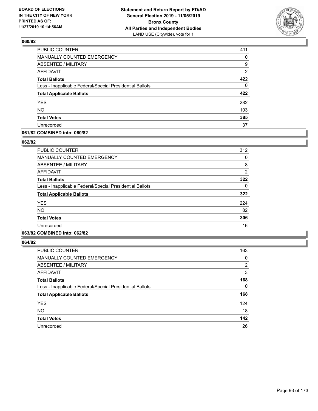

| PUBLIC COUNTER                                           | 411            |
|----------------------------------------------------------|----------------|
| MANUALLY COUNTED EMERGENCY                               | 0              |
| ABSENTEE / MILITARY                                      | 9              |
| <b>AFFIDAVIT</b>                                         | $\overline{2}$ |
| <b>Total Ballots</b>                                     | 422            |
| Less - Inapplicable Federal/Special Presidential Ballots | 0              |
| <b>Total Applicable Ballots</b>                          | 422            |
| <b>YES</b>                                               | 282            |
| <b>NO</b>                                                | 103            |
| <b>Total Votes</b>                                       | 385            |
| Unrecorded                                               | 37             |

### **061/82 COMBINED into: 060/82**

#### **062/82**

| PUBLIC COUNTER                                           | 312            |
|----------------------------------------------------------|----------------|
| <b>MANUALLY COUNTED EMERGENCY</b>                        | 0              |
| <b>ABSENTEE / MILITARY</b>                               | 8              |
| <b>AFFIDAVIT</b>                                         | $\overline{2}$ |
| <b>Total Ballots</b>                                     | 322            |
| Less - Inapplicable Federal/Special Presidential Ballots | 0              |
| <b>Total Applicable Ballots</b>                          | 322            |
| <b>YES</b>                                               | 224            |
| <b>NO</b>                                                | 82             |
| <b>Total Votes</b>                                       | 306            |
| Unrecorded                                               | 16             |
|                                                          |                |

# **063/82 COMBINED into: 062/82**

| PUBLIC COUNTER                                           | 163      |
|----------------------------------------------------------|----------|
| MANUALLY COUNTED EMERGENCY                               | 0        |
| ABSENTEE / MILITARY                                      | 2        |
| AFFIDAVIT                                                | 3        |
| <b>Total Ballots</b>                                     | 168      |
| Less - Inapplicable Federal/Special Presidential Ballots | $\Omega$ |
| <b>Total Applicable Ballots</b>                          | 168      |
| <b>YES</b>                                               | 124      |
| <b>NO</b>                                                | 18       |
| <b>Total Votes</b>                                       | 142      |
| Unrecorded                                               | 26       |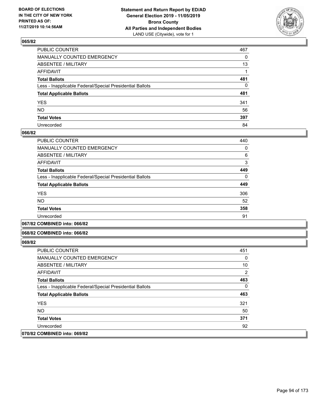

| PUBLIC COUNTER                                           | 467 |
|----------------------------------------------------------|-----|
| MANUALLY COUNTED EMERGENCY                               | 0   |
| ABSENTEE / MILITARY                                      | 13  |
| AFFIDAVIT                                                |     |
| Total Ballots                                            | 481 |
| Less - Inapplicable Federal/Special Presidential Ballots | 0   |
| <b>Total Applicable Ballots</b>                          | 481 |
| YES                                                      | 341 |
| NO.                                                      | 56  |
| <b>Total Votes</b>                                       | 397 |
| Unrecorded                                               | 84  |

### **066/82**

| PUBLIC COUNTER                                           | 440      |
|----------------------------------------------------------|----------|
| <b>MANUALLY COUNTED EMERGENCY</b>                        | 0        |
| <b>ABSENTEE / MILITARY</b>                               | 6        |
| AFFIDAVIT                                                | 3        |
| <b>Total Ballots</b>                                     | 449      |
| Less - Inapplicable Federal/Special Presidential Ballots | $\Omega$ |
| <b>Total Applicable Ballots</b>                          | 449      |
| <b>YES</b>                                               | 306      |
| <b>NO</b>                                                | 52       |
| <b>Total Votes</b>                                       | 358      |
| Unrecorded                                               | 91       |
|                                                          |          |

### **067/82 COMBINED into: 066/82**

#### **068/82 COMBINED into: 066/82**

| <b>PUBLIC COUNTER</b>                                    | 451            |
|----------------------------------------------------------|----------------|
| <b>MANUALLY COUNTED EMERGENCY</b>                        | $\Omega$       |
| ABSENTEE / MILITARY                                      | 10             |
| AFFIDAVIT                                                | $\overline{2}$ |
| <b>Total Ballots</b>                                     | 463            |
| Less - Inapplicable Federal/Special Presidential Ballots | $\Omega$       |
| <b>Total Applicable Ballots</b>                          | 463            |
| <b>YES</b>                                               | 321            |
| NO.                                                      | 50             |
| <b>Total Votes</b>                                       | 371            |
| Unrecorded                                               | 92             |
| 070/82 COMBINED into: 069/82                             |                |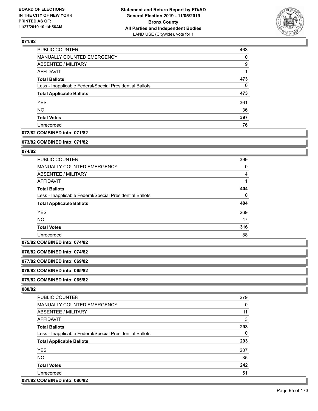

| PUBLIC COUNTER                                           | 463 |
|----------------------------------------------------------|-----|
| <b>MANUALLY COUNTED EMERGENCY</b>                        | 0   |
| <b>ABSENTEE / MILITARY</b>                               | 9   |
| AFFIDAVIT                                                |     |
| <b>Total Ballots</b>                                     | 473 |
| Less - Inapplicable Federal/Special Presidential Ballots | 0   |
| <b>Total Applicable Ballots</b>                          | 473 |
| <b>YES</b>                                               | 361 |
| <b>NO</b>                                                | 36  |
| <b>Total Votes</b>                                       | 397 |
| Unrecorded                                               | 76  |

# **072/82 COMBINED into: 071/82**

#### **073/82 COMBINED into: 071/82**

### **074/82**

| <b>PUBLIC COUNTER</b>                                    | 399      |
|----------------------------------------------------------|----------|
| MANUALLY COUNTED EMERGENCY                               | 0        |
| ABSENTEE / MILITARY                                      | 4        |
| AFFIDAVIT                                                |          |
| <b>Total Ballots</b>                                     | 404      |
| Less - Inapplicable Federal/Special Presidential Ballots | $\Omega$ |
| <b>Total Applicable Ballots</b>                          | 404      |
| <b>YES</b>                                               | 269      |
| <b>NO</b>                                                | 47       |
| <b>Total Votes</b>                                       | 316      |
| Unrecorded                                               | 88       |

**075/82 COMBINED into: 074/82**

**076/82 COMBINED into: 074/82**

**077/82 COMBINED into: 069/82**

**078/82 COMBINED into: 065/82**

**079/82 COMBINED into: 065/82**

| PUBLIC COUNTER                                           | 279 |
|----------------------------------------------------------|-----|
| <b>MANUALLY COUNTED EMERGENCY</b>                        | 0   |
| ABSENTEE / MILITARY                                      | 11  |
| AFFIDAVIT                                                | 3   |
| <b>Total Ballots</b>                                     | 293 |
| Less - Inapplicable Federal/Special Presidential Ballots | 0   |
| <b>Total Applicable Ballots</b>                          | 293 |
| <b>YES</b>                                               | 207 |
| NO.                                                      | 35  |
| <b>Total Votes</b>                                       | 242 |
| Unrecorded                                               | 51  |
| 081/82 COMBINED into: 080/82                             |     |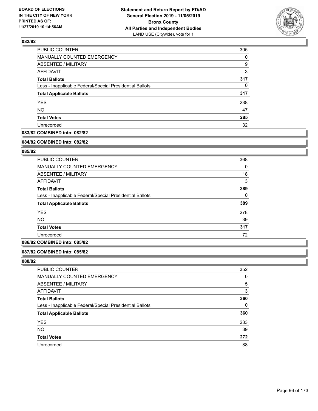

| PUBLIC COUNTER                                           | 305      |
|----------------------------------------------------------|----------|
| MANUALLY COUNTED EMERGENCY                               | $\Omega$ |
| <b>ABSENTEE / MILITARY</b>                               | 9        |
| AFFIDAVIT                                                | 3        |
| <b>Total Ballots</b>                                     | 317      |
| Less - Inapplicable Federal/Special Presidential Ballots | 0        |
| <b>Total Applicable Ballots</b>                          | 317      |
| <b>YES</b>                                               | 238      |
| <b>NO</b>                                                | 47       |
| <b>Total Votes</b>                                       | 285      |
| Unrecorded                                               | 32       |

# **083/82 COMBINED into: 082/82**

#### **084/82 COMBINED into: 082/82**

# **085/82**

| <b>PUBLIC COUNTER</b>                                    | 368      |
|----------------------------------------------------------|----------|
| <b>MANUALLY COUNTED EMERGENCY</b>                        | $\Omega$ |
| ABSENTEE / MILITARY                                      | 18       |
| AFFIDAVIT                                                | 3        |
| <b>Total Ballots</b>                                     | 389      |
| Less - Inapplicable Federal/Special Presidential Ballots | 0        |
| <b>Total Applicable Ballots</b>                          | 389      |
| <b>YES</b>                                               | 278      |
| <b>NO</b>                                                | 39       |
| <b>Total Votes</b>                                       | 317      |
| Unrecorded                                               | 72       |

### **086/82 COMBINED into: 085/82**

#### **087/82 COMBINED into: 085/82**

| PUBLIC COUNTER                                           | 352 |
|----------------------------------------------------------|-----|
| MANUALLY COUNTED EMERGENCY                               | 0   |
| ABSENTEE / MILITARY                                      | 5   |
| AFFIDAVIT                                                | 3   |
| <b>Total Ballots</b>                                     | 360 |
| Less - Inapplicable Federal/Special Presidential Ballots | 0   |
| <b>Total Applicable Ballots</b>                          | 360 |
| <b>YES</b>                                               | 233 |
| <b>NO</b>                                                | 39  |
| <b>Total Votes</b>                                       | 272 |
| Unrecorded                                               | 88  |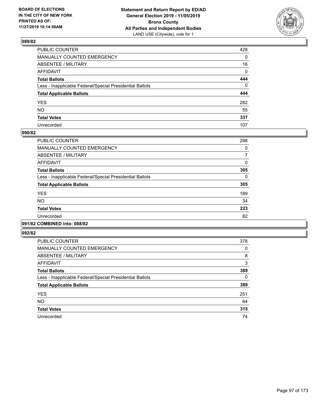

| PUBLIC COUNTER                                           | 428          |
|----------------------------------------------------------|--------------|
| MANUALLY COUNTED EMERGENCY                               | $\mathbf{0}$ |
| ABSENTEE / MILITARY                                      | 16           |
| AFFIDAVIT                                                | $\mathbf 0$  |
| Total Ballots                                            | 444          |
| Less - Inapplicable Federal/Special Presidential Ballots | $\mathbf 0$  |
| <b>Total Applicable Ballots</b>                          | 444          |
| YES                                                      | 282          |
| NO.                                                      | 55           |
| <b>Total Votes</b>                                       | 337          |
| Unrecorded                                               | 107          |

# **090/82**

| PUBLIC COUNTER                                           | 298      |
|----------------------------------------------------------|----------|
| <b>MANUALLY COUNTED EMERGENCY</b>                        | 0        |
| ABSENTEE / MILITARY                                      | 7        |
| <b>AFFIDAVIT</b>                                         | 0        |
| <b>Total Ballots</b>                                     | 305      |
| Less - Inapplicable Federal/Special Presidential Ballots | $\Omega$ |
| <b>Total Applicable Ballots</b>                          | 305      |
| <b>YES</b>                                               | 189      |
| <b>NO</b>                                                | 34       |
| <b>Total Votes</b>                                       | 223      |
| Unrecorded                                               | 82       |
|                                                          |          |

# **091/82 COMBINED into: 088/82**

| PUBLIC COUNTER                                           | 378 |
|----------------------------------------------------------|-----|
| <b>MANUALLY COUNTED EMERGENCY</b>                        | 0   |
| ABSENTEE / MILITARY                                      | 8   |
| <b>AFFIDAVIT</b>                                         | 3   |
| <b>Total Ballots</b>                                     | 389 |
| Less - Inapplicable Federal/Special Presidential Ballots | 0   |
| <b>Total Applicable Ballots</b>                          | 389 |
| <b>YES</b>                                               | 251 |
| <b>NO</b>                                                | 64  |
| <b>Total Votes</b>                                       | 315 |
| Unrecorded                                               | 74  |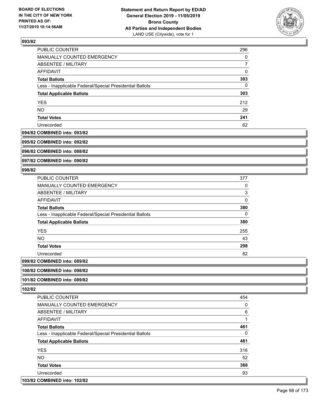

| PUBLIC COUNTER                                           | 296 |
|----------------------------------------------------------|-----|
| MANUALLY COUNTED EMERGENCY                               | 0   |
| ABSENTEE / MILITARY                                      |     |
| AFFIDAVIT                                                | 0   |
| <b>Total Ballots</b>                                     | 303 |
| Less - Inapplicable Federal/Special Presidential Ballots | 0   |
| <b>Total Applicable Ballots</b>                          | 303 |
| <b>YES</b>                                               | 212 |
| <b>NO</b>                                                | 29  |
| <b>Total Votes</b>                                       | 241 |
| Unrecorded                                               | 62  |

#### **094/82 COMBINED into: 093/82**

**095/82 COMBINED into: 092/82**

**096/82 COMBINED into: 088/82**

**097/82 COMBINED into: 090/82**

### **098/82**

| PUBLIC COUNTER                                           | 377 |
|----------------------------------------------------------|-----|
| <b>MANUALLY COUNTED EMERGENCY</b>                        | 0   |
| ABSENTEE / MILITARY                                      | 3   |
| AFFIDAVIT                                                | 0   |
| <b>Total Ballots</b>                                     | 380 |
| Less - Inapplicable Federal/Special Presidential Ballots | 0   |
| <b>Total Applicable Ballots</b>                          | 380 |
| <b>YES</b>                                               | 255 |
| NO.                                                      | 43  |
| <b>Total Votes</b>                                       | 298 |
| Unrecorded                                               | 82  |
| 0.01101100                                               |     |

# **099/82 COMBINED into: 089/82**

#### **100/82 COMBINED into: 098/82**

# **101/82 COMBINED into: 089/82**

| PUBLIC COUNTER                                           | 454      |
|----------------------------------------------------------|----------|
| <b>MANUALLY COUNTED EMERGENCY</b>                        | $\Omega$ |
| ABSENTEE / MILITARY                                      | 6        |
| <b>AFFIDAVIT</b>                                         |          |
| <b>Total Ballots</b>                                     | 461      |
| Less - Inapplicable Federal/Special Presidential Ballots | $\Omega$ |
| <b>Total Applicable Ballots</b>                          | 461      |
| <b>YES</b>                                               | 316      |
| NO.                                                      | 52       |
| <b>Total Votes</b>                                       | 368      |
| Unrecorded                                               | 93       |
| 103/82 COMBINED into: 102/82                             |          |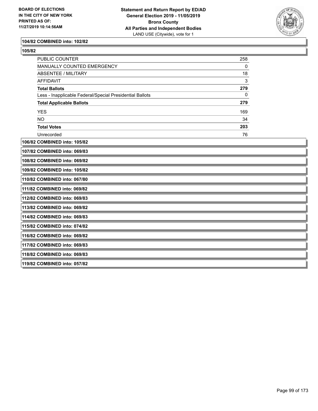

### **104/82 COMBINED into: 102/82**

| ×<br>I<br>۰, |
|--------------|
|--------------|

| PUBLIC COUNTER                                           | 258 |  |
|----------------------------------------------------------|-----|--|
| MANUALLY COUNTED EMERGENCY                               | 0   |  |
| <b>ABSENTEE / MILITARY</b>                               | 18  |  |
| <b>AFFIDAVIT</b>                                         | 3   |  |
| <b>Total Ballots</b>                                     | 279 |  |
| Less - Inapplicable Federal/Special Presidential Ballots | 0   |  |
| <b>Total Applicable Ballots</b>                          | 279 |  |
| <b>YES</b>                                               | 169 |  |
| <b>NO</b>                                                | 34  |  |
| <b>Total Votes</b>                                       | 203 |  |
| Unrecorded                                               | 76  |  |
| 106/82 COMBINED into: 105/82                             |     |  |
| 107/82 COMBINED into: 069/83                             |     |  |
| 108/82 COMBINED into: 069/82                             |     |  |
| 109/82 COMBINED into: 105/82                             |     |  |
| 110/82 COMBINED into: 067/80                             |     |  |
| 111/82 COMBINED into: 069/82                             |     |  |
| 112/82 COMBINED into: 069/83                             |     |  |
| 113/82 COMBINED into: 069/82                             |     |  |
| 114/82 COMBINED into: 069/83                             |     |  |
| 115/82 COMBINED into: 074/82                             |     |  |
| 116/82 COMBINED into: 069/82                             |     |  |
| 117/82 COMBINED into: 069/83                             |     |  |
| 118/82 COMBINED into: 069/83                             |     |  |
| 119/82 COMBINED into: 057/82                             |     |  |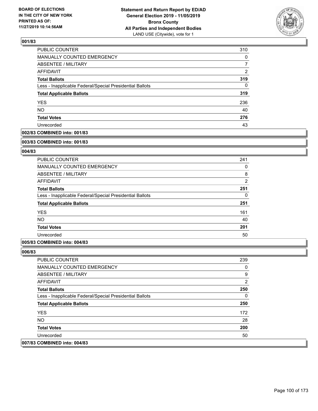

| <b>PUBLIC COUNTER</b>                                    | 310      |
|----------------------------------------------------------|----------|
| MANUALLY COUNTED EMERGENCY                               | 0        |
| <b>ABSENTEE / MILITARY</b>                               |          |
| AFFIDAVIT                                                | 2        |
| <b>Total Ballots</b>                                     | 319      |
| Less - Inapplicable Federal/Special Presidential Ballots | $\Omega$ |
| <b>Total Applicable Ballots</b>                          | 319      |
| <b>YES</b>                                               | 236      |
| <b>NO</b>                                                | 40       |
| <b>Total Votes</b>                                       | 276      |
| Unrecorded                                               | 43       |

# **002/83 COMBINED into: 001/83**

#### **003/83 COMBINED into: 001/83**

# **004/83**

| <b>PUBLIC COUNTER</b>                                    | 241            |
|----------------------------------------------------------|----------------|
| <b>MANUALLY COUNTED EMERGENCY</b>                        | 0              |
| ABSENTEE / MILITARY                                      | 8              |
| AFFIDAVIT                                                | $\overline{2}$ |
| <b>Total Ballots</b>                                     | 251            |
| Less - Inapplicable Federal/Special Presidential Ballots | 0              |
| <b>Total Applicable Ballots</b>                          | 251            |
| <b>YES</b>                                               | 161            |
| NO.                                                      | 40             |
| <b>Total Votes</b>                                       | 201            |
| Unrecorded                                               | 50             |

### **005/83 COMBINED into: 004/83**

| <b>PUBLIC COUNTER</b>                                    | 239 |
|----------------------------------------------------------|-----|
| <b>MANUALLY COUNTED EMERGENCY</b>                        | 0   |
| ABSENTEE / MILITARY                                      | 9   |
| AFFIDAVIT                                                | 2   |
| <b>Total Ballots</b>                                     | 250 |
| Less - Inapplicable Federal/Special Presidential Ballots | 0   |
| <b>Total Applicable Ballots</b>                          | 250 |
| <b>YES</b>                                               | 172 |
| NO.                                                      | 28  |
| <b>Total Votes</b>                                       | 200 |
| Unrecorded                                               | 50  |
| 007/83 COMBINED into: 004/83                             |     |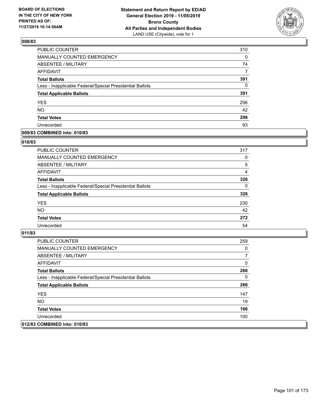

| PUBLIC COUNTER                                           | 310 |
|----------------------------------------------------------|-----|
| <b>MANUALLY COUNTED EMERGENCY</b>                        | 0   |
| <b>ABSENTEE / MILITARY</b>                               | 74  |
| <b>AFFIDAVIT</b>                                         | 7   |
| <b>Total Ballots</b>                                     | 391 |
| Less - Inapplicable Federal/Special Presidential Ballots | 0   |
| <b>Total Applicable Ballots</b>                          | 391 |
| <b>YES</b>                                               | 256 |
| <b>NO</b>                                                | 42  |
| <b>Total Votes</b>                                       | 298 |
| Unrecorded                                               | 93  |

### **009/83 COMBINED into: 010/83**

### **010/83**

| PUBLIC COUNTER                                           | 317      |
|----------------------------------------------------------|----------|
| <b>MANUALLY COUNTED EMERGENCY</b>                        | $\Omega$ |
| ABSENTEE / MILITARY                                      | 5        |
| AFFIDAVIT                                                | 4        |
| <b>Total Ballots</b>                                     | 326      |
| Less - Inapplicable Federal/Special Presidential Ballots | $\Omega$ |
| <b>Total Applicable Ballots</b>                          | 326      |
| <b>YES</b>                                               | 230      |
| <b>NO</b>                                                | 42       |
| <b>Total Votes</b>                                       | 272      |
| Unrecorded                                               | 54       |
|                                                          |          |

| <b>PUBLIC COUNTER</b>                                    | 259 |
|----------------------------------------------------------|-----|
| <b>MANUALLY COUNTED EMERGENCY</b>                        | 0   |
| ABSENTEE / MILITARY                                      |     |
| AFFIDAVIT                                                | 0   |
| <b>Total Ballots</b>                                     | 266 |
| Less - Inapplicable Federal/Special Presidential Ballots | 0   |
| <b>Total Applicable Ballots</b>                          | 266 |
| <b>YES</b>                                               | 147 |
| NO.                                                      | 19  |
| <b>Total Votes</b>                                       | 166 |
| Unrecorded                                               | 100 |
| 012/83 COMBINED into: 010/83                             |     |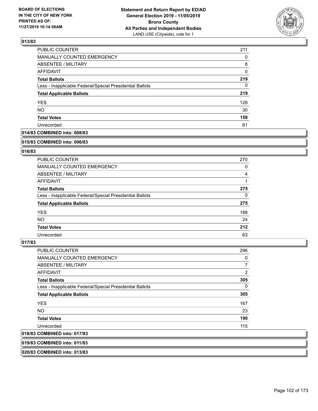

| PUBLIC COUNTER                                           | 211 |
|----------------------------------------------------------|-----|
| <b>MANUALLY COUNTED EMERGENCY</b>                        | 0   |
| <b>ABSENTEE / MILITARY</b>                               | 8   |
| <b>AFFIDAVIT</b>                                         | 0   |
| <b>Total Ballots</b>                                     | 219 |
| Less - Inapplicable Federal/Special Presidential Ballots | 0   |
| <b>Total Applicable Ballots</b>                          | 219 |
| <b>YES</b>                                               | 128 |
| <b>NO</b>                                                | 30  |
| <b>Total Votes</b>                                       | 158 |
| Unrecorded                                               | 61  |

# **014/83 COMBINED into: 008/83**

#### **015/83 COMBINED into: 006/83**

# **016/83**

| <b>PUBLIC COUNTER</b>                                    | 270      |
|----------------------------------------------------------|----------|
| <b>MANUALLY COUNTED EMERGENCY</b>                        | 0        |
| ABSENTEE / MILITARY                                      | 4        |
| AFFIDAVIT                                                |          |
| <b>Total Ballots</b>                                     | 275      |
| Less - Inapplicable Federal/Special Presidential Ballots | $\Omega$ |
| <b>Total Applicable Ballots</b>                          | 275      |
| <b>YES</b>                                               | 188      |
| NO.                                                      | 24       |
| <b>Total Votes</b>                                       | 212      |
| Unrecorded                                               | 63       |

#### **017/83**

| <b>PUBLIC COUNTER</b>                                    | 296            |
|----------------------------------------------------------|----------------|
| <b>MANUALLY COUNTED EMERGENCY</b>                        | 0              |
| ABSENTEE / MILITARY                                      | $\overline{7}$ |
| <b>AFFIDAVIT</b>                                         | 2              |
| <b>Total Ballots</b>                                     | 305            |
| Less - Inapplicable Federal/Special Presidential Ballots | 0              |
| <b>Total Applicable Ballots</b>                          | 305            |
| <b>YES</b>                                               | 167            |
| NO.                                                      | 23             |
| <b>Total Votes</b>                                       | 190            |
| Unrecorded                                               | 115            |
| 018/83 COMBINED into: 017/83                             |                |

**019/83 COMBINED into: 011/83**

**020/83 COMBINED into: 013/83**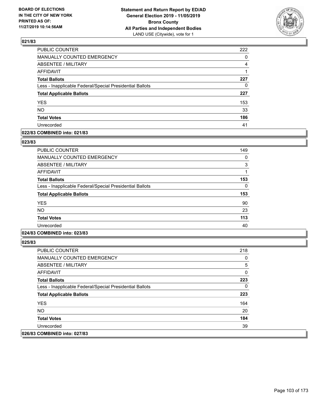

| PUBLIC COUNTER                                           | 222      |
|----------------------------------------------------------|----------|
| <b>MANUALLY COUNTED EMERGENCY</b>                        | $\Omega$ |
| <b>ABSENTEE / MILITARY</b>                               | 4        |
| <b>AFFIDAVIT</b>                                         |          |
| <b>Total Ballots</b>                                     | 227      |
| Less - Inapplicable Federal/Special Presidential Ballots | 0        |
| <b>Total Applicable Ballots</b>                          | 227      |
| <b>YES</b>                                               | 153      |
| <b>NO</b>                                                | 33       |
| <b>Total Votes</b>                                       | 186      |
| Unrecorded                                               | 41       |

### **022/83 COMBINED into: 021/83**

#### **023/83**

| <b>PUBLIC COUNTER</b>                                    | 149 |
|----------------------------------------------------------|-----|
| <b>MANUALLY COUNTED EMERGENCY</b>                        | 0   |
| <b>ABSENTEE / MILITARY</b>                               | 3   |
| AFFIDAVIT                                                | 1   |
| <b>Total Ballots</b>                                     | 153 |
| Less - Inapplicable Federal/Special Presidential Ballots | 0   |
| <b>Total Applicable Ballots</b>                          | 153 |
| <b>YES</b>                                               | 90  |
| <b>NO</b>                                                | 23  |
| <b>Total Votes</b>                                       | 113 |
| Unrecorded                                               | 40  |
|                                                          |     |

# **024/83 COMBINED into: 023/83**

| <b>PUBLIC COUNTER</b>                                    | 218 |
|----------------------------------------------------------|-----|
| <b>MANUALLY COUNTED EMERGENCY</b>                        | 0   |
| ABSENTEE / MILITARY                                      | 5   |
| AFFIDAVIT                                                | 0   |
| <b>Total Ballots</b>                                     | 223 |
| Less - Inapplicable Federal/Special Presidential Ballots | 0   |
| <b>Total Applicable Ballots</b>                          | 223 |
| <b>YES</b>                                               | 164 |
| NO.                                                      | 20  |
| <b>Total Votes</b>                                       | 184 |
| Unrecorded                                               | 39  |
| 026/83 COMBINED into: 027/83                             |     |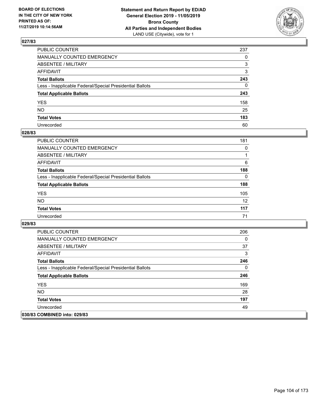

| PUBLIC COUNTER                                           | 237          |
|----------------------------------------------------------|--------------|
| MANUALLY COUNTED EMERGENCY                               | $\Omega$     |
| ABSENTEE / MILITARY                                      | 3            |
| AFFIDAVIT                                                | 3            |
| Total Ballots                                            | 243          |
| Less - Inapplicable Federal/Special Presidential Ballots | $\mathbf{0}$ |
| <b>Total Applicable Ballots</b>                          | 243          |
| YES                                                      | 158          |
| NO.                                                      | 25           |
| <b>Total Votes</b>                                       | 183          |
| Unrecorded                                               | 60           |

### **028/83**

| <b>PUBLIC COUNTER</b>                                    | 181      |
|----------------------------------------------------------|----------|
| <b>MANUALLY COUNTED EMERGENCY</b>                        | 0        |
| ABSENTEE / MILITARY                                      |          |
| AFFIDAVIT                                                | 6        |
| <b>Total Ballots</b>                                     | 188      |
| Less - Inapplicable Federal/Special Presidential Ballots | $\Omega$ |
| <b>Total Applicable Ballots</b>                          | 188      |
| <b>YES</b>                                               | 105      |
| <b>NO</b>                                                | 12       |
| <b>Total Votes</b>                                       | 117      |
| Unrecorded                                               | 71       |

| <b>PUBLIC COUNTER</b>                                    | 206 |
|----------------------------------------------------------|-----|
| <b>MANUALLY COUNTED EMERGENCY</b>                        | 0   |
| ABSENTEE / MILITARY                                      | 37  |
| AFFIDAVIT                                                | 3   |
| <b>Total Ballots</b>                                     | 246 |
| Less - Inapplicable Federal/Special Presidential Ballots | 0   |
| <b>Total Applicable Ballots</b>                          | 246 |
| <b>YES</b>                                               | 169 |
| <b>NO</b>                                                | 28  |
| <b>Total Votes</b>                                       | 197 |
| Unrecorded                                               | 49  |
| 030/83 COMBINED into: 029/83                             |     |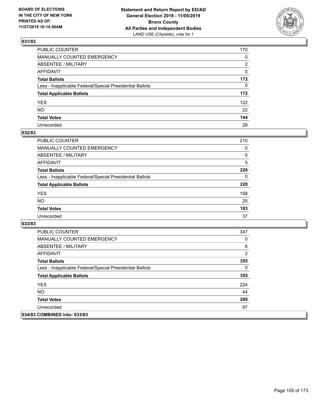

| PUBLIC COUNTER                                           | 170 |
|----------------------------------------------------------|-----|
| MANUALLY COUNTED EMERGENCY                               | 0   |
| ABSENTEE / MILITARY                                      | 2   |
| AFFIDAVIT                                                | 0   |
| Total Ballots                                            | 172 |
| Less - Inapplicable Federal/Special Presidential Ballots | 0   |
| <b>Total Applicable Ballots</b>                          | 172 |
| YES                                                      | 122 |
| NO.                                                      | 22  |
| <b>Total Votes</b>                                       | 144 |
| Unrecorded                                               | 28  |

# **032/83**

| <b>PUBLIC COUNTER</b>                                    | 210      |
|----------------------------------------------------------|----------|
| MANUALLY COUNTED EMERGENCY                               | $\Omega$ |
| ABSENTEE / MILITARY                                      | 5        |
| AFFIDAVIT                                                | 5        |
| <b>Total Ballots</b>                                     | 220      |
| Less - Inapplicable Federal/Special Presidential Ballots | $\Omega$ |
| <b>Total Applicable Ballots</b>                          | 220      |
| <b>YES</b>                                               | 158      |
| <b>NO</b>                                                | 25       |
| <b>Total Votes</b>                                       | 183      |
| Unrecorded                                               | 37       |

| <b>PUBLIC COUNTER</b>                                    | 347 |
|----------------------------------------------------------|-----|
| <b>MANUALLY COUNTED EMERGENCY</b>                        | 0   |
| ABSENTEE / MILITARY                                      | 6   |
| AFFIDAVIT                                                | 2   |
| <b>Total Ballots</b>                                     | 355 |
| Less - Inapplicable Federal/Special Presidential Ballots | 0   |
| <b>Total Applicable Ballots</b>                          | 355 |
| <b>YES</b>                                               | 224 |
| <b>NO</b>                                                | 44  |
| <b>Total Votes</b>                                       | 268 |
| Unrecorded                                               | 87  |
| 034/83 COMBINED into: 033/83                             |     |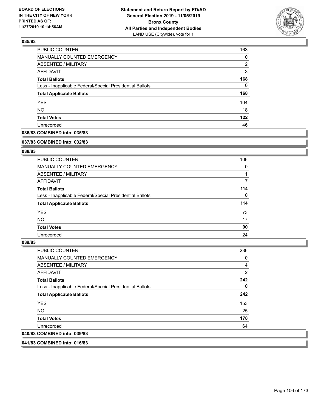

| <b>PUBLIC COUNTER</b>                                    | 163      |
|----------------------------------------------------------|----------|
| MANUALLY COUNTED EMERGENCY                               | 0        |
| ABSENTEE / MILITARY                                      | 2        |
| <b>AFFIDAVIT</b>                                         | 3        |
| <b>Total Ballots</b>                                     | 168      |
| Less - Inapplicable Federal/Special Presidential Ballots | $\Omega$ |
| <b>Total Applicable Ballots</b>                          | 168      |
| <b>YES</b>                                               | 104      |
| <b>NO</b>                                                | 18       |
| <b>Total Votes</b>                                       | 122      |
| Unrecorded                                               | 46       |

# **036/83 COMBINED into: 035/83**

#### **037/83 COMBINED into: 032/83**

# **038/83**

| <b>PUBLIC COUNTER</b>                                    | 106 |
|----------------------------------------------------------|-----|
| <b>MANUALLY COUNTED EMERGENCY</b>                        | 0   |
| ABSENTEE / MILITARY                                      |     |
| AFFIDAVIT                                                |     |
| <b>Total Ballots</b>                                     | 114 |
| Less - Inapplicable Federal/Special Presidential Ballots | 0   |
| <b>Total Applicable Ballots</b>                          | 114 |
| <b>YES</b>                                               | 73  |
| NO.                                                      | 17  |
| <b>Total Votes</b>                                       | 90  |
| Unrecorded                                               | 24  |

### **039/83**

| <b>PUBLIC COUNTER</b>                                    | 236            |
|----------------------------------------------------------|----------------|
| <b>MANUALLY COUNTED EMERGENCY</b>                        | 0              |
| ABSENTEE / MILITARY                                      | 4              |
| <b>AFFIDAVIT</b>                                         | $\overline{2}$ |
| <b>Total Ballots</b>                                     | 242            |
| Less - Inapplicable Federal/Special Presidential Ballots | 0              |
| <b>Total Applicable Ballots</b>                          | 242            |
| <b>YES</b>                                               | 153            |
| NO.                                                      | 25             |
| <b>Total Votes</b>                                       | 178            |
| Unrecorded                                               | 64             |
| 040/83 COMBINED into: 039/83                             |                |

**041/83 COMBINED into: 016/83**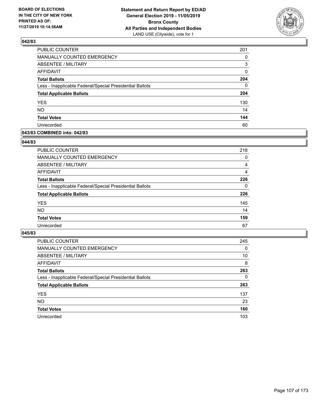

| PUBLIC COUNTER                                           | 201      |
|----------------------------------------------------------|----------|
| MANUALLY COUNTED EMERGENCY                               | 0        |
| <b>ABSENTEE / MILITARY</b>                               | 3        |
| <b>AFFIDAVIT</b>                                         | 0        |
| <b>Total Ballots</b>                                     | 204      |
| Less - Inapplicable Federal/Special Presidential Ballots | $\Omega$ |
| <b>Total Applicable Ballots</b>                          | 204      |
| <b>YES</b>                                               | 130      |
| <b>NO</b>                                                | 14       |
| <b>Total Votes</b>                                       | 144      |
| Unrecorded                                               | 60       |

### **043/83 COMBINED into: 042/83**

### **044/83**

| PUBLIC COUNTER                                           | 218      |
|----------------------------------------------------------|----------|
| <b>MANUALLY COUNTED EMERGENCY</b>                        | $\Omega$ |
| ABSENTEE / MILITARY                                      | 4        |
| AFFIDAVIT                                                | 4        |
| <b>Total Ballots</b>                                     | 226      |
| Less - Inapplicable Federal/Special Presidential Ballots | $\Omega$ |
| <b>Total Applicable Ballots</b>                          | 226      |
| <b>YES</b>                                               | 145      |
| <b>NO</b>                                                | 14       |
| <b>Total Votes</b>                                       | 159      |
| Unrecorded                                               | 67       |
|                                                          |          |

| <b>PUBLIC COUNTER</b>                                    | 245      |
|----------------------------------------------------------|----------|
| MANUALLY COUNTED EMERGENCY                               | $\Omega$ |
| ABSENTEE / MILITARY                                      | 10       |
| AFFIDAVIT                                                | 8        |
| <b>Total Ballots</b>                                     | 263      |
| Less - Inapplicable Federal/Special Presidential Ballots | $\Omega$ |
| <b>Total Applicable Ballots</b>                          | 263      |
| <b>YES</b>                                               | 137      |
| <b>NO</b>                                                | 23       |
| <b>Total Votes</b>                                       | 160      |
| Unrecorded                                               | 103      |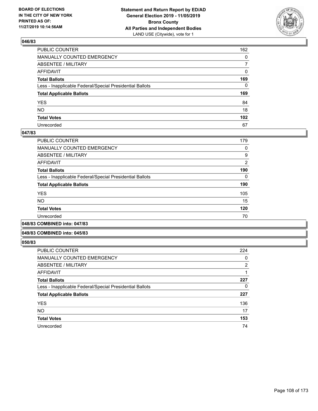

| PUBLIC COUNTER                                           | 162              |
|----------------------------------------------------------|------------------|
| MANUALLY COUNTED EMERGENCY                               | $\mathbf{0}$     |
| ABSENTEE / MILITARY                                      | $\overline{7}$   |
| AFFIDAVIT                                                | 0                |
| Total Ballots                                            | 169              |
| Less - Inapplicable Federal/Special Presidential Ballots | $\mathbf{0}$     |
| <b>Total Applicable Ballots</b>                          | 169              |
| YES                                                      | 84               |
| NO.                                                      | 18               |
| <b>Total Votes</b>                                       | 102 <sub>2</sub> |
| Unrecorded                                               | 67               |

### **047/83**

| PUBLIC COUNTER                                           | 179            |
|----------------------------------------------------------|----------------|
| <b>MANUALLY COUNTED EMERGENCY</b>                        | 0              |
| ABSENTEE / MILITARY                                      | 9              |
| AFFIDAVIT                                                | $\overline{2}$ |
| <b>Total Ballots</b>                                     | 190            |
| Less - Inapplicable Federal/Special Presidential Ballots | 0              |
| <b>Total Applicable Ballots</b>                          | 190            |
| <b>YES</b>                                               | 105            |
| NO.                                                      | 15             |
| <b>Total Votes</b>                                       | 120            |
| Unrecorded                                               | 70             |
|                                                          |                |

**048/83 COMBINED into: 047/83**

#### **049/83 COMBINED into: 045/83**

| PUBLIC COUNTER                                           | 224            |
|----------------------------------------------------------|----------------|
| <b>MANUALLY COUNTED EMERGENCY</b>                        | 0              |
| ABSENTEE / MILITARY                                      | $\overline{2}$ |
| <b>AFFIDAVIT</b>                                         |                |
| <b>Total Ballots</b>                                     | 227            |
| Less - Inapplicable Federal/Special Presidential Ballots | 0              |
| <b>Total Applicable Ballots</b>                          | 227            |
| <b>YES</b>                                               | 136            |
| <b>NO</b>                                                | 17             |
| <b>Total Votes</b>                                       | 153            |
| Unrecorded                                               | 74             |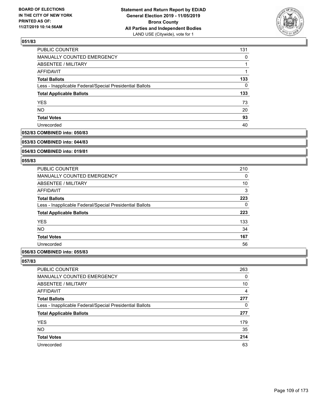

| PUBLIC COUNTER                                           | 131 |
|----------------------------------------------------------|-----|
| MANUALLY COUNTED EMERGENCY                               | 0   |
| <b>ABSENTEE / MILITARY</b>                               |     |
| <b>AFFIDAVIT</b>                                         |     |
| <b>Total Ballots</b>                                     | 133 |
| Less - Inapplicable Federal/Special Presidential Ballots | 0   |
| <b>Total Applicable Ballots</b>                          | 133 |
| <b>YES</b>                                               | 73  |
| <b>NO</b>                                                | 20  |
| <b>Total Votes</b>                                       | 93  |
| Unrecorded                                               | 40  |

# **052/83 COMBINED into: 050/83**

#### **053/83 COMBINED into: 044/83**

## **054/83 COMBINED into: 019/81**

### **055/83**

| <b>PUBLIC COUNTER</b>                                    | 210 |
|----------------------------------------------------------|-----|
| <b>MANUALLY COUNTED EMERGENCY</b>                        | 0   |
| ABSENTEE / MILITARY                                      | 10  |
| <b>AFFIDAVIT</b>                                         | 3   |
| <b>Total Ballots</b>                                     | 223 |
| Less - Inapplicable Federal/Special Presidential Ballots | 0   |
| <b>Total Applicable Ballots</b>                          | 223 |
| <b>YES</b>                                               | 133 |
| <b>NO</b>                                                | 34  |
| <b>Total Votes</b>                                       | 167 |
| Unrecorded                                               | 56  |
|                                                          |     |

## **056/83 COMBINED into: 055/83**

| <b>PUBLIC COUNTER</b>                                    | 263 |
|----------------------------------------------------------|-----|
| <b>MANUALLY COUNTED EMERGENCY</b>                        | 0   |
| <b>ABSENTEE / MILITARY</b>                               | 10  |
| AFFIDAVIT                                                | 4   |
| <b>Total Ballots</b>                                     | 277 |
| Less - Inapplicable Federal/Special Presidential Ballots | 0   |
| <b>Total Applicable Ballots</b>                          | 277 |
| <b>YES</b>                                               | 179 |
| <b>NO</b>                                                | 35  |
| <b>Total Votes</b>                                       | 214 |
| Unrecorded                                               | 63  |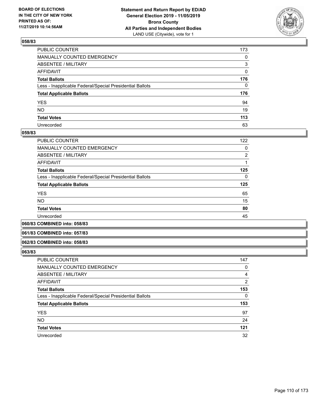

| PUBLIC COUNTER                                           | 173 |
|----------------------------------------------------------|-----|
| MANUALLY COUNTED EMERGENCY                               | 0   |
| ABSENTEE / MILITARY                                      | 3   |
| AFFIDAVIT                                                | 0   |
| Total Ballots                                            | 176 |
| Less - Inapplicable Federal/Special Presidential Ballots | 0   |
| <b>Total Applicable Ballots</b>                          | 176 |
| YES                                                      | 94  |
| NO.                                                      | 19  |
| <b>Total Votes</b>                                       | 113 |
| Unrecorded                                               | 63  |

### **059/83**

| <b>PUBLIC COUNTER</b>                                    | 122      |
|----------------------------------------------------------|----------|
| <b>MANUALLY COUNTED EMERGENCY</b>                        | 0        |
| ABSENTEE / MILITARY                                      | 2        |
| AFFIDAVIT                                                |          |
| <b>Total Ballots</b>                                     | 125      |
| Less - Inapplicable Federal/Special Presidential Ballots | $\Omega$ |
| <b>Total Applicable Ballots</b>                          | 125      |
| <b>YES</b>                                               | 65       |
| <b>NO</b>                                                | 15       |
| <b>Total Votes</b>                                       | 80       |
| Unrecorded                                               | 45       |
|                                                          |          |

**060/83 COMBINED into: 058/83**

### **061/83 COMBINED into: 057/83**

#### **062/83 COMBINED into: 058/83**

| <b>PUBLIC COUNTER</b>                                    | 147   |
|----------------------------------------------------------|-------|
| MANUALLY COUNTED EMERGENCY                               | 0     |
| <b>ABSENTEE / MILITARY</b>                               | 4     |
| AFFIDAVIT                                                | 2     |
| <b>Total Ballots</b>                                     | 153   |
| Less - Inapplicable Federal/Special Presidential Ballots | 0     |
| <b>Total Applicable Ballots</b>                          | 153   |
| <b>YES</b>                                               | 97    |
| <b>NO</b>                                                | 24    |
| <b>Total Votes</b>                                       | $121$ |
| Unrecorded                                               | 32    |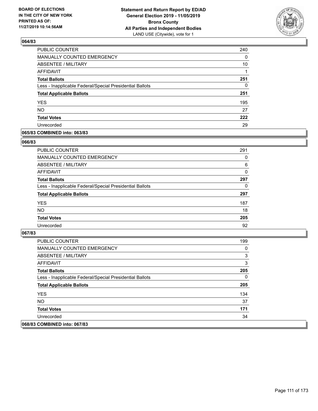

| PUBLIC COUNTER                                           | 240      |
|----------------------------------------------------------|----------|
| MANUALLY COUNTED EMERGENCY                               | 0        |
| ABSENTEE / MILITARY                                      | 10       |
| <b>AFFIDAVIT</b>                                         |          |
| <b>Total Ballots</b>                                     | 251      |
| Less - Inapplicable Federal/Special Presidential Ballots | $\Omega$ |
| <b>Total Applicable Ballots</b>                          | 251      |
| <b>YES</b>                                               | 195      |
| <b>NO</b>                                                | 27       |
| <b>Total Votes</b>                                       | 222      |
| Unrecorded                                               | 29       |

### **065/83 COMBINED into: 063/83**

### **066/83**

| PUBLIC COUNTER                                           | 291 |
|----------------------------------------------------------|-----|
| MANUALLY COUNTED EMERGENCY                               | 0   |
| <b>ABSENTEE / MILITARY</b>                               | 6   |
| AFFIDAVIT                                                | 0   |
| <b>Total Ballots</b>                                     | 297 |
| Less - Inapplicable Federal/Special Presidential Ballots | 0   |
| <b>Total Applicable Ballots</b>                          | 297 |
| <b>YES</b>                                               | 187 |
| <b>NO</b>                                                | 18  |
| <b>Total Votes</b>                                       | 205 |
| Unrecorded                                               | 92  |
|                                                          |     |

| <b>PUBLIC COUNTER</b>                                    | 199 |
|----------------------------------------------------------|-----|
| MANUALLY COUNTED EMERGENCY                               | 0   |
| ABSENTEE / MILITARY                                      | 3   |
| AFFIDAVIT                                                | 3   |
| <b>Total Ballots</b>                                     | 205 |
| Less - Inapplicable Federal/Special Presidential Ballots | 0   |
| <b>Total Applicable Ballots</b>                          | 205 |
| <b>YES</b>                                               | 134 |
| NO.                                                      | 37  |
| <b>Total Votes</b>                                       | 171 |
| Unrecorded                                               | 34  |
| 068/83 COMBINED into: 067/83                             |     |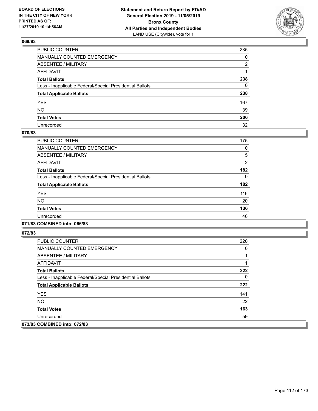

| PUBLIC COUNTER                                           | 235          |
|----------------------------------------------------------|--------------|
| MANUALLY COUNTED EMERGENCY                               | $\mathbf{0}$ |
| ABSENTEE / MILITARY                                      | 2            |
| AFFIDAVIT                                                |              |
| Total Ballots                                            | 238          |
| Less - Inapplicable Federal/Special Presidential Ballots | 0            |
| <b>Total Applicable Ballots</b>                          | 238          |
| YES                                                      | 167          |
| NO.                                                      | 39           |
| <b>Total Votes</b>                                       | 206          |
| Unrecorded                                               | 32           |

## **070/83**

| PUBLIC COUNTER                                           | 175      |
|----------------------------------------------------------|----------|
| <b>MANUALLY COUNTED EMERGENCY</b>                        | 0        |
| ABSENTEE / MILITARY                                      | 5        |
| <b>AFFIDAVIT</b>                                         | 2        |
| <b>Total Ballots</b>                                     | 182      |
| Less - Inapplicable Federal/Special Presidential Ballots | $\Omega$ |
| <b>Total Applicable Ballots</b>                          | 182      |
| <b>YES</b>                                               | 116      |
| <b>NO</b>                                                | 20       |
| <b>Total Votes</b>                                       | 136      |
| Unrecorded                                               | 46       |
|                                                          |          |

## **071/83 COMBINED into: 066/83**

| <b>PUBLIC COUNTER</b>                                    | 220 |
|----------------------------------------------------------|-----|
| <b>MANUALLY COUNTED EMERGENCY</b>                        | 0   |
| ABSENTEE / MILITARY                                      |     |
| AFFIDAVIT                                                |     |
| <b>Total Ballots</b>                                     | 222 |
| Less - Inapplicable Federal/Special Presidential Ballots | 0   |
| <b>Total Applicable Ballots</b>                          | 222 |
| <b>YES</b>                                               | 141 |
| NO.                                                      | 22  |
| <b>Total Votes</b>                                       | 163 |
| Unrecorded                                               | 59  |
| 073/83 COMBINED into: 072/83                             |     |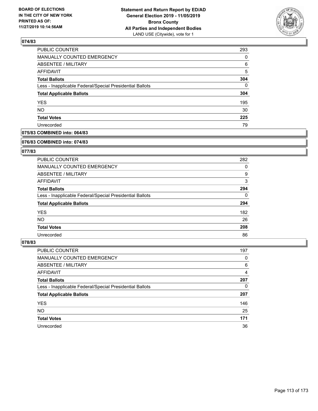

| <b>PUBLIC COUNTER</b>                                    | 293      |
|----------------------------------------------------------|----------|
| <b>MANUALLY COUNTED EMERGENCY</b>                        | 0        |
| <b>ABSENTEE / MILITARY</b>                               | 6        |
| AFFIDAVIT                                                | 5        |
| <b>Total Ballots</b>                                     | 304      |
| Less - Inapplicable Federal/Special Presidential Ballots | $\Omega$ |
| <b>Total Applicable Ballots</b>                          | 304      |
| <b>YES</b>                                               | 195      |
| <b>NO</b>                                                | 30       |
| <b>Total Votes</b>                                       | 225      |
| Unrecorded                                               | 79       |

### **075/83 COMBINED into: 064/83**

#### **076/83 COMBINED into: 074/83**

## **077/83**

| <b>PUBLIC COUNTER</b>                                    | 282      |
|----------------------------------------------------------|----------|
| <b>MANUALLY COUNTED EMERGENCY</b>                        | 0        |
| ABSENTEE / MILITARY                                      | 9        |
| AFFIDAVIT                                                | 3        |
| <b>Total Ballots</b>                                     | 294      |
| Less - Inapplicable Federal/Special Presidential Ballots | $\Omega$ |
| <b>Total Applicable Ballots</b>                          | 294      |
| <b>YES</b>                                               | 182      |
| NO.                                                      | 26       |
| <b>Total Votes</b>                                       | 208      |
| Unrecorded                                               | 86       |

| PUBLIC COUNTER                                           | 197 |
|----------------------------------------------------------|-----|
| <b>MANUALLY COUNTED EMERGENCY</b>                        | 0   |
| ABSENTEE / MILITARY                                      | 6   |
| AFFIDAVIT                                                | 4   |
| <b>Total Ballots</b>                                     | 207 |
| Less - Inapplicable Federal/Special Presidential Ballots | 0   |
| <b>Total Applicable Ballots</b>                          | 207 |
| <b>YES</b>                                               | 146 |
| <b>NO</b>                                                | 25  |
| <b>Total Votes</b>                                       | 171 |
| Unrecorded                                               | 36  |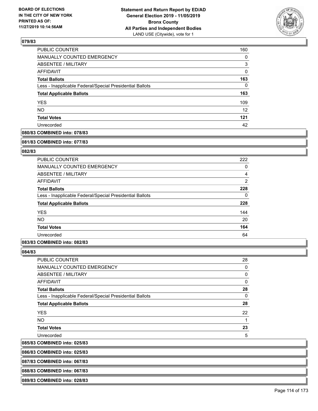

| PUBLIC COUNTER                                           | 160 |
|----------------------------------------------------------|-----|
| <b>MANUALLY COUNTED EMERGENCY</b>                        | 0   |
| ABSENTEE / MILITARY                                      | 3   |
| AFFIDAVIT                                                | 0   |
| <b>Total Ballots</b>                                     | 163 |
| Less - Inapplicable Federal/Special Presidential Ballots | 0   |
| <b>Total Applicable Ballots</b>                          | 163 |
| <b>YES</b>                                               | 109 |
| <b>NO</b>                                                | 12  |
| <b>Total Votes</b>                                       | 121 |
| Unrecorded                                               | 42  |

## **080/83 COMBINED into: 078/83**

#### **081/83 COMBINED into: 077/83**

### **082/83**

| PUBLIC COUNTER                                           | 222            |
|----------------------------------------------------------|----------------|
| <b>MANUALLY COUNTED EMERGENCY</b>                        | 0              |
| ABSENTEE / MILITARY                                      | 4              |
| <b>AFFIDAVIT</b>                                         | $\overline{2}$ |
| <b>Total Ballots</b>                                     | 228            |
| Less - Inapplicable Federal/Special Presidential Ballots | 0              |
| <b>Total Applicable Ballots</b>                          | 228            |
| <b>YES</b>                                               | 144            |
| <b>NO</b>                                                | 20             |
| <b>Total Votes</b>                                       | 164            |
| Unrecorded                                               | 64             |

### **083/83 COMBINED into: 082/83**

**084/83** 

 $|085/83$ 

| PUBLIC COUNTER                                           | 28 |
|----------------------------------------------------------|----|
| MANUALLY COUNTED EMERGENCY                               | 0  |
| <b>ABSENTEE / MILITARY</b>                               | 0  |
| AFFIDAVIT                                                | 0  |
| <b>Total Ballots</b>                                     | 28 |
| Less - Inapplicable Federal/Special Presidential Ballots | 0  |
| <b>Total Applicable Ballots</b>                          | 28 |
| <b>YES</b>                                               | 22 |
| NO.                                                      |    |
| <b>Total Votes</b>                                       | 23 |
| Unrecorded                                               | 5  |
| <b>COMBINED into: 025/83</b>                             |    |

**086/83 COMBINED into: 025/83**

**087/83 COMBINED into: 067/83**

**088/83 COMBINED into: 067/83**

**089/83 COMBINED into: 028/83**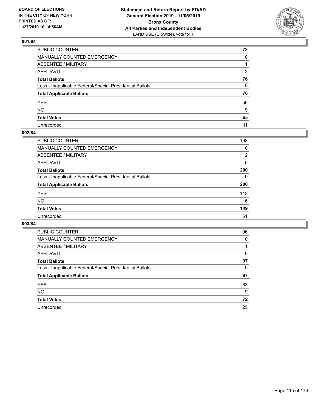

| PUBLIC COUNTER                                           | 73           |
|----------------------------------------------------------|--------------|
| MANUALLY COUNTED EMERGENCY                               | $\mathbf{0}$ |
| ABSENTEE / MILITARY                                      |              |
| AFFIDAVIT                                                | 2            |
| Total Ballots                                            | 76           |
| Less - Inapplicable Federal/Special Presidential Ballots | 0            |
| <b>Total Applicable Ballots</b>                          | 76           |
| YES                                                      | 56           |
| NO.                                                      | 9            |
| <b>Total Votes</b>                                       | 65           |
| Unrecorded                                               | 11           |

## **002/84**

| <b>PUBLIC COUNTER</b>                                    | 198      |
|----------------------------------------------------------|----------|
| MANUALLY COUNTED EMERGENCY                               | 0        |
| ABSENTEE / MILITARY                                      | 2        |
| AFFIDAVIT                                                | 0        |
| <b>Total Ballots</b>                                     | 200      |
| Less - Inapplicable Federal/Special Presidential Ballots | $\Omega$ |
| <b>Total Applicable Ballots</b>                          | 200      |
| <b>YES</b>                                               | 143      |
| <b>NO</b>                                                | 6        |
| <b>Total Votes</b>                                       | 149      |
| Unrecorded                                               | 51       |

| <b>PUBLIC COUNTER</b>                                    | 96       |
|----------------------------------------------------------|----------|
| <b>MANUALLY COUNTED EMERGENCY</b>                        | $\Omega$ |
| ABSENTEE / MILITARY                                      |          |
| AFFIDAVIT                                                | 0        |
| <b>Total Ballots</b>                                     | 97       |
| Less - Inapplicable Federal/Special Presidential Ballots | 0        |
| <b>Total Applicable Ballots</b>                          | 97       |
| <b>YES</b>                                               | 63       |
| NO.                                                      | 9        |
| <b>Total Votes</b>                                       | 72       |
| Unrecorded                                               | 25       |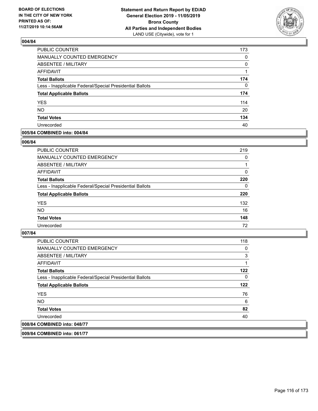

| PUBLIC COUNTER                                           | 173      |
|----------------------------------------------------------|----------|
| MANUALLY COUNTED EMERGENCY                               | 0        |
| ABSENTEE / MILITARY                                      | 0        |
| AFFIDAVIT                                                |          |
| <b>Total Ballots</b>                                     | 174      |
| Less - Inapplicable Federal/Special Presidential Ballots | $\Omega$ |
| <b>Total Applicable Ballots</b>                          | 174      |
| <b>YES</b>                                               | 114      |
| <b>NO</b>                                                | 20       |
| <b>Total Votes</b>                                       | 134      |
| Unrecorded                                               | 40       |

### **005/84 COMBINED into: 004/84**

#### **006/84**

| PUBLIC COUNTER                                           | 219      |
|----------------------------------------------------------|----------|
| <b>MANUALLY COUNTED EMERGENCY</b>                        | $\Omega$ |
| ABSENTEE / MILITARY                                      |          |
| AFFIDAVIT                                                | $\Omega$ |
| <b>Total Ballots</b>                                     | 220      |
| Less - Inapplicable Federal/Special Presidential Ballots | 0        |
| <b>Total Applicable Ballots</b>                          | 220      |
| <b>YES</b>                                               | 132      |
| <b>NO</b>                                                | 16       |
| <b>Total Votes</b>                                       | 148      |
| Unrecorded                                               | 72       |
|                                                          |          |

## **007/84**

| <b>PUBLIC COUNTER</b>                                    | 118      |
|----------------------------------------------------------|----------|
| <b>MANUALLY COUNTED EMERGENCY</b>                        | 0        |
| ABSENTEE / MILITARY                                      | 3        |
| AFFIDAVIT                                                |          |
| <b>Total Ballots</b>                                     | 122      |
| Less - Inapplicable Federal/Special Presidential Ballots | $\Omega$ |
| <b>Total Applicable Ballots</b>                          | 122      |
| <b>YES</b>                                               | 76       |
| NO.                                                      | 6        |
| <b>Total Votes</b>                                       | 82       |
| Unrecorded                                               | 40       |
| 008/84 COMBINED into: 048/77                             |          |

**009/84 COMBINED into: 061/77**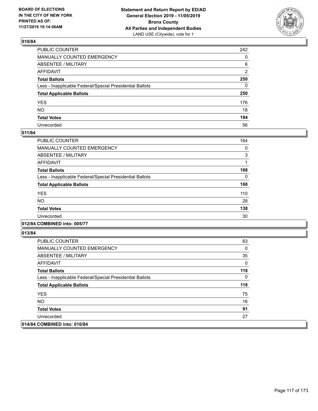

| PUBLIC COUNTER                                           | 242          |
|----------------------------------------------------------|--------------|
| MANUALLY COUNTED EMERGENCY                               | $\Omega$     |
| ABSENTEE / MILITARY                                      | 6            |
| AFFIDAVIT                                                | 2            |
| Total Ballots                                            | 250          |
| Less - Inapplicable Federal/Special Presidential Ballots | $\mathbf{0}$ |
| <b>Total Applicable Ballots</b>                          | 250          |
| YES                                                      | 176          |
| NO.                                                      | 18           |
| <b>Total Votes</b>                                       | 194          |
| Unrecorded                                               | 56           |

## **011/84**

| PUBLIC COUNTER                                           | 164 |
|----------------------------------------------------------|-----|
| <b>MANUALLY COUNTED EMERGENCY</b>                        | 0   |
| ABSENTEE / MILITARY                                      | 3   |
| <b>AFFIDAVIT</b>                                         |     |
| <b>Total Ballots</b>                                     | 168 |
| Less - Inapplicable Federal/Special Presidential Ballots | 0   |
| <b>Total Applicable Ballots</b>                          | 168 |
| <b>YES</b>                                               | 110 |
| <b>NO</b>                                                | 28  |
| <b>Total Votes</b>                                       | 138 |
| Unrecorded                                               | 30  |

**012/84 COMBINED into: 005/77**

| <b>PUBLIC COUNTER</b>                                    | 83  |
|----------------------------------------------------------|-----|
| <b>MANUALLY COUNTED EMERGENCY</b>                        | 0   |
| ABSENTEE / MILITARY                                      | 35  |
| AFFIDAVIT                                                | 0   |
| <b>Total Ballots</b>                                     | 118 |
| Less - Inapplicable Federal/Special Presidential Ballots | 0   |
| <b>Total Applicable Ballots</b>                          | 118 |
| <b>YES</b>                                               | 75  |
| NO.                                                      | 16  |
| <b>Total Votes</b>                                       | 91  |
| Unrecorded                                               | 27  |
| 014/84 COMBINED into: 010/84                             |     |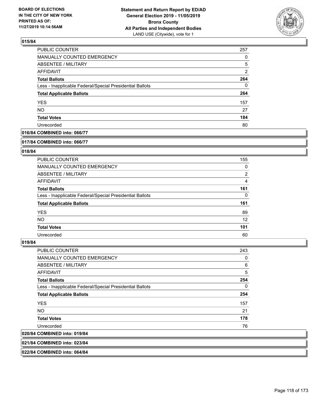

| <b>PUBLIC COUNTER</b>                                    | 257           |
|----------------------------------------------------------|---------------|
| <b>MANUALLY COUNTED EMERGENCY</b>                        | 0             |
| <b>ABSENTEE / MILITARY</b>                               | 5             |
| AFFIDAVIT                                                | $\mathcal{P}$ |
| <b>Total Ballots</b>                                     | 264           |
| Less - Inapplicable Federal/Special Presidential Ballots | 0             |
| <b>Total Applicable Ballots</b>                          | 264           |
| <b>YES</b>                                               | 157           |
| <b>NO</b>                                                | 27            |
| <b>Total Votes</b>                                       | 184           |
| Unrecorded                                               | 80            |

## **016/84 COMBINED into: 066/77**

#### **017/84 COMBINED into: 066/77**

## **018/84**

| <b>PUBLIC COUNTER</b>                                    | 155            |
|----------------------------------------------------------|----------------|
| <b>MANUALLY COUNTED EMERGENCY</b>                        | 0              |
| ABSENTEE / MILITARY                                      | $\overline{2}$ |
| AFFIDAVIT                                                | 4              |
| <b>Total Ballots</b>                                     | 161            |
| Less - Inapplicable Federal/Special Presidential Ballots | $\Omega$       |
| <b>Total Applicable Ballots</b>                          | 161            |
| <b>YES</b>                                               | 89             |
| NO.                                                      | 12             |
| <b>Total Votes</b>                                       | 101            |
| Unrecorded                                               | 60             |

#### **019/84**

| <b>PUBLIC COUNTER</b>                                    | 243      |
|----------------------------------------------------------|----------|
| <b>MANUALLY COUNTED EMERGENCY</b>                        | 0        |
| <b>ABSENTEE / MILITARY</b>                               | 6        |
| <b>AFFIDAVIT</b>                                         | 5        |
| <b>Total Ballots</b>                                     | 254      |
| Less - Inapplicable Federal/Special Presidential Ballots | $\Omega$ |
| <b>Total Applicable Ballots</b>                          | 254      |
| <b>YES</b>                                               | 157      |
| <b>NO</b>                                                | 21       |
| <b>Total Votes</b>                                       | 178      |
| Unrecorded                                               | 76       |
| 020/84 COMBINED into: 019/84                             |          |
|                                                          |          |

**021/84 COMBINED into: 023/84**

**022/84 COMBINED into: 064/84**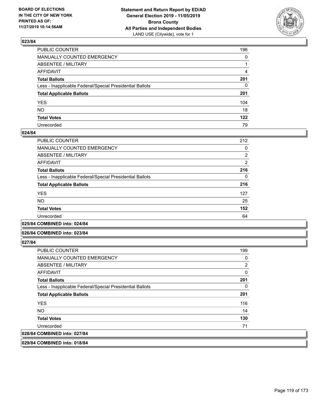

| PUBLIC COUNTER                                           | 196          |
|----------------------------------------------------------|--------------|
| MANUALLY COUNTED EMERGENCY                               | $\mathbf{0}$ |
| ABSENTEE / MILITARY                                      |              |
| AFFIDAVIT                                                | 4            |
| Total Ballots                                            | 201          |
| Less - Inapplicable Federal/Special Presidential Ballots | $\mathbf{0}$ |
| <b>Total Applicable Ballots</b>                          | 201          |
| YES                                                      | 104          |
| NO.                                                      | 18           |
| <b>Total Votes</b>                                       | 122          |
| Unrecorded                                               | 79           |

### **024/84**

| PUBLIC COUNTER                                           | 212            |
|----------------------------------------------------------|----------------|
| <b>MANUALLY COUNTED EMERGENCY</b>                        | 0              |
| ABSENTEE / MILITARY                                      | $\overline{2}$ |
| AFFIDAVIT                                                | $\overline{2}$ |
| <b>Total Ballots</b>                                     | 216            |
| Less - Inapplicable Federal/Special Presidential Ballots | 0              |
| <b>Total Applicable Ballots</b>                          | 216            |
| <b>YES</b>                                               | 127            |
| NO.                                                      | 25             |
| <b>Total Votes</b>                                       | 152            |
| Unrecorded                                               | 64             |
|                                                          |                |

**025/84 COMBINED into: 024/84**

### **026/84 COMBINED into: 023/84**

**027/84** 

| <b>PUBLIC COUNTER</b>                                    | 199      |
|----------------------------------------------------------|----------|
| <b>MANUALLY COUNTED EMERGENCY</b>                        | 0        |
| ABSENTEE / MILITARY                                      | 2        |
| AFFIDAVIT                                                | $\Omega$ |
| <b>Total Ballots</b>                                     | 201      |
| Less - Inapplicable Federal/Special Presidential Ballots | 0        |
| <b>Total Applicable Ballots</b>                          | 201      |
| <b>YES</b>                                               | 116      |
| NO.                                                      | 14       |
| <b>Total Votes</b>                                       | 130      |
| Unrecorded                                               | 71       |
| 028/84 COMBINED into: 027/84                             |          |

**029/84 COMBINED into: 018/84**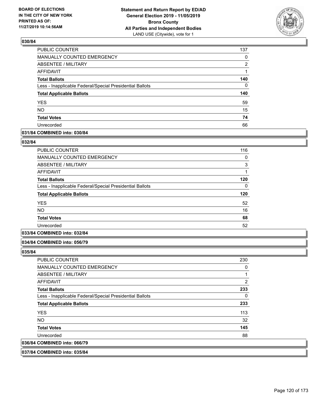

| PUBLIC COUNTER                                           | 137      |
|----------------------------------------------------------|----------|
| MANUALLY COUNTED EMERGENCY                               | 0        |
| <b>ABSENTEE / MILITARY</b>                               | 2        |
| <b>AFFIDAVIT</b>                                         | 1        |
| <b>Total Ballots</b>                                     | 140      |
| Less - Inapplicable Federal/Special Presidential Ballots | $\Omega$ |
| <b>Total Applicable Ballots</b>                          | 140      |
| <b>YES</b>                                               | 59       |
| <b>NO</b>                                                | 15       |
| <b>Total Votes</b>                                       | 74       |
| Unrecorded                                               | 66       |

### **031/84 COMBINED into: 030/84**

#### **032/84**

| <b>PUBLIC COUNTER</b>                                    | 116 |
|----------------------------------------------------------|-----|
| <b>MANUALLY COUNTED EMERGENCY</b>                        | 0   |
| <b>ABSENTEE / MILITARY</b>                               | 3   |
| <b>AFFIDAVIT</b>                                         | 1   |
| <b>Total Ballots</b>                                     | 120 |
| Less - Inapplicable Federal/Special Presidential Ballots | 0   |
| <b>Total Applicable Ballots</b>                          | 120 |
| <b>YES</b>                                               | 52  |
| <b>NO</b>                                                | 16  |
| <b>Total Votes</b>                                       | 68  |
| Unrecorded                                               | 52  |
|                                                          |     |

## **033/84 COMBINED into: 032/84**

#### **034/84 COMBINED into: 056/79**

**035/84** 

| <b>PUBLIC COUNTER</b>                                    | 230 |
|----------------------------------------------------------|-----|
| <b>MANUALLY COUNTED EMERGENCY</b>                        | 0   |
| ABSENTEE / MILITARY                                      | 1   |
| AFFIDAVIT                                                | 2   |
| <b>Total Ballots</b>                                     | 233 |
| Less - Inapplicable Federal/Special Presidential Ballots | 0   |
| <b>Total Applicable Ballots</b>                          | 233 |
| <b>YES</b>                                               | 113 |
| NO.                                                      | 32  |
| <b>Total Votes</b>                                       | 145 |
| Unrecorded                                               | 88  |
| 036/84 COMBINED into: 066/79                             |     |
|                                                          |     |

## **037/84 COMBINED into: 035/84**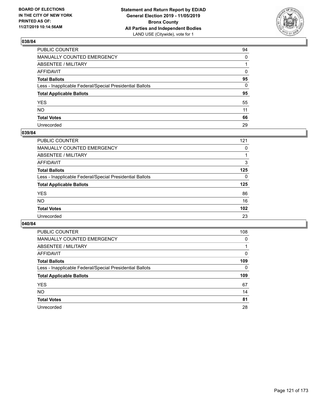

| PUBLIC COUNTER                                           | 94       |
|----------------------------------------------------------|----------|
| MANUALLY COUNTED EMERGENCY                               | $\Omega$ |
| ABSENTEE / MILITARY                                      |          |
| AFFIDAVIT                                                | 0        |
| Total Ballots                                            | 95       |
| Less - Inapplicable Federal/Special Presidential Ballots | 0        |
| <b>Total Applicable Ballots</b>                          | 95       |
| YES                                                      | 55       |
| NO.                                                      | 11       |
| <b>Total Votes</b>                                       | 66       |
| Unrecorded                                               | 29       |

## **039/84**

| 121      |
|----------|
| 0        |
|          |
| 3        |
| 125      |
| $\Omega$ |
| 125      |
| 86       |
| 16       |
| 102      |
| 23       |
|          |

| <b>PUBLIC COUNTER</b>                                    | 108      |
|----------------------------------------------------------|----------|
| MANUALLY COUNTED EMERGENCY                               | $\Omega$ |
| ABSENTEE / MILITARY                                      |          |
| AFFIDAVIT                                                | 0        |
| <b>Total Ballots</b>                                     | 109      |
| Less - Inapplicable Federal/Special Presidential Ballots | 0        |
| <b>Total Applicable Ballots</b>                          | 109      |
|                                                          |          |
| <b>YES</b>                                               | 67       |
| NO.                                                      | 14       |
| <b>Total Votes</b>                                       | 81       |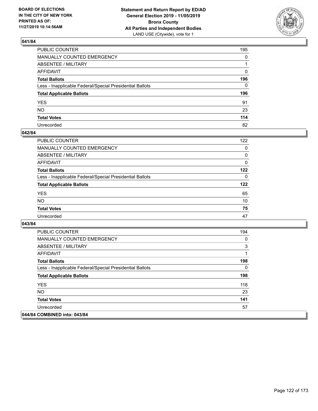

| PUBLIC COUNTER                                           | 195          |
|----------------------------------------------------------|--------------|
| MANUALLY COUNTED EMERGENCY                               | $\mathbf{0}$ |
| ABSENTEE / MILITARY                                      |              |
| AFFIDAVIT                                                | 0            |
| Total Ballots                                            | 196          |
| Less - Inapplicable Federal/Special Presidential Ballots | 0            |
| <b>Total Applicable Ballots</b>                          | 196          |
| YES                                                      | 91           |
| NO.                                                      | 23           |
| <b>Total Votes</b>                                       | 114          |
| Unrecorded                                               | 82           |

### **042/84**

| <b>PUBLIC COUNTER</b>                                    | 122      |
|----------------------------------------------------------|----------|
| <b>MANUALLY COUNTED EMERGENCY</b>                        | 0        |
| ABSENTEE / MILITARY                                      | 0        |
| AFFIDAVIT                                                | $\Omega$ |
| <b>Total Ballots</b>                                     | 122      |
| Less - Inapplicable Federal/Special Presidential Ballots | $\Omega$ |
| <b>Total Applicable Ballots</b>                          | 122      |
| <b>YES</b>                                               | 65       |
| <b>NO</b>                                                | 10       |
| <b>Total Votes</b>                                       | 75       |
| Unrecorded                                               | 47       |

| <b>PUBLIC COUNTER</b>                                    | 194 |
|----------------------------------------------------------|-----|
| <b>MANUALLY COUNTED EMERGENCY</b>                        | 0   |
| ABSENTEE / MILITARY                                      | 3   |
| AFFIDAVIT                                                |     |
| <b>Total Ballots</b>                                     | 198 |
| Less - Inapplicable Federal/Special Presidential Ballots | 0   |
| <b>Total Applicable Ballots</b>                          | 198 |
| <b>YES</b>                                               | 118 |
| <b>NO</b>                                                | 23  |
| <b>Total Votes</b>                                       | 141 |
| Unrecorded                                               | 57  |
| 044/84 COMBINED into: 043/84                             |     |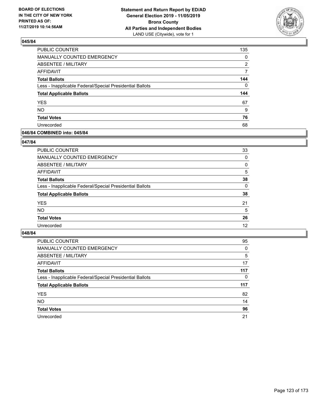

| PUBLIC COUNTER                                           | 135          |
|----------------------------------------------------------|--------------|
| MANUALLY COUNTED EMERGENCY                               | 0            |
| <b>ABSENTEE / MILITARY</b>                               | 2            |
| <b>AFFIDAVIT</b>                                         | 7            |
| <b>Total Ballots</b>                                     | 144          |
| Less - Inapplicable Federal/Special Presidential Ballots | $\mathbf{0}$ |
| <b>Total Applicable Ballots</b>                          | 144          |
| <b>YES</b>                                               | 67           |
| <b>NO</b>                                                | 9            |
|                                                          |              |
| <b>Total Votes</b>                                       | 76           |

### **046/84 COMBINED into: 045/84**

### **047/84**

| PUBLIC COUNTER                                           | 33       |
|----------------------------------------------------------|----------|
| <b>MANUALLY COUNTED EMERGENCY</b>                        | $\Omega$ |
| ABSENTEE / MILITARY                                      | 0        |
| AFFIDAVIT                                                | 5        |
| <b>Total Ballots</b>                                     | 38       |
| Less - Inapplicable Federal/Special Presidential Ballots | $\Omega$ |
| <b>Total Applicable Ballots</b>                          | 38       |
| <b>YES</b>                                               | 21       |
| <b>NO</b>                                                | 5        |
| <b>Total Votes</b>                                       | 26       |
| Unrecorded                                               | 12       |
|                                                          |          |

| <b>PUBLIC COUNTER</b>                                    | 95       |
|----------------------------------------------------------|----------|
| <b>MANUALLY COUNTED EMERGENCY</b>                        | 0        |
| ABSENTEE / MILITARY                                      | 5        |
| AFFIDAVIT                                                | 17       |
| <b>Total Ballots</b>                                     | 117      |
| Less - Inapplicable Federal/Special Presidential Ballots | $\Omega$ |
| <b>Total Applicable Ballots</b>                          | 117      |
| <b>YES</b>                                               | 82       |
| <b>NO</b>                                                | 14       |
| <b>Total Votes</b>                                       | 96       |
| Unrecorded                                               | 21       |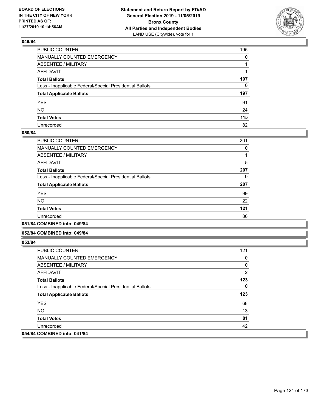

| PUBLIC COUNTER                                           | 195          |
|----------------------------------------------------------|--------------|
| MANUALLY COUNTED EMERGENCY                               | $\mathbf{0}$ |
| ABSENTEE / MILITARY                                      |              |
| AFFIDAVIT                                                |              |
| Total Ballots                                            | 197          |
| Less - Inapplicable Federal/Special Presidential Ballots | $\mathbf{0}$ |
| <b>Total Applicable Ballots</b>                          | 197          |
| YES                                                      | 91           |
| NO.                                                      | 24           |
| <b>Total Votes</b>                                       | 115          |
| Unrecorded                                               | 82           |

### **050/84**

| PUBLIC COUNTER                                           | 201 |
|----------------------------------------------------------|-----|
| <b>MANUALLY COUNTED EMERGENCY</b>                        | 0   |
| ABSENTEE / MILITARY                                      |     |
| AFFIDAVIT                                                | 5   |
| <b>Total Ballots</b>                                     | 207 |
| Less - Inapplicable Federal/Special Presidential Ballots | 0   |
| <b>Total Applicable Ballots</b>                          | 207 |
| <b>YES</b>                                               | 99  |
| <b>NO</b>                                                | 22  |
| <b>Total Votes</b>                                       | 121 |
| Unrecorded                                               | 86  |
|                                                          |     |

#### **051/84 COMBINED into: 049/84**

### **052/84 COMBINED into: 049/84**

| <b>PUBLIC COUNTER</b>                                    | 121            |
|----------------------------------------------------------|----------------|
| <b>MANUALLY COUNTED EMERGENCY</b>                        | 0              |
| ABSENTEE / MILITARY                                      | 0              |
| AFFIDAVIT                                                | $\overline{2}$ |
| <b>Total Ballots</b>                                     | 123            |
| Less - Inapplicable Federal/Special Presidential Ballots | $\Omega$       |
| <b>Total Applicable Ballots</b>                          | 123            |
| <b>YES</b>                                               | 68             |
| NO.                                                      | 13             |
| <b>Total Votes</b>                                       | 81             |
| Unrecorded                                               | 42             |
| 054/84 COMBINED into: 041/84                             |                |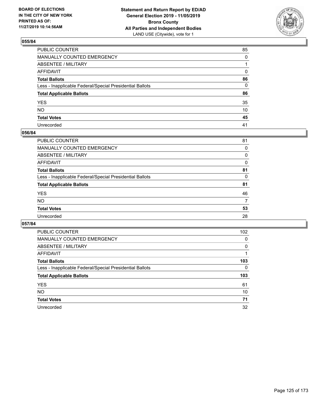

| PUBLIC COUNTER                                           | 85       |
|----------------------------------------------------------|----------|
| MANUALLY COUNTED EMERGENCY                               | $\Omega$ |
| ABSENTEE / MILITARY                                      |          |
| AFFIDAVIT                                                | 0        |
| Total Ballots                                            | 86       |
| Less - Inapplicable Federal/Special Presidential Ballots | 0        |
| <b>Total Applicable Ballots</b>                          | 86       |
| YES                                                      | 35       |
| NO.                                                      | 10       |
| <b>Total Votes</b>                                       | 45       |
| Unrecorded                                               | 41       |

## **056/84**

| <b>PUBLIC COUNTER</b>                                    | 81 |
|----------------------------------------------------------|----|
| <b>MANUALLY COUNTED EMERGENCY</b>                        | 0  |
| ABSENTEE / MILITARY                                      | 0  |
| AFFIDAVIT                                                | 0  |
| <b>Total Ballots</b>                                     | 81 |
| Less - Inapplicable Federal/Special Presidential Ballots | 0  |
| <b>Total Applicable Ballots</b>                          | 81 |
| <b>YES</b>                                               | 46 |
| <b>NO</b>                                                | 7  |
| <b>Total Votes</b>                                       | 53 |
| Unrecorded                                               | 28 |
|                                                          |    |

| <b>PUBLIC COUNTER</b>                                    | 102      |
|----------------------------------------------------------|----------|
| <b>MANUALLY COUNTED EMERGENCY</b>                        | 0        |
| ABSENTEE / MILITARY                                      | $\Omega$ |
| AFFIDAVIT                                                |          |
| <b>Total Ballots</b>                                     | 103      |
| Less - Inapplicable Federal/Special Presidential Ballots | 0        |
| <b>Total Applicable Ballots</b>                          | 103      |
| <b>YES</b>                                               | 61       |
| <b>NO</b>                                                | 10       |
| <b>Total Votes</b>                                       | 71       |
| Unrecorded                                               | 32       |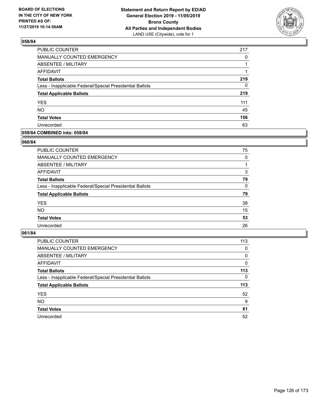

| PUBLIC COUNTER                                           | 217 |
|----------------------------------------------------------|-----|
| <b>MANUALLY COUNTED EMERGENCY</b>                        | 0   |
| <b>ABSENTEE / MILITARY</b>                               |     |
| <b>AFFIDAVIT</b>                                         |     |
| <b>Total Ballots</b>                                     | 219 |
| Less - Inapplicable Federal/Special Presidential Ballots | 0   |
| <b>Total Applicable Ballots</b>                          | 219 |
| <b>YES</b>                                               | 111 |
| <b>NO</b>                                                | 45  |
| <b>Total Votes</b>                                       | 156 |
| Unrecorded                                               | 63  |

### **059/84 COMBINED into: 058/84**

#### **060/84**

| PUBLIC COUNTER                                           | 75       |
|----------------------------------------------------------|----------|
| <b>MANUALLY COUNTED EMERGENCY</b>                        | $\Omega$ |
| ABSENTEE / MILITARY                                      |          |
| <b>AFFIDAVIT</b>                                         | 3        |
| <b>Total Ballots</b>                                     | 79       |
| Less - Inapplicable Federal/Special Presidential Ballots | $\Omega$ |
| <b>Total Applicable Ballots</b>                          | 79       |
| <b>YES</b>                                               | 38       |
| <b>NO</b>                                                | 15       |
| <b>Total Votes</b>                                       | 53       |
| Unrecorded                                               | 26       |
|                                                          |          |

| <b>PUBLIC COUNTER</b>                                    | 113      |
|----------------------------------------------------------|----------|
| <b>MANUALLY COUNTED EMERGENCY</b>                        | 0        |
| ABSENTEE / MILITARY                                      | $\Omega$ |
| AFFIDAVIT                                                | $\Omega$ |
| <b>Total Ballots</b>                                     | 113      |
| Less - Inapplicable Federal/Special Presidential Ballots | $\Omega$ |
| <b>Total Applicable Ballots</b>                          | 113      |
| <b>YES</b>                                               | 52       |
| <b>NO</b>                                                | 9        |
| <b>Total Votes</b>                                       | 61       |
| Unrecorded                                               | 52       |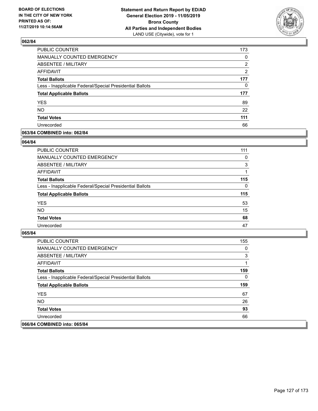

| PUBLIC COUNTER                                           | 173            |
|----------------------------------------------------------|----------------|
| MANUALLY COUNTED EMERGENCY                               | 0              |
| ABSENTEE / MILITARY                                      | 2              |
| <b>AFFIDAVIT</b>                                         | $\overline{2}$ |
| <b>Total Ballots</b>                                     | 177            |
| Less - Inapplicable Federal/Special Presidential Ballots | 0              |
| <b>Total Applicable Ballots</b>                          | 177            |
| <b>YES</b>                                               | 89             |
| <b>NO</b>                                                | 22             |
| <b>Total Votes</b>                                       | 111            |
| Unrecorded                                               | 66             |

### **063/84 COMBINED into: 062/84**

#### **064/84**

| PUBLIC COUNTER                                           | 111      |
|----------------------------------------------------------|----------|
| <b>MANUALLY COUNTED EMERGENCY</b>                        | $\Omega$ |
| ABSENTEE / MILITARY                                      | 3        |
| AFFIDAVIT                                                |          |
| <b>Total Ballots</b>                                     | 115      |
| Less - Inapplicable Federal/Special Presidential Ballots | $\Omega$ |
| <b>Total Applicable Ballots</b>                          | 115      |
| <b>YES</b>                                               | 53       |
| <b>NO</b>                                                | 15       |
| <b>Total Votes</b>                                       | 68       |
| Unrecorded                                               | 47       |
|                                                          |          |

| <b>PUBLIC COUNTER</b>                                    | 155 |
|----------------------------------------------------------|-----|
| <b>MANUALLY COUNTED EMERGENCY</b>                        | 0   |
| ABSENTEE / MILITARY                                      | 3   |
| AFFIDAVIT                                                |     |
| <b>Total Ballots</b>                                     | 159 |
| Less - Inapplicable Federal/Special Presidential Ballots | 0   |
| <b>Total Applicable Ballots</b>                          | 159 |
| <b>YES</b>                                               | 67  |
| NO.                                                      | 26  |
| <b>Total Votes</b>                                       | 93  |
| Unrecorded                                               | 66  |
| 066/84 COMBINED into: 065/84                             |     |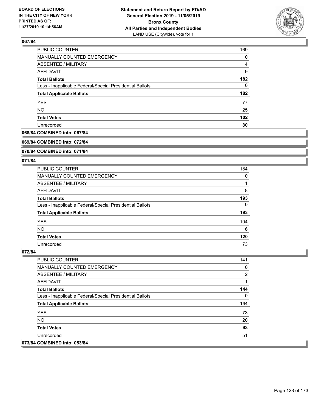

| <b>PUBLIC COUNTER</b>                                    | 169 |
|----------------------------------------------------------|-----|
| MANUALLY COUNTED EMERGENCY                               | 0   |
| ABSENTEE / MILITARY                                      | 4   |
| <b>AFFIDAVIT</b>                                         | 9   |
| <b>Total Ballots</b>                                     | 182 |
| Less - Inapplicable Federal/Special Presidential Ballots | 0   |
| <b>Total Applicable Ballots</b>                          | 182 |
| <b>YES</b>                                               | 77  |
| <b>NO</b>                                                | 25  |
| <b>Total Votes</b>                                       | 102 |
| Unrecorded                                               | 80  |

### **068/84 COMBINED into: 067/84**

#### **069/84 COMBINED into: 072/84**

### **070/84 COMBINED into: 071/84**

#### **071/84**

| <b>PUBLIC COUNTER</b>                                    | 184 |
|----------------------------------------------------------|-----|
| MANUALLY COUNTED EMERGENCY                               | 0   |
| ABSENTEE / MILITARY                                      |     |
| AFFIDAVIT                                                | 8   |
| <b>Total Ballots</b>                                     | 193 |
| Less - Inapplicable Federal/Special Presidential Ballots | 0   |
| <b>Total Applicable Ballots</b>                          | 193 |
| <b>YES</b>                                               | 104 |
| NO.                                                      | 16  |
| <b>Total Votes</b>                                       | 120 |
| Unrecorded                                               | 73  |

| <b>PUBLIC COUNTER</b>                                    | 141 |
|----------------------------------------------------------|-----|
| <b>MANUALLY COUNTED EMERGENCY</b>                        | 0   |
| ABSENTEE / MILITARY                                      | 2   |
| AFFIDAVIT                                                |     |
| <b>Total Ballots</b>                                     | 144 |
| Less - Inapplicable Federal/Special Presidential Ballots | 0   |
| <b>Total Applicable Ballots</b>                          | 144 |
| <b>YES</b>                                               | 73  |
| NO.                                                      | 20  |
| <b>Total Votes</b>                                       | 93  |
| Unrecorded                                               | 51  |
| 073/84 COMBINED into: 053/84                             |     |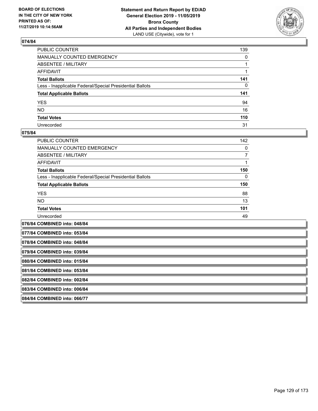

| PUBLIC COUNTER                                           | 139          |
|----------------------------------------------------------|--------------|
| MANUALLY COUNTED EMERGENCY                               | $\mathbf{0}$ |
| ABSENTEE / MILITARY                                      |              |
| AFFIDAVIT                                                |              |
| Total Ballots                                            | 141          |
| Less - Inapplicable Federal/Special Presidential Ballots | 0            |
| <b>Total Applicable Ballots</b>                          | 141          |
| YES                                                      | 94           |
| NO.                                                      | 16           |
| <b>Total Votes</b>                                       | 110          |
| Unrecorded                                               | 31           |

### **075/84**

| PUBLIC COUNTER                                           | 142 |
|----------------------------------------------------------|-----|
| <b>MANUALLY COUNTED EMERGENCY</b>                        | 0   |
| ABSENTEE / MILITARY                                      |     |
| AFFIDAVIT                                                |     |
| <b>Total Ballots</b>                                     | 150 |
| Less - Inapplicable Federal/Special Presidential Ballots | 0   |
| <b>Total Applicable Ballots</b>                          | 150 |
| <b>YES</b>                                               | 88  |
| <b>NO</b>                                                | 13  |
| <b>Total Votes</b>                                       | 101 |
| Unrecorded                                               | 49  |
|                                                          |     |

**076/84 COMBINED into: 048/84 077/84 COMBINED into: 053/84 078/84 COMBINED into: 048/84 079/84 COMBINED into: 039/84 080/84 COMBINED into: 015/84 081/84 COMBINED into: 053/84 082/84 COMBINED into: 002/84 083/84 COMBINED into: 006/84 084/84 COMBINED into: 066/77**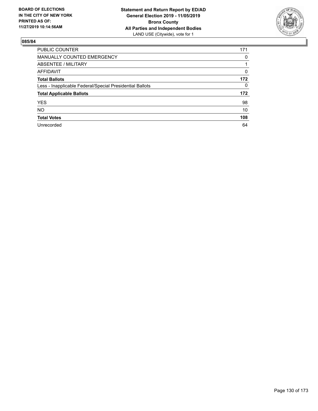

| <b>PUBLIC COUNTER</b>                                    | 171      |
|----------------------------------------------------------|----------|
| <b>MANUALLY COUNTED EMERGENCY</b>                        | 0        |
| ABSENTEE / MILITARY                                      |          |
| <b>AFFIDAVIT</b>                                         | $\Omega$ |
| <b>Total Ballots</b>                                     | 172      |
| Less - Inapplicable Federal/Special Presidential Ballots | 0        |
| <b>Total Applicable Ballots</b>                          | 172      |
| <b>YES</b>                                               | 98       |
| <b>NO</b>                                                | 10       |
| <b>Total Votes</b>                                       | 108      |
| Unrecorded                                               | 64       |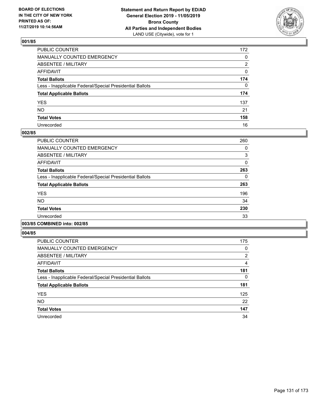

| PUBLIC COUNTER                                           | 172 |
|----------------------------------------------------------|-----|
| MANUALLY COUNTED EMERGENCY                               | 0   |
| ABSENTEE / MILITARY                                      | 2   |
| AFFIDAVIT                                                | 0   |
| Total Ballots                                            | 174 |
| Less - Inapplicable Federal/Special Presidential Ballots | 0   |
| <b>Total Applicable Ballots</b>                          | 174 |
| YES                                                      | 137 |
| NO.                                                      | 21  |
| <b>Total Votes</b>                                       | 158 |
| Unrecorded                                               | 16  |

## **002/85**

| PUBLIC COUNTER                                           | 260          |
|----------------------------------------------------------|--------------|
| <b>MANUALLY COUNTED EMERGENCY</b>                        | 0            |
| ABSENTEE / MILITARY                                      | 3            |
| <b>AFFIDAVIT</b>                                         | $\mathbf{0}$ |
| <b>Total Ballots</b>                                     | 263          |
| Less - Inapplicable Federal/Special Presidential Ballots | 0            |
| <b>Total Applicable Ballots</b>                          | 263          |
| <b>YES</b>                                               | 196          |
| NO.                                                      | 34           |
| <b>Total Votes</b>                                       | 230          |
| Unrecorded                                               | 33           |
|                                                          |              |

## **003/85 COMBINED into: 002/85**

| <b>PUBLIC COUNTER</b>                                    | 175            |
|----------------------------------------------------------|----------------|
| <b>MANUALLY COUNTED EMERGENCY</b>                        | 0              |
| ABSENTEE / MILITARY                                      | $\overline{2}$ |
| <b>AFFIDAVIT</b>                                         | 4              |
| <b>Total Ballots</b>                                     | 181            |
| Less - Inapplicable Federal/Special Presidential Ballots | 0              |
| <b>Total Applicable Ballots</b>                          | 181            |
| <b>YES</b>                                               | 125            |
| <b>NO</b>                                                | 22             |
| <b>Total Votes</b>                                       | 147            |
| Unrecorded                                               | 34             |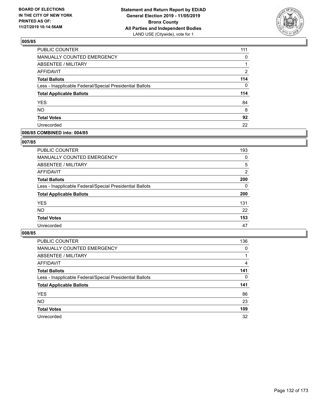

| <b>PUBLIC COUNTER</b>                                    | 111            |
|----------------------------------------------------------|----------------|
| MANUALLY COUNTED EMERGENCY                               | 0              |
| <b>ABSENTEE / MILITARY</b>                               |                |
| <b>AFFIDAVIT</b>                                         | $\overline{2}$ |
| <b>Total Ballots</b>                                     | 114            |
| Less - Inapplicable Federal/Special Presidential Ballots | 0              |
| <b>Total Applicable Ballots</b>                          | 114            |
| <b>YES</b>                                               | 84             |
| <b>NO</b>                                                | 8              |
| <b>Total Votes</b>                                       | 92             |
| Unrecorded                                               | 22             |

### **006/85 COMBINED into: 004/85**

### **007/85**

| PUBLIC COUNTER                                           | 193      |
|----------------------------------------------------------|----------|
| MANUALLY COUNTED EMERGENCY                               | $\Omega$ |
| <b>ABSENTEE / MILITARY</b>                               | 5        |
| AFFIDAVIT                                                | 2        |
| <b>Total Ballots</b>                                     | 200      |
| Less - Inapplicable Federal/Special Presidential Ballots | $\Omega$ |
| <b>Total Applicable Ballots</b>                          | 200      |
| <b>YES</b>                                               | 131      |
| <b>NO</b>                                                | 22       |
| <b>Total Votes</b>                                       | 153      |
| Unrecorded                                               | 47       |
|                                                          |          |

| <b>PUBLIC COUNTER</b>                                    | 136      |
|----------------------------------------------------------|----------|
| MANUALLY COUNTED EMERGENCY                               | $\Omega$ |
| ABSENTEE / MILITARY                                      |          |
| AFFIDAVIT                                                | 4        |
| <b>Total Ballots</b>                                     | 141      |
| Less - Inapplicable Federal/Special Presidential Ballots | $\Omega$ |
| <b>Total Applicable Ballots</b>                          | 141      |
| <b>YES</b>                                               | 86       |
| <b>NO</b>                                                | 23       |
| <b>Total Votes</b>                                       | 109      |
| Unrecorded                                               | 32       |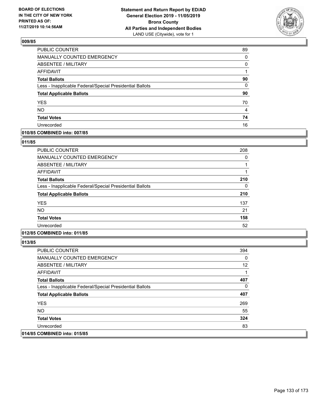

| <b>PUBLIC COUNTER</b>                                    | 89       |
|----------------------------------------------------------|----------|
| MANUALLY COUNTED EMERGENCY                               | $\Omega$ |
| ABSENTEE / MILITARY                                      | 0        |
| <b>AFFIDAVIT</b>                                         | 1        |
| <b>Total Ballots</b>                                     | 90       |
| Less - Inapplicable Federal/Special Presidential Ballots | 0        |
| <b>Total Applicable Ballots</b>                          | 90       |
| <b>YES</b>                                               | 70       |
| <b>NO</b>                                                | 4        |
| <b>Total Votes</b>                                       | 74       |
| Unrecorded                                               | 16       |

## **010/85 COMBINED into: 007/85**

#### **011/85**

| <b>PUBLIC COUNTER</b>                                    | 208 |
|----------------------------------------------------------|-----|
| <b>MANUALLY COUNTED EMERGENCY</b>                        | 0   |
| ABSENTEE / MILITARY                                      | 1   |
| AFFIDAVIT                                                |     |
| <b>Total Ballots</b>                                     | 210 |
| Less - Inapplicable Federal/Special Presidential Ballots | 0   |
| <b>Total Applicable Ballots</b>                          | 210 |
| <b>YES</b>                                               | 137 |
| <b>NO</b>                                                | 21  |
| <b>Total Votes</b>                                       | 158 |
| Unrecorded                                               | 52  |
|                                                          |     |

## **012/85 COMBINED into: 011/85**

| <b>PUBLIC COUNTER</b>                                    | 394 |
|----------------------------------------------------------|-----|
| <b>MANUALLY COUNTED EMERGENCY</b>                        | 0   |
| ABSENTEE / MILITARY                                      | 12  |
| AFFIDAVIT                                                | 1   |
| <b>Total Ballots</b>                                     | 407 |
| Less - Inapplicable Federal/Special Presidential Ballots | 0   |
| <b>Total Applicable Ballots</b>                          | 407 |
| <b>YES</b>                                               | 269 |
| NO.                                                      | 55  |
| <b>Total Votes</b>                                       | 324 |
| Unrecorded                                               | 83  |
| 014/85 COMBINED into: 015/85                             |     |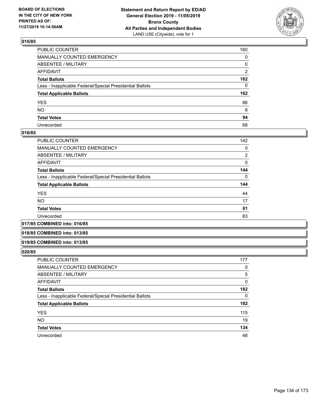

| PUBLIC COUNTER                                           | 160          |
|----------------------------------------------------------|--------------|
| MANUALLY COUNTED EMERGENCY                               | $\mathbf{0}$ |
| ABSENTEE / MILITARY                                      | 0            |
| AFFIDAVIT                                                | 2            |
| Total Ballots                                            | 162          |
| Less - Inapplicable Federal/Special Presidential Ballots | 0            |
| <b>Total Applicable Ballots</b>                          | 162          |
| YES                                                      | 86           |
| NO.                                                      | 8            |
| <b>Total Votes</b>                                       | 94           |
| Unrecorded                                               | 68           |

### **016/85**

| <b>PUBLIC COUNTER</b>                                    | 142            |
|----------------------------------------------------------|----------------|
| MANUALLY COUNTED EMERGENCY                               | 0              |
| ABSENTEE / MILITARY                                      | $\overline{2}$ |
| AFFIDAVIT                                                | 0              |
| <b>Total Ballots</b>                                     | 144            |
| Less - Inapplicable Federal/Special Presidential Ballots | $\Omega$       |
| <b>Total Applicable Ballots</b>                          | 144            |
| <b>YES</b>                                               | 44             |
| <b>NO</b>                                                | 17             |
| <b>Total Votes</b>                                       | 61             |
| Unrecorded                                               | 83             |
|                                                          |                |

#### **017/85 COMBINED into: 016/85**

#### **018/85 COMBINED into: 013/85**

#### **019/85 COMBINED into: 013/85**

| <b>PUBLIC COUNTER</b>                                    | 177 |
|----------------------------------------------------------|-----|
| MANUALLY COUNTED EMERGENCY                               | 0   |
| ABSENTEE / MILITARY                                      | 5   |
| AFFIDAVIT                                                | 0   |
| <b>Total Ballots</b>                                     | 182 |
| Less - Inapplicable Federal/Special Presidential Ballots | 0   |
| <b>Total Applicable Ballots</b>                          | 182 |
| <b>YES</b>                                               | 115 |
| <b>NO</b>                                                | 19  |
| <b>Total Votes</b>                                       | 134 |
| Unrecorded                                               | 48  |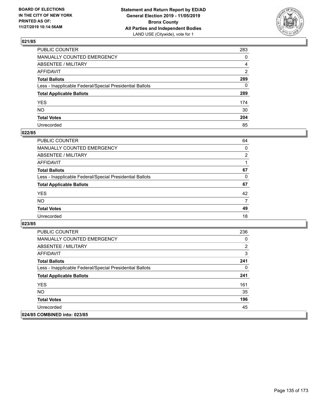

| PUBLIC COUNTER                                           | 283          |
|----------------------------------------------------------|--------------|
| MANUALLY COUNTED EMERGENCY                               | $\mathbf{0}$ |
| ABSENTEE / MILITARY                                      | 4            |
| AFFIDAVIT                                                | 2            |
| Total Ballots                                            | 289          |
| Less - Inapplicable Federal/Special Presidential Ballots | 0            |
| <b>Total Applicable Ballots</b>                          | 289          |
| YES                                                      | 174          |
| NO.                                                      | 30           |
| <b>Total Votes</b>                                       | 204          |
| Unrecorded                                               | 85           |

## **022/85**

| <b>PUBLIC COUNTER</b>                                    | 64             |
|----------------------------------------------------------|----------------|
| MANUALLY COUNTED EMERGENCY                               | 0              |
| ABSENTEE / MILITARY                                      | $\overline{2}$ |
| AFFIDAVIT                                                |                |
| <b>Total Ballots</b>                                     | 67             |
| Less - Inapplicable Federal/Special Presidential Ballots | 0              |
| <b>Total Applicable Ballots</b>                          | 67             |
| <b>YES</b>                                               | 42             |
| <b>NO</b>                                                | 7              |
| <b>Total Votes</b>                                       | 49             |
| Unrecorded                                               | 18             |

| <b>PUBLIC COUNTER</b>                                    | 236 |
|----------------------------------------------------------|-----|
| <b>MANUALLY COUNTED EMERGENCY</b>                        | 0   |
| ABSENTEE / MILITARY                                      | 2   |
| AFFIDAVIT                                                | 3   |
| <b>Total Ballots</b>                                     | 241 |
| Less - Inapplicable Federal/Special Presidential Ballots | 0   |
| <b>Total Applicable Ballots</b>                          | 241 |
| <b>YES</b>                                               | 161 |
| <b>NO</b>                                                | 35  |
| <b>Total Votes</b>                                       | 196 |
| Unrecorded                                               | 45  |
| 024/85 COMBINED into: 023/85                             |     |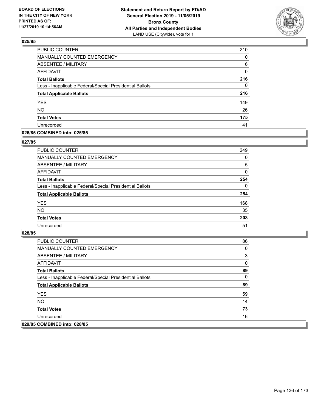

| PUBLIC COUNTER                                           | 210      |
|----------------------------------------------------------|----------|
| <b>MANUALLY COUNTED EMERGENCY</b>                        | 0        |
| <b>ABSENTEE / MILITARY</b>                               | 6        |
| <b>AFFIDAVIT</b>                                         | 0        |
| <b>Total Ballots</b>                                     | 216      |
| Less - Inapplicable Federal/Special Presidential Ballots | $\Omega$ |
| <b>Total Applicable Ballots</b>                          | 216      |
| <b>YES</b>                                               | 149      |
| <b>NO</b>                                                | 26       |
| <b>Total Votes</b>                                       | 175      |
| Unrecorded                                               | 41       |

### **026/85 COMBINED into: 025/85**

### **027/85**

| <b>PUBLIC COUNTER</b>                                    | 249      |
|----------------------------------------------------------|----------|
| <b>MANUALLY COUNTED EMERGENCY</b>                        | $\Omega$ |
| ABSENTEE / MILITARY                                      | 5        |
| AFFIDAVIT                                                | $\Omega$ |
| <b>Total Ballots</b>                                     | 254      |
| Less - Inapplicable Federal/Special Presidential Ballots | $\Omega$ |
| <b>Total Applicable Ballots</b>                          | 254      |
| <b>YES</b>                                               | 168      |
| <b>NO</b>                                                | 35       |
| <b>Total Votes</b>                                       | 203      |
| Unrecorded                                               | 51       |
|                                                          |          |

| <b>PUBLIC COUNTER</b>                                    | 86 |
|----------------------------------------------------------|----|
| <b>MANUALLY COUNTED EMERGENCY</b>                        | 0  |
| ABSENTEE / MILITARY                                      | 3  |
| AFFIDAVIT                                                | 0  |
| <b>Total Ballots</b>                                     | 89 |
| Less - Inapplicable Federal/Special Presidential Ballots | 0  |
| <b>Total Applicable Ballots</b>                          | 89 |
| <b>YES</b>                                               | 59 |
| NO.                                                      | 14 |
| <b>Total Votes</b>                                       | 73 |
| Unrecorded                                               | 16 |
| 029/85 COMBINED into: 028/85                             |    |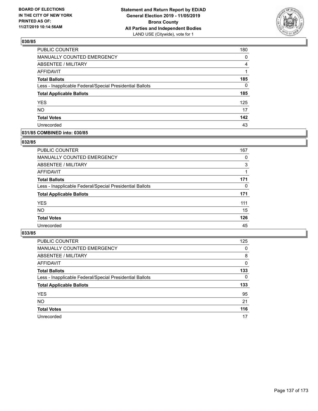

| PUBLIC COUNTER                                           | 180      |
|----------------------------------------------------------|----------|
| MANUALLY COUNTED EMERGENCY                               | 0        |
| <b>ABSENTEE / MILITARY</b>                               | 4        |
| <b>AFFIDAVIT</b>                                         |          |
| <b>Total Ballots</b>                                     | 185      |
| Less - Inapplicable Federal/Special Presidential Ballots | $\Omega$ |
| <b>Total Applicable Ballots</b>                          | 185      |
| <b>YES</b>                                               | 125      |
| <b>NO</b>                                                | 17       |
| <b>Total Votes</b>                                       | 142      |
| Unrecorded                                               | 43       |

### **031/85 COMBINED into: 030/85**

### **032/85**

| <b>PUBLIC COUNTER</b>                                    | 167 |
|----------------------------------------------------------|-----|
| MANUALLY COUNTED EMERGENCY                               | 0   |
| ABSENTEE / MILITARY                                      | 3   |
| AFFIDAVIT                                                |     |
| <b>Total Ballots</b>                                     | 171 |
| Less - Inapplicable Federal/Special Presidential Ballots | 0   |
| <b>Total Applicable Ballots</b>                          | 171 |
| <b>YES</b>                                               | 111 |
| <b>NO</b>                                                | 15  |
| <b>Total Votes</b>                                       | 126 |
| Unrecorded                                               | 45  |
|                                                          |     |

| <b>PUBLIC COUNTER</b>                                    | 125      |
|----------------------------------------------------------|----------|
| MANUALLY COUNTED EMERGENCY                               | $\Omega$ |
| ABSENTEE / MILITARY                                      | 8        |
| AFFIDAVIT                                                | $\Omega$ |
| <b>Total Ballots</b>                                     | 133      |
| Less - Inapplicable Federal/Special Presidential Ballots | 0        |
| <b>Total Applicable Ballots</b>                          | 133      |
| <b>YES</b>                                               | 95       |
| <b>NO</b>                                                | 21       |
|                                                          |          |
| <b>Total Votes</b>                                       | 116      |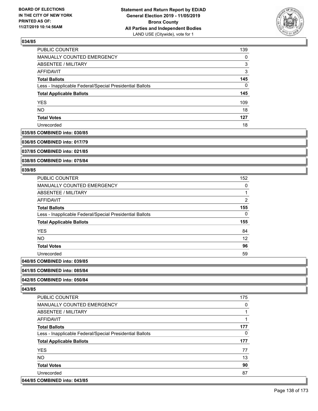

| PUBLIC COUNTER                                           | 139 |
|----------------------------------------------------------|-----|
| MANUALLY COUNTED EMERGENCY                               | 0   |
| ABSENTEE / MILITARY                                      | 3   |
| AFFIDAVIT                                                | 3   |
| <b>Total Ballots</b>                                     | 145 |
| Less - Inapplicable Federal/Special Presidential Ballots | 0   |
| <b>Total Applicable Ballots</b>                          | 145 |
| <b>YES</b>                                               | 109 |
| <b>NO</b>                                                | 18  |
| <b>Total Votes</b>                                       | 127 |
| Unrecorded                                               | 18  |

#### **035/85 COMBINED into: 030/85**

**036/85 COMBINED into: 017/79**

**037/85 COMBINED into: 021/85**

**038/85 COMBINED into: 075/84**

### **039/85**

| <b>PUBLIC COUNTER</b>                                    | 152 |
|----------------------------------------------------------|-----|
| <b>MANUALLY COUNTED EMERGENCY</b>                        | 0   |
| <b>ABSENTEE / MILITARY</b>                               |     |
| AFFIDAVIT                                                | 2   |
| <b>Total Ballots</b>                                     | 155 |
| Less - Inapplicable Federal/Special Presidential Ballots | 0   |
| <b>Total Applicable Ballots</b>                          | 155 |
| <b>YES</b>                                               | 84  |
| <b>NO</b>                                                | 12  |
| <b>Total Votes</b>                                       | 96  |
| Unrecorded                                               | 59  |
| $OOMDHIER 1.4.4. OQ$                                     |     |

# **040/85 COMBINED into: 039/85**

#### **041/85 COMBINED into: 085/84**

### **042/85 COMBINED into: 050/84**

| <b>PUBLIC COUNTER</b>                                    | 175 |
|----------------------------------------------------------|-----|
| <b>MANUALLY COUNTED EMERGENCY</b>                        | 0   |
| ABSENTEE / MILITARY                                      |     |
| AFFIDAVIT                                                |     |
| <b>Total Ballots</b>                                     | 177 |
| Less - Inapplicable Federal/Special Presidential Ballots | 0   |
| <b>Total Applicable Ballots</b>                          | 177 |
| <b>YES</b>                                               | 77  |
| <b>NO</b>                                                | 13  |
| <b>Total Votes</b>                                       | 90  |
| Unrecorded                                               | 87  |
| 044/85 COMBINED into: 043/85                             |     |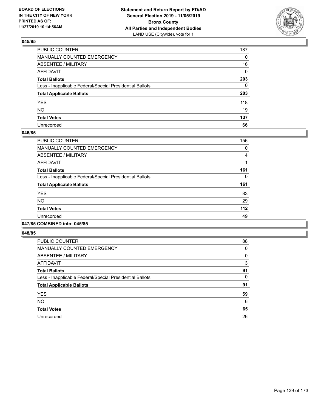

| PUBLIC COUNTER                                           | 187 |
|----------------------------------------------------------|-----|
| MANUALLY COUNTED EMERGENCY                               | 0   |
| ABSENTEE / MILITARY                                      | 16  |
| AFFIDAVIT                                                | 0   |
| Total Ballots                                            | 203 |
| Less - Inapplicable Federal/Special Presidential Ballots | 0   |
| <b>Total Applicable Ballots</b>                          | 203 |
| YES                                                      | 118 |
| NΟ                                                       | 19  |
| <b>Total Votes</b>                                       | 137 |
| Unrecorded                                               | 66  |

### **046/85**

| <b>PUBLIC COUNTER</b>                                    | 156 |
|----------------------------------------------------------|-----|
| <b>MANUALLY COUNTED EMERGENCY</b>                        | 0   |
| ABSENTEE / MILITARY                                      | 4   |
| <b>AFFIDAVIT</b>                                         |     |
| <b>Total Ballots</b>                                     | 161 |
| Less - Inapplicable Federal/Special Presidential Ballots | 0   |
| <b>Total Applicable Ballots</b>                          | 161 |
| <b>YES</b>                                               | 83  |
| <b>NO</b>                                                | 29  |
| <b>Total Votes</b>                                       | 112 |
| Unrecorded                                               | 49  |
|                                                          |     |

### **047/85 COMBINED into: 045/85**

| PUBLIC COUNTER                                           | 88 |
|----------------------------------------------------------|----|
| <b>MANUALLY COUNTED EMERGENCY</b>                        | 0  |
| ABSENTEE / MILITARY                                      | 0  |
| <b>AFFIDAVIT</b>                                         | 3  |
| <b>Total Ballots</b>                                     | 91 |
| Less - Inapplicable Federal/Special Presidential Ballots | 0  |
| <b>Total Applicable Ballots</b>                          | 91 |
| <b>YES</b>                                               | 59 |
| <b>NO</b>                                                | 6  |
| <b>Total Votes</b>                                       | 65 |
| Unrecorded                                               | 26 |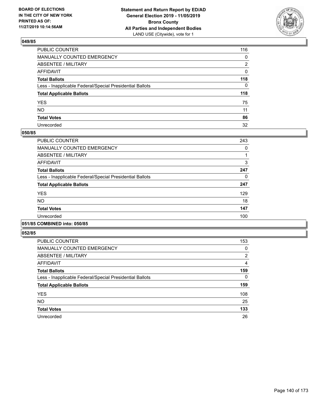

| PUBLIC COUNTER                                           | 116          |
|----------------------------------------------------------|--------------|
| MANUALLY COUNTED EMERGENCY                               | $\mathbf{0}$ |
| ABSENTEE / MILITARY                                      | 2            |
| AFFIDAVIT                                                | 0            |
| Total Ballots                                            | 118          |
| Less - Inapplicable Federal/Special Presidential Ballots | $\Omega$     |
| <b>Total Applicable Ballots</b>                          | 118          |
| YES                                                      | 75           |
| NO.                                                      | 11           |
| <b>Total Votes</b>                                       | 86           |
| Unrecorded                                               | 32           |

### **050/85**

| PUBLIC COUNTER                                           | 243 |
|----------------------------------------------------------|-----|
| MANUALLY COUNTED EMERGENCY                               | 0   |
| ABSENTEE / MILITARY                                      |     |
| <b>AFFIDAVIT</b>                                         | 3   |
| <b>Total Ballots</b>                                     | 247 |
| Less - Inapplicable Federal/Special Presidential Ballots | 0   |
| <b>Total Applicable Ballots</b>                          | 247 |
| <b>YES</b>                                               | 129 |
| <b>NO</b>                                                | 18  |
| <b>Total Votes</b>                                       | 147 |
| Unrecorded                                               | 100 |
|                                                          |     |

## **051/85 COMBINED into: 050/85**

| <b>PUBLIC COUNTER</b>                                    | 153           |
|----------------------------------------------------------|---------------|
| MANUALLY COUNTED EMERGENCY                               | 0             |
| ABSENTEE / MILITARY                                      | $\mathcal{P}$ |
| AFFIDAVIT                                                | 4             |
| <b>Total Ballots</b>                                     | 159           |
| Less - Inapplicable Federal/Special Presidential Ballots | 0             |
| <b>Total Applicable Ballots</b>                          | 159           |
| <b>YES</b>                                               | 108           |
| <b>NO</b>                                                | 25            |
| <b>Total Votes</b>                                       | 133           |
| Unrecorded                                               | 26            |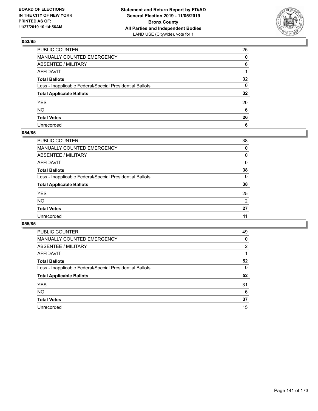

| PUBLIC COUNTER                                           | 25              |
|----------------------------------------------------------|-----------------|
| MANUALLY COUNTED EMERGENCY                               | 0               |
| ABSENTEE / MILITARY                                      | 6               |
| AFFIDAVIT                                                |                 |
| Total Ballots                                            | $32\phantom{a}$ |
| Less - Inapplicable Federal/Special Presidential Ballots | 0               |
| <b>Total Applicable Ballots</b>                          | $32\phantom{a}$ |
| YES                                                      | 20              |
| NO.                                                      | 6               |
| <b>Total Votes</b>                                       | 26              |
| Unrecorded                                               | 6               |

### **054/85**

| <b>PUBLIC COUNTER</b>                                    | 38             |
|----------------------------------------------------------|----------------|
| <b>MANUALLY COUNTED EMERGENCY</b>                        | $\Omega$       |
| ABSENTEE / MILITARY                                      | 0              |
| AFFIDAVIT                                                | $\Omega$       |
| <b>Total Ballots</b>                                     | 38             |
| Less - Inapplicable Federal/Special Presidential Ballots | $\Omega$       |
| <b>Total Applicable Ballots</b>                          | 38             |
| <b>YES</b>                                               | 25             |
| <b>NO</b>                                                | $\overline{2}$ |
| <b>Total Votes</b>                                       | 27             |
| Unrecorded                                               | 11             |
|                                                          |                |

| <b>PUBLIC COUNTER</b>                                    | 49       |
|----------------------------------------------------------|----------|
| <b>MANUALLY COUNTED EMERGENCY</b>                        | 0        |
| ABSENTEE / MILITARY                                      | 2        |
| AFFIDAVIT                                                |          |
| <b>Total Ballots</b>                                     | 52       |
| Less - Inapplicable Federal/Special Presidential Ballots | $\Omega$ |
| <b>Total Applicable Ballots</b>                          | 52       |
| <b>YES</b>                                               | 31       |
| <b>NO</b>                                                | 6        |
| <b>Total Votes</b>                                       | 37       |
| Unrecorded                                               | 15       |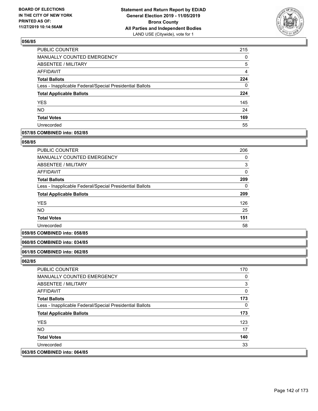

| PUBLIC COUNTER                                           | 215            |
|----------------------------------------------------------|----------------|
| MANUALLY COUNTED EMERGENCY                               | 0              |
| ABSENTEE / MILITARY                                      | 5              |
| AFFIDAVIT                                                | $\overline{4}$ |
| <b>Total Ballots</b>                                     | 224            |
| Less - Inapplicable Federal/Special Presidential Ballots | 0              |
| <b>Total Applicable Ballots</b>                          | 224            |
| <b>YES</b>                                               | 145            |
| <b>NO</b>                                                | 24             |
| <b>Total Votes</b>                                       | 169            |
| Unrecorded                                               | 55             |

### **057/85 COMBINED into: 052/85**

### **058/85**

| <b>PUBLIC COUNTER</b>                                    | 206          |
|----------------------------------------------------------|--------------|
| <b>MANUALLY COUNTED EMERGENCY</b>                        | 0            |
| ABSENTEE / MILITARY                                      | 3            |
| AFFIDAVIT                                                | $\mathbf{0}$ |
| <b>Total Ballots</b>                                     | 209          |
| Less - Inapplicable Federal/Special Presidential Ballots | 0            |
| <b>Total Applicable Ballots</b>                          | 209          |
| <b>YES</b>                                               | 126          |
| NO.                                                      | 25           |
| <b>Total Votes</b>                                       | 151          |
| Unrecorded                                               | 58           |

### **059/85 COMBINED into: 058/85**

### **060/85 COMBINED into: 034/85**

#### **061/85 COMBINED into: 062/85**

| <b>PUBLIC COUNTER</b>                                    | 170 |
|----------------------------------------------------------|-----|
| MANUALLY COUNTED EMERGENCY                               | 0   |
| ABSENTEE / MILITARY                                      | 3   |
| AFFIDAVIT                                                | 0   |
| <b>Total Ballots</b>                                     | 173 |
| Less - Inapplicable Federal/Special Presidential Ballots | 0   |
| <b>Total Applicable Ballots</b>                          | 173 |
| <b>YES</b>                                               | 123 |
| NO.                                                      | 17  |
| <b>Total Votes</b>                                       | 140 |
| Unrecorded                                               | 33  |
| 063/85 COMBINED into: 064/85                             |     |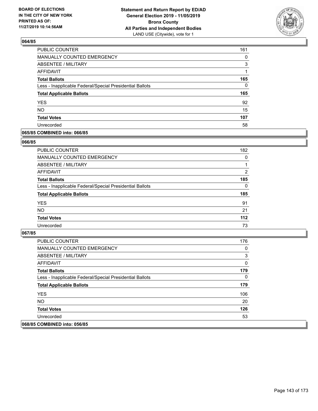

| PUBLIC COUNTER                                           | 161      |
|----------------------------------------------------------|----------|
| <b>MANUALLY COUNTED EMERGENCY</b>                        | 0        |
| ABSENTEE / MILITARY                                      | 3        |
| AFFIDAVIT                                                |          |
| <b>Total Ballots</b>                                     | 165      |
| Less - Inapplicable Federal/Special Presidential Ballots | $\Omega$ |
| <b>Total Applicable Ballots</b>                          | 165      |
| <b>YES</b>                                               | 92       |
| <b>NO</b>                                                | 15       |
| <b>Total Votes</b>                                       | 107      |
| Unrecorded                                               | 58       |

### **065/85 COMBINED into: 066/85**

#### **066/85**

| <b>PUBLIC COUNTER</b>                                    | 182      |
|----------------------------------------------------------|----------|
| <b>MANUALLY COUNTED EMERGENCY</b>                        | $\Omega$ |
| ABSENTEE / MILITARY                                      |          |
| AFFIDAVIT                                                | 2        |
| <b>Total Ballots</b>                                     | 185      |
| Less - Inapplicable Federal/Special Presidential Ballots | $\Omega$ |
| <b>Total Applicable Ballots</b>                          | 185      |
| <b>YES</b>                                               | 91       |
| <b>NO</b>                                                | 21       |
| <b>Total Votes</b>                                       | $112$    |
| Unrecorded                                               | 73       |
|                                                          |          |

| <b>PUBLIC COUNTER</b>                                    | 176 |
|----------------------------------------------------------|-----|
| <b>MANUALLY COUNTED EMERGENCY</b>                        | 0   |
| ABSENTEE / MILITARY                                      | 3   |
| AFFIDAVIT                                                | 0   |
| <b>Total Ballots</b>                                     | 179 |
| Less - Inapplicable Federal/Special Presidential Ballots | 0   |
| <b>Total Applicable Ballots</b>                          | 179 |
| <b>YES</b>                                               | 106 |
| NO.                                                      | 20  |
| <b>Total Votes</b>                                       | 126 |
| Unrecorded                                               | 53  |
| 068/85 COMBINED into: 056/85                             |     |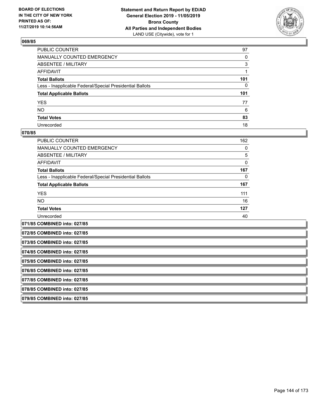

| PUBLIC COUNTER                                           | 97  |
|----------------------------------------------------------|-----|
| MANUALLY COUNTED EMERGENCY                               | 0   |
| ABSENTEE / MILITARY                                      | 3   |
| AFFIDAVIT                                                | 1   |
| Total Ballots                                            | 101 |
| Less - Inapplicable Federal/Special Presidential Ballots | 0   |
| <b>Total Applicable Ballots</b>                          | 101 |
| YES                                                      | 77  |
| NO.                                                      | 6   |
| <b>Total Votes</b>                                       | 83  |
| Unrecorded                                               | 18  |

### **070/85**

| <b>PUBLIC COUNTER</b>                                    | 162 |
|----------------------------------------------------------|-----|
| <b>MANUALLY COUNTED EMERGENCY</b>                        | 0   |
| ABSENTEE / MILITARY                                      | 5   |
| <b>AFFIDAVIT</b>                                         | 0   |
| <b>Total Ballots</b>                                     | 167 |
| Less - Inapplicable Federal/Special Presidential Ballots | 0   |
| <b>Total Applicable Ballots</b>                          | 167 |
| <b>YES</b>                                               | 111 |
| NO.                                                      | 16  |
| <b>Total Votes</b>                                       | 127 |
| Unrecorded                                               | 40  |
| 071/85 COMBINED into: 027/85                             |     |

**072/85 COMBINED into: 027/85**

**073/85 COMBINED into: 027/85**

**074/85 COMBINED into: 027/85**

**075/85 COMBINED into: 027/85**

**076/85 COMBINED into: 027/85**

**077/85 COMBINED into: 027/85**

**078/85 COMBINED into: 027/85**

**079/85 COMBINED into: 027/85**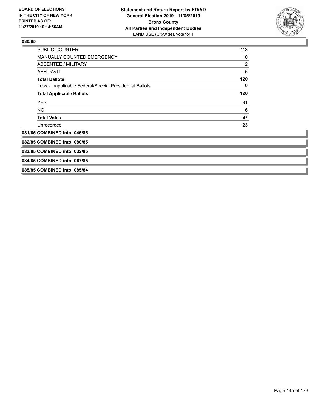

| <b>PUBLIC COUNTER</b>                                    | 113            |
|----------------------------------------------------------|----------------|
| <b>MANUALLY COUNTED EMERGENCY</b>                        | 0              |
| <b>ABSENTEE / MILITARY</b>                               | $\overline{c}$ |
| <b>AFFIDAVIT</b>                                         | 5              |
| <b>Total Ballots</b>                                     | 120            |
| Less - Inapplicable Federal/Special Presidential Ballots | 0              |
| <b>Total Applicable Ballots</b>                          | 120            |
| <b>YES</b>                                               | 91             |
| NO.                                                      | 6              |
| <b>Total Votes</b>                                       | 97             |
| Unrecorded                                               | 23             |
| 081/85 COMBINED into: 046/85                             |                |
| 082/85 COMBINED into: 080/85                             |                |
| 083/85 COMBINED into: 032/85                             |                |
| 084/85 COMBINED into: 067/85                             |                |
| 085/85 COMBINED into: 085/84                             |                |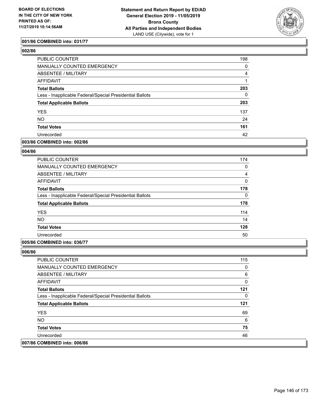

## **001/86 COMBINED into: 031/77**

| <b>PUBLIC COUNTER</b>                                    | 198 |
|----------------------------------------------------------|-----|
| MANUALLY COUNTED EMERGENCY                               | 0   |
| ABSENTEE / MILITARY                                      | 4   |
| AFFIDAVIT                                                |     |
| <b>Total Ballots</b>                                     | 203 |
| Less - Inapplicable Federal/Special Presidential Ballots | 0   |
| <b>Total Applicable Ballots</b>                          | 203 |
| <b>YES</b>                                               | 137 |
| <b>NO</b>                                                | 24  |
| <b>Total Votes</b>                                       | 161 |
| Unrecorded                                               | 42  |

## **003/86 COMBINED into: 002/86**

## **004/86**

| <b>PUBLIC COUNTER</b>                                    | 174          |
|----------------------------------------------------------|--------------|
| <b>MANUALLY COUNTED EMERGENCY</b>                        | 0            |
| ABSENTEE / MILITARY                                      | 4            |
| AFFIDAVIT                                                | $\mathbf{0}$ |
| <b>Total Ballots</b>                                     | 178          |
| Less - Inapplicable Federal/Special Presidential Ballots | 0            |
| <b>Total Applicable Ballots</b>                          | 178          |
| <b>YES</b>                                               | 114          |
| <b>NO</b>                                                | 14           |
| <b>Total Votes</b>                                       | 128          |
| Unrecorded                                               | 50           |

### **005/86 COMBINED into: 036/77**

| <b>PUBLIC COUNTER</b>                                    | 115 |
|----------------------------------------------------------|-----|
| <b>MANUALLY COUNTED EMERGENCY</b>                        | 0   |
| ABSENTEE / MILITARY                                      | 6   |
| AFFIDAVIT                                                | 0   |
| <b>Total Ballots</b>                                     | 121 |
| Less - Inapplicable Federal/Special Presidential Ballots | 0   |
| <b>Total Applicable Ballots</b>                          | 121 |
| <b>YES</b>                                               | 69  |
| NO.                                                      | 6   |
| <b>Total Votes</b>                                       | 75  |
| Unrecorded                                               | 46  |
| 007/86 COMBINED into: 006/86                             |     |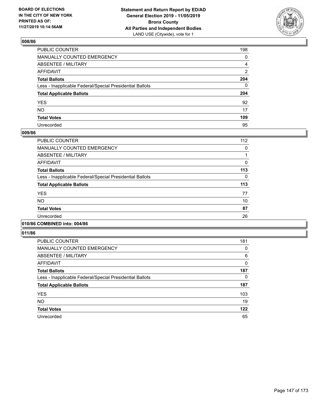

| PUBLIC COUNTER                                           | 198 |
|----------------------------------------------------------|-----|
| MANUALLY COUNTED EMERGENCY                               | 0   |
| ABSENTEE / MILITARY                                      | 4   |
| AFFIDAVIT                                                | 2   |
| Total Ballots                                            | 204 |
| Less - Inapplicable Federal/Special Presidential Ballots | 0   |
| <b>Total Applicable Ballots</b>                          | 204 |
| YES                                                      | 92  |
| NO.                                                      | 17  |
| <b>Total Votes</b>                                       | 109 |
| Unrecorded                                               | 95  |

### **009/86**

| <b>PUBLIC COUNTER</b>                                    | 112      |
|----------------------------------------------------------|----------|
| <b>MANUALLY COUNTED EMERGENCY</b>                        | 0        |
| ABSENTEE / MILITARY                                      |          |
| AFFIDAVIT                                                | 0        |
| <b>Total Ballots</b>                                     | 113      |
| Less - Inapplicable Federal/Special Presidential Ballots | $\Omega$ |
| <b>Total Applicable Ballots</b>                          | 113      |
| <b>YES</b>                                               | 77       |
| <b>NO</b>                                                | 10       |
| <b>Total Votes</b>                                       | 87       |
| Unrecorded                                               | 26       |
|                                                          |          |

## **010/86 COMBINED into: 004/86**

| <b>PUBLIC COUNTER</b>                                    | 181          |
|----------------------------------------------------------|--------------|
| <b>MANUALLY COUNTED EMERGENCY</b>                        | 0            |
| ABSENTEE / MILITARY                                      | 6            |
| <b>AFFIDAVIT</b>                                         | $\mathbf{0}$ |
| <b>Total Ballots</b>                                     | 187          |
| Less - Inapplicable Federal/Special Presidential Ballots | 0            |
| <b>Total Applicable Ballots</b>                          | 187          |
| <b>YES</b>                                               | 103          |
| <b>NO</b>                                                | 19           |
| <b>Total Votes</b>                                       | 122          |
| Unrecorded                                               | 65           |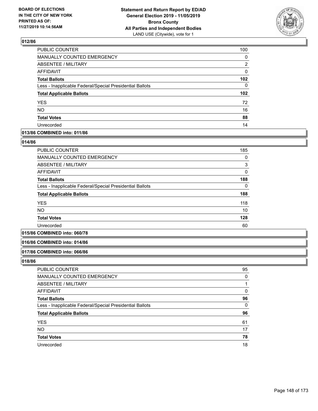

| PUBLIC COUNTER                                           | 100              |
|----------------------------------------------------------|------------------|
| <b>MANUALLY COUNTED EMERGENCY</b>                        | $\Omega$         |
| ABSENTEE / MILITARY                                      | 2                |
| <b>AFFIDAVIT</b>                                         | 0                |
| <b>Total Ballots</b>                                     | 102              |
| Less - Inapplicable Federal/Special Presidential Ballots | 0                |
| <b>Total Applicable Ballots</b>                          | 102 <sub>2</sub> |
| <b>YES</b>                                               | 72               |
| <b>NO</b>                                                | 16               |
| <b>Total Votes</b>                                       | 88               |
| Unrecorded                                               | 14               |

## **013/86 COMBINED into: 011/86**

### **014/86**

| PUBLIC COUNTER                                           | 185      |
|----------------------------------------------------------|----------|
| <b>MANUALLY COUNTED EMERGENCY</b>                        | 0        |
| ABSENTEE / MILITARY                                      | 3        |
| AFFIDAVIT                                                | $\Omega$ |
| <b>Total Ballots</b>                                     | 188      |
| Less - Inapplicable Federal/Special Presidential Ballots | 0        |
| <b>Total Applicable Ballots</b>                          | 188      |
| <b>YES</b>                                               | 118      |
| <b>NO</b>                                                | 10       |
| <b>Total Votes</b>                                       | 128      |
| Unrecorded                                               | 60       |

## **015/86 COMBINED into: 060/78**

#### **016/86 COMBINED into: 014/86**

#### **017/86 COMBINED into: 066/86**

| PUBLIC COUNTER                                           | 95       |
|----------------------------------------------------------|----------|
| MANUALLY COUNTED EMERGENCY                               | $\Omega$ |
| ABSENTEE / MILITARY                                      |          |
| AFFIDAVIT                                                | $\Omega$ |
| <b>Total Ballots</b>                                     | 96       |
| Less - Inapplicable Federal/Special Presidential Ballots | $\Omega$ |
| <b>Total Applicable Ballots</b>                          | 96       |
| <b>YES</b>                                               | 61       |
| <b>NO</b>                                                | 17       |
| <b>Total Votes</b>                                       | 78       |
| Unrecorded                                               | 18       |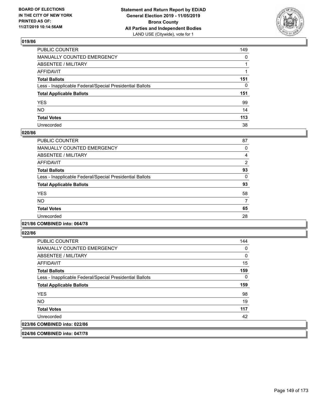

| PUBLIC COUNTER                                           | 149          |
|----------------------------------------------------------|--------------|
| MANUALLY COUNTED EMERGENCY                               | $\mathbf{0}$ |
| ABSENTEE / MILITARY                                      |              |
| AFFIDAVIT                                                |              |
| Total Ballots                                            | 151          |
| Less - Inapplicable Federal/Special Presidential Ballots | $\Omega$     |
| <b>Total Applicable Ballots</b>                          | 151          |
| YES                                                      | 99           |
| NO.                                                      | 14           |
| <b>Total Votes</b>                                       | 113          |
| Unrecorded                                               | 38           |

### **020/86**

| <b>PUBLIC COUNTER</b>                                    | 87             |
|----------------------------------------------------------|----------------|
| <b>MANUALLY COUNTED EMERGENCY</b>                        | 0              |
| <b>ABSENTEE / MILITARY</b>                               | 4              |
| AFFIDAVIT                                                | $\overline{2}$ |
| <b>Total Ballots</b>                                     | 93             |
| Less - Inapplicable Federal/Special Presidential Ballots | $\Omega$       |
| <b>Total Applicable Ballots</b>                          | 93             |
| <b>YES</b>                                               | 58             |
| <b>NO</b>                                                |                |
| <b>Total Votes</b>                                       | 65             |
| Unrecorded                                               | 28             |
|                                                          |                |

## **021/86 COMBINED into: 064/78**

**022/86** 

| <b>PUBLIC COUNTER</b>                                    | 144 |
|----------------------------------------------------------|-----|
| <b>MANUALLY COUNTED EMERGENCY</b>                        | 0   |
| ABSENTEE / MILITARY                                      | 0   |
| AFFIDAVIT                                                | 15  |
| <b>Total Ballots</b>                                     | 159 |
| Less - Inapplicable Federal/Special Presidential Ballots | 0   |
| <b>Total Applicable Ballots</b>                          | 159 |
| <b>YES</b>                                               | 98  |
| <b>NO</b>                                                | 19  |
| <b>Total Votes</b>                                       | 117 |
| Unrecorded                                               | 42  |
| 023/86 COMBINED into: 022/86                             |     |
|                                                          |     |

**024/86 COMBINED into: 047/78**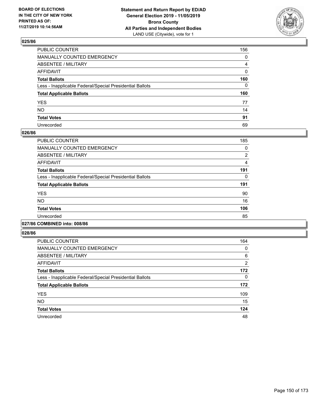

| PUBLIC COUNTER                                           | 156            |
|----------------------------------------------------------|----------------|
| MANUALLY COUNTED EMERGENCY                               | $\mathbf{0}$   |
| ABSENTEE / MILITARY                                      | $\overline{4}$ |
| AFFIDAVIT                                                | $\Omega$       |
| Total Ballots                                            | 160            |
| Less - Inapplicable Federal/Special Presidential Ballots | $\mathbf{0}$   |
| <b>Total Applicable Ballots</b>                          | 160            |
| YES                                                      | 77             |
| NO.                                                      | 14             |
| <b>Total Votes</b>                                       | 91             |
| Unrecorded                                               | 69             |

### **026/86**

| <b>PUBLIC COUNTER</b>                                    | 185 |
|----------------------------------------------------------|-----|
| <b>MANUALLY COUNTED EMERGENCY</b>                        | 0   |
| ABSENTEE / MILITARY                                      | 2   |
| <b>AFFIDAVIT</b>                                         | 4   |
| <b>Total Ballots</b>                                     | 191 |
| Less - Inapplicable Federal/Special Presidential Ballots | 0   |
| <b>Total Applicable Ballots</b>                          | 191 |
| <b>YES</b>                                               | 90  |
| <b>NO</b>                                                | 16  |
| <b>Total Votes</b>                                       | 106 |
| Unrecorded                                               | 85  |
|                                                          |     |

## **027/86 COMBINED into: 008/86**

| <b>PUBLIC COUNTER</b>                                    | 164            |
|----------------------------------------------------------|----------------|
| <b>MANUALLY COUNTED EMERGENCY</b>                        | 0              |
| ABSENTEE / MILITARY                                      | 6              |
| <b>AFFIDAVIT</b>                                         | $\overline{2}$ |
| <b>Total Ballots</b>                                     | 172            |
| Less - Inapplicable Federal/Special Presidential Ballots | 0              |
| <b>Total Applicable Ballots</b>                          | 172            |
| <b>YES</b>                                               | 109            |
| <b>NO</b>                                                | 15             |
| <b>Total Votes</b>                                       | 124            |
| Unrecorded                                               | 48             |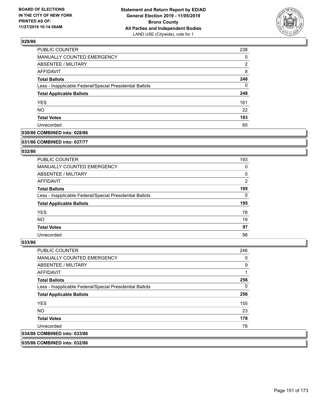

| <b>PUBLIC COUNTER</b>                                    | 238 |
|----------------------------------------------------------|-----|
| MANUALLY COUNTED EMERGENCY                               | 0   |
| <b>ABSENTEE / MILITARY</b>                               | 2   |
| <b>AFFIDAVIT</b>                                         | 8   |
| <b>Total Ballots</b>                                     | 248 |
| Less - Inapplicable Federal/Special Presidential Ballots | 0   |
| <b>Total Applicable Ballots</b>                          | 248 |
| <b>YES</b>                                               | 161 |
| <b>NO</b>                                                | 22  |
| <b>Total Votes</b>                                       | 183 |
| Unrecorded                                               | 65  |

#### **030/86 COMBINED into: 028/86**

#### **031/86 COMBINED into: 037/77**

## **032/86**

| <b>PUBLIC COUNTER</b>                                    | 193            |
|----------------------------------------------------------|----------------|
| <b>MANUALLY COUNTED EMERGENCY</b>                        | 0              |
| ABSENTEE / MILITARY                                      | 0              |
| AFFIDAVIT                                                | $\overline{2}$ |
| <b>Total Ballots</b>                                     | 195            |
| Less - Inapplicable Federal/Special Presidential Ballots | $\Omega$       |
| <b>Total Applicable Ballots</b>                          | 195            |
| <b>YES</b>                                               | 78             |
| NO.                                                      | 19             |
| <b>Total Votes</b>                                       | 97             |
| Unrecorded                                               | 98             |

#### **033/86**

| <b>PUBLIC COUNTER</b>                                    | 246 |
|----------------------------------------------------------|-----|
| <b>MANUALLY COUNTED EMERGENCY</b>                        | 0   |
| ABSENTEE / MILITARY                                      | 9   |
| AFFIDAVIT                                                | 1   |
| <b>Total Ballots</b>                                     | 256 |
| Less - Inapplicable Federal/Special Presidential Ballots | 0   |
| <b>Total Applicable Ballots</b>                          | 256 |
| <b>YES</b>                                               | 155 |
| NO.                                                      | 23  |
| <b>Total Votes</b>                                       | 178 |
| Unrecorded                                               | 78  |
| 034/86 COMBINED into: 033/86                             |     |
|                                                          |     |

**035/86 COMBINED into: 032/86**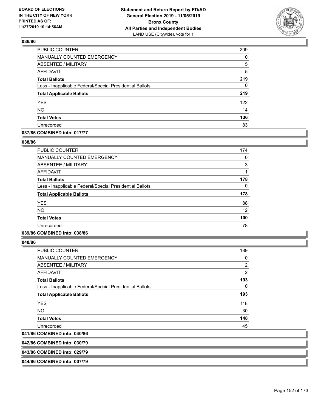

| PUBLIC COUNTER                                           | 209      |
|----------------------------------------------------------|----------|
| <b>MANUALLY COUNTED EMERGENCY</b>                        | $\Omega$ |
| <b>ABSENTEE / MILITARY</b>                               | 5        |
| <b>AFFIDAVIT</b>                                         | 5        |
| <b>Total Ballots</b>                                     | 219      |
| Less - Inapplicable Federal/Special Presidential Ballots | 0        |
| <b>Total Applicable Ballots</b>                          | 219      |
| <b>YES</b>                                               | 122      |
| <b>NO</b>                                                | 14       |
| <b>Total Votes</b>                                       | 136      |
| Unrecorded                                               | 83       |

## **037/86 COMBINED into: 017/77**

### **038/86**

| <b>PUBLIC COUNTER</b>                                    | 174      |
|----------------------------------------------------------|----------|
| MANUALLY COUNTED EMERGENCY                               | $\Omega$ |
| ABSENTEE / MILITARY                                      | 3        |
| AFFIDAVIT                                                | 1        |
| <b>Total Ballots</b>                                     | 178      |
| Less - Inapplicable Federal/Special Presidential Ballots | 0        |
| <b>Total Applicable Ballots</b>                          | 178      |
| <b>YES</b>                                               | 88       |
| <b>NO</b>                                                | 12       |
| <b>Total Votes</b>                                       | 100      |
| Unrecorded                                               | 78       |
|                                                          |          |

## **039/86 COMBINED into: 038/86**

**040/86** 

| <b>PUBLIC COUNTER</b>                                    | 189 |
|----------------------------------------------------------|-----|
| <b>MANUALLY COUNTED EMERGENCY</b>                        | 0   |
| ABSENTEE / MILITARY                                      | 2   |
| <b>AFFIDAVIT</b>                                         | 2   |
| <b>Total Ballots</b>                                     | 193 |
| Less - Inapplicable Federal/Special Presidential Ballots | 0   |
| <b>Total Applicable Ballots</b>                          | 193 |
| <b>YES</b>                                               | 118 |
| NO.                                                      | 30  |
| <b>Total Votes</b>                                       | 148 |
| Unrecorded                                               | 45  |
| 041/86 COMBINED into: 040/86                             |     |
|                                                          |     |

# **042/86 COMBINED into: 030/79**

#### **043/86 COMBINED into: 029/79**

**044/86 COMBINED into: 007/79**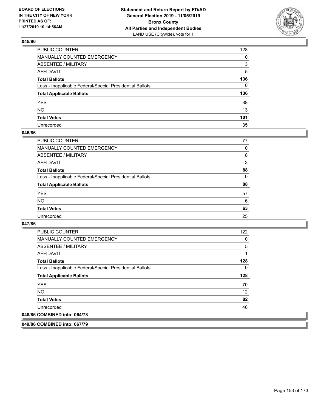

| PUBLIC COUNTER                                           | 128 |
|----------------------------------------------------------|-----|
| MANUALLY COUNTED EMERGENCY                               | 0   |
| ABSENTEE / MILITARY                                      | 3   |
| AFFIDAVIT                                                | 5   |
| Total Ballots                                            | 136 |
| Less - Inapplicable Federal/Special Presidential Ballots | 0   |
| <b>Total Applicable Ballots</b>                          | 136 |
| YES                                                      | 88  |
| NO.                                                      | 13  |
| <b>Total Votes</b>                                       | 101 |
| Unrecorded                                               | 35  |

### **046/86**

| PUBLIC COUNTER                                           | 77       |
|----------------------------------------------------------|----------|
| <b>MANUALLY COUNTED EMERGENCY</b>                        | 0        |
| ABSENTEE / MILITARY                                      | 8        |
| AFFIDAVIT                                                | 3        |
| <b>Total Ballots</b>                                     | 88       |
| Less - Inapplicable Federal/Special Presidential Ballots | $\Omega$ |
| <b>Total Applicable Ballots</b>                          | 88       |
| <b>YES</b>                                               | 57       |
| <b>NO</b>                                                | 6        |
| <b>Total Votes</b>                                       | 63       |
| Unrecorded                                               | 25       |

### **047/86**

| <b>PUBLIC COUNTER</b>                                    | 122            |
|----------------------------------------------------------|----------------|
| <b>MANUALLY COUNTED EMERGENCY</b>                        | 0              |
| ABSENTEE / MILITARY                                      | $\overline{5}$ |
| AFFIDAVIT                                                | 1              |
| <b>Total Ballots</b>                                     | 128            |
| Less - Inapplicable Federal/Special Presidential Ballots | 0              |
| <b>Total Applicable Ballots</b>                          | 128            |
| <b>YES</b>                                               | 70             |
| NO.                                                      | 12             |
| <b>Total Votes</b>                                       | 82             |
| Unrecorded                                               | 46             |
| 048/86 COMBINED into: 064/78                             |                |

**049/86 COMBINED into: 067/79**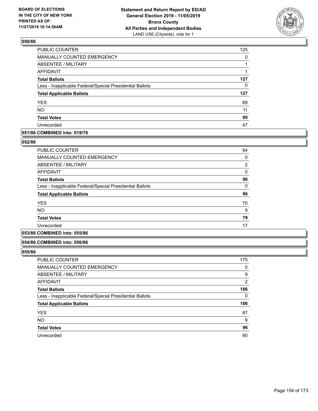

| PUBLIC COUNTER                                           | 125 |
|----------------------------------------------------------|-----|
| MANUALLY COUNTED EMERGENCY                               | 0   |
| ABSENTEE / MILITARY                                      |     |
| <b>AFFIDAVIT</b>                                         | 1   |
| <b>Total Ballots</b>                                     | 127 |
| Less - Inapplicable Federal/Special Presidential Ballots | 0   |
| <b>Total Applicable Ballots</b>                          | 127 |
| <b>YES</b>                                               | 69  |
| <b>NO</b>                                                | 11  |
| <b>Total Votes</b>                                       | 80  |
| Unrecorded                                               | 47  |

## **051/86 COMBINED into: 019/78**

#### **052/86**

| <b>PUBLIC COUNTER</b>                                    | 94             |
|----------------------------------------------------------|----------------|
| <b>MANUALLY COUNTED EMERGENCY</b>                        | 0              |
| ABSENTEE / MILITARY                                      | $\overline{2}$ |
| <b>AFFIDAVIT</b>                                         | 0              |
| <b>Total Ballots</b>                                     | 96             |
| Less - Inapplicable Federal/Special Presidential Ballots | $\Omega$       |
| <b>Total Applicable Ballots</b>                          | 96             |
| <b>YES</b>                                               | 70             |
| <b>NO</b>                                                | 9              |
| <b>Total Votes</b>                                       | 79             |
| Unrecorded                                               | 17             |
|                                                          |                |

# **053/86 COMBINED into: 055/86**

#### **054/86 COMBINED into: 056/86**

| <b>PUBLIC COUNTER</b>                                    | 175      |
|----------------------------------------------------------|----------|
| <b>MANUALLY COUNTED EMERGENCY</b>                        | 0        |
| ABSENTEE / MILITARY                                      | 9        |
| AFFIDAVIT                                                | 2        |
| <b>Total Ballots</b>                                     | 186      |
| Less - Inapplicable Federal/Special Presidential Ballots | $\Omega$ |
| <b>Total Applicable Ballots</b>                          | 186      |
| <b>YES</b>                                               | 87       |
| <b>NO</b>                                                | 9        |
| <b>Total Votes</b>                                       | 96       |
| Unrecorded                                               | 90       |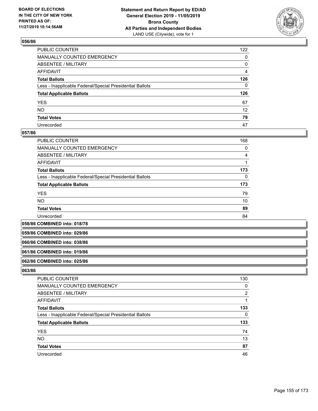

| PUBLIC COUNTER                                           | 122            |
|----------------------------------------------------------|----------------|
| MANUALLY COUNTED EMERGENCY                               | 0              |
| ABSENTEE / MILITARY                                      | 0              |
| AFFIDAVIT                                                | $\overline{4}$ |
| Total Ballots                                            | 126            |
| Less - Inapplicable Federal/Special Presidential Ballots | 0              |
| <b>Total Applicable Ballots</b>                          | 126            |
| YES                                                      | 67             |
| NO.                                                      | 12             |
| <b>Total Votes</b>                                       | 79             |
| Unrecorded                                               | 47             |

### **057/86**

| <b>PUBLIC COUNTER</b>                                    | 168      |
|----------------------------------------------------------|----------|
| <b>MANUALLY COUNTED EMERGENCY</b>                        | 0        |
| ABSENTEE / MILITARY                                      | 4        |
| AFFIDAVIT                                                |          |
| <b>Total Ballots</b>                                     | 173      |
| Less - Inapplicable Federal/Special Presidential Ballots | $\Omega$ |
| <b>Total Applicable Ballots</b>                          | 173      |
| <b>YES</b>                                               | 79       |
| <b>NO</b>                                                | 10       |
| <b>Total Votes</b>                                       | 89       |
| Unrecorded                                               | 84       |

**058/86 COMBINED into: 018/78**

**059/86 COMBINED into: 029/86**

#### **060/86 COMBINED into: 038/86**

#### **061/86 COMBINED into: 019/86**

#### **062/86 COMBINED into: 025/86**

| <b>PUBLIC COUNTER</b>                                    | 130 |
|----------------------------------------------------------|-----|
| MANUALLY COUNTED EMERGENCY                               | 0   |
| ABSENTEE / MILITARY                                      | 2   |
| AFFIDAVIT                                                |     |
| <b>Total Ballots</b>                                     | 133 |
| Less - Inapplicable Federal/Special Presidential Ballots | 0   |
| <b>Total Applicable Ballots</b>                          | 133 |
| <b>YES</b>                                               | 74  |
| <b>NO</b>                                                | 13  |
| <b>Total Votes</b>                                       | 87  |
| Unrecorded                                               | 46  |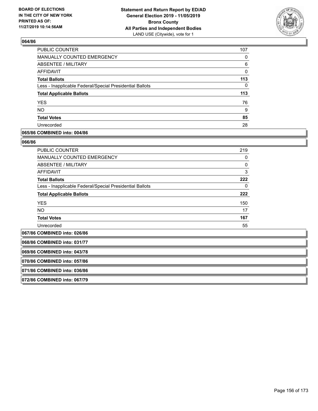

| <b>PUBLIC COUNTER</b>                                    | 107 |
|----------------------------------------------------------|-----|
| <b>MANUALLY COUNTED EMERGENCY</b>                        | 0   |
| <b>ABSENTEE / MILITARY</b>                               | 6   |
| AFFIDAVIT                                                | 0   |
| <b>Total Ballots</b>                                     | 113 |
| Less - Inapplicable Federal/Special Presidential Ballots | 0   |
| <b>Total Applicable Ballots</b>                          | 113 |
| <b>YES</b>                                               | 76  |
| <b>NO</b>                                                | 9   |
| <b>Total Votes</b>                                       | 85  |
| Unrecorded                                               | 28  |

### **065/86 COMBINED into: 004/86**

#### **066/86**

| <b>PUBLIC COUNTER</b>                                    | 219          |
|----------------------------------------------------------|--------------|
| <b>MANUALLY COUNTED EMERGENCY</b>                        | 0            |
| ABSENTEE / MILITARY                                      | $\mathbf{0}$ |
| AFFIDAVIT                                                | 3            |
| <b>Total Ballots</b>                                     | 222          |
| Less - Inapplicable Federal/Special Presidential Ballots | 0            |
| <b>Total Applicable Ballots</b>                          | 222          |
| <b>YES</b>                                               | 150          |
| <b>NO</b>                                                | 17           |
| <b>Total Votes</b>                                       | 167          |
| Unrecorded                                               | 55           |

**067/86 COMBINED into: 026/86**

**068/86 COMBINED into: 031/77**

**069/86 COMBINED into: 043/78**

**070/86 COMBINED into: 057/86**

**071/86 COMBINED into: 036/86**

**072/86 COMBINED into: 067/79**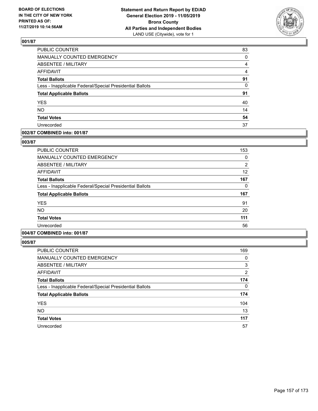

| PUBLIC COUNTER                                           | 83             |
|----------------------------------------------------------|----------------|
| MANUALLY COUNTED EMERGENCY                               | $\Omega$       |
| <b>ABSENTEE / MILITARY</b>                               | 4              |
| <b>AFFIDAVIT</b>                                         | $\overline{4}$ |
| <b>Total Ballots</b>                                     | 91             |
| Less - Inapplicable Federal/Special Presidential Ballots | $\Omega$       |
| <b>Total Applicable Ballots</b>                          | 91             |
| <b>YES</b>                                               | 40             |
| <b>NO</b>                                                | 14             |
| <b>Total Votes</b>                                       | 54             |
| Unrecorded                                               | 37             |

## **002/87 COMBINED into: 001/87**

### **003/87**

| <b>PUBLIC COUNTER</b>                                    | 153            |
|----------------------------------------------------------|----------------|
| <b>MANUALLY COUNTED EMERGENCY</b>                        | 0              |
| ABSENTEE / MILITARY                                      | $\overline{2}$ |
| <b>AFFIDAVIT</b>                                         | 12             |
| <b>Total Ballots</b>                                     | 167            |
| Less - Inapplicable Federal/Special Presidential Ballots | 0              |
| <b>Total Applicable Ballots</b>                          | 167            |
| <b>YES</b>                                               | 91             |
| <b>NO</b>                                                | 20             |
| <b>Total Votes</b>                                       | 111            |
| Unrecorded                                               | 56             |
|                                                          |                |

## **004/87 COMBINED into: 001/87**

| <b>PUBLIC COUNTER</b>                                    | 169      |
|----------------------------------------------------------|----------|
| <b>MANUALLY COUNTED EMERGENCY</b>                        | 0        |
| <b>ABSENTEE / MILITARY</b>                               | 3        |
| AFFIDAVIT                                                | 2        |
| <b>Total Ballots</b>                                     | 174      |
| Less - Inapplicable Federal/Special Presidential Ballots | $\Omega$ |
| <b>Total Applicable Ballots</b>                          | 174      |
| <b>YES</b>                                               | 104      |
| <b>NO</b>                                                | 13       |
| <b>Total Votes</b>                                       | 117      |
| Unrecorded                                               | 57       |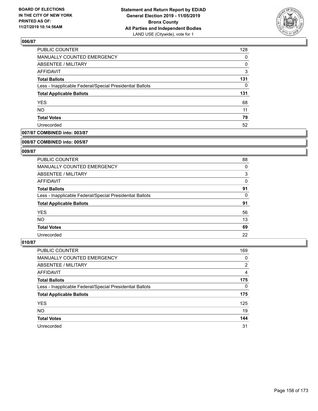

| PUBLIC COUNTER                                           | 128 |
|----------------------------------------------------------|-----|
| MANUALLY COUNTED EMERGENCY                               | 0   |
| ABSENTEE / MILITARY                                      | 0   |
| AFFIDAVIT                                                | 3   |
| <b>Total Ballots</b>                                     | 131 |
| Less - Inapplicable Federal/Special Presidential Ballots | 0   |
| <b>Total Applicable Ballots</b>                          | 131 |
| <b>YES</b>                                               | 68  |
| <b>NO</b>                                                | 11  |
| <b>Total Votes</b>                                       | 79  |
| Unrecorded                                               | 52  |

## **007/87 COMBINED into: 003/87**

#### **008/87 COMBINED into: 005/87**

## **009/87**

| PUBLIC COUNTER                                           | 88 |
|----------------------------------------------------------|----|
| <b>MANUALLY COUNTED EMERGENCY</b>                        | 0  |
| ABSENTEE / MILITARY                                      | 3  |
| AFFIDAVIT                                                | 0  |
| <b>Total Ballots</b>                                     | 91 |
| Less - Inapplicable Federal/Special Presidential Ballots | 0  |
| <b>Total Applicable Ballots</b>                          | 91 |
| <b>YES</b>                                               | 56 |
| NO.                                                      | 13 |
| <b>Total Votes</b>                                       | 69 |
| Unrecorded                                               | 22 |

| <b>PUBLIC COUNTER</b>                                    | 169      |
|----------------------------------------------------------|----------|
| MANUALLY COUNTED EMERGENCY                               | 0        |
| ABSENTEE / MILITARY                                      | 2        |
| AFFIDAVIT                                                | 4        |
| <b>Total Ballots</b>                                     | 175      |
| Less - Inapplicable Federal/Special Presidential Ballots | $\Omega$ |
| <b>Total Applicable Ballots</b>                          | 175      |
| <b>YES</b>                                               | 125      |
| <b>NO</b>                                                | 19       |
| <b>Total Votes</b>                                       | 144      |
| Unrecorded                                               | 31       |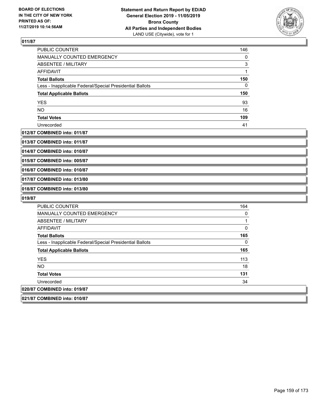

| <b>PUBLIC COUNTER</b>                                    | 146 |
|----------------------------------------------------------|-----|
| <b>MANUALLY COUNTED EMERGENCY</b>                        | 0   |
| ABSENTEE / MILITARY                                      | 3   |
| AFFIDAVIT                                                | 1   |
| <b>Total Ballots</b>                                     | 150 |
| Less - Inapplicable Federal/Special Presidential Ballots | 0   |
| <b>Total Applicable Ballots</b>                          | 150 |
| <b>YES</b>                                               | 93  |
| <b>NO</b>                                                | 16  |
| <b>Total Votes</b>                                       | 109 |
| Unrecorded                                               | 41  |

#### **012/87 COMBINED into: 011/87**

**013/87 COMBINED into: 011/87**

**014/87 COMBINED into: 010/87**

**015/87 COMBINED into: 005/87**

**016/87 COMBINED into: 010/87**

**017/87 COMBINED into: 013/80**

**018/87 COMBINED into: 013/80**

| <b>PUBLIC COUNTER</b>                                    | 164 |
|----------------------------------------------------------|-----|
| MANUALLY COUNTED EMERGENCY                               | 0   |
| ABSENTEE / MILITARY                                      |     |
| AFFIDAVIT                                                | 0   |
| <b>Total Ballots</b>                                     | 165 |
| Less - Inapplicable Federal/Special Presidential Ballots | 0   |
| <b>Total Applicable Ballots</b>                          | 165 |
| <b>YES</b>                                               | 113 |
| <b>NO</b>                                                | 18  |
| <b>Total Votes</b>                                       | 131 |
| Unrecorded                                               | 34  |
| 020/87 COMBINED into: 019/87                             |     |
| 021/87 COMBINED into: 010/87                             |     |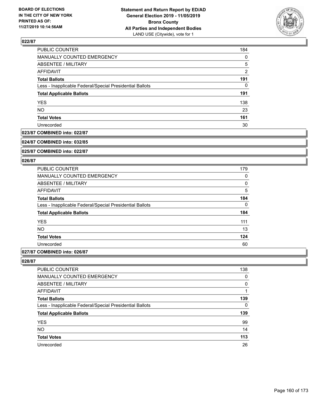

| <b>PUBLIC COUNTER</b>                                    | 184            |
|----------------------------------------------------------|----------------|
| MANUALLY COUNTED EMERGENCY                               | 0              |
| <b>ABSENTEE / MILITARY</b>                               | 5              |
| <b>AFFIDAVIT</b>                                         | $\overline{2}$ |
| <b>Total Ballots</b>                                     | 191            |
| Less - Inapplicable Federal/Special Presidential Ballots | 0              |
| <b>Total Applicable Ballots</b>                          | 191            |
| <b>YES</b>                                               | 138            |
| <b>NO</b>                                                | 23             |
| <b>Total Votes</b>                                       | 161            |
| Unrecorded                                               | 30             |

## **023/87 COMBINED into: 022/87**

#### **024/87 COMBINED into: 032/85**

**025/87 COMBINED into: 022/87**

#### **026/87**

| <b>PUBLIC COUNTER</b>                                    | 179 |
|----------------------------------------------------------|-----|
| <b>MANUALLY COUNTED EMERGENCY</b>                        | 0   |
| ABSENTEE / MILITARY                                      | 0   |
| <b>AFFIDAVIT</b>                                         | 5   |
| <b>Total Ballots</b>                                     | 184 |
| Less - Inapplicable Federal/Special Presidential Ballots | 0   |
| <b>Total Applicable Ballots</b>                          | 184 |
| <b>YES</b>                                               | 111 |
| <b>NO</b>                                                | 13  |
| <b>Total Votes</b>                                       | 124 |
| Unrecorded                                               | 60  |
|                                                          |     |

## **027/87 COMBINED into: 026/87**

| <b>PUBLIC COUNTER</b>                                    | 138      |
|----------------------------------------------------------|----------|
| <b>MANUALLY COUNTED EMERGENCY</b>                        | 0        |
| ABSENTEE / MILITARY                                      | 0        |
| AFFIDAVIT                                                |          |
| <b>Total Ballots</b>                                     | 139      |
| Less - Inapplicable Federal/Special Presidential Ballots | $\Omega$ |
| <b>Total Applicable Ballots</b>                          | 139      |
| <b>YES</b>                                               | 99       |
| <b>NO</b>                                                | 14       |
| <b>Total Votes</b>                                       | 113      |
| Unrecorded                                               | 26       |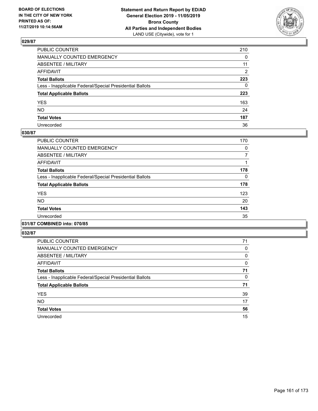

| PUBLIC COUNTER                                           | 210          |
|----------------------------------------------------------|--------------|
| MANUALLY COUNTED EMERGENCY                               | $\mathbf{0}$ |
| ABSENTEE / MILITARY                                      | 11           |
| AFFIDAVIT                                                | 2            |
| Total Ballots                                            | 223          |
| Less - Inapplicable Federal/Special Presidential Ballots | $\mathbf{0}$ |
| <b>Total Applicable Ballots</b>                          | 223          |
| YES                                                      | 163          |
| NO.                                                      | 24           |
| <b>Total Votes</b>                                       | 187          |
| Unrecorded                                               | 36           |

## **030/87**

| <b>PUBLIC COUNTER</b>                                    | 170 |
|----------------------------------------------------------|-----|
| <b>MANUALLY COUNTED EMERGENCY</b>                        | 0   |
| ABSENTEE / MILITARY                                      | 7   |
| <b>AFFIDAVIT</b>                                         |     |
| <b>Total Ballots</b>                                     | 178 |
| Less - Inapplicable Federal/Special Presidential Ballots | 0   |
| <b>Total Applicable Ballots</b>                          | 178 |
| <b>YES</b>                                               | 123 |
| <b>NO</b>                                                | 20  |
| <b>Total Votes</b>                                       | 143 |
| Unrecorded                                               | 35  |
|                                                          |     |

# **031/87 COMBINED into: 070/85**

| <b>PUBLIC COUNTER</b>                                    | 71 |
|----------------------------------------------------------|----|
| <b>MANUALLY COUNTED EMERGENCY</b>                        | 0  |
| ABSENTEE / MILITARY                                      | 0  |
| <b>AFFIDAVIT</b>                                         | 0  |
| <b>Total Ballots</b>                                     | 71 |
| Less - Inapplicable Federal/Special Presidential Ballots | 0  |
| <b>Total Applicable Ballots</b>                          | 71 |
| <b>YES</b>                                               | 39 |
| <b>NO</b>                                                | 17 |
| <b>Total Votes</b>                                       | 56 |
| Unrecorded                                               | 15 |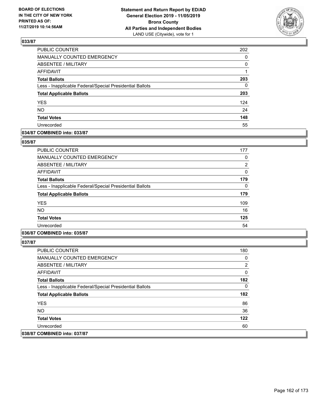

| PUBLIC COUNTER                                           | 202 |
|----------------------------------------------------------|-----|
| <b>MANUALLY COUNTED EMERGENCY</b>                        | 0   |
| ABSENTEE / MILITARY                                      | 0   |
| <b>AFFIDAVIT</b>                                         | 1   |
| <b>Total Ballots</b>                                     | 203 |
| Less - Inapplicable Federal/Special Presidential Ballots | 0   |
| <b>Total Applicable Ballots</b>                          | 203 |
| <b>YES</b>                                               | 124 |
| <b>NO</b>                                                | 24  |
| <b>Total Votes</b>                                       | 148 |
| Unrecorded                                               | 55  |

## **034/87 COMBINED into: 033/87**

#### **035/87**

| PUBLIC COUNTER                                           | 177            |
|----------------------------------------------------------|----------------|
| <b>MANUALLY COUNTED EMERGENCY</b>                        | 0              |
| <b>ABSENTEE / MILITARY</b>                               | $\overline{2}$ |
| AFFIDAVIT                                                | 0              |
| <b>Total Ballots</b>                                     | 179            |
| Less - Inapplicable Federal/Special Presidential Ballots | 0              |
| <b>Total Applicable Ballots</b>                          | 179            |
| <b>YES</b>                                               | 109            |
| <b>NO</b>                                                | 16             |
| <b>Total Votes</b>                                       | 125            |
| Unrecorded                                               | 54             |
|                                                          |                |

## **036/87 COMBINED into: 035/87**

| PUBLIC COUNTER                                           | 180 |
|----------------------------------------------------------|-----|
| <b>MANUALLY COUNTED EMERGENCY</b>                        | 0   |
| ABSENTEE / MILITARY                                      | 2   |
| AFFIDAVIT                                                | 0   |
| <b>Total Ballots</b>                                     | 182 |
| Less - Inapplicable Federal/Special Presidential Ballots | 0   |
| <b>Total Applicable Ballots</b>                          | 182 |
| <b>YES</b>                                               | 86  |
| NO.                                                      | 36  |
| <b>Total Votes</b>                                       | 122 |
| Unrecorded                                               | 60  |
| 038/87 COMBINED into: 037/87                             |     |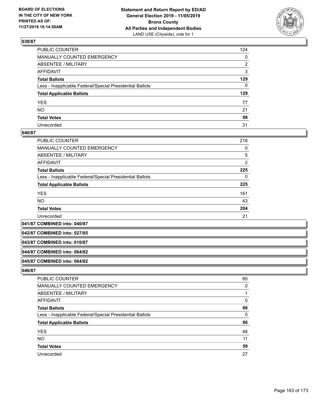

| PUBLIC COUNTER                                           | 124          |
|----------------------------------------------------------|--------------|
| MANUALLY COUNTED EMERGENCY                               | $\mathbf{0}$ |
| ABSENTEE / MILITARY                                      | 2            |
| AFFIDAVIT                                                | 3            |
| Total Ballots                                            | 129          |
| Less - Inapplicable Federal/Special Presidential Ballots | 0            |
| <b>Total Applicable Ballots</b>                          | 129          |
| YES                                                      | 77           |
| NO.                                                      | 21           |
| <b>Total Votes</b>                                       | 98           |
| Unrecorded                                               | 31           |

### **040/87**

| PUBLIC COUNTER                                           | 218            |
|----------------------------------------------------------|----------------|
| <b>MANUALLY COUNTED EMERGENCY</b>                        | 0              |
| ABSENTEE / MILITARY                                      | 5              |
| AFFIDAVIT                                                | $\overline{2}$ |
| <b>Total Ballots</b>                                     | 225            |
| Less - Inapplicable Federal/Special Presidential Ballots | 0              |
| <b>Total Applicable Ballots</b>                          | 225            |
| <b>YES</b>                                               | 161            |
| <b>NO</b>                                                | 43             |
| <b>Total Votes</b>                                       | 204            |
| Unrecorded                                               | 21             |

**041/87 COMBINED into: 040/87**

**042/87 COMBINED into: 027/85**

## **043/87 COMBINED into: 010/87**

#### **044/87 COMBINED into: 064/82**

#### **045/87 COMBINED into: 064/82**

| PUBLIC COUNTER                                           | 85       |
|----------------------------------------------------------|----------|
| MANUALLY COUNTED EMERGENCY                               | $\Omega$ |
| <b>ABSENTEE / MILITARY</b>                               |          |
| AFFIDAVIT                                                | 0        |
| <b>Total Ballots</b>                                     | 86       |
| Less - Inapplicable Federal/Special Presidential Ballots | $\Omega$ |
| <b>Total Applicable Ballots</b>                          | 86       |
| <b>YES</b>                                               | 48       |
| <b>NO</b>                                                | 11       |
| <b>Total Votes</b>                                       | 59       |
| Unrecorded                                               | 27       |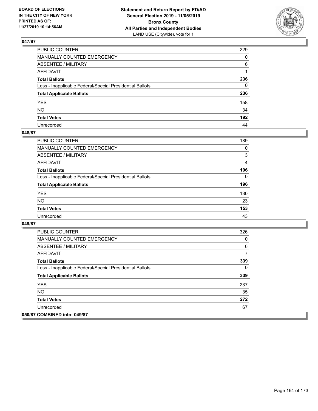

| PUBLIC COUNTER                                           | 229          |
|----------------------------------------------------------|--------------|
| MANUALLY COUNTED EMERGENCY                               | $\mathbf{0}$ |
| ABSENTEE / MILITARY                                      | 6            |
| AFFIDAVIT                                                |              |
| Total Ballots                                            | 236          |
| Less - Inapplicable Federal/Special Presidential Ballots | 0            |
| <b>Total Applicable Ballots</b>                          | 236          |
| YES                                                      | 158          |
| NO.                                                      | 34           |
| <b>Total Votes</b>                                       | 192          |
| Unrecorded                                               | 44           |

## **048/87**

| <b>PUBLIC COUNTER</b>                                    | 189      |
|----------------------------------------------------------|----------|
| <b>MANUALLY COUNTED EMERGENCY</b>                        | $\Omega$ |
| ABSENTEE / MILITARY                                      | 3        |
| AFFIDAVIT                                                | 4        |
| <b>Total Ballots</b>                                     | 196      |
| Less - Inapplicable Federal/Special Presidential Ballots | $\Omega$ |
| <b>Total Applicable Ballots</b>                          | 196      |
| <b>YES</b>                                               | 130      |
| <b>NO</b>                                                | 23       |
| <b>Total Votes</b>                                       | 153      |
| Unrecorded                                               | 43       |

| <b>PUBLIC COUNTER</b>                                    | 326 |
|----------------------------------------------------------|-----|
| <b>MANUALLY COUNTED EMERGENCY</b>                        | 0   |
| ABSENTEE / MILITARY                                      | 6   |
| AFFIDAVIT                                                | 7   |
| <b>Total Ballots</b>                                     | 339 |
| Less - Inapplicable Federal/Special Presidential Ballots | 0   |
| <b>Total Applicable Ballots</b>                          | 339 |
| <b>YES</b>                                               | 237 |
| NO.                                                      | 35  |
| <b>Total Votes</b>                                       | 272 |
| Unrecorded                                               | 67  |
| 050/87 COMBINED into: 049/87                             |     |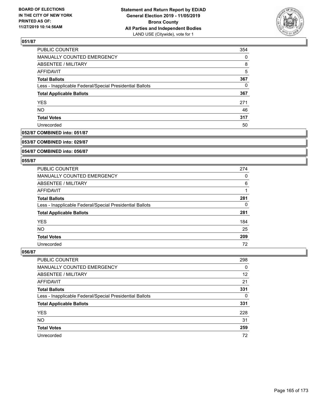

| PUBLIC COUNTER                                           | 354      |
|----------------------------------------------------------|----------|
| <b>MANUALLY COUNTED EMERGENCY</b>                        | $\Omega$ |
| ABSENTEE / MILITARY                                      | 8        |
| AFFIDAVIT                                                | 5        |
| <b>Total Ballots</b>                                     | 367      |
| Less - Inapplicable Federal/Special Presidential Ballots | $\Omega$ |
| <b>Total Applicable Ballots</b>                          | 367      |
| <b>YES</b>                                               | 271      |
| <b>NO</b>                                                | 46       |
| <b>Total Votes</b>                                       | 317      |
| Unrecorded                                               | 50       |

## **052/87 COMBINED into: 051/87**

#### **053/87 COMBINED into: 029/87**

## **054/87 COMBINED into: 056/87**

#### **055/87**

| <b>PUBLIC COUNTER</b>                                    | 274 |
|----------------------------------------------------------|-----|
| MANUALLY COUNTED EMERGENCY                               | 0   |
| ABSENTEE / MILITARY                                      | 6   |
| AFFIDAVIT                                                |     |
| <b>Total Ballots</b>                                     | 281 |
| Less - Inapplicable Federal/Special Presidential Ballots | 0   |
| <b>Total Applicable Ballots</b>                          | 281 |
| <b>YES</b>                                               | 184 |
| NO.                                                      | 25  |
| <b>Total Votes</b>                                       | 209 |
| Unrecorded                                               | 72  |

| <b>PUBLIC COUNTER</b>                                    | 298      |
|----------------------------------------------------------|----------|
| MANUALLY COUNTED EMERGENCY                               | $\Omega$ |
| ABSENTEE / MILITARY                                      | 12       |
| AFFIDAVIT                                                | 21       |
| <b>Total Ballots</b>                                     | 331      |
| Less - Inapplicable Federal/Special Presidential Ballots | 0        |
| <b>Total Applicable Ballots</b>                          | 331      |
| <b>YES</b>                                               | 228      |
| <b>NO</b>                                                | 31       |
| <b>Total Votes</b>                                       | 259      |
| Unrecorded                                               | 72       |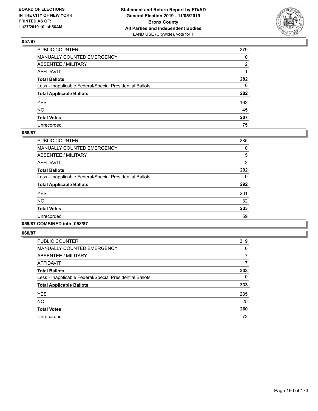

| PUBLIC COUNTER                                           | 279          |
|----------------------------------------------------------|--------------|
| MANUALLY COUNTED EMERGENCY                               | $\mathbf{0}$ |
| ABSENTEE / MILITARY                                      | 2            |
| AFFIDAVIT                                                |              |
| Total Ballots                                            | 282          |
| Less - Inapplicable Federal/Special Presidential Ballots | $\mathbf{0}$ |
| <b>Total Applicable Ballots</b>                          | 282          |
| YES                                                      | 162          |
| NO.                                                      | 45           |
| <b>Total Votes</b>                                       | 207          |
| Unrecorded                                               | 75           |

### **058/87**

| <b>PUBLIC COUNTER</b>                                    | 285            |
|----------------------------------------------------------|----------------|
| <b>MANUALLY COUNTED EMERGENCY</b>                        | 0              |
| ABSENTEE / MILITARY                                      | 5              |
| <b>AFFIDAVIT</b>                                         | $\overline{2}$ |
| <b>Total Ballots</b>                                     | 292            |
| Less - Inapplicable Federal/Special Presidential Ballots | 0              |
| <b>Total Applicable Ballots</b>                          | 292            |
| <b>YES</b>                                               | 201            |
| <b>NO</b>                                                | 32             |
| <b>Total Votes</b>                                       | 233            |
| Unrecorded                                               | 59             |
|                                                          |                |

## **059/87 COMBINED into: 058/87**

| <b>PUBLIC COUNTER</b>                                    | 319 |
|----------------------------------------------------------|-----|
| <b>MANUALLY COUNTED EMERGENCY</b>                        | 0   |
| ABSENTEE / MILITARY                                      | 7   |
| <b>AFFIDAVIT</b>                                         | 7   |
| <b>Total Ballots</b>                                     | 333 |
| Less - Inapplicable Federal/Special Presidential Ballots | 0   |
| <b>Total Applicable Ballots</b>                          | 333 |
| <b>YES</b>                                               | 235 |
| <b>NO</b>                                                | 25  |
| <b>Total Votes</b>                                       | 260 |
| Unrecorded                                               | 73  |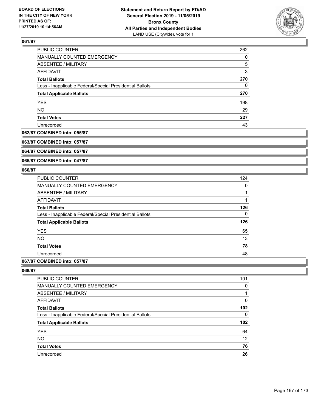

| PUBLIC COUNTER                                           | 262 |
|----------------------------------------------------------|-----|
| MANUALLY COUNTED EMERGENCY                               | 0   |
| ABSENTEE / MILITARY                                      | 5   |
| AFFIDAVIT                                                | 3   |
| <b>Total Ballots</b>                                     | 270 |
| Less - Inapplicable Federal/Special Presidential Ballots | 0   |
| <b>Total Applicable Ballots</b>                          | 270 |
| <b>YES</b>                                               | 198 |
| <b>NO</b>                                                | 29  |
| <b>Total Votes</b>                                       | 227 |
| Unrecorded                                               | 43  |

#### **062/87 COMBINED into: 055/87**

**063/87 COMBINED into: 057/87**

**064/87 COMBINED into: 057/87**

**065/87 COMBINED into: 047/87**

### **066/87**

| <b>PUBLIC COUNTER</b>                                    | 124 |
|----------------------------------------------------------|-----|
| <b>MANUALLY COUNTED EMERGENCY</b>                        | 0   |
| ABSENTEE / MILITARY                                      | 1   |
| <b>AFFIDAVIT</b>                                         | 1   |
| <b>Total Ballots</b>                                     | 126 |
| Less - Inapplicable Federal/Special Presidential Ballots | 0   |
| <b>Total Applicable Ballots</b>                          | 126 |
| <b>YES</b>                                               | 65  |
| <b>NO</b>                                                | 13  |
| <b>Total Votes</b>                                       | 78  |
| Unrecorded                                               | 48  |
|                                                          |     |

## **067/87 COMBINED into: 057/87**

| 101 |
|-----|
| 0   |
|     |
| 0   |
| 102 |
| 0   |
| 102 |
| 64  |
| 12  |
| 76  |
| 26  |
|     |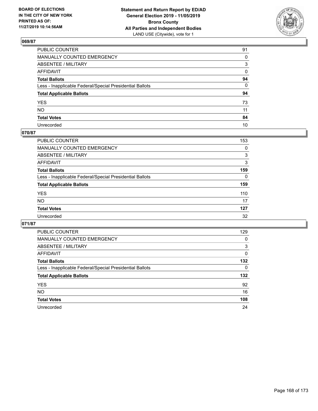

| PUBLIC COUNTER                                           | 91 |
|----------------------------------------------------------|----|
| MANUALLY COUNTED EMERGENCY                               | 0  |
| ABSENTEE / MILITARY                                      | 3  |
| AFFIDAVIT                                                | 0  |
| Total Ballots                                            | 94 |
| Less - Inapplicable Federal/Special Presidential Ballots | 0  |
| <b>Total Applicable Ballots</b>                          | 94 |
| YES                                                      | 73 |
| NO.                                                      | 11 |
| <b>Total Votes</b>                                       | 84 |
| Unrecorded                                               | 10 |

## **070/87**

| <b>PUBLIC COUNTER</b>                                    | 153      |
|----------------------------------------------------------|----------|
| <b>MANUALLY COUNTED EMERGENCY</b>                        | 0        |
| ABSENTEE / MILITARY                                      | 3        |
| AFFIDAVIT                                                | 3        |
| <b>Total Ballots</b>                                     | 159      |
| Less - Inapplicable Federal/Special Presidential Ballots | $\Omega$ |
| <b>Total Applicable Ballots</b>                          | 159      |
| <b>YES</b>                                               | 110      |
| <b>NO</b>                                                | 17       |
| <b>Total Votes</b>                                       | 127      |
| Unrecorded                                               | 32       |

| PUBLIC COUNTER                                           | 129 |
|----------------------------------------------------------|-----|
| <b>MANUALLY COUNTED EMERGENCY</b>                        | 0   |
| ABSENTEE / MILITARY                                      | 3   |
| AFFIDAVIT                                                | 0   |
| <b>Total Ballots</b>                                     | 132 |
| Less - Inapplicable Federal/Special Presidential Ballots | 0   |
| <b>Total Applicable Ballots</b>                          | 132 |
| <b>YES</b>                                               | 92  |
| NO.                                                      | 16  |
| <b>Total Votes</b>                                       | 108 |
|                                                          |     |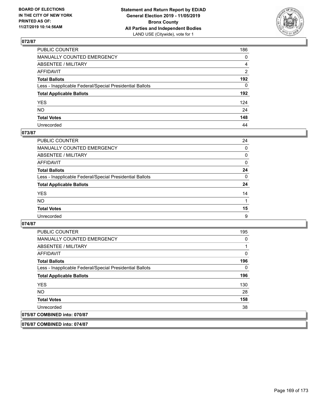

| PUBLIC COUNTER                                           | 186 |
|----------------------------------------------------------|-----|
| MANUALLY COUNTED EMERGENCY                               | 0   |
| ABSENTEE / MILITARY                                      | 4   |
| AFFIDAVIT                                                | 2   |
| Total Ballots                                            | 192 |
| Less - Inapplicable Federal/Special Presidential Ballots | 0   |
| <b>Total Applicable Ballots</b>                          | 192 |
| YES                                                      | 124 |
| NO.                                                      | 24  |
| <b>Total Votes</b>                                       | 148 |
| Unrecorded                                               | 44  |

## **073/87**

| <b>PUBLIC COUNTER</b>                                    | 24       |
|----------------------------------------------------------|----------|
| <b>MANUALLY COUNTED EMERGENCY</b>                        | $\Omega$ |
| ABSENTEE / MILITARY                                      | 0        |
| AFFIDAVIT                                                | $\Omega$ |
| <b>Total Ballots</b>                                     | 24       |
| Less - Inapplicable Federal/Special Presidential Ballots | $\Omega$ |
| <b>Total Applicable Ballots</b>                          | 24       |
| <b>YES</b>                                               | 14       |
| <b>NO</b>                                                |          |
| <b>Total Votes</b>                                       | 15       |
| Unrecorded                                               | 9        |

### **074/87**

**076/87 COMBINED into: 074/87**

| PUBLIC COUNTER                                           | 195 |
|----------------------------------------------------------|-----|
| <b>MANUALLY COUNTED EMERGENCY</b>                        | 0   |
| ABSENTEE / MILITARY                                      | 1   |
| AFFIDAVIT                                                | 0   |
| <b>Total Ballots</b>                                     | 196 |
| Less - Inapplicable Federal/Special Presidential Ballots | 0   |
| <b>Total Applicable Ballots</b>                          | 196 |
| <b>YES</b>                                               | 130 |
| NO.                                                      | 28  |
| <b>Total Votes</b>                                       | 158 |
| Unrecorded                                               | 38  |
| 075/87 COMBINED into: 070/87                             |     |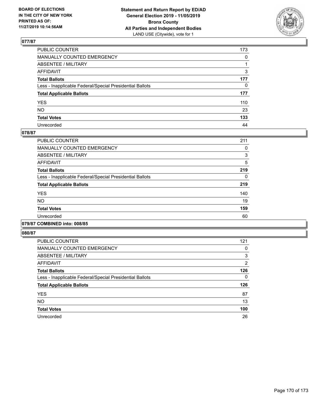

| PUBLIC COUNTER                                           | 173          |
|----------------------------------------------------------|--------------|
| MANUALLY COUNTED EMERGENCY                               | $\mathbf{0}$ |
| ABSENTEE / MILITARY                                      |              |
| AFFIDAVIT                                                | 3            |
| Total Ballots                                            | 177          |
| Less - Inapplicable Federal/Special Presidential Ballots | 0            |
| <b>Total Applicable Ballots</b>                          | 177          |
| YES                                                      | 110          |
| NΟ                                                       | 23           |
| <b>Total Votes</b>                                       | 133          |
| Unrecorded                                               | 44           |

## **078/87**

| PUBLIC COUNTER                                           | 211 |
|----------------------------------------------------------|-----|
| <b>MANUALLY COUNTED EMERGENCY</b>                        | 0   |
| ABSENTEE / MILITARY                                      | 3   |
| <b>AFFIDAVIT</b>                                         | 5   |
| <b>Total Ballots</b>                                     | 219 |
| Less - Inapplicable Federal/Special Presidential Ballots | 0   |
| <b>Total Applicable Ballots</b>                          | 219 |
| <b>YES</b>                                               | 140 |
| <b>NO</b>                                                | 19  |
| <b>Total Votes</b>                                       | 159 |
| Unrecorded                                               | 60  |
|                                                          |     |

## **079/87 COMBINED into: 008/85**

| <b>PUBLIC COUNTER</b>                                    | 121            |
|----------------------------------------------------------|----------------|
| <b>MANUALLY COUNTED EMERGENCY</b>                        | 0              |
| ABSENTEE / MILITARY                                      | 3              |
| AFFIDAVIT                                                | $\overline{2}$ |
| <b>Total Ballots</b>                                     | 126            |
| Less - Inapplicable Federal/Special Presidential Ballots | 0              |
| <b>Total Applicable Ballots</b>                          | 126            |
| <b>YES</b>                                               | 87             |
| <b>NO</b>                                                | 13             |
| <b>Total Votes</b>                                       | 100            |
| Unrecorded                                               | 26             |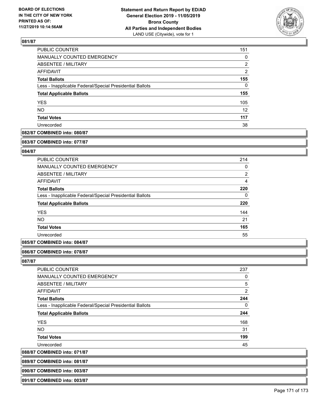

| PUBLIC COUNTER                                           | 151               |
|----------------------------------------------------------|-------------------|
| MANUALLY COUNTED EMERGENCY                               | 0                 |
| <b>ABSENTEE / MILITARY</b>                               | 2                 |
| AFFIDAVIT                                                | $\overline{2}$    |
| <b>Total Ballots</b>                                     | 155               |
| Less - Inapplicable Federal/Special Presidential Ballots | 0                 |
| <b>Total Applicable Ballots</b>                          | 155               |
| <b>YES</b>                                               | 105               |
| <b>NO</b>                                                | $12 \overline{ }$ |
| <b>Total Votes</b>                                       | 117               |
| Unrecorded                                               | 38                |

## **082/87 COMBINED into: 080/87**

#### **083/87 COMBINED into: 077/87**

## **084/87**

| 214            |
|----------------|
| 0              |
| $\overline{2}$ |
| 4              |
| 220            |
| $\Omega$       |
| 220            |
| 144            |
| 21             |
| 165            |
| 55             |
|                |

## **085/87 COMBINED into: 084/87**

#### **086/87 COMBINED into: 078/87**

#### **087/87**

| PUBLIC COUNTER                                           | 237            |
|----------------------------------------------------------|----------------|
| <b>MANUALLY COUNTED EMERGENCY</b>                        | 0              |
| ABSENTEE / MILITARY                                      | 5              |
| AFFIDAVIT                                                | $\overline{2}$ |
| <b>Total Ballots</b>                                     | 244            |
| Less - Inapplicable Federal/Special Presidential Ballots | 0              |
| <b>Total Applicable Ballots</b>                          | 244            |
| <b>YES</b>                                               | 168            |
| <b>NO</b>                                                | 31             |
| <b>Total Votes</b>                                       | 199            |
| Unrecorded                                               | 45             |
|                                                          |                |

**088/87 COMBINED into: 071/87**

| 089/87 COMBINED into: 081/87 |
|------------------------------|
|                              |
|                              |

# **090/87 COMBINED into: 003/87**

**091/87 COMBINED into: 003/87**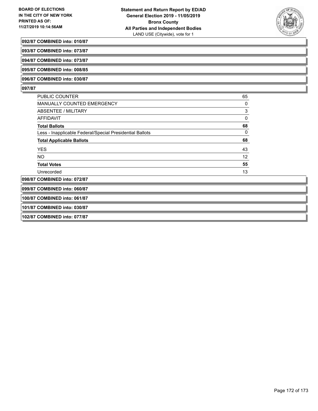

#### **092/87 COMBINED into: 010/87**

**093/87 COMBINED into: 073/87**

**094/87 COMBINED into: 073/87**

**095/87 COMBINED into: 008/85**

#### **096/87 COMBINED into: 030/87**

### **097/87**

| <b>PUBLIC COUNTER</b>                                    | 65 |
|----------------------------------------------------------|----|
| <b>MANUALLY COUNTED EMERGENCY</b>                        | 0  |
| ABSENTEE / MILITARY                                      | 3  |
| AFFIDAVIT                                                | 0  |
| <b>Total Ballots</b>                                     | 68 |
| Less - Inapplicable Federal/Special Presidential Ballots | 0  |
| <b>Total Applicable Ballots</b>                          | 68 |
| <b>YES</b>                                               | 43 |
| <b>NO</b>                                                | 12 |
| <b>Total Votes</b>                                       | 55 |
| Unrecorded                                               | 13 |
| 098/87 COMBINED into: 072/87                             |    |
|                                                          |    |

**099/87 COMBINED into: 060/87**

**100/87 COMBINED into: 061/87**

# **101/87 COMBINED into: 030/87**

**102/87 COMBINED into: 077/87**